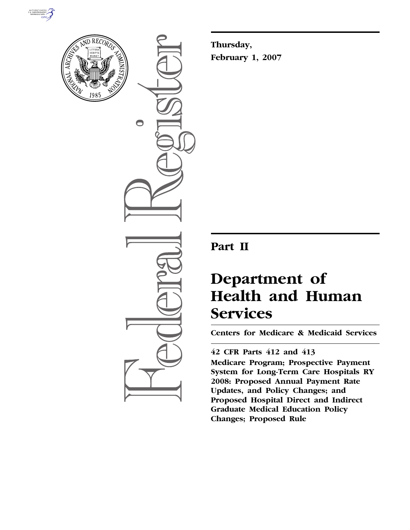



 $\bullet$ 

**Thursday, February 1, 2007** 

## **Part II**

# **Department of Health and Human Services**

**Centers for Medicare & Medicaid Services** 

### **42 CFR Parts 412 and 413**

**Medicare Program; Prospective Payment System for Long-Term Care Hospitals RY 2008: Proposed Annual Payment Rate Updates, and Policy Changes; and Proposed Hospital Direct and Indirect Graduate Medical Education Policy Changes; Proposed Rule**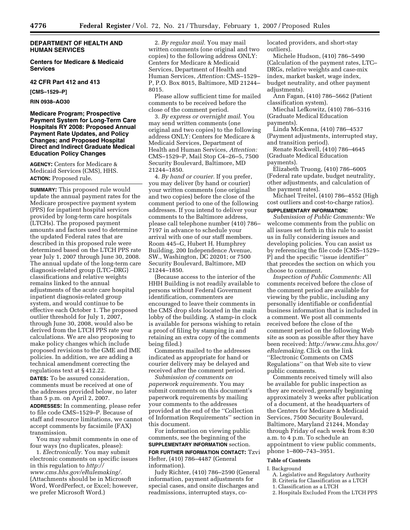#### **DEPARTMENT OF HEALTH AND HUMAN SERVICES**

**Centers for Medicare & Medicaid Services** 

**42 CFR Part 412 and 413** 

**[CMS–1529–P]** 

**RIN 0938–AO30** 

#### **Medicare Program; Prospective Payment System for Long-Term Care Hospitals RY 2008: Proposed Annual Payment Rate Updates, and Policy Changes; and Proposed Hospital Direct and Indirect Graduate Medical Education Policy Changes**

**AGENCY:** Centers for Medicare & Medicaid Services (CMS), HHS. **ACTION:** Proposed rule.

**SUMMARY:** This proposed rule would update the annual payment rates for the Medicare prospective payment system (PPS) for inpatient hospital services provided by long-term care hospitals (LTCHs). The proposed payment amounts and factors used to determine the updated Federal rates that are described in this proposed rule were determined based on the LTCH PPS rate year July 1, 2007 through June 30, 2008. The annual update of the long-term care diagnosis-related group (LTC–DRG) classifications and relative weights remains linked to the annual adjustments of the acute care hospital inpatient diagnosis-related group system, and would continue to be effective each October 1. The proposed outlier threshold for July 1, 2007, through June 30, 2008, would also be derived from the LTCH PPS rate year calculations. We are also proposing to make policy changes which include proposed revisions to the GME and IME policies. In addition, we are adding a technical amendment correcting the regulations text at § 412.22.

**DATES:** To be assured consideration, comments must be received at one of the addresses provided below, no later than 5 p.m. on April 2, 2007. **ADDRESSES:** In commenting, please refer to file code CMS–1529–P. Because of staff and resource limitations, we cannot accept comments by facsimile (FAX) transmission.

You may submit comments in one of four ways (no duplicates, please):

1. *Electronically.* You may submit electronic comments on specific issues in this regulation to *http:// www.cms.hhs.gov/eRulemaking/.*  (Attachments should be in Microsoft Word, WordPerfect, or Excel; however, we prefer Microsoft Word.)

2. *By regular mail.* You may mail written comments (one original and two copies) to the following address ONLY: Centers for Medicare & Medicaid Services, Department of Health and Human Services, *Attention:* CMS–1529– P, P.O. Box 8015, Baltimore, MD 21244– 8015.

Please allow sufficient time for mailed comments to be received before the close of the comment period.

3. *By express or overnight mail.* You may send written comments (one original and two copies) to the following address ONLY: Centers for Medicare & Medicaid Services, Department of Health and Human Services, *Attention:*  CMS–1529–P, Mail Stop C4–26–5, 7500 Security Boulevard, Baltimore, MD 21244–1850.

4. *By hand or courier.* If you prefer, you may deliver (by hand or courier) your written comments (one original and two copies) before the close of the comment period to one of the following addresses. If you intend to deliver your comments to the Baltimore address, please call telephone number (410) 786– 7197 in advance to schedule your arrival with one of our staff members. Room 445–G, Hubert H. Humphrey Building, 200 Independence Avenue, SW., Washington, DC 20201; or 7500 Security Boulevard, Baltimore, MD 21244–1850.

(Because access to the interior of the HHH Building is not readily available to persons without Federal Government identification, commenters are encouraged to leave their comments in the CMS drop slots located in the main lobby of the building. A stamp-in clock is available for persons wishing to retain a proof of filing by stamping in and retaining an extra copy of the comments being filed.)

Comments mailed to the addresses indicated as appropriate for hand or courier delivery may be delayed and received after the comment period.

*Submission of comments on paperwork requirements.* You may submit comments on this document's paperwork requirements by mailing your comments to the addresses provided at the end of the ''Collection of Information Requirements'' section in this document.

For information on viewing public comments, see the beginning of the **SUPPLEMENTARY INFORMATION** section.

#### **FOR FURTHER INFORMATION CONTACT:** Tzvi Hefter, (410) 786–4487 (General information).

Judy Richter, (410) 786–2590 (General information, payment adjustments for special cases, and onsite discharges and readmissions, interrupted stays, colocated providers, and short-stay outliers).

Michele Hudson, (410) 786–5490 (Calculation of the payment rates, LTC– DRGs, relative weights and case-mix index, market basket, wage index, budget neutrality, and other payment adjustments).

Ann Fagan, (410) 786–5662 (Patient classification system).

Miechal Lefkowitz, (410) 786–5316 (Graduate Medical Education payments).

Linda McKenna, (410) 786–4537 (Payment adjustments, interrupted stay, and transition period).

Renate Rockwell, (410) 786–4645 (Graduate Medical Education payments).

Elizabeth Truong, (410) 786–6005 (Federal rate update, budget neutrality, other adjustments, and calculation of the payment rates).

Michael Treitel, (410) 786–4552 (High cost outliers and cost-to-charge ratios).

#### **SUPPLEMENTARY INFORMATION:**

*Submission of Public Comments:* We welcome comments from the public on all issues set forth in this rule to assist us in fully considering issues and developing policies. You can assist us by referencing the file code [CMS–1529– P] and the specific ''issue identifier'' that precedes the section on which you choose to comment.

*Inspection of Public Comments:* All comments received before the close of the comment period are available for viewing by the public, including any personally identifiable or confidential business information that is included in a comment. We post all comments received before the close of the comment period on the following Web site as soon as possible after they have been received: *http://www.cms.hhs.gov/ eRulemaking.* Click on the link ''Electronic Comments on CMS Regulations'' on that Web site to view public comments.

Comments received timely will also be available for public inspection as they are received, generally beginning approximately 3 weeks after publication of a document, at the headquarters of the Centers for Medicare & Medicaid Services, 7500 Security Boulevard, Baltimore, Maryland 21244, Monday through Friday of each week from 8:30 a.m. to 4 p.m. To schedule an appointment to view public comments, phone 1–800–743–3951.

#### **Table of Contents**

#### I. Background

- A. Legislative and Regulatory Authority
- B. Criteria for Classification as a LTCH
- 1. Classification as a LTCH
- 2. Hospitals Excluded From the LTCH PPS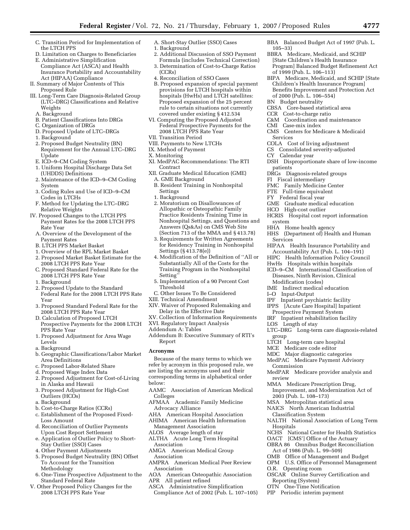- C. Transition Period for Implementation of the LTCH PPS
- D. Limitation on Charges to Beneficiaries
- E. Administrative Simplification Compliance Act (ASCA) and Health Insurance Portability and Accountability Act (HIPAA) Compliance
- II. Summary of Major Contents of This Proposed Rule
- III. Long-Term Care Diagnosis-Related Group (LTC–DRG) Classifications and Relative Weights
	- A. Background
	- B. Patient Classifications Into DRGs
	- C. Organization of DRGs
	- D. Proposed Update of LTC–DRGs
	- 1. Background
	- 2. Proposed Budget Neutrality (BN) Requirement for the Annual LTC–DRG Update
	- E. ICD–9–CM Coding System
	- 1. Uniform Hospital Discharge Data Set (UHDDS) Definitions
	- 2. Maintenance of the ICD–9–CM Coding System
	- 3. Coding Rules and Use of ICD–9–CM Codes in LTCHs
	- F. Method for Updating the LTC–DRG Relative Weights
- IV. Proposed Changes to the LTCH PPS Payment Rates for the 2008 LTCH PPS Rate Year
	- A. Overview of the Development of the Payment Rates
	- B. LTCH PPS Market Basket
	- 1. Overview of the RPL Market Basket
	- 2. Proposed Market Basket Estimate for the 2008 LTCH PPS Rate Year
	- C. Proposed Standard Federal Rate for the 2008 LTCH PPS Rate Year
	- 1. Background
	- 2. Proposed Update to the Standard Federal Rate for the 2008 LTCH PPS Rate Year
	- 3. Proposed Standard Federal Rate for the 2008 LTCH PPS Rate Year
	- D. Calculation of Proposed LTCH Prospective Payments for the 2008 LTCH PPS Rate Year
	- 1. Proposed Adjustment for Area Wage Levels
	- a. Background
	- b. Geographic Classifications/Labor Market Area Definitions
	- c. Proposed Labor-Related Share
	- d. Proposed Wage Index Data
	- 2. Proposed Adjustment for Cost-of-Living in Alaska and Hawaii
	- 3. Proposed Adjustment for High-Cost Outliers (HCO<sub>s</sub>)
	- a. Background
	- b. Cost-to-Charge Ratios (CCRs)
	- c. Establishment of the Proposed Fixed-Loss Amount
	- d. Reconciliation of Outlier Payments Upon Cost Report Settlement
	- e. Application of Outlier Policy to Short-Stay Outlier (SSO) Cases
	- 4. Other Payment Adjustments 5. Proposed Budget Neutrality (BN) Offset
	- To Account for the Transition Methodology
- 6. One-Time Prospective Adjustment to the Standard Federal Rate
- V. Other Proposed Policy Changes for the 2008 LTCH PPS Rate Year
- A. Short-Stay Outlier (SSO) Cases
- 1. Background
- 2. Additional Discussion of SSO Payment Formula (includes Technical Correction)
- 3. Determination of Cost-to-Charge Ratios (CCRs)
- 4. Reconciliation of SSO Cases
- B. Proposed expansion of special payment provisions for LTCH hospitals within hospitals (HwHs) and LTCH satellites: Proposed expansion of the 25 percent rule to certain situations not currently covered under existing § 412.534
- VI. Computing the Proposed Adjusted Federal Prospective Payments for the 2008 LTCH PPS Rate Year
- VII. Transition Period
- VIII. Payments to New LTCHs
- IX. Method of Payment
- X. Monitoring
- XI. MedPAC Recommendations: The RTI Contract
- XII. Graduate Medical Education (GME)
- A. GME Background
- B. Resident Training in Nonhospital Settings
- 1. Background
- 2. Moratorium on Disallowances of Allopathic or Osteopathic Family Practice Residents Training Time in Nonhospital Settings, and Questions and Answers (Qs&As) on CMS Web Site (Section 713 of the MMA and § 413.78)
- 3. Requirements for Written Agreements for Residency Training in Nonhospital Settings (§ 413.78(e))
- 4. Modification of the Definition of ''All or Substantially All of the Costs for the Training Program in the Nonhospital Setting''
- 5. Implementation of a 90 Percent Cost Threshold
- C. Other Issues To Be Considered
- XIII. Technical Amendment
- XIV. Waiver of Proposed Rulemaking and Delay in the Effective Date
- XV. Collection of Information Requirements
- XVI. Regulatory Impact Analysis
- Addendum A: Tables
- Addendum B: Executive Summary of RTI's Report

#### **Acronyms**

Because of the many terms to which we refer by acronym in this proposed rule, we are listing the acronyms used and their corresponding terms in alphabetical order below:

- AAMC Association of American Medical Colleges
- AFMAA Academic Family Medicine Advocacy Alliance
- AHA American Hospital Association
- AHIMA American Health Information
- Management Association
- ALOS Average length of stay
- ALTHA Acute Long Term Hospital Association
- AMGA American Medical Group Association
- AMPRA American Medical Peer Review Association
- AOA American Osteopathic Association
- APR All patient refined
- ASCA Administrative Simplification Compliance Act of 2002 (Pub. L. 107–105)
- BBA Balanced Budget Act of 1997 (Pub. L. 105–33)
- BBRA Medicare, Medicaid, and SCHIP [State Children's Health Insurance Program] Balanced Budget Refinement Act of 1999 (Pub. L. 106–113)
- BIPA Medicare, Medicaid, and SCHIP [State Children's Health Insurance Program] Benefits Improvement and Protection Act of 2000 (Pub. L. 106–554)
- BN Budget neutrality
- CBSA Core-based statistical area
- CCR Cost-to-charge ratio
- C&M Coordination and maintenance
- CMI Case-mix index
- CMS Centers for Medicare & Medicaid Services
- COLA Cost of living adjustment
- CS Consolidated severity-adjusted
- Calendar year
- DSH Disproportionate share of low-income patients
- DRGs Diagnosis-related groups
- FI Fiscal intermediary

FY Federal fiscal year

HCO High-cost outlier

HHA Home health agency

Modification (codes) IME Indirect medical education<br>I-O Input-Output

I–O Input-Output

LOS Length of stay

Commission

LTCH Long-term care hospital MCE Medicare code editor MDC Major diagnostic categories MedPAC Medicare Payment Advisory

group

review

**Hospitals** 

system

Services

FMC Family Medicine Center FTE Full-time equivalent

GME Graduate medical education

HCRIS Hospital cost report information

HHS (Department of) Health and Human

HIPAA Health Insurance Portability and Accountability Act (Pub. L. 104–191) HIPC Health Information Policy Council HwHs Hospitals within hospitals ICD–9–CM International Classification of Diseases, Ninth Revision, Clinical

Inpatient psychiatric facility IPPS [Acute Care Hospital] Inpatient Prospective Payment System IRF Inpatient rehabilitation facility

LTC–DRG Long-term care diagnosis-related

MedPAR Medicare provider analysis and

NALTH National Association of Long Term

NCHS National Center for Health Statistics OACT [CMS'] Office of the Actuary OBRA 86 Omnibus Budget Reconciliation

OSCAR Online Survey Certification and

MMA Medicare Prescription Drug, Improvement, and Modernization Act of

2003 (Pub. L. 108–173) MSA Metropolitan statistical area NAICS North American Industrial

Classification System

O.R. Operating room

Reporting (System) OTN One-Time Notification PIP Periodic interim payment

Act of 1986 (Pub. L. 99–509) OMB Office of Management and Budget OPM U.S. Office of Personnel Management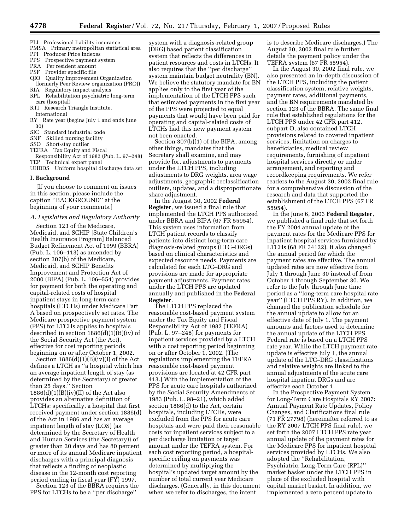- PLI Professional liability insurance
- PMSA Primary metropolitan statistical area
- PPI Producer Price Indexes
- PPS Prospective payment system<br>PRA Per resident amount
- Per resident amount
- PSF Provider specific file
- QIO Quality Improvement Organization (formerly Peer Review organization (PRO))
- RIA Regulatory impact analysis RPL Rehabilitation psychiatric long-term
- care (hospital) RTI Research Triangle Institute,
- International
- RY Rate year (begins July 1 and ends June 30)
- SIC Standard industrial code
- SNF Skilled nursing facility
- SSO Short-stay outlier
- TEFRA Tax Equity and Fiscal
- Responsibility Act of 1982 (Pub. L. 97–248) Technical expert panel
- UHDDS Uniform hospital discharge data set

#### **I. Background**

[If you choose to comment on issues in this section, please include the caption ''BACKGROUND'' at the beginning of your comments.]

#### *A. Legislative and Regulatory Authority*

Section 123 of the Medicare, Medicaid, and SCHIP [State Children's Health Insurance Program] Balanced Budget Refinement Act of 1999 (BBRA) (Pub. L. 106–113) as amended by section 307(b) of the Medicare, Medicaid, and SCHIP Benefits Improvement and Protection Act of 2000 (BIPA) (Pub. L. 106–554) provides for payment for both the operating and capital-related costs of hospital inpatient stays in long-term care hospitals (LTCHs) under Medicare Part A based on prospectively set rates. The Medicare prospective payment system (PPS) for LTCHs applies to hospitals described in section 1886(d)(1)(B)(iv) of the Social Security Act (the Act), effective for cost reporting periods beginning on or after October 1, 2002.

Section  $1886(d)(1)(B)(iv)(I)$  of the Act defines a LTCH as ''a hospital which has an average inpatient length of stay (as determined by the Secretary) of greater than 25 days.'' Section  $1886(d)(1)(B)(iv)(II)$  of the Act also provides an alternative definition of LTCHs: specifically, a hospital that first received payment under section 1886(d) of the Act in 1986 and has an average inpatient length of stay (LOS) (as determined by the Secretary of Health and Human Services (the Secretary)) of greater than 20 days and has 80 percent or more of its annual Medicare inpatient discharges with a principal diagnosis that reflects a finding of neoplastic disease in the 12-month cost reporting period ending in fiscal year (FY) 1997. Section 123 of the BBRA requires the

PPS for LTCHs to be a ''per discharge''

system with a diagnosis-related group (DRG) based patient classification system that reflects the differences in patient resources and costs in LTCHs. It also requires that the ''per discharge'' system maintain budget neutrality (BN). We believe the statutory mandate for BN applies only to the first year of the implementation of the LTCH PPS such that estimated payments in the first year of the PPS were projected to equal payments that would have been paid for operating and capital-related costs of LTCHs had this new payment system not been enacted.

Section 307(b)(1) of the BIPA, among other things, mandates that the Secretary shall examine, and may provide for, adjustments to payments under the LTCH PPS, including adjustments to DRG weights, area wage adjustments, geographic reclassification, outliers, updates, and a disproportionate share adjustment.

In the August 30, 2002 **Federal Register**, we issued a final rule that implemented the LTCH PPS authorized under BBRA and BIPA (67 FR 55954). This system uses information from LTCH patient records to classify patients into distinct long-term care diagnosis-related groups (LTC–DRGs) based on clinical characteristics and expected resource needs. Payments are calculated for each LTC–DRG and provisions are made for appropriate payment adjustments. Payment rates under the LTCH PPS are updated annually and published in the **Federal Register**.

The LTCH PPS replaced the reasonable cost-based payment system under the Tax Equity and Fiscal Responsibility Act of 1982 (TEFRA) (Pub. L. 97–248) for payments for inpatient services provided by a LTCH with a cost reporting period beginning on or after October 1, 2002. (The regulations implementing the TEFRA reasonable cost-based payment provisions are located at 42 CFR part 413.) With the implementation of the PPS for acute care hospitals authorized by the Social Security Amendments of 1983 (Pub. L. 98–21), which added section 1886(d) to the Act, certain hospitals, including LTCHs, were excluded from the PPS for acute care hospitals and were paid their reasonable costs for inpatient services subject to a per discharge limitation or target amount under the TEFRA system. For each cost reporting period, a hospitalspecific ceiling on payments was determined by multiplying the hospital's updated target amount by the number of total current year Medicare discharges. (Generally, in this document when we refer to discharges, the intent

is to describe Medicare discharges.) The August 30, 2002 final rule further details the payment policy under the TEFRA system (67 FR 55954).

In the August 30, 2002 final rule, we also presented an in-depth discussion of the LTCH PPS, including the patient classification system, relative weights, payment rates, additional payments, and the BN requirements mandated by section 123 of the BBRA. The same final rule that established regulations for the LTCH PPS under 42 CFR part 412, subpart O, also contained LTCH provisions related to covered inpatient services, limitation on charges to beneficiaries, medical review requirements, furnishing of inpatient hospital services directly or under arrangement, and reporting and recordkeeping requirements. We refer readers to the August 30, 2002 final rule for a comprehensive discussion of the research and data that supported the establishment of the LTCH PPS (67 FR 55954).

In the June 6, 2003 **Federal Register**, we published a final rule that set forth the FY 2004 annual update of the payment rates for the Medicare PPS for inpatient hospital services furnished by LTCHs (68 FR 34122). It also changed the annual period for which the payment rates are effective. The annual updated rates are now effective from July 1 through June 30 instead of from October 1 through September 30. We refer to the July through June time period as a ''long-term care hospital rate year'' (LTCH PPS RY). In addition, we changed the publication schedule for the annual update to allow for an effective date of July 1. The payment amounts and factors used to determine the annual update of the LTCH PPS Federal rate is based on a LTCH PPS rate year. While the LTCH payment rate update is effective July 1, the annual update of the LTC–DRG classifications and relative weights are linked to the annual adjustments of the acute care hospital inpatient DRGs and are effective each October 1.

In the Prospective Payment System for Long-Term Care Hospitals RY 2007: Annual Payment Rate Updates, Policy Changes, and Clarifications final rule (71 FR 27798) (hereinafter referred to as the RY 2007 LTCH PPS final rule), we set forth the 2007 LTCH PPS rate year annual update of the payment rates for the Medicare PPS for inpatient hospital services provided by LTCHs. We also adopted the ''Rehabilitation, Psychiatric, Long-Term Care (RPL)'' market basket under the LTCH PPS in place of the excluded hospital with capital market basket. In addition, we implemented a zero percent update to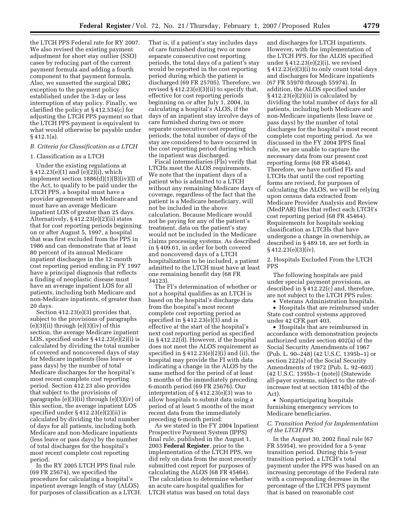the LTCH PPS Federal rate for RY 2007. We also revised the existing payment adjustment for short stay outlier (SSO) cases by reducing part of the current payment formula and adding a fourth component to that payment formula. Also, we sunsetted the surgical DRG exception to the payment policy established under the 3-day or less interruption of stay policy. Finally, we clarified the policy at § 412.534(c) for adjusting the LTCH PPS payment so that the LTCH PPS payment is equivalent to what would otherwise be payable under § 412.1(a).

#### *B. Criteria for Classification as a LTCH*

#### 1. Classification as a LTCH

Under the existing regulations at § 412.23(e)(1) and (e)(2)(i), which implement section 1886(d)(1)(B)(iv)(I) of the Act, to qualify to be paid under the LTCH PPS, a hospital must have a provider agreement with Medicare and must have an average Medicare inpatient LOS of greater than 25 days. Alternatively, § 412.23(e)(2)(ii) states that for cost reporting periods beginning on or after August 5, 1997, a hospital that was first excluded from the PPS in 1986 and can demonstrate that at least 80 percent of its annual Medicare inpatient discharges in the 12-month cost reporting period ending in FY 1997 have a principal diagnosis that reflects a finding of neoplastic disease must have an average inpatient LOS for all patients, including both Medicare and non-Medicare inpatients, of greater than 20 days.

Section 412.23(e)(3) provides that, subject to the provisions of paragraphs  $(e)(3)(ii)$  through  $(e)(3)(iv)$  of this section, the average Medicare inpatient LOS, specified under § 412.23(e)(2)(i) is calculated by dividing the total number of covered and noncovered days of stay for Medicare inpatients (less leave or pass days) by the number of total Medicare discharges for the hospital's most recent complete cost reporting period. Section 412.23 also provides that subject to the provisions of paragraphs (e)(3)(ii) through (e)(3)(iv) of this section, the average inpatient LOS specified under § 412.23(e)(2)(ii) is calculated by dividing the total number of days for all patients, including both Medicare and non-Medicare inpatients (less leave or pass days) by the number of total discharges for the hospital's most recent complete cost reporting period.

In the RY 2005 LTCH PPS final rule (69 FR 25674), we specified the procedure for calculating a hospital's inpatient average length of stay (ALOS) for purposes of classification as a LTCH. That is, if a patient's stay includes days of care furnished during two or more separate consecutive cost reporting periods, the total days of a patient's stay would be reported in the cost reporting period during which the patient is discharged (69 FR 25705). Therefore, we revised § 412.23(e)(3)(ii) to specify that, effective for cost reporting periods beginning on or after July 1, 2004, in calculating a hospital's ALOS, if the days of an inpatient stay involve days of care furnished during two or more separate consecutive cost reporting periods, the total number of days of the stay are considered to have occurred in the cost reporting period during which the inpatient was discharged.

Fiscal intermediaries (FIs) verify that LTCHs meet the ALOS requirements. We note that the inpatient days of a patient who is admitted to a LTCH without any remaining Medicare days of coverage, regardless of the fact that the patient is a Medicare beneficiary, will not be included in the above calculation. Because Medicare would not be paying for any of the patient's treatment, data on the patient's stay would not be included in the Medicare claims processing systems. As described in § 409.61, in order for both covered and noncovered days of a LTCH hospitalization to be included, a patient admitted to the LTCH must have at least one remaining benefit day (68 FR 34123).

The FI's determination of whether or not a hospital qualifies as an LTCH is based on the hospital's discharge data from the hospital's most recent complete cost reporting period as specified in § 412.23(e)(3) and is effective at the start of the hospital's next cost reporting period as specified in § 412.22(d). However, if the hospital does not meet the ALOS requirement as specified in  $§$  412.23(e)(2)(i) and (ii), the hospital may provide the FI with data indicating a change in the ALOS by the same method for the period of at least 5 months of the immediately preceding 6-month period (69 FR 25676). Our interpretation of § 412.23(e)(3) was to allow hospitals to submit data using a period of at least 5 months of the most recent data from the immediately preceding 6-month period.

As we stated in the FY 2004 Inpatient Prospective Payment System (IPPS) final rule, published in the August 1, 2003 **Federal Register**, prior to the implementation of the LTCH PPS, we did rely on data from the most recently submitted cost report for purposes of calculating the ALOS (68 FR 45464). The calculation to determine whether an acute care hospital qualifies for LTCH status was based on total days

and discharges for LTCH inpatients. However, with the implementation of the LTCH PPS, for the ALOS specified under  $§ 412.23(e)(2)(i)$ , we revised § 412.23(e)(3)(i) to only count total days and discharges for Medicare inpatients (67 FR 55970 through 55974). In addition, the ALOS specified under § 412.23(e)(2)(ii) is calculated by dividing the total number of days for all patients, including both Medicare and non-Medicare inpatients (less leave or pass days) by the number of total discharges for the hospital's most recent complete cost reporting period. As we discussed in the FY 2004 IPPS final rule, we are unable to capture the necessary data from our present cost reporting forms (68 FR 45464). Therefore, we have notified FIs and LTCHs that until the cost reporting forms are revised, for purposes of calculating the ALOS, we will be relying upon census data extracted from Medicare Provider Analysis and Review (MedPAR) files that reflect each LTCH's cost reporting period (68 FR 45464). Requirements for hospitals seeking classification as LTCHs that have undergone a change in ownership, as described in § 489.18, are set forth in § 412.23(e)(3)(iv).

2. Hospitals Excluded From the LTCH PPS

The following hospitals are paid under special payment provisions, as described in § 412.22(c) and, therefore, are not subject to the LTCH PPS rules:

• Veterans Administration hospitals.

• Hospitals that are reimbursed under State cost control systems approved under 42 CFR part 403.

• Hospitals that are reimbursed in accordance with demonstration projects authorized under section 402(a) of the Social Security Amendments of 1967 (Pub. L. 90–248) (42 U.S.C. 1395b–1) or section 222(a) of the Social Security Amendments of 1972 (Pub. L. 92–603) (42 U.S.C. 1395b–1 (note)) (Statewide all-payer systems, subject to the rate-ofincrease test at section 1814(b) of the Act).

• Nonparticipating hospitals furnishing emergency services to Medicare beneficiaries.

#### *C. Transition Period for Implementation of the LTCH PPS*

In the August 30, 2002 final rule (67 FR 55954), we provided for a 5-year transition period. During this 5-year transition period, a LTCH's total payment under the PPS was based on an increasing percentage of the Federal rate with a corresponding decrease in the percentage of the LTCH PPS payment that is based on reasonable cost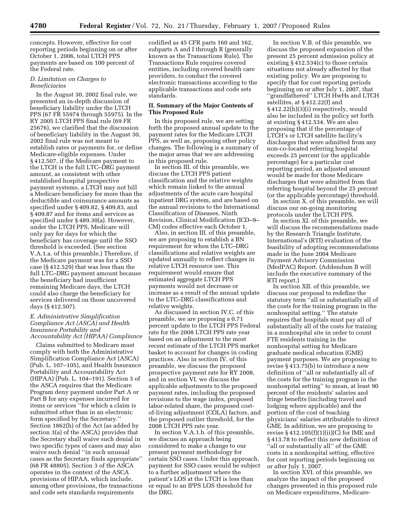concepts. However, effective for cost reporting periods beginning on or after October 1, 2006, total LTCH PPS payments are based on 100 percent of the Federal rate.

#### *D. Limitation on Charges to Beneficiaries*

In the August 30, 2002 final rule, we presented an in-depth discussion of beneficiary liability under the LTCH PPS (67 FR 55974 through 55975). In the RY 2005 LTCH PPS final rule (69 FR 25676), we clarified that the discussion of beneficiary liability in the August 30, 2002 final rule was not meant to establish rates or payments for, or define Medicare-eligible expenses. Under § 412.507, if the Medicare payment to the LTCH is the full LTC–DRG payment amount, as consistent with other established hospital prospective payment systems, a LTCH may not bill a Medicare beneficiary for more than the deductible and coinsurance amounts as specified under § 409.82, § 409.83, and § 409.87 and for items and services as specified under § 489.30(a). However, under the LTCH PPS, Medicare will only pay for days for which the beneficiary has coverage until the SSO threshold is exceeded. (See section V.A.1.a. of this preamble.) Therefore, if the Medicare payment was for a SSO case (§ 412.529) that was less than the full LTC–DRG payment amount because the beneficiary had insufficient remaining Medicare days, the LTCH could also charge the beneficiary for services delivered on those uncovered days (§ 412.507).

#### *E. Administrative Simplification Compliance Act (ASCA) and Health Insurance Portability and Accountability Act (HIPAA) Compliance*

Claims submitted to Medicare must comply with both the Administrative Simplification Compliance Act (ASCA) (Pub. L. 107–105), and Health Insurance Portability and Accountability Act (HIPAA) (Pub. L. 104–191). Section 3 of the ASCA requires that the Medicare Program deny payment under Part A or Part B for any expenses incurred for items or services ''for which a claim is submitted other than in an electronic form specified by the Secretary.'' Section 1862(h) of the Act (as added by section 3(a) of the ASCA) provides that the Secretary shall waive such denial in two specific types of cases and may also waive such denial ''in such unusual cases as the Secretary finds appropriate'' (68 FR 48805). Section 3 of the ASCA operates in the context of the ASCA provisions of HIPAA, which include, among other provisions, the transactions and code sets standards requirements

codified as 45 CFR parts 160 and 162, subparts A and I through R (generally known as the Transactions Rule). The Transactions Rule requires covered entities, including covered health care providers, to conduct the covered electronic transactions according to the applicable transactions and code sets standards.

#### **II. Summary of the Major Contents of This Proposed Rule**

In this proposed rule, we are setting forth the proposed annual update to the payment rates for the Medicare LTCH PPS, as well as, proposing other policy changes. The following is a summary of the major areas that we are addressing in this proposed rule.

In section III. of this preamble, we discuss the LTCH PPS patient classification and the relative weights which remain linked to the annual adjustments of the acute care hospital inpatient DRG system, and are based on the annual revisions to the International Classification of Diseases, Ninth Revision, Clinical Modification (ICD–9– CM) codes effective each October 1.

Also, in section III. of this preamble, we are proposing to establish a BN requirement for when the LTC–DRG classifications and relative weights are updated annually to reflect changes in relative LTCH resource use. This requirement would ensure that estimated aggregate LTCH PPS payments would not decrease or increase as a result of the annual update to the LTC–DRG classifications and relative weights.

As discussed in section IV.C. of this preamble, we are proposing a 0.71 percent update to the LTCH PPS Federal rate for the 2008 LTCH PPS rate year based on an adjustment to the most recent estimate of the LTCH PPS market basket to account for changes in coding practices. Also in section IV. of this preamble, we discuss the proposed prospective payment rate for RY 2008, and in section VI. we discuss the applicable adjustments to the proposed payment rates, including the proposed revisions to the wage index, proposed labor-related share, the proposed costof-living adjustment (COLA) factors, and the proposed outlier threshold, for the 2008 LTCH PPS rate year.

In section V.A.1.b. of this preamble, we discuss an approach being considered to make a change to our present payment methodology for certain SSO cases. Under this approach, payment for SSO cases would be subject to a further adjustment where the patient's LOS at the LTCH is less than or equal to an IPPS LOS threshold for the DRG.

In section V.B. of this preamble, we discuss the proposed expansion of the present 25 percent admission policy at existing § 412.534(c) to those certain situations not already affected by that existing policy. We are proposing to specify that for cost reporting periods beginning on or after July 1, 2007, that ''grandfathered'' LTCH HwHs and LTCH satellites, at § 412.22(f) and § 412.22(h)(3)(i) respectively, would also be included in the policy set forth at existing § 412.534. We are also proposing that if the percentage of LTCH's or LTCH satellite facility's discharges that were admitted from any non-co-located referring hospital exceeds 25 percent (or the applicable percentage) for a particular cost reporting period, an adjusted amount would be made for those Medicare discharges that were admitted from that referring hospital beyond the 25 percent (or the applicable percentage) threshold.

In section X. of this preamble, we will discuss our on-going monitoring protocols under the LTCH PPS.

In section XI. of this preamble, we will discuss the recommendations made by the Research Triangle Institute, International's (RTI) evaluation of the feasibility of adopting recommendations made in the June 2004 Medicare Payment Advisory Commission (MedPAC) Report. (Addendum B will include the executive summary of the RTI report.)

In section XII. of this preamble, we discuss our proposal to redefine the statutory term ''all or substantially all of the costs for the training program in the nonhospital setting.'' The statute requires that hospitals must pay all of substantially all of the costs for training in a nonhospital site in order to count FTE residents training in the nonhospital setting for Medicare graduate medical education (GME) payment purposes. We are proposing to revise § 413.75(b) to introduce a new definition of ''all or substantially all of the costs for the training program in the nonhospital setting'' to mean, at least 90 percent of the residents' salaries and fringe benefits (including travel and lodging where applicable) and the portion of the cost of teaching physicians' salaries attributable to direct GME. In addition, we are proposing to revise § 412.105(f)(1)(ii)(C) for IME and § 413.78 to reflect this new definition of ''all or substantially all'' of the GME costs in a nonhospital setting, effective for cost reporting periods beginning on or after July 1, 2007.

In section XVI. of this preamble, we analyze the impact of the proposed changes presented in this proposed rule on Medicare expenditures, Medicare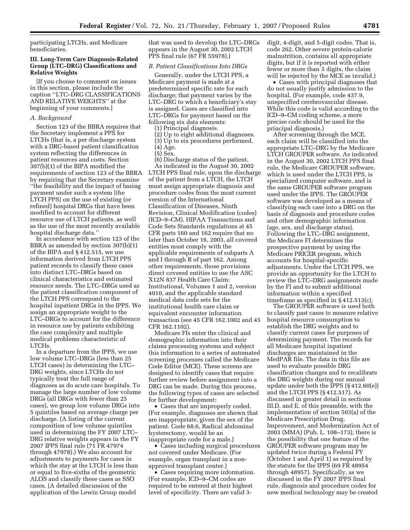participating LTCHs, and Medicare beneficiaries.

#### **III. Long-Term Care Diagnosis-Related Group (LTC–DRG) Classifications and Relative Weights**

[If you choose to comment on issues in this section, please include the caption ''LTC–DRG CLASSIFICATIONS AND RELATIVE WEIGHTS'' at the beginning of your comments.]

#### *A. Background*

Section 123 of the BBRA requires that the Secretary implement a PPS for LTCHs (that is, a per discharge system with a DRG-based patient classification system reflecting the differences in patient resources and costs. Section 307(b)(1) of the BIPA modified the requirements of section 123 of the BBRA by requiring that the Secretary examine ''the feasibility and the impact of basing payment under such a system [the LTCH PPS] on the use of existing (or refined) hospital DRGs that have been modified to account for different resource use of LTCH patients, as well as the use of the most recently available hospital discharge data.''

In accordance with section 123 of the BBRA as amended by section 307(b)(1) of the BIPA and § 412.515, we use information derived from LTCH PPS patient records to classify these cases into distinct LTC–DRGs based on clinical characteristics and estimated resource needs. The LTC–DRGs used as the patient classification component of the LTCH PPS correspond to the hospital inpatient DRGs in the IPPS. We assign an appropriate weight to the LTC–DRGs to account for the difference in resource use by patients exhibiting the case complexity and multiple medical problems characteristic of LTCHs.

In a departure from the IPPS, we use low volume LTC–DRGs (less than 25 LTCH cases) in determining the LTC– DRG weights, since LTCHs do not typically treat the full range of diagnoses as do acute care hospitals. To manage the large number of low volume DRGs (all DRGs with fewer than 25 cases), we group low volume DRGs into 5 quintiles based on average charge per discharge. (A listing of the current composition of low volume quintiles used in determining the FY 2007 LTC– DRG relative weights appears in the FY 2007 IPPS final rule (71 FR 47974 through 47978).) We also account for adjustments to payments for cases in which the stay at the LTCH is less than or equal to five-sixths of the geometric ALOS and classify these cases as SSO cases. (A detailed discussion of the application of the Lewin Group model

that was used to develop the LTC–DRGs appears in the August 30, 2002 LTCH PPS final rule (67 FR 55978).)

#### *B. Patient Classifications Into DRGs*

Generally, under the LTCH PPS, a Medicare payment is made at a predetermined specific rate for each discharge; that payment varies by the LTC–DRG to which a beneficiary's stay is assigned. Cases are classified into LTC–DRGs for payment based on the following six data elements:

(1) Principal diagnosis.

- (2) Up to eight additional diagnoses.
- (3) Up to six procedures performed.
- (4) Age.
- (5) Sex.
- (6) Discharge status of the patient.

As indicated in the August 30, 2002 LTCH PPS final rule, upon the discharge of the patient from a LTCH, the LTCH must assign appropriate diagnosis and procedure codes from the most current version of the International Classification of Diseases, Ninth Revision, Clinical Modification (codes) (ICD–9–CM). HIPAA Transactions and Code Sets Standards regulations at 45 CFR parts 160 and 162 require that no later than October 16, 2003, all covered entities must comply with the applicable requirements of subparts A and I through R of part 162. Among other requirements, those provisions direct covered entities to use the ASC X12N 837 Health Care Claim: Institutional, Volumes 1 and 2, version 4010, and the applicable standard medical data code sets for the institutional health care claim or equivalent encounter information transaction (see 45 CFR 162.1002 and 45 CFR 162.1102).

Medicare FIs enter the clinical and demographic information into their claims processing systems and subject this information to a series of automated screening processes called the Medicare Code Editor (MCE). These screens are designed to identify cases that require further review before assignment into a DRG can be made. During this process, the following types of cases are selected for further development:

• Cases that are improperly coded. (For example, diagnoses are shown that are inappropriate, given the sex of the patient. Code 68.6, Radical abdominal hysterectomy, would be an inappropriate code for a male.)

• Cases including surgical procedures not covered under Medicare. (For example, organ transplant in a nonapproved transplant center.)

• Cases requiring more information. (For example, ICD–9–CM codes are required to be entered at their highest level of specificity. There are valid 3digit, 4-digit, and 5-digit codes. That is, code 262, Other severe protein-calorie malnutrition, contains all appropriate digits, but if it is reported with either fewer or more than 3 digits, the claim will be rejected by the MCE as invalid.)

• Cases with principal diagnoses that do not usually justify admission to the hospital. (For example, code 437.9, unspecified cerebrovascular disease. While this code is valid according to the ICD–9–CM coding scheme, a more precise code should be used for the principal diagnosis.)

After screening through the MCE, each claim will be classified into the appropriate LTC–DRG by the Medicare LTCH GROUPER software. As indicated in the August 30, 2002 LTCH PPS final rule, the Medicare GROUPER software, which is used under the LTCH PPS, is specialized computer software, and is the same GROUPER software program used under the IPPS. The GROUPER software was developed as a means of classifying each case into a DRG on the basis of diagnosis and procedure codes and other demographic information (age, sex, and discharge status). Following the LTC–DRG assignment, the Medicare FI determines the prospective payment by using the Medicare PRICER program, which accounts for hospital-specific adjustments. Under the LTCH PPS, we provide an opportunity for the LTCH to review the LTC–DRG assignments made by the FI and to submit additional information within a specified timeframe as specified in § 412.513(c).

The GROUPER software is used both to classify past cases to measure relative hospital resource consumption to establish the DRG weights and to classify current cases for purposes of determining payment. The records for all Medicare hospital inpatient discharges are maintained in the MedPAR file. The data in this file are used to evaluate possible DRG classification changes and to recalibrate the DRG weights during our annual update under both the IPPS (§ 412.60(e)) and the LTCH PPS (§ 412.517). As discussed in greater detail in sections III.D. and E. of this preamble, with the implementation of section 503(a) of the Medicare Prescription Drug, Improvement, and Modernization Act of 2003 (MMA) (Pub. L. 108–173), there is the possibility that one feature of the GROUPER software program may be updated twice during a Federal FY (October 1 and April 1) as required by the statute for the IPPS (69 FR 48954 through 48957). Specifically, as we discussed in the FY 2007 IPPS final rule, diagnosis and procedure codes for new medical technology may be created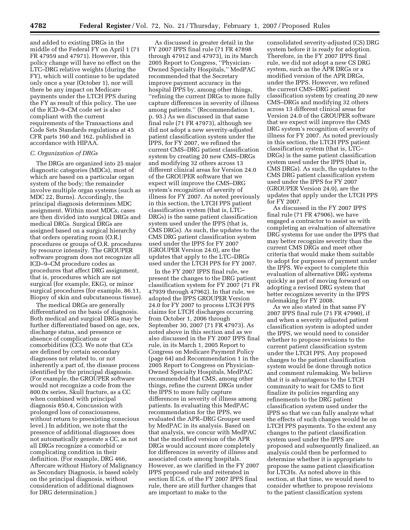and added to existing DRGs in the middle of the Federal FY on April 1 (71 FR 47959 and 47971). However, this policy change will have no effect on the LTC–DRG relative weights (during the FY), which will continue to be updated only once a year (October 1), nor will there be any impact on Medicare payments under the LTCH PPS during the FY as result of this policy. The use of the ICD–9–CM code set is also compliant with the current requirements of the Transactions and Code Sets Standards regulations at 45 CFR parts 160 and 162, published in accordance with HIPAA.

#### *C. Organization of DRGs*

The DRGs are organized into 25 major diagnostic categories (MDCs), most of which are based on a particular organ system of the body; the remainder involve multiple organ systems (such as MDC 22, Burns). Accordingly, the principal diagnosis determines MDC assignment. Within most MDCs, cases are then divided into surgical DRGs and medical DRGs. Surgical DRGs are assigned based on a surgical hierarchy that orders operating room (O.R.) procedures or groups of O.R. procedures by resource intensity. The GROUPER software program does not recognize all ICD–9–CM procedure codes as procedures that affect DRG assignment, that is, procedures which are not surgical (for example, EKG), or minor surgical procedures (for example, 86.11, Biopsy of skin and subcutaneous tissue).

The medical DRGs are generally differentiated on the basis of diagnosis. Both medical and surgical DRGs may be further differentiated based on age, sex, discharge status, and presence or absence of complications or comorbidities (CC). We note that CCs are defined by certain secondary diagnoses not related to, or not inherently a part of, the disease process identified by the principal diagnosis. (For example, the GROUPER software would not recognize a code from the 800.0x series, Skull fracture, as a CC when combined with principal diagnosis 850.4, Concussion with prolonged loss of consciousness, without return to preexisting conscious level.) In addition, we note that the presence of additional diagnoses does not automatically generate a CC, as not all DRGs recognize a comorbid or complicating condition in their definition. (For example, DRG 466, Aftercare without History of Malignancy as Secondary Diagnosis, is based solely on the principal diagnosis, without consideration of additional diagnoses for DRG determination.)

As discussed in greater detail in the FY 2007 IPPS final rule (71 FR 47898 through 47912 and 47973), in its March 2005 Report to Congress, ''Physician-Owned Specialty Hospitals,'' MedPAC recommended that the Secretary improve payment accuracy in the hospital IPPS by, among other things, ''refining the current DRGs to more fully capture differences in severity of illness among patients.'' (Recommendation 1, p. 93.) As we discussed in that same final rule (71 FR 47973), although we did not adopt a new severity-adjusted patient classification system under the IPPS, for FY 2007, we refined the current CMS–DRG patient classification system by creating 20 new CMS–DRGs and modifying 32 others across 13 different clinical areas for Version 24.0 of the GROUPER software that we expect will improve the CMS–DRG system's recognition of severity of illness for FY 2007. As noted previously in this section, the LTCH PPS patient classification system (that is, LTC– DRGs) is the same patient classification system used under the IPPS (that is, CMS DRGs). As such, the updates to the CMS DRG patient classification system used under the IPPS for FY 2007 (GROUPER Version 24.0), are the updates that apply to the LTC–DRGs used under the LTCH PPS for FY 2007.

In the FY 2007 IPPS final rule, we present the changes to the DRG patient classification system for FY 2007 (71 FR 47939 through 47962). In that rule, we adopted the IPPS GROUPER Version 24.0 for FY 2007 to process LTCH PPS claims for LTCH discharges occurring from October 1, 2006 through September 30, 2007 (71 FR 47973). As noted above in this section and as we also discussed in the FY 2007 IPPS final rule, in its March 1, 2005 Report to Congress on Medicare Payment Policy (page 64) and Recommendation 1 in the 2005 Report to Congress on Physician-Owned Specialty Hospitals, MedPAC recommended that CMS, among other things, refine the current DRGs under the IPPS to more fully capture differences in severity of illness among patients. In evaluating this MedPAC recommendation for the IPPS, we evaluated the APR–DRG Grouper used by MedPAC in its analysis. Based on that analysis, we concur with MedPAC that the modified version of the APR DRGs would account more completely for differences in severity of illness and associated costs among hospitals. However, as we clarified in the FY 2007 IPPS proposed rule and reiterated in section II.C.6. of the FY 2007 IPPS final rule, there are still further changes that are important to make to the

consolidated severity-adjusted (CS) DRG system before it is ready for adoption. Therefore, in the FY 2007 IPPS final rule, we did not adopt a new CS DRG system, such as the APR DRGs or a modified version of the APR DRGs, under the IPPS. However, we refined the current CMS–DRG patient classification system by creating 20 new CMS–DRGs and modifying 32 others across 13 different clinical areas for Version 24.0 of the GROUPER software that we expect will improve the CMS DRG system's recognition of severity of illness for FY 2007. As noted previously in this section, the LTCH PPS patient classification system (that is, LTC– DRGs) is the same patient classification system used under the IPPS (that is, CMS DRGs). As such, the updates to the CMS DRG patient classification system used under the IPPS for FY 2007 (GROUPER Version 24.0), are the updates that apply under the LTCH PPS for FY 2007.

As discussed in the FY 2007 IPPS final rule (71 FR 47906), we have engaged a contractor to assist us with completing an evaluation of alternative DRG systems for use under the IPPS that may better recognize severity than the current CMS DRGs and meet other criteria that would make them suitable to adopt for purposes of payment under the IPPS. We expect to complete this evaluation of alternative DRG systems quickly as part of moving forward on adopting a revised DRG system that better recognizes severity in the IPPS rulemaking for FY 2008.

As we also stated in that same FY 2007 IPPS final rule (71 FR 47990), if and when a severity adjusted patient classification system is adopted under the IPPS, we would need to consider whether to propose revisions to the current patient classification system under the LTCH PPS. Any proposed changes to the patient classification system would be done through notice and comment rulemaking. We believe that it is advantageous to the LTCH community to wait for CMS to first finalize its policies regarding any refinements to the DRG patient classification system used under the IPPS so that we can fully analyze what the effects of such changes would be on LTCH PPS payments. To the extent any changes to the patient classification system used under the IPPS are proposed and subsequently finalized, an analysis could then be performed to determine whether it is appropriate to propose the same patient classification for LTCHs. As noted above in this section, at that time, we would need to consider whether to propose revisions to the patient classification system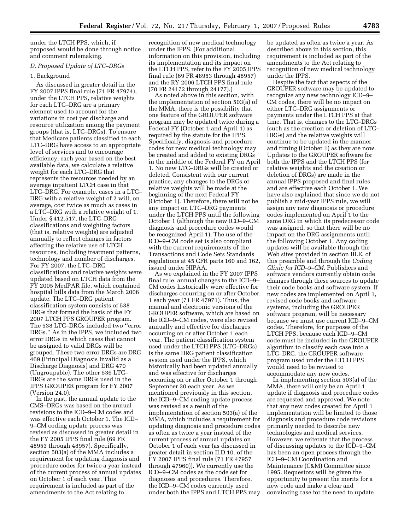under the LTCH PPS, which, if proposed would be done through notice and comment rulemaking.

#### *D. Proposed Update of LTC–DRGs*

#### 1. Background

As discussed in greater detail in the FY 2007 IPPS final rule (71 FR 47974), under the LTCH PPS, relative weights for each LTC–DRG are a primary element used to account for the variations in cost per discharge and resource utilization among the payment groups (that is, LTC–DRGs). To ensure that Medicare patients classified to each LTC–DRG have access to an appropriate level of services and to encourage efficiency, each year based on the best available data, we calculate a relative weight for each LTC–DRG that represents the resources needed by an average inpatient LTCH case in that LTC–DRG. For example, cases in a LTC– DRG with a relative weight of 2 will, on average, cost twice as much as cases in a LTC–DRG with a relative weight of 1. Under § 412.517, the LTC–DRG classifications and weighting factors (that is, relative weights) are adjusted annually to reflect changes in factors affecting the relative use of LTCH resources, including treatment patterns, technology and number of discharges. For FY 2007, the LTC–DRG classifications and relative weights were updated based on LTCH data from the FY 2005 MedPAR file, which contained hospital bills data from the March 2006 update. The LTC–DRG patient classification system consists of 538 DRGs that formed the basis of the FY 2007 LTCH PPS GROUPER program. The 538 LTC–DRGs included two ''error DRGs.'' As in the IPPS, we included two error DRGs in which cases that cannot be assigned to valid DRGs will be grouped. These two error DRGs are DRG 469 (Principal Diagnosis Invalid as a Discharge Diagnosis) and DRG 470 (Ungroupable). The other 536 LTC– DRGs are the same DRGs used in the IPPS GROUPER program for FY 2007 (Version 24.0).

In the past, the annual update to the CMS–DRGs was based on the annual revisions to the ICD–9–CM codes and was effective each October 1. The ICD– 9–CM coding update process was revised as discussed in greater detail in the FY 2005 IPPS final rule (69 FR 48953 through 48957). Specifically, section 503(a) of the MMA includes a requirement for updating diagnosis and procedure codes for twice a year instead of the current process of annual updates on October 1 of each year. This requirement is included as part of the amendments to the Act relating to

recognition of new medical technology under the IPPS. (For additional information on this provision, including its implementation and its impact on the LTCH PPS, refer to the FY 2005 IPPS final rule (69 FR 48953 through 48957) and the RY 2006 LTCH PPS final rule (70 FR 24172 through 24177).)

As noted above in this section, with the implementation of section 503(a) of the MMA, there is the possibility that one feature of the GROUPER software program may be updated twice during a Federal FY (October 1 and April 1) as required by the statute for the IPPS. Specifically, diagnosis and procedure codes for new medical technology may be created and added to existing DRGs in the middle of the Federal FY on April 1. No new LTC–DRGs will be created or deleted. Consistent with our current practice, any changes to the DRGs or relative weights will be made at the beginning of the next Federal FY (October 1). Therefore, there will not be any impact on LTC–DRG payments under the LTCH PPS until the following October 1 (although the new ICD–9–CM diagnosis and procedure codes would be recognized April 1). The use of the ICD–9–CM code set is also compliant with the current requirements of the Transactions and Code Sets Standards regulations at 45 CFR parts 160 and 162, issued under HIPAA.

As we explained in the FY 2007 IPPS final rule, annual changes to the ICD–9– CM codes historically were effective for discharges occurring on or after October 1 each year (71 FR 47971). Thus, the manual and electronic versions of the GROUPER software, which are based on the ICD–9–CM codes, were also revised annually and effective for discharges occurring on or after October 1 each year. The patient classification system used under the LTCH PPS (LTC–DRGs) is the same DRG patient classification system used under the IPPS, which historically had been updated annually and was effective for discharges occurring on or after October 1 through September 30 each year. As we mentioned previously in this section, the ICD–9–CM coding update process was revised as a result of the implementation of section 503(a) of the MMA, which includes a requirement for updating diagnosis and procedure codes as often as twice a year instead of the current process of annual updates on October 1 of each year (as discussed in greater detail in section II.D.10. of the FY 2007 IPPS final rule (71 FR 47957 through 47960)). We currently use the ICD–9–CM codes as the code set for diagnoses and procedures. Therefore, the ICD–9–CM codes currently used under both the IPPS and LTCH PPS may

be updated as often as twice a year. As described above in this section, this requirement is included as part of the amendments to the Act relating to recognition of new medical technology under the IPPS.

Despite the fact that aspects of the GROUPER software may be updated to recognize any new technology ICD–9– CM codes, there will be no impact on either LTC–DRG assignments or payments under the LTCH PPS at that time. That is, changes to the LTC–DRGs (such as the creation or deletion of LTC– DRGs) and the relative weights will continue to be updated in the manner and timing (October 1) as they are now. Updates to the GROUPER software for both the IPPS and the LTCH PPS (for relative weights and the creation or deletion of DRGs) are made in the annual IPPS proposed and final rules and are effective each October 1. We have also explained that since we do not publish a mid-year IPPS rule, we will assign any new diagnosis or procedure codes implemented on April 1 to the same DRG in which its predecessor code was assigned, so that there will be no impact on the DRG assignments until the following October 1. Any coding updates will be available through the Web sites provided in section III.E. of this preamble and through the *Coding Clinic for ICD-9-CM.* Publishers and software vendors currently obtain code changes through these sources to update their code books and software system. If new codes are implemented on April 1, revised code books and software systems, including the GROUPER software program, will be necessary because we must use current ICD–9–CM codes. Therefore, for purposes of the LTCH PPS, because each ICD–9–CM code must be included in the GROUPER algorithm to classify each case into a LTC–DRG, the GROUPER software program used under the LTCH PPS would need to be revised to accommodate any new codes.

In implementing section 503(a) of the MMA, there will only be an April 1 update if diagnosis and procedure codes are requested and approved. We note that any new codes created for April 1 implementation will be limited to those diagnosis and procedure code revisions primarily needed to describe new technologies and medical services. However, we reiterate that the process of discussing updates to the ICD–9–CM has been an open process through the ICD–9–CM Coordination and Maintenance (C&M) Committee since 1995. Requestors will be given the opportunity to present the merits for a new code and make a clear and convincing case for the need to update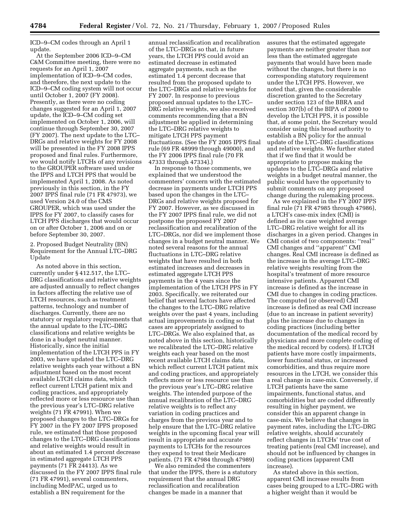ICD–9–CM codes through an April 1 update.

At the September 2006 ICD–9–CM C&M Committee meeting, there were no requests for an April 1, 2007 implementation of ICD–9–CM codes, and therefore, the next update to the ICD–9–CM coding system will not occur until October 1, 2007 (FY 2008). Presently, as there were no coding changes suggested for an April 1, 2007 update, the ICD–9–CM coding set implemented on October 1, 2006, will continue through September 30, 2007 (FY 2007). The next update to the LTC– DRGs and relative weights for FY 2008 will be presented in the FY 2008 IPPS proposed and final rules. Furthermore, we would notify LTCHs of any revisions to the GROUPER software used under the IPPS and LTCH PPS that would be implemented April 1, 2008. As noted previously in this section, in the FY 2007 IPPS final rule (71 FR 47973), we used Version 24.0 of the CMS GROUPER, which was used under the IPPS for FY 2007, to classify cases for LTCH PPS discharges that would occur on or after October 1, 2006 and on or before September 30, 2007.

#### 2. Proposed Budget Neutrality (BN) Requirement for the Annual LTC–DRG Update

As noted above in this section, currently under § 412.517, the LTC– DRG classifications and relative weights are adjusted annually to reflect changes in factors affecting the relative use of LTCH resources, such as treatment patterns, technology and number of discharges. Currently, there are no statutory or regulatory requirements that the annual update to the LTC–DRG classifications and relative weights be done in a budget neutral manner. Historically, since the initial implementation of the LTCH PPS in FY 2003, we have updated the LTC–DRG relative weights each year without a BN adjustment based on the most recent available LTCH claims data, which reflect current LTCH patient mix and coding practices, and appropriately reflected more or less resource use than the previous year's LTC–DRG relative weights (71 FR 47991). When we proposed changes to the LTC–DRGs for FY 2007 in the FY 2007 IPPS proposed rule, we estimated that those proposed changes to the LTC–DRG classifications and relative weights would result in about an estimated 1.4 percent decrease in estimated aggregate LTCH PPS payments (71 FR 24413). As we discussed in the FY 2007 IPPS final rule (71 FR 47991), several commenters, including MedPAC, urged us to establish a BN requirement for the

annual reclassification and recalibration of the LTC–DRGs so that, in future years, the LTCH PPS could avoid an estimated decrease in estimated aggregate payments, such as the estimated 1.4 percent decrease that resulted from the proposed update to the LTC–DRGs and relative weights for FY 2007. In response to previous proposed annual updates to the LTC– DRG relative weights, we also received comments recommending that a BN adjustment be applied in determining the LTC–DRG relative weights to mitigate LTCH PPS payment fluctuations. (See the FY 2005 IPPS final rule (69 FR 48999 through 49000), and the FY 2006 IPPS final rule (70 FR 47333 through 47334).)

In response to those comments, we explained that we understood the commenters' concern with the estimated decrease in payments under LTCH PPS based upon the changes in the LTC– DRGs and relative weights proposed for FY 2007. However, as we discussed in the FY 2007 IPPS final rule, we did not postpone the proposed FY 2007 reclassification and recalibration of the LTC–DRGs, nor did we implement those changes in a budget neutral manner. We noted several reasons for the annual fluctuations in LTC–DRG relative weights that have resulted in both estimated increases and decreases in estimated aggregate LTCH PPS payments in the 4 years since the implementation of the LTCH PPS in FY 2003. Specifically, we reiterated our belief that several factors have affected the changes to the LTC–DRG relative weights over the past 4 years, including actual improvements in coding so that cases are appropriately assigned to LTC–DRGs. We also explained that, as noted above in this section, historically we recalibrated the LTC–DRG relative weights each year based on the most recent available LTCH claims data, which reflect current LTCH patient mix and coding practices, and appropriately reflects more or less resource use than the previous year's LTC–DRG relative weights. The intended purpose of the annual recalibration of the LTC–DRG relative weights is to reflect any variation in coding practices and charges from the previous year and to help ensure that the LTC–DRG relative weights in the upcoming fiscal year will result in appropriate and accurate payments to LTCHs for the resources they expend to treat their Medicare patients. (71 FR 47984 through 47989)

We also reminded the commenters that under the IPPS, there is a statutory requirement that the annual DRG reclassification and recalibration changes be made in a manner that

assures that the estimated aggregate payments are neither greater than nor less than the estimated aggregate payments that would have been made without the changes, but there is no corresponding statutory requirement under the LTCH PPS. However, we noted that, given the considerable discretion granted to the Secretary under section 123 of the BBRA and section 307(b) of the BIPA of 2000 to develop the LTCH PPS, it is possible that, at some point, the Secretary would consider using this broad authority to establish a BN policy for the annual update of the LTC–DRG classifications and relative weights. We further stated that if we find that it would be appropriate to propose making the updates to the LTC–DRGs and relative weights in a budget neutral manner, the public would have the opportunity to submit comments on any proposed change during the rulemaking process.

As we explained in the FY 2007 IPPS final rule (71 FR 47985 through 47986), a LTCH's case-mix index (CMI) is defined as its case weighted average LTC–DRG relative weight for all its discharges in a given period. Changes in CMI consist of two components: ''real'' CMI changes and ''apparent'' CMI changes. Real CMI increase is defined as the increase in the average LTC–DRG relative weights resulting from the hospital's treatment of more resource intensive patients. Apparent CMI increase is defined as the increase in CMI due to changes in coding practices. The computed (or observed) CMI increase is defined as real CMI increase (due to an increase in patient severity) plus the increase due to changes in coding practices (including better documentation of the medical record by physicians and more complete coding of the medical record by coders). If LTCH patients have more costly impairments, lower functional status, or increased comorbidities, and thus require more resources in the LTCH, we consider this a real change in case-mix. Conversely, if LTCH patients have the same impairments, functional status, and comorbidities but are coded differently resulting in higher payment, we consider this an apparent change in case-mix. We believe that changes in payment rates, including the LTC–DRG relative weights, should accurately reflect changes in LTCHs' true cost of treating patients (real CMI increase), and should not be influenced by changes in coding practices (apparent CMI increase).

As stated above in this section, apparent CMI increase results from cases being grouped to a LTC–DRG with a higher weight than it would be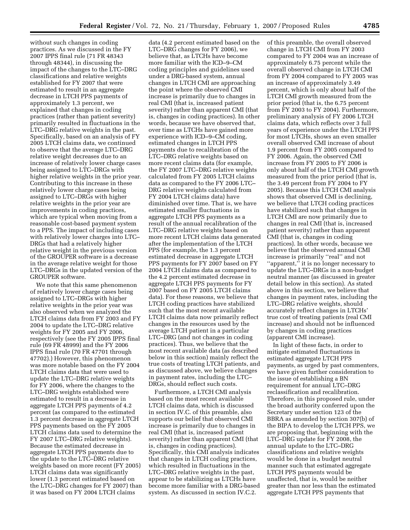without such changes in coding practices. As we discussed in the FY 2007 IPPS final rule (71 FR 48343 through 48344), in discussing the impact of the changes to the LTC–DRG classifications and relative weights established for FY 2007 that were estimated to result in an aggregate decrease in LTCH PPS payments of approximately 1.3 percent, we explained that changes in coding practices (rather than patient severity) primarily resulted in fluctuations in the LTC–DRG relative weights in the past. Specifically, based on an analysis of FY 2005 LTCH claims data, we continued to observe that the average LTC–DRG relative weight decreases due to an increase of relatively lower charge cases being assigned to LTC–DRGs with higher relative weights in the prior year. Contributing to this increase in these relatively lower charge cases being assigned to LTC–DRGs with higher relative weights in the prior year are improvements in coding practices, which are typical when moving from a reasonable cost-based payment system to a PPS. The impact of including cases with relatively lower charges into LTC– DRGs that had a relatively higher relative weight in the previous version of the GROUPER software is a decrease in the average relative weight for those LTC–DRGs in the updated version of the GROUPER software.

We note that this same phenomenon of relatively lower charge cases being assigned to LTC–DRGs with higher relative weights in the prior year was also observed when we analyzed the LTCH claims data from FY 2003 and FY 2004 to update the LTC–DRG relative weights for FY 2005 and FY 2006, respectively (see the FY 2005 IPPS final rule (69 FR 48999) and the FY 2006 IPPS final rule (70 FR 47701 through 47702).) However, this phenomenon was more notable based on the FY 2004 LTCH claims data that were used to update the LTC–DRG relative weights for FY 2006, where the changes to the LTC–DRG weights established were estimated to result in a decrease in aggregate LTCH PPS payments of 4.2 percent (as compared to the estimated 1.3 percent decrease in aggregate LTCH PPS payments based on the FY 2005 LTCH claims data used to determine the FY 2007 LTC–DRG relative weights). Because the estimated decrease in aggregate LTCH PPS payments due to the update to the LTC–DRG relative weights based on more recent (FY 2005) LTCH claims data was significantly lower (1.3 percent estimated based on the LTC–DRG changes for FY 2007) than it was based on FY 2004 LTCH claims

data (4.2 percent estimated based on the LTC–DRG changes for FY 2006), we believe that, as LTCHs have become more familiar with the ICD–9–CM coding principles and guidelines used under a DRG-based system, annual changes in LTCH CMI are approaching the point where the observed CMI increase is primarily due to changes in real CMI (that is, increased patient severity) rather than apparent CMI (that is, changes in coding practices). In other words, because we have observed that, over time as LTCHs have gained more experience with ICD–9–CM coding, estimated changes in LTCH PPS payments due to recalibration of the LTC–DRG relative weights based on more recent claims data (for example, the FY 2007 LTC–DRG relative weights calculated from FY 2005 LTCH claims data as compared to the FY 2006 LTC– DRG relative weights calculated from FY 2004 LTCH claims data) have diminished over time. That is, we have estimated smaller fluctuations in aggregate LTCH PPS payments as a result of the annual recalibration of the LTC–DRG relative weights based on more recent LTCH claims data generated after the implementation of the LTCH PPS (for example, the 1.3 percent estimated decrease in aggregate LTCH PPS payments for FY 2007 based on FY 2004 LTCH claims data as compared to the 4.2 percent estimated decrease in aggregate LTCH PPS payments for FY 2007 based on FY 2005 LTCH claims data). For these reasons, we believe that LTCH coding practices have stabilized such that the most recent available LTCH claims data now primarily reflect changes in the resources used by the average LTCH patient in a particular LTC–DRG (and not changes in coding practices). Thus, we believe that the most recent available data (as described below in this section) mainly reflect the true costs of treating LTCH patients, and as discussed above, we believe changes in payment rates, including the LTC– DRGs, should reflect such costs.

Furthermore, a LTCH CMI analysis based on the most recent available LTCH claims data, which is discussed in section IV.C. of this preamble, also supports our belief that observed CMI increase is primarily due to changes in real CMI (that is, increased patient severity) rather than apparent CMI (that is, changes in coding practices). Specifically, this CMI analysis indicates that changes in LTCH coding practices, which resulted in fluctuations in the LTC–DRG relative weights in the past, appear to be stabilizing as LTCHs have become more familiar with a DRG-based system. As discussed in section IV.C.2.

of this preamble, the overall observed change in LTCH CMI from FY 2003 compared to FY 2004 was an increase of approximately 6.75 percent while the overall observed change in LTCH CMI from FY 2004 compared to FY 2005 was an increase of approximately 3.49 percent, which is only about half of the LTCH CMI growth measured from the prior period (that is, the 6.75 percent from FY 2003 to FY 2004). Furthermore, preliminary analysis of FY 2006 LTCH claims data, which reflects over 3 full years of experience under the LTCH PPS for most LTCHs, shows an even smaller overall observed CMI increase of about 1.9 percent from FY 2005 compared to FY 2006. Again, the observed CMI increase from FY 2005 to FY 2006 is only about half of the LTCH CMI growth measured from the prior period (that is, the 3.49 percent from FY 2004 to FY 2005). Because this LTCH CMI analysis shows that observed CMI is declining, we believe that LTCH coding practices have stabilized such that changes in LTCH CMI are now primarily due to changes in real CMI (that is, increased patient severity) rather than apparent CMI (that is, changes in coding practices). In other words, because we believe that the observed annual CMI increase is primarily ''real'' and not "apparent," it is no longer necessary to update the LTC–DRGs in a non-budget neutral manner (as discussed in greater detail below in this section). As stated above in this section, we believe that changes in payment rates, including the LTC–DRG relative weights, should accurately reflect changes in LTCHs' true cost of treating patients (real CMI increase) and should not be influenced by changes in coding practices (apparent CMI increase).

In light of these facts, in order to mitigate estimated fluctuations in estimated aggregate LTCH PPS payments, as urged by past commenters, we have given further consideration to the issue of establishing a BN requirement for annual LTC–DRG reclassification and recalibration. Therefore, in this proposed rule, under the broad authority conferred upon the Secretary under section 123 of the BBRA as amended by section 307(b) of the BIPA to develop the LTCH PPS, we are proposing that, beginning with the LTC–DRG update for FY 2008, the annual update to the LTC–DRG classifications and relative weights would be done in a budget neutral manner such that estimated aggregate LTCH PPS payments would be unaffected, that is, would be neither greater than nor less than the estimated aggregate LTCH PPS payments that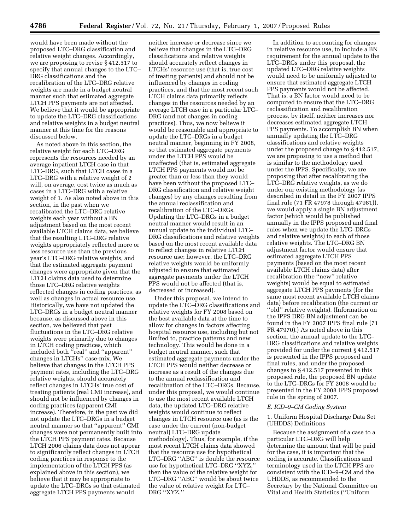would have been made without the proposed LTC–DRG classification and relative weight changes. Accordingly, we are proposing to revise § 412.517 to specify that annual changes to the LTC– DRG classifications and the recalibration of the LTC–DRG relative weights are made in a budget neutral manner such that estimated aggregate LTCH PPS payments are not affected. We believe that it would be appropriate to update the LTC–DRG classifications and relative weights in a budget neutral manner at this time for the reasons discussed below.

As noted above in this section, the relative weight for each LTC–DRG represents the resources needed by an average inpatient LTCH case in that LTC–DRG, such that LTCH cases in a LTC–DRG with a relative weight of 2 will, on average, cost twice as much as cases in a LTC–DRG with a relative weight of 1. As also noted above in this section, in the past when we recalibrated the LTC–DRG relative weights each year without a BN adjustment based on the most recent available LTCH claims data, we believe that the resulting LTC–DRG relative weights appropriately reflected more or less resource use than the previous year's LTC–DRG relative weights, and that the estimated aggregate payment changes were appropriate given that the LTCH claims data used to determine those LTC–DRG relative weights reflected changes in coding practices, as well as changes in actual resource use. Historically, we have not updated the LTC–DRGs in a budget neutral manner because, as discussed above in this section, we believed that past fluctuations in the LTC–DRG relative weights were primarily due to changes in LTCH coding practices, which included both ''real'' and ''apparent'' changes in LTCHs'' case-mix. We believe that changes in the LTCH PPS payment rates, including the LTC–DRG relative weights, should accurately reflect changes in LTCHs' true cost of treating patients (real CMI increase), and should not be influenced by changes in coding practices (apparent CMI increase). Therefore, in the past we did not update the LTC–DRGs in a budget neutral manner so that ''apparent'' CMI changes were not permanently built into the LTCH PPS payment rates. Because LTCH 2006 claims data does not appear to significantly reflect changes in LTCH coding practices in response to the implementation of the LTCH PPS (as explained above in this section), we believe that it may be appropriate to update the LTC–DRGs so that estimated aggregate LTCH PPS payments would

neither increase or decrease since we believe that changes in the LTC–DRG classifications and relative weights should accurately reflect changes in LTCHs' resource use (that is, true cost of treating patients) and should not be influenced by changes in coding practices, and that the most recent such LTCH claims data primarily reflects changes in the resources needed by an average LTCH case in a particular LTC– DRG (and not changes in coding practices). Thus, we now believe it would be reasonable and appropriate to update the LTC–DRGs in a budget neutral manner, beginning in FY 2008, so that estimated aggregate payments under the LTCH PPS would be unaffected (that is, estimated aggregate LTCH PPS payments would not be greater than or less than they would have been without the proposed LTC– DRG classification and relative weight changes) by any changes resulting from the annual reclassification and recalibration of the LTC–DRGs. Updating the LTC–DRGs in a budget neutral manner would result in an annual update to the individual LTC– DRG classifications and relative weights based on the most recent available data to reflect changes in relative LTCH resource use; however, the LTC–DRG relative weights would be uniformly adjusted to ensure that estimated aggregate payments under the LTCH PPS would not be affected (that is, decreased or increased).

Under this proposal, we intend to update the LTC–DRG classifications and relative weights for FY 2008 based on the best available data at the time to allow for changes in factors affecting hospital resource use, including but not limited to, practice patterns and new technology. This would be done in a budget neutral manner, such that estimated aggregate payments under the LTCH PPS would neither decrease or increase as a result of the changes due to the annual reclassification and recalibration of the LTC–DRGs. Because, under this proposal, we would continue to use the most recent available LTCH data, the updated LTC–DRG relative weights would continue to reflect changes in LTCH resource use (as is the case under the current (non-budget neutral) LTC–DRG update methodology). Thus, for example, if the most recent LTCH claims data showed that the resource use for hypothetical LTC–DRG ''ABC'' is double the resource use for hypothetical LTC–DRG ''XYZ,'' then the value of the relative weight for LTC–DRG ''ABC'' would be about twice the value of relative weight for LTC– DRG ''XYZ.''

In addition to accounting for changes in relative resource use, to include a BN requirement for the annual update to the LTC–DRGs under this proposal, the updated LTC–DRG relative weights would need to be uniformly adjusted to ensure that estimated aggregate LTCH PPS payments would not be affected. That is, a BN factor would need to be computed to ensure that the LTC–DRG reclassification and recalibration process, by itself, neither increases nor decreases estimated aggregate LTCH PPS payments. To accomplish BN when annually updating the LTC–DRG classifications and relative weights under the proposed change to § 412.517, we are proposing to use a method that is similar to the methodology used under the IPPS. Specifically, we are proposing that after recalibrating the LTC–DRG relative weights, as we do under our existing methodology (as described in detail in the FY 2007 IPPS final rule (71 FR 47978 through 47981)), we would apply a single BN adjustment factor (which would be published annually in the IPPS proposed and final rules when we update the LTC–DRGs and relative weights) to each of those relative weights. The LTC–DRG BN adjustment factor would ensure that estimated aggregate LTCH PPS payments (based on the most recent available LTCH claims data) after recalibration (the ''new'' relative weights) would be equal to estimated aggregate LTCH PPS payments (for the same most recent available LTCH claims data) before recalibration (the current or ''old'' relative weights). (Information on the IPPS DRG BN adjustment can be found in the FY 2007 IPPS final rule (71 FR 47970).) As noted above in this section, the annual update to the LTC– DRG classifications and relative weights provided for under the current § 412.517 is presented in the IPPS proposed and final rules, and under the proposed changes to § 412.517 presented in this proposed rule, the proposed BN update to the LTC–DRGs for FY 2008 would be presented in the FY 2008 IPPS proposed rule in the spring of 2007.

#### *E. ICD–9–CM Coding System*

1. Uniform Hospital Discharge Data Set (UHDDS) Definitions

Because the assignment of a case to a particular LTC–DRG will help determine the amount that will be paid for the case, it is important that the coding is accurate. Classifications and terminology used in the LTCH PPS are consistent with the ICD–9–CM and the UHDDS, as recommended to the Secretary by the National Committee on Vital and Health Statistics (''Uniform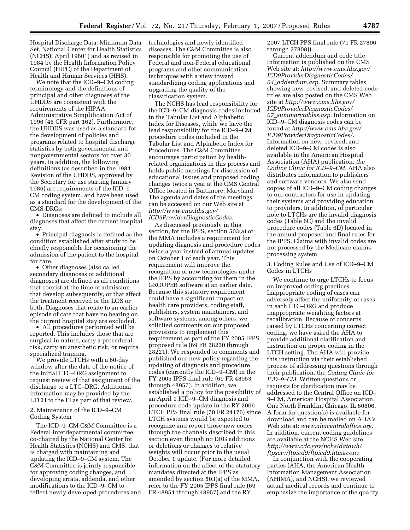Hospital Discharge Data: Minimum Data Set, National Center for Health Statistics (NCHS), April 1980'') and as revised in 1984 by the Health Information Policy Council (HIPC) of the Department of Health and Human Services (HHS).

We note that the ICD–9–CM coding terminology and the definitions of principal and other diagnoses of the UHDDS are consistent with the requirements of the HIPAA Administrative Simplification Act of 1996 (45 CFR part 162). Furthermore, the UHDDS was used as a standard for the development of policies and programs related to hospital discharge statistics by both governmental and nongovernmental sectors for over 30 years. In addition, the following definitions (as described in the 1984 Revision of the UHDDS, approved by the Secretary for use starting January 1986) are requirements of the ICD–9– CM coding system, and have been used as a standard for the development of the CMS-DRGs:

• Diagnoses are defined to include all diagnoses that affect the current hospital stay.

• Principal diagnosis is defined as the condition established after study to be chiefly responsible for occasioning the admission of the patient to the hospital for care.

• Other diagnoses (also called secondary diagnoses or additional diagnoses) are defined as all conditions that coexist at the time of admission, that develop subsequently, or that affect the treatment received or the LOS or both. Diagnoses that relate to an earlier episode of care that have no bearing on the current hospital stay are excluded.

• All procedures performed will be reported. This includes those that are surgical in nature, carry a procedural risk, carry an anesthetic risk, or require specialized training.

We provide LTCHs with a 60-day window after the date of the notice of the initial LTC–DRG assignment to request review of that assignment of the discharge to a LTC–DRG. Additional information may be provided by the LTCH to the FI as part of that review.

2. Maintenance of the ICD–9–CM Coding System

The ICD–9–CM C&M Committee is a Federal interdepartmental committee, co-chaired by the National Center for Health Statistics (NCHS) and CMS, that is charged with maintaining and updating the ICD–9–CM system. The C&M Committee is jointly responsible for approving coding changes, and developing errata, addenda, and other modifications to the ICD–9–CM to reflect newly developed procedures and technologies and newly identified diseases. The C&M Committee is also responsible for promoting the use of Federal and non-Federal educational programs and other communication techniques with a view toward standardizing coding applications and upgrading the quality of the classification system.

The NCHS has lead responsibility for the ICD–9–CM diagnosis codes included in the Tabular List and Alphabetic Index for Diseases, while we have the lead responsibility for the ICD–9–CM procedure codes included in the Tabular List and Alphabetic Index for Procedures. The C&M Committee encourages participation by healthrelated organizations in this process and holds public meetings for discussion of educational issues and proposed coding changes twice a year at the CMS Central Office located in Baltimore, Maryland. The agenda and dates of the meetings can be accessed on our Web site at *http://www.cms.hhs.gov/ ICD9ProviderDiagnosticCodes*.

As discussed previously in this section, for the IPPS, section 503(a) of the MMA includes a requirement for updating diagnosis and procedure codes twice a year instead of annual updates on October 1 of each year. This requirement will improve the recognition of new technologies under the IPPS by accounting for them in the GROUPER software at an earlier date. Because this statutory requirement could have a significant impact on health care providers, coding staff, publishers, system maintainers, and software systems, among others, we solicited comments on our proposed provisions to implement this requirement as part of the FY 2005 IPPS proposed rule (69 FR 28220 through 28221). We responded to comments and published our new policy regarding the updating of diagnosis and procedure codes (currently the ICD–9–CM) in the FY 2005 IPPS final rule (69 FR 48953 through 48957). In addition, we established a policy for the possibility of an April 1 ICD–9–CM diagnosis and procedure code update in the RY 2006 LTCH PPS final rule (70 FR 24176) since LTCH systems would be expected to recognize and report those new codes through the channels described in this section even though no DRG additions or deletions or changes to relative weights will occur prior to the usual October 1 update. (For more detailed information on the affect of the statutory mandates directed at the IPPS as amended by section 503(a) of the MMA, refer to the FY 2005 IPPS final rule (69 FR 48954 through 48957) and the RY

2007 LTCH PPS final rule (71 FR 27806 through 27808)).

Current addendum and code title information is published on the CMS Web site at: *http://www.cms.hhs.gov/ ICD9ProviderDiagnosticCodes/ 04*\_*addendum.asp*. Summary tables showing new, revised, and deleted code titles are also posted on the CMS Web site at *http://www.cms.hhs.gov/ ICD9ProviderDiagnosticCodes/ 07*\_*summarytables.asp*. Information on ICD–9–CM diagnosis codes can be found at *http://www.cms.hhs.gov/ ICD9ProviderDiagnosticCodes/*. Information on new, revised, and deleted ICD–9–CM codes is also available in the American Hospital Association (AHA) publication, *the Coding Clinic for ICD–9–CM.* AHA also distributes information to publishers and software vendors. We also send copies of all ICD–9–CM coding changes to our contractors for use in updating their systems and providing education to providers. In addition, of particular note to LTCHs are the invalid diagnosis codes (Table 6C) and the invalid procedure codes (Table 6D) located in the annual proposed and final rules for the IPPS. Claims with invalid codes are not processed by the Medicare claims processing system.

3. Coding Rules and Use of ICD–9–CM Codes in LTCHs

We continue to urge LTCHs to focus on improved coding practices. Inappropriate coding of cases can adversely affect the uniformity of cases in each LTC–DRG and produce inappropriate weighting factors at recalibration. Because of concerns raised by LTCHs concerning correct coding, we have asked the AHA to provide additional clarification and instruction on proper coding in the LTCH setting. The AHA will provide this instruction via their established process of addressing questions through their publication, the *Coding Clinic for ICD–9–CM.* Written questions or requests for clarification may be addressed to the Central Office on ICD– 9–CM, American Hospital Association, One North Franklin, Chicago, IL 60606. A form for question(s) is available for download and can be mailed on AHA's Web site at: *www.ahacentraloffice.org.*  In addition, current coding guidelines are available at the NCHS Web site: *http://www.cdc.gov/nchs/datawh/ ftpserv/ftpicd9/ftpicd9.htm#conv.* 

In conjunction with the cooperating parties (AHA, the American Health Information Management Association (AHIMA), and NCHS), we reviewed actual medical records and continue to emphasize the importance of the quality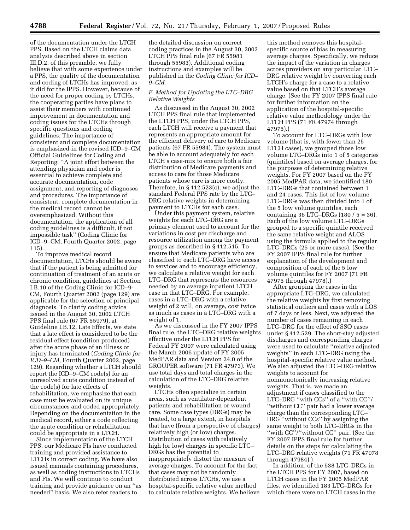of the documentation under the LTCH PPS. Based on the LTCH claims data analysis described above in section III.D.2. of this preamble, we fully believe that with some experience under a PPS, the quality of the documentation and coding of LTCHs has improved, as it did for the IPPS. However, because of the need for proper coding by LTCHs, the cooperating parties have plans to assist their members with continued improvement in documentation and coding issues for the LTCHs through specific questions and coding guidelines. The importance of consistent and complete documentation is emphasized in the revised ICD–9–CM Official Guidelines for Coding and Reporting: ''A joint effort between the attending physician and coder is essential to achieve complete and accurate documentation, code assignment, and reporting of diagnoses and procedures. The importance of consistent, complete documentation in the medical record cannot be overemphasized. Without this documentation, the application of all coding guidelines is a difficult, if not impossible task'' (Coding Clinic for ICD–9–CM, Fourth Quarter 2002, page 115).

To improve medical record documentation, LTCHs should be aware that if the patient is being admitted for continuation of treatment of an acute or chronic condition, guidelines at Section I.B.10 of the Coding Clinic for ICD–9- CM, Fourth Quarter 2002 (page 129) are applicable for the selection of principal diagnosis. To clarify coding advice issued in the August 30, 2002 LTCH PPS final rule (67 FR 55979), at Guideline I.B.12, Late Effects, we state that a late effect is considered to be the residual effect (condition produced) after the acute phase of an illness or injury has terminated (*Coding Clinic for ICD–9–CM,* Fourth Quarter 2002, page 129). Regarding whether a LTCH should report the ICD–9–CM code(s) for an unresolved acute condition instead of the code(s) for late effects of rehabilitation, we emphasize that each case must be evaluated on its unique circumstances and coded appropriately. Depending on the documentation in the medical record, either a code reflecting the acute condition or rehabilitation could be appropriate in a LTCH.

Since implementation of the LTCH PPS, our Medicare FIs have conducted training and provided assistance to LTCHs in correct coding. We have also issued manuals containing procedures, as well as coding instructions to LTCHs and FIs. We will continue to conduct training and provide guidance on an ''as needed'' basis. We also refer readers to

the detailed discussion on correct coding practices in the August 30, 2002 LTCH PPS final rule (67 FR 55981 through 55983). Additional coding instructions and examples will be published in the *Coding Clinic for ICD– 9–CM.* 

#### *F. Method for Updating the LTC–DRG Relative Weights*

As discussed in the August 30, 2002 LTCH PPS final rule that implemented the LTCH PPS, under the LTCH PPS, each LTCH will receive a payment that represents an appropriate amount for the efficient delivery of care to Medicare patients (67 FR 55984). The system must be able to account adequately for each LTCH's case-mix to ensure both a fair distribution of Medicare payments and access to care for those Medicare patients whose care is more costly. Therefore, in § 412.523(c), we adjust the standard Federal PPS rate by the LTC– DRG relative weights in determining payment to LTCHs for each case.

Under this payment system, relative weights for each LTC–DRG are a primary element used to account for the variations in cost per discharge and resource utilization among the payment groups as described in § 412.515. To ensure that Medicare patients who are classified to each LTC–DRG have access to services and to encourage efficiency, we calculate a relative weight for each LTC–DRG that represents the resources needed by an average inpatient LTCH case in that LTC–DRG. For example, cases in a LTC–DRG with a relative weight of 2 will, on average, cost twice as much as cases in a LTC–DRG with a weight of 1.

As we discussed in the FY 2007 IPPS final rule, the LTC–DRG relative weights effective under the LTCH PPS for Federal FY 2007 were calculated using the March 2006 update of FY 2005 MedPAR data and Version 24.0 of the GROUPER software (71 FR 47973). We use total days and total charges in the calculation of the LTC–DRG relative weights.

LTCHs often specialize in certain areas, such as ventilator-dependent patients and rehabilitation or wound care. Some case types (DRGs) may be treated, to a large extent, in hospitals that have (from a perspective of charges) relatively high (or low) charges. Distribution of cases with relatively high (or low) charges in specific LTC– DRGs has the potential to inappropriately distort the measure of average charges. To account for the fact that cases may not be randomly distributed across LTCHs, we use a hospital-specific relative value method to calculate relative weights. We believe

this method removes this hospitalspecific source of bias in measuring average charges. Specifically, we reduce the impact of the variation in charges across providers on any particular LTC– DRG relative weight by converting each LTCH's charge for a case to a relative value based on that LTCH's average charge. (See the FY 2007 IPPS final rule for further information on the application of the hospital-specific relative value methodology under the LTCH PPS (71 FR 47974 through 47975).)

To account for LTC–DRGs with low volume (that is, with fewer than 25 LTCH cases), we grouped those low volume LTC–DRGs into 1 of 5 categories (quintiles) based on average charges, for the purposes of determining relative weights. For FY 2007 based on the FY 2005 MedPAR data, we identified 180 LTC–DRGs that contained between 1 and 24 cases. This list of low volume LTC–DRGs was then divided into 1 of the 5 low volume quintiles, each containing 36 LTC–DRGs (180 / 5 = 36). Each of the low volume LTC–DRGs grouped to a specific quintile received the same relative weight and ALOS using the formula applied to the regular LTC–DRGs (25 or more cases). (See the FY 2007 IPPS final rule for further explanation of the development and composition of each of the 5 low volume quintiles for FY 2007 (71 FR 47975 through 47978).)

After grouping the cases in the appropriate LTC–DRG, we calculated the relative weights by first removing statistical outliers and cases with a LOS of 7 days or less. Next, we adjusted the number of cases remaining in each LTC–DRG for the effect of SSO cases under § 412.529. The short-stay adjusted discharges and corresponding charges were used to calculate ''relative adjusted weights'' in each LTC–DRG using the hospital-specific relative value method. We also adjusted the LTC–DRG relative weights to account for nonmonotonically increasing relative weights. That is, we made an adjustment if cases classified to the LTC–DRG ''with CCs'' of a ''with CC''/ ''without CC'' pair had a lower average charge than the corresponding LTC– DRG "without CCs" by assigning the same weight to both LTC–DRGs in the ''with CC''/''without CC'' pair. (See the FY 2007 IPPS final rule for further details on the steps for calculating the LTC–DRG relative weights (71 FR 47978 through 47984).)

In addition, of the 538 LTC–DRGs in the LTCH PPS for FY 2007, based on LTCH cases in the FY 2005 MedPAR files, we identified 183 LTC–DRGs for which there were no LTCH cases in the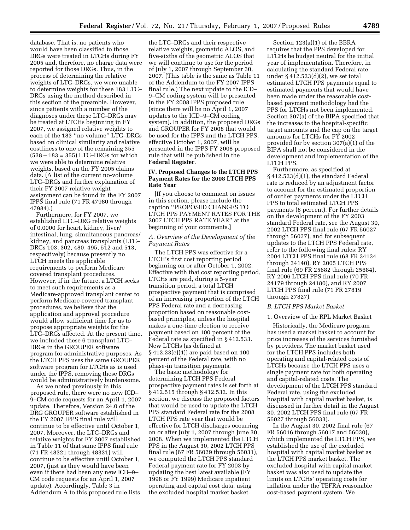database. That is, no patients who would have been classified to those DRGs were treated in LTCHs during FY 2005 and, therefore, no charge data were reported for those DRGs. Thus, in the process of determining the relative weights of LTC–DRGs, we were unable to determine weights for these 183 LTC– DRGs using the method described in this section of the preamble. However, since patients with a number of the diagnoses under these LTC–DRGs may be treated at LTCHs beginning in FY 2007, we assigned relative weights to each of the 183 ''no volume'' LTC–DRGs based on clinical similarity and relative costliness to one of the remaining 355  $(538 - 183 = 355)$  LTC–DRGs for which we were able to determine relative weights, based on the FY 2005 claims data. (A list of the current no-volume LTC–DRGs and further explanation of their FY 2007 relative weight assignment can be found in the FY 2007 IPPS final rule (71 FR 47980 through 47984).)

Furthermore, for FY 2007, we established LTC–DRG relative weights of 0.0000 for heart, kidney, liver/ intestinal, lung, simultaneous pancreas/ kidney, and pancreas transplants (LTC– DRGs 103, 302, 480, 495, 512 and 513, respectively) because presently no LTCH meets the applicable requirements to perform Medicare covered transplant procedures. However, if in the future, a LTCH seeks to meet such requirements as a Medicare-approved transplant center to perform Medicare-covered transplant procedures, we believe that the application and approval procedure would allow sufficient time for us to propose appropriate weights for the LTC–DRGs affected. At the present time, we included these 6 transplant LTC– DRGs in the GROUPER software program for administrative purposes. As the LTCH PPS uses the same GROUPER software program for LTCHs as is used under the IPPS, removing these DRGs would be administratively burdensome.

As we noted previously in this proposed rule, there were no new ICD– 9–CM code requests for an April 1, 2007 update. Therefore, Version 24.0 of the DRG GROUPER software established in the FY 2007 IPPS final rule will continue to be effective until October 1, 2007. Moreover, the LTC–DRGs and relative weights for FY 2007 established in Table 11 of that same IPPS final rule (71 FR 48321 through 48331) will continue to be effective until October 1, 2007, (just as they would have been even if there had been any new ICD–9– CM code requests for an April 1, 2007 update). Accordingly, Table 3 in Addendum A to this proposed rule lists

the LTC–DRGs and their respective relative weights, geometric ALOS, and five-sixths of the geometric ALOS that we will continue to use for the period of July 1, 2007 through September 30, 2007. (This table is the same as Table 11 of the Addendum to the FY 2007 IPPS final rule.) The next update to the ICD– 9–CM coding system will be presented in the FY 2008 IPPS proposed rule (since there will be no April 1, 2007 updates to the ICD–9–CM coding system). In addition, the proposed DRGs and GROUPER for FY 2008 that would be used for the IPPS and the LTCH PPS, effective October 1, 2007, will be presented in the IPPS FY 2008 proposed rule that will be published in the **Federal Register**.

#### **IV. Proposed Changes to the LTCH PPS Payment Rates for the 2008 LTCH PPS Rate Year**

[If you choose to comment on issues in this section, please include the caption ''PROPOSED CHANGES TO LTCH PPS PAYMENT RATES FOR THE 2007 LTCH PPS RATE YEAR'' at the beginning of your comments.]

#### *A. Overview of the Development of the Payment Rates*

The LTCH PPS was effective for a LTCH's first cost reporting period beginning on or after October 1, 2002. Effective with that cost reporting period, LTCHs are paid, during a 5-year transition period, a total LTCH prospective payment that is comprised of an increasing proportion of the LTCH PPS Federal rate and a decreasing proportion based on reasonable costbased principles, unless the hospital makes a one-time election to receive payment based on 100 percent of the Federal rate as specified in § 412.533. New LTCHs (as defined at § 412.23(e)(4)) are paid based on 100 percent of the Federal rate, with no phase-in transition payments.

The basic methodology for determining LTCH PPS Federal prospective payment rates is set forth at § 412.515 through § 412.532. In this section, we discuss the proposed factors that would be used to update the LTCH PPS standard Federal rate for the 2008 LTCH PPS rate year that would be effective for LTCH discharges occurring on or after July 1, 2007 through June 30, 2008. When we implemented the LTCH PPS in the August 30, 2002 LTCH PPS final rule (67 FR 56029 through 56031), we computed the LTCH PPS standard Federal payment rate for FY 2003 by updating the best latest available (FY 1998 or FY 1999) Medicare inpatient operating and capital cost data, using the excluded hospital market basket.

Section 123(a)(1) of the BBRA requires that the PPS developed for LTCHs be budget neutral for the initial year of implementation. Therefore, in calculating the standard Federal rate under  $\S 412.523(d)(2)$ , we set total estimated LTCH PPS payments equal to estimated payments that would have been made under the reasonable costbased payment methodology had the PPS for LTCHs not been implemented. Section 307(a) of the BIPA specified that the increases to the hospital-specific target amounts and the cap on the target amounts for LTCHs for FY 2002 provided for by section 307(a)(1) of the BIPA shall not be considered in the development and implementation of the LTCH PPS.

Furthermore, as specified at § 412.523(d)(1), the standard Federal rate is reduced by an adjustment factor to account for the estimated proportion of outlier payments under the LTCH PPS to total estimated LTCH PPS payments (8 percent). For further details on the development of the FY 2003 standard Federal rate, see the August 30, 2002 LTCH PPS final rule (67 FR 56027 through 56037), and for subsequent updates to the LTCH PPS Federal rate, refer to the following final rules: RY 2004 LTCH PPS final rule (68 FR 34134 through 34140), RY 2005 LTCH PPS final rule (69 FR 25682 through 25684), RY 2006 LTCH PPS final rule (70 FR 24179 through 24180), and RY 2007 LTCH PPS final rule (71 FR 27819 through 27827).

#### *B. LTCH PPS Market Basket*

#### 1. Overview of the RPL Market Basket

Historically, the Medicare program has used a market basket to account for price increases of the services furnished by providers. The market basket used for the LTCH PPS includes both operating and capital-related costs of LTCHs because the LTCH PPS uses a single payment rate for both operating and capital-related costs. The development of the LTCH PPS standard Federal rate, using the excluded hospital with capital market basket, is discussed in further detail in the August 30, 2002 LTCH PPS final rule (67 FR 56027 through 56033).

In the August 30, 2002 final rule (67 FR 56016 through 56017 and 56030), which implemented the LTCH PPS, we established the use of the excluded hospital with capital market basket as the LTCH PPS market basket. The excluded hospital with capital market basket was also used to update the limits on LTCHs' operating costs for inflation under the TEFRA reasonable cost-based payment system. We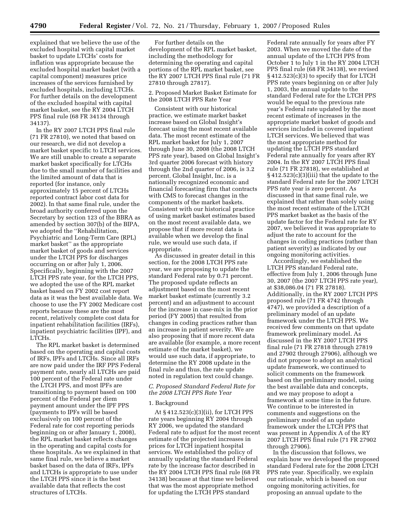explained that we believe the use of the excluded hospital with capital market basket to update LTCHs' costs for inflation was appropriate because the excluded hospital market basket (with a capital component) measures price increases of the services furnished by excluded hospitals, including LTCHs. For further details on the development of the excluded hospital with capital market basket, see the RY 2004 LTCH PPS final rule (68 FR 34134 through 34137).

In the RY 2007 LTCH PPS final rule (71 FR 27810), we noted that based on our research, we did not develop a market basket specific to LTCH services. We are still unable to create a separate market basket specifically for LTCHs due to the small number of facilities and the limited amount of data that is reported (for instance, only approximately 15 percent of LTCHs reported contract labor cost data for 2002). In that same final rule, under the broad authority conferred upon the Secretary by section 123 of the BBRA as amended by section 307(b) of the BIPA, we adopted the ''Rehabilitation, Psychiatric and Long-Term Care (RPL) market basket'' as the appropriate market basket of goods and services under the LTCH PPS for discharges occurring on or after July 1, 2006. Specifically, beginning with the 2007 LTCH PPS rate year, for the LTCH PPS, we adopted the use of the RPL market basket based on FY 2002 cost report data as it was the best available data. We choose to use the FY 2002 Medicare cost reports because these are the most recent, relatively complete cost data for inpatient rehabilitation facilities (IRFs), inpatient psychiatric facilities (IPF), and LTCHs.

The RPL market basket is determined based on the operating and capital costs of IRFs, IPFs and LTCHs. Since all IRFs are now paid under the IRF PPS Federal payment rate, nearly all LTCHs are paid 100 percent of the Federal rate under the LTCH PPS, and most IPFs are transitioning to payment based on 100 percent of the Federal per diem payment amount under the IPF PPS (payments to IPFs will be based exclusively on 100 percent of the Federal rate for cost reporting periods beginning on or after January 1, 2008), the RPL market basket reflects changes in the operating and capital costs for these hospitals. As we explained in that same final rule, we believe a market basket based on the data of IRFs, IPFs and LTCHs is appropriate to use under the LTCH PPS since it is the best available data that reflects the cost structures of LTCHs.

For further details on the development of the RPL market basket, including the methodology for determining the operating and capital portions of the RPL market basket, see the RY 2007 LTCH PPS final rule (71 FR 27810 through 27817).

#### 2. Proposed Market Basket Estimate for the 2008 LTCH PPS Rate Year

Consistent with our historical practice, we estimate market basket increase based on Global Insight's forecast using the most recent available data. The most recent estimate of the RPL market basket for July 1, 2007 through June 30, 2008 (the 2008 LTCH PPS rate year), based on Global Insight's 3rd quarter 2006 forecast with history through the 2nd quarter of 2006, is 3.2 percent. Global Insight, Inc. is a nationally recognized economic and financial forecasting firm that contracts with CMS to forecast changes in the components of the market baskets. Consistent with our historical practice of using market basket estimates based on the most recent available data, we propose that if more recent data is available when we develop the final rule, we would use such data, if appropriate.

As discussed in greater detail in this section, for the 2008 LTCH PPS rate year, we are proposing to update the standard Federal rate by 0.71 percent. The proposed update reflects an adjustment based on the most recent market basket estimate (currently 3.2 percent) and an adjustment to account for the increase in case-mix in the prior period (FY 2005) that resulted from changes in coding practices rather than an increase in patient severity. We are also proposing that if more recent data are available (for example, a more recent estimate of the market basket), we would use such data, if appropriate, to determine the RY 2008 update in the final rule and thus, the rate update noted in regulation text could change.

#### *C. Proposed Standard Federal Rate for the 2008 LTCH PPS Rate Year*

#### 1. Background

At § 412.523(c)(3)(ii), for LTCH PPS rate years beginning RY 2004 through RY 2006, we updated the standard Federal rate to adjust for the most recent estimate of the projected increases in prices for LTCH inpatient hospital services. We established the policy of annually updating the standard Federal rate by the increase factor described in the RY 2004 LTCH PPS final rule (68 FR 34138) because at that time we believed that was the most appropriate method for updating the LTCH PPS standard

Federal rate annually for years after FY 2003. When we moved the date of the annual update of the LTCH PPS from October 1 to July 1 in the RY 2004 LTCH PPS final rule (68 FR 34138), we revised § 412.523(c)(3) to specify that for LTCH PPS rate years beginning on or after July 1, 2003, the annual update to the standard Federal rate for the LTCH PPS would be equal to the previous rate year's Federal rate updated by the most recent estimate of increases in the appropriate market basket of goods and services included in covered inpatient LTCH services. We believed that was the most appropriate method for updating the LTCH PPS standard Federal rate annually for years after RY 2004. In the RY 2007 LTCH PPS final rule (71 FR 27818), we established at § 412.523(c)(3)(iii) that the update to the standard Federal rate for the 2007 LTCH PPS rate year is zero percent. As discussed in that same final rule, we explained that rather than solely using the most recent estimate of the LTCH PPS market basket as the basis of the update factor for the Federal rate for RY 2007, we believed it was appropriate to adjust the rate to account for the changes in coding practices (rather than patient severity) as indicated by our ongoing monitoring activities.

Accordingly, we established the LTCH PPS standard Federal rate, effective from July 1, 2006 through June 30, 2007 (the 2007 LTCH PPS rate year), at \$38,086.04 (71 FR 27818). Additionally, in the RY 2007 LTCH PPS proposed rule (71 FR 4742 through 4747), we provided a description of a preliminary model of an update framework under the LTCH PPS. We received few comments on that update framework preliminary model. As discussed in the RY 2007 LTCH PPS final rule (71 FR 27818 through 27819 and 27902 through 27906), although we did not propose to adopt an analytical update framework, we continued to solicit comments on the framework based on the preliminary model, using the best available data and concepts, and we may propose to adopt a framework at some time in the future. We continue to be interested in comments and suggestions on the preliminary model of an update framework under the LTCH PPS that was present in Appendix A of the RY 2007 LTCH PPS final rule (71 FR 27902 through 27906).

In the discussion that follows, we explain how we developed the proposed standard Federal rate for the 2008 LTCH PPS rate year. Specifically, we explain our rationale, which is based on our ongoing monitoring activities, for proposing an annual update to the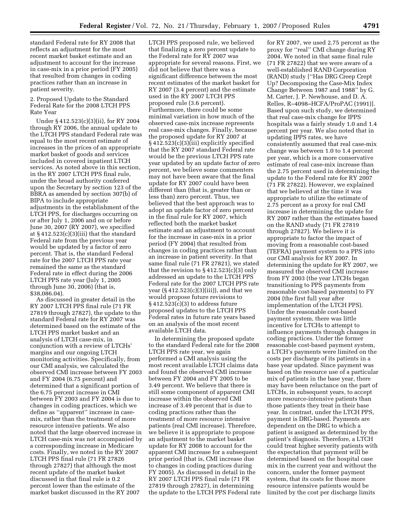standard Federal rate for RY 2008 that reflects an adjustment for the most recent market basket estimate and an adjustment to account for the increase in case-mix in a prior period (FY 2005) that resulted from changes in coding practices rather than an increase in patient severity.

2. Proposed Update to the Standard Federal Rate for the 2008 LTCH PPS Rate Year

Under § 412.523(c)(3)(ii), for RY 2004 through RY 2006, the annual update to the LTCH PPS standard Federal rate was equal to the most recent estimate of increases in the prices of an appropriate market basket of goods and services included in covered inpatient LTCH services. As noted above in this section, in the RY 2007 LTCH PPS final rule, under the broad authority conferred upon the Secretary by section 123 of the BBRA as amended by section 307(b) of BIPA to include appropriate adjustments in the establishment of the LTCH PPS, for discharges occurring on or after July 1, 2006 and on or before June 30, 2007 (RY 2007), we specified at § 412.523(c)(3)(iii) that the standard Federal rate from the previous year would be updated by a factor of zero percent. That is, the standard Federal rate for the 2007 LTCH PPS rate year remained the same as the standard Federal rate in effect during the 2006 LTCH PPS rate year (July 1, 2005 through June 30, 2006) (that is, \$38,086.04).

As discussed in greater detail in the RY 2007 LTCH PPS final rule (71 FR 27819 through 27827), the update to the standard Federal rate for RY 2007 was determined based on the estimate of the LTCH PPS market basket and an analysis of LTCH case-mix, in conjunction with a review of LTCHs' margins and our ongoing LTCH monitoring activities. Specifically, from our CMI analysis, we calculated the observed CMI increase between FY 2003 and FY 2004 (6.75 percent) and determined that a significant portion of the 6.75 percent increase in CMI between FY 2003 and FY 2004 is due to changes in coding practices, which we define as ''apparent'' increase in casemix, rather than the treatment of more resource intensive patients. We also noted that the large observed increase in LTCH case-mix was not accompanied by a corresponding increase in Medicare costs. Finally, we noted in the RY 2007 LTCH PPS final rule (71 FR 27826 through 27827) that although the most recent update of the market basket discussed in that final rule is 0.2 percent lower than the estimate of the market basket discussed in the RY 2007

LTCH PPS proposed rule, we believed that finalizing a zero percent update to the Federal rate for RY 2007 was appropriate for several reasons. First, we did not believe that there was a significant difference between the most recent estimates of the market basket for RY 2007 (3.4 percent) and the estimate used in the RY 2007 LTCH PPS proposed rule (3.6 percent). Furthermore, there could be some minimal variation in how much of the observed case-mix increase represents real case-mix changes. Finally, because the proposed update for RY 2007 at § 412.523(c)(3)(iii) explicitly specified that the RY 2007 standard Federal rate would be the previous LTCH PPS rate year updated by an update factor of zero percent, we believe some commenters may not have been aware that the final update for RY 2007 could have been different than (that is, greater than or less than) zero percent. Thus, we believed that the best approach was to adopt an update factor of zero percent in the final rule for RY 2007, which reflected both the market basket estimate and an adjustment to account for the increase in case-mix in a prior period (FY 2004) that resulted from changes in coding practices rather than an increase in patient severity. In that same final rule (71 FR 27821), we stated that the revision to  $\S 412.523(c)(3)$  only addressed an update to the LTCH PPS Federal rate for the 2007 LTCH PPS rate year (§ 412.523(c)(3)(iii)), and that we would propose future revisions to  $\S 412.523(c)(3)$  to address future proposed updates to the LTCH PPS Federal rates in future rate years based on an analysis of the most recent available LTCH data.

In determining the proposed update to the standard Federal rate for the 2008 LTCH PPS rate year, we again performed a CMI analysis using the most recent available LTCH claims data and found the observed CMI increase between FY 2004 and FY 2005 to be 3.49 percent. We believe that there is still some component of apparent CMI increase within the observed CMI increase of 3.49 percent that is due to coding practices rather than the treatment of more resource intensive patients (real CMI increase). Therefore, we believe it is appropriate to propose an adjustment to the market basket update for RY 2008 to account for the apparent CMI increase for a subsequent prior period (that is, CMI increase due to changes in coding practices during FY 2005). As discussed in detail in the RY 2007 LTCH PPS final rule (71 FR 27819 through 27827), in determining the update to the LTCH PPS Federal rate

for RY 2007, we used 2.75 percent as the proxy for ''real'' CMI change during RY 2004. We noted in that same final rule (71 FR 27822) that we were aware of a well-established RAND Corporation (RAND) study [''Has DRG Creep Crept Up? Decomposing the Case-Mix Index Change Between 1987 and 1988'' by G. M. Carter, J. P. Newhouse, and D. A. Relles, R–4098–HCFA/ProPAC (1991)]. Based upon such study, we determined that real case-mix change for IPPS hospitals was a fairly steady 1.0 and 1.4 percent per year. We also noted that in updating IPPS rates, we have consistently assumed that real case-mix change was between 1.0 to 1.4 percent per year, which is a more conservative estimate of real case-mix increase than the 2.75 percent used in determining the update to the Federal rate for RY 2007 (71 FR 27822). However, we explained that we believed at the time it was appropriate to utilize the estimate of 2.75 percent as a proxy for real CMI increase in determining the update for RY 2007 rather than the estimates based on the RAND study (71 FR 27819 through 27827). We believe it is appropriate to factor the impact of moving from a reasonable cost-based (TEFRA) payment system to a PPS into our CMI analysis for RY 2007. In determining the update for RY 2007, we measured the observed CMI increase from FY 2003 (the year LTCHs began transitioning to PPS payments from reasonable cost-based payments) to FY 2004 (the first full year after implementation of the LTCH PPS). Under the reasonable cost-based payment system, there was little incentive for LTCHs to attempt to influence payments through changes in coding practices. Under the former reasonable cost-based payment system, a LTCH's payments were limited on the costs per discharge of its patients in a base year updated. Since payment was based on the resource use of a particular mix of patients in the base year, there may have been reluctance on the part of LTCHs, in subsequent years, to accept more resource-intensive patients than those patients they treat in their base year. In contrast, under the LTCH PPS, payment is DRG-based. Payments are dependent on the DRG to which a patient is assigned as determined by the patient's diagnosis. Therefore, a LTCH could treat higher severity patients with the expectation that payment will be determined based on the hospital case mix in the current year and without the concern, under the former payment system, that its costs for those more resource intensive patients would be limited by the cost per discharge limits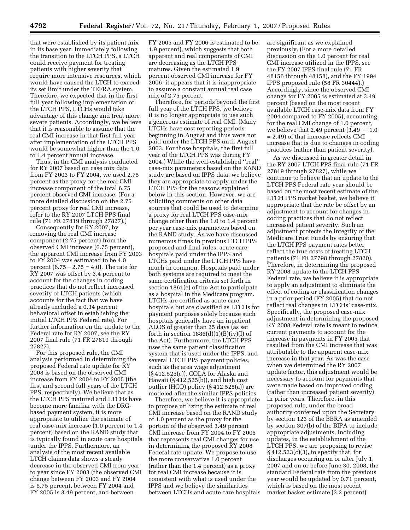that were established by its patient mix in its base year. Immediately following the transition to the LTCH PPS, a LTCH could receive payment for treating patients with higher severity that require more intensive resources, which would have caused the LTCH to exceed its set limit under the TEFRA system. Therefore, we expected that in the first full year following implementation of the LTCH PPS, LTCHs would take advantage of this change and treat more severe patients. Accordingly, we believe that it is reasonable to assume that the real CMI increase in that first full year after implementation of the LTCH PPS would be somewhat higher than the 1.0 to 1.4 percent annual increase.

Thus, in the CMI analysis conducted for RY 2007 based on case mix data from FY 2003 to FY 2004, we used 2.75 percent as the proxy for the real CMI increase component of the total 6.75 percent observed CMI increase. (For a more detailed discussion on the 2.75 percent proxy for real CMI increase, refer to the RY 2007 LTCH PPS final rule (71 FR 27819 through 27827).)

Consequently for RY 2007, by removing the real CMI increase component (2.75 percent) from the observed CMI increase (6.75 percent), the apparent CMI increase from FY 2003 to FY 2004 was estimated to be 4.0 percent  $(6.75 - 2.75 = 4.0)$ . The rate for RY 2007 was offset by 3.4 percent to account for the changes in coding practices that do not reflect increased severity of LTCH patients (which accounts for the fact that we have already included a 0.34 percent behavioral offset in establishing the initial LTCH PPS Federal rate). For further information on the update to the Federal rate for RY 2007, see the RY 2007 final rule (71 FR 27819 through 27827).

For this proposed rule, the CMI analysis performed in determining the proposed Federal rate update for RY 2008 is based on the observed CMI increase from FY 2004 to FY 2005 (the first and second full years of the LTCH PPS, respectively). We believe that as the LTCH PPS matured and LTCHs have become more familiar with the DRGbased payment system, it is more appropriate to utilize the estimate of real case-mix increase (1.0 percent to 1.4 percent) based on the RAND study that is typically found in acute care hospitals under the IPPS. Furthermore, an analysis of the most recent available LTCH claims data shows a steady decrease in the observed CMI from year to year since FY 2003 (the observed CMI change between FY 2003 and FY 2004 is 6.75 percent, between FY 2004 and FY 2005 is 3.49 percent, and between

FY 2005 and FY 2006 is estimated to be 1.9 percent), which suggests that both apparent and real components of CMI are decreasing as the LTCH PPS matures. Given the estimated 1.9 percent observed CMI increase for FY 2006, it appears that it is inappropriate to assume a constant annual real case mix of 2.75 percent.

Therefore, for periods beyond the first full year of the LTCH PPS, we believe it is no longer appropriate to use such a generous estimate of real CMI. (Many LTCHs have cost reporting periods beginning in August and thus were not paid under the LTCH PPS until August 2003. For those hospitals, the first full year of the LTCH PPS was during FY 2004.) While the well-established ''real'' case-mix parameters based on the RAND study are based on IPPS data, we believe they are appropriate to apply under the LTCH PPS for the reasons explained below in this section. However, we are soliciting comments on other data sources that could be used to determine a proxy for real LTCH PPS case-mix change other than the 1.0 to 1.4 percent per year case-mix parameters based on the RAND study. As we have discussed numerous times in previous LTCH PPS proposed and final rules, acute care hospitals paid under the IPPS and LTCHs paid under the LTCH PPS have much in common. Hospitals paid under both systems are required to meet the same certification criteria set forth in section 1861(e) of the Act to participate as a hospital in the Medicare program. LTCHs are certified as acute care hospitals but are classified as LTCHs for payment purposes solely because such hospitals generally have an inpatient ALOS of greater than 25 days (as set forth in section  $1886(d)(1)(B)(iv)(I)$  of the Act). Furthermore, the LTCH PPS uses the same patient classification system that is used under the IPPS, and several LTCH PPS payment policies, such as the area wage adjustment (§ 412.525(c)), COLA for Alaska and Hawaii (§ 412.525(b)), and high cost outlier (HCO) policy (§ 412.525(a)) are modeled after the similar IPPS policies.

Therefore, we believe it is appropriate to propose utilizing the estimate of real CMI increase based on the RAND study of 1.0 percent as the proxy for the portion of the observed 3.49 percent CMI increase from FY 2004 to FY 2005 that represents real CMI changes for use in determining the proposed RY 2008 Federal rate update. We propose to use the more conservative 1.0 percent (rather than the 1.4 percent) as a proxy for real CMI increase because it is consistent with what is used under the IPPS and we believe the similarities between LTCHs and acute care hospitals are significant as we explained previously. (For a more detailed discussion on the 1.0 percent for real CMI increase utilized in the IPPS, see the FY 2007 IPPS final rule (71 FR 48156 through 48158), and the FY 1994 IPPS proposed rule (58 FR 30444).) Accordingly, since the observed CMI change for FY 2005 is estimated at 3.49 percent (based on the most recent available LTCH case-mix data from FY 2004 compared to FY 2005), accounting for the real CMI change of 1.0 percent, we believe that 2.49 percent  $(3.49 - 1.0)$ = 2.49) of that increase reflects CMI increase that is due to changes in coding practices (rather than patient severity).

As we discussed in greater detail in the RY 2007 LTCH PPS final rule (71 FR 27819 through 27827), while we continue to believe that an update to the LTCH PPS Federal rate year should be based on the most recent estimate of the LTCH PPS market basket, we believe it appropriate that the rate be offset by an adjustment to account for changes in coding practices that do not reflect increased patient severity. Such an adjustment protects the integrity of the Medicare Trust Funds by ensuring that the LTCH PPS payment rates better reflect the true costs of treating LTCH patients (71 FR 27798 through 27820). Therefore, in determining the proposed RY 2008 update to the LTCH PPS Federal rate, we believe it is appropriate to apply an adjustment to eliminate the effect of coding or classification changes in a prior period (FY 2005) that do not reflect real changes in LTCHs' case-mix. Specifically, the proposed case-mix adjustment in determining the proposed RY 2008 Federal rate is meant to reduce current payments to account for the increase in payments in FY 2005 that resulted from the CMI increase that was attributable to the apparent case-mix increase in that year. As was the case when we determined the RY 2007 update factor, this adjustment would be necessary to account for payments that were made based on improved coding (rather than increased patient severity) in prior years. Therefore, in this proposed rule, under the broad authority conferred upon the Secretary by section 123 of the BBRA as amended by section 307(b) of the BIPA to include appropriate adjustments, including updates, in the establishment of the LTCH PPS, we are proposing to revise  $§$  412.523(c)(3), to specify that, for discharges occurring on or after July 1, 2007 and on or before June 30, 2008, the standard Federal rate from the previous year would be updated by 0.71 percent, which is based on the most recent market basket estimate (3.2 percent)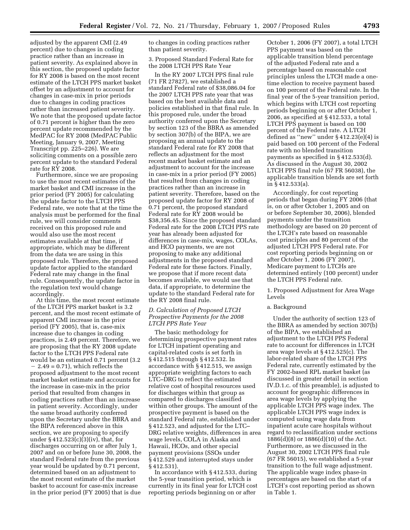adjusted by the apparent CMI (2.49 percent) due to changes in coding practice rather than an increase in patient severity. As explained above in this section, the proposed update factor for RY 2008 is based on the most recent estimate of the LTCH PPS market basket offset by an adjustment to account for changes in case-mix in prior periods due to changes in coding practices rather than increased patient severity. We note that the proposed update factor of 0.71 percent is higher than the zero percent update recommended by the MedPAC for RY 2008 (MedPAC Public Meeting, January 9, 2007, Meeting Transcript pp. 225–226). We are soliciting comments on a possible zero percent update to the standard Federal rate for RY 2008.

Furthermore, since we are proposing to use the most recent estimates of the market basket and CMI increase in the prior period (FY 2005) for calculating the update factor to the LTCH PPS Federal rate, we note that at the time the analysis must be performed for the final rule, we will consider comments received on this proposed rule and would also use the most recent estimates available at that time, if appropriate, which may be different from the data we are using in this proposed rule. Therefore, the proposed update factor applied to the standard Federal rate may change in the final rule. Consequently, the update factor in the regulation text would change accordingly.

At this time, the most recent estimate of the LTCH PPS market basket is 3.2 percent, and the most recent estimate of apparent CMI increase in the prior period (FY 2005), that is, case-mix increase due to changes in coding practices, is 2.49 percent. Therefore, we are proposing that the RY 2008 update factor to the LTCH PPS Federal rate would be an estimated 0.71 percent (3.2  $-2.49 = 0.71$ ), which reflects the proposed adjustment to the most recent market basket estimate and accounts for the increase in case-mix in the prior period that resulted from changes in coding practices rather than an increase in patient severity. Accordingly, under the same broad authority conferred upon the Secretary under the BBRA and the BIPA referenced above in this section, we are proposing to specify under § 412.523(c)(3)(iv), that, for discharges occurring on or after July 1, 2007 and on or before June 30, 2008, the standard Federal rate from the previous year would be updated by 0.71 percent, determined based on an adjustment to the most recent estimate of the market basket to account for case-mix increase in the prior period (FY 2005) that is due

to changes in coding practices rather than patient severity.

3. Proposed Standard Federal Rate for the 2008 LTCH PPS Rate Year

In the RY 2007 LTCH PPS final rule (71 FR 27827), we established a standard Federal rate of \$38,086.04 for the 2007 LTCH PPS rate year that was based on the best available data and policies established in that final rule. In this proposed rule, under the broad authority conferred upon the Secretary by section 123 of the BBRA as amended by section 307(b) of the BIPA, we are proposing an annual update to the standard Federal rate for RY 2008 that reflects an adjustment for the most recent market basket estimate and an adjustment to account for the increase in case-mix in a prior period (FY 2005) that resulted from changes in coding practices rather than an increase in patient severity. Therefore, based on the proposed update factor for RY 2008 of 0.71 percent, the proposed standard Federal rate for RY 2008 would be \$38,356.45. Since the proposed standard Federal rate for the 2008 LTCH PPS rate year has already been adjusted for differences in case-mix, wages, COLAs, and HCO payments, we are not proposing to make any additional adjustments in the proposed standard Federal rate for these factors. Finally, we propose that if more recent data becomes available, we would use that data, if appropriate, to determine the update to the standard Federal rate for the RY 2008 final rule.

#### *D. Calculation of Proposed LTCH Prospective Payments for the 2008 LTCH PPS Rate Year*

The basic methodology for determining prospective payment rates for LTCH inpatient operating and capital-related costs is set forth in § 412.515 through § 412.532. In accordance with § 412.515, we assign appropriate weighting factors to each LTC–DRG to reflect the estimated relative cost of hospital resources used for discharges within that group as compared to discharges classified within other groups. The amount of the prospective payment is based on the standard Federal rate, established under § 412.523, and adjusted for the LTC– DRG relative weights, differences in area wage levels, COLA in Alaska and Hawaii, HCOs, and other special payment provisions (SSOs under § 412.529 and interrupted stays under § 412.531).

In accordance with § 412.533, during the 5-year transition period, which is currently in its final year for LTCH cost reporting periods beginning on or after

October 1, 2006 (FY 2007), a total LTCH PPS payment was based on the applicable transition blend percentage of the adjusted Federal rate and a percentage based on reasonable cost principles unless the LTCH made a onetime election to receive payment based on 100 percent of the Federal rate. In the final year of the 5-year transition period, which begins with LTCH cost reporting periods beginning on or after October 1, 2006, as specified at § 412.533, a total LTCH PPS payment is based on 100 percent of the Federal rate. A LTCH defined as ''new'' under § 412.23(e)(4) is paid based on 100 percent of the Federal rate with no blended transition payments as specified in § 412.533(d). As discussed in the August 30, 2002 LTCH PPS final rule (67 FR 56038), the applicable transition blends are set forth in § 412.533(a).

Accordingly, for cost reporting periods that began during FY 2006 (that is, on or after October 1, 2005 and on or before September 30, 2006), blended payments under the transition methodology are based on 20 percent of the LTCH's rate based on reasonable cost principles and 80 percent of the adjusted LTCH PPS Federal rate. For cost reporting periods beginning on or after October 1, 2006 (FY 2007), Medicare payment to LTCHs are determined entirely (100 percent) under the LTCH PPS Federal rate.

1. Proposed Adjustment for Area Wage Levels

#### a. Background

Under the authority of section 123 of the BBRA as amended by section 307(b) of the BIPA, we established an adjustment to the LTCH PPS Federal rate to account for differences in LTCH area wage levels at § 412.525(c). The labor-related share of the LTCH PPS Federal rate, currently estimated by the FY 2002-based RPL market basket (as discussed in greater detail in section IV.D.1.c. of this preamble), is adjusted to account for geographic differences in area wage levels by applying the applicable LTCH PPS wage index. The applicable LTCH PPS wage index is computed using wage data from inpatient acute care hospitals without regard to reclassification under sections 1886(d)(8) or 1886(d)(10) of the Act. Furthermore, as we discussed in the August 30, 2002 LTCH PPS final rule (67 FR 56015), we established a 5-year transition to the full wage adjustment. The applicable wage index phase-in percentages are based on the start of a LTCH's cost reporting period as shown in Table 1.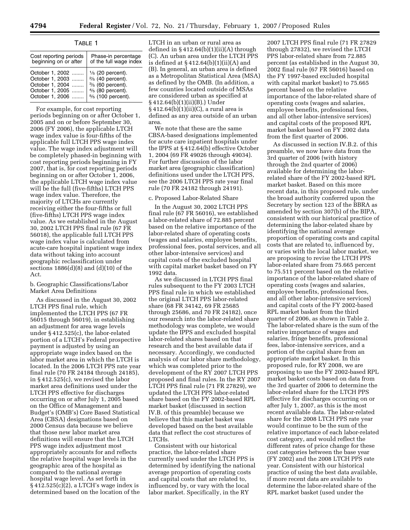| Cost reporting periods<br>beginning on or after                                             | Phase-in percentage<br>of the full wage index                                                                                                                |  |  |
|---------------------------------------------------------------------------------------------|--------------------------------------------------------------------------------------------------------------------------------------------------------------|--|--|
| October 1, 2002<br>October 1, 2003<br>October 1, 2004<br>October 1, 2005<br>October 1, 2006 | $\frac{1}{5}$ (20 percent).<br>$\frac{2}{5}$ (40 percent).<br>3/ <sub>5</sub> (60 percent).<br>$\frac{4}{5}$ (80 percent).<br>5/ <sub>5</sub> (100 percent). |  |  |

For example, for cost reporting periods beginning on or after October 1, 2005 and on or before September 30, 2006 (FY 2006), the applicable LTCH wage index value is four-fifths of the applicable full LTCH PPS wage index value. The wage index adjustment will be completely phased-in beginning with cost reporting periods beginning in FY 2007, that is, for cost reporting periods beginning on or after October 1, 2006, the applicable LTCH wage index value will be the full (five-fifths) LTCH PPS wage index value. Therefore, the majority of LTCHs are currently receiving either the four-fifths or full (five-fifths) LTCH PPS wage index value. As we established in the August 30, 2002 LTCH PPS final rule (67 FR 56018), the applicable full LTCH PPS wage index value is calculated from acute-care hospital inpatient wage index data without taking into account geographic reclassification under sections  $1886(d)(8)$  and  $(d)(10)$  of the Act.

b. Geographic Classifications/Labor Market Area Definitions

As discussed in the August 30, 2002 LTCH PPS final rule, which implemented the LTCH PPS (67 FR 56015 through 56019), in establishing an adjustment for area wage levels under § 412.525(c), the labor-related portion of a LTCH's Federal prospective payment is adjusted by using an appropriate wage index based on the labor market area in which the LTCH is located. In the 2006 LTCH PPS rate year final rule (70 FR 24184 through 24185), in § 412.525(c), we revised the labor market area definitions used under the LTCH PPS effective for discharges occurring on or after July 1, 2005 based on the Office of Management and Budget's (OMB's) Core Based Statistical Area (CBSA) designations based on 2000 Census data because we believe that those new labor market area definitions will ensure that the LTCH PPS wage index adjustment most appropriately accounts for and reflects the relative hospital wage levels in the geographic area of the hospital as compared to the national average hospital wage level. As set forth in § 412.525(c)(2), a LTCH's wage index is determined based on the location of the

LTCH in an urban or rural area as defined in  $§$  412.64(b)(1)(ii)(A) through (C). An urban area under the LTCH PPS is defined at § 412.64(b)(1)(ii)(A) and (B). In general, an urban area is defined as a Metropolitan Statistical Area (MSA) as defined by the OMB. (In addition, a few counties located outside of MSAs are considered urban as specified at § 412.64(b)(1)(ii)(B).) Under § 412.64(b)(1)(ii)(C), a rural area is defined as any area outside of an urban area.

We note that these are the same CBSA-based designations implemented for acute care inpatient hospitals under the IPPS at § 412.64(b) effective October 1, 2004 (69 FR 49026 through 49034). For further discussion of the labor market area (geographic classification) definitions used under the LTCH PPS, see the 2006 LTCH PPS rate year final rule (70 FR 24182 through 24191).

#### c. Proposed Labor-Related Share

In the August 30, 2002 LTCH PPS final rule (67 FR 56016), we established a labor-related share of 72.885 percent based on the relative importance of the labor-related share of operating costs (wages and salaries, employee benefits, professional fees, postal services, and all other labor-intensive services) and capital costs of the excluded hospital with capital market basket based on FY 1992 data.

As we discussed in LTCH PPS final rules subsequent to the FY 2003 LTCH PPS final rule in which we established the original LTCH PPS labor-related share (68 FR 34142, 69 FR 25685 through 25686, and 70 FR 24182), once our research into the labor-related share methodology was complete, we would update the IPPS and excluded hospital labor-related shares based on that research and the best available data if necessary. Accordingly, we conducted analysis of our labor share methodology, which was completed prior to the development of the RY 2007 LTCH PPS proposed and final rules. In the RY 2007 LTCH PPS final rule (71 FR 27829), we updated the LTCH PPS labor-related share based on the FY 2002-based RPL market basket (discussed in section IV.B. of this preamble) because we believe that this market basket was developed based on the best available data that reflect the cost structures of LTCHs.

Consistent with our historical practice, the labor-related share currently used under the LTCH PPS is determined by identifying the national average proportion of operating costs and capital costs that are related to, influenced by, or vary with the local labor market. Specifically, in the RY

2007 LTCH PPS final rule (71 FR 27829 through 27832), we revised the LTCH PPS labor-related share from 72.885 percent (as established in the August 30, 2002 final rule (67 FR 56016) based on the FY 1997-based excluded hospital with capital market basket) to 75.665 percent based on the relative importance of the labor-related share of operating costs (wages and salaries, employee benefits, professional fees, and all other labor-intensive services) and capital costs of the proposed RPL market basket based on FY 2002 data from the first quarter of 2006.

As discussed in section IV.B.2. of this preamble, we now have data from the 3rd quarter of 2006 (with history through the 2nd quarter of 2006) available for determining the laborrelated share of the FY 2002-based RPL market basket. Based on this more recent data, in this proposed rule, under the broad authority conferred upon the Secretary by section 123 of the BBRA as amended by section 307(b) of the BIPA, consistent with our historical practice of determining the labor-related share by identifying the national average proportion of operating costs and capital costs that are related to, influenced by, or varies with the local labor market, we are proposing to revise the LTCH PPS labor-related share from 75.665 percent to 75.511 percent based on the relative importance of the labor-related share of operating costs (wages and salaries, employee benefits, professional fees, and all other labor-intensive services) and capital costs of the FY 2002-based RPL market basket from the third quarter of 2006, as shown in Table 2. The labor-related share is the sum of the relative importance of wages and salaries, fringe benefits, professional fees, labor-intensive services, and a portion of the capital share from an appropriate market basket. In this proposed rule, for RY 2008, we are proposing to use the FY 2002-based RPL market basket costs based on data from the 3rd quarter of 2006 to determine the labor-related share for the LTCH PPS effective for discharges occurring on or after July 1, 2007, as this is the most recent available data. The labor-related share for the 2008 LTCH PPS rate year would continue to be the sum of the relative importance of each labor-related cost category, and would reflect the different rates of price change for these cost categories between the base year (FY 2002) and the 2008 LTCH PPS rate year. Consistent with our historical practice of using the best data available, if more recent data are available to determine the labor-related share of the RPL market basket (used under the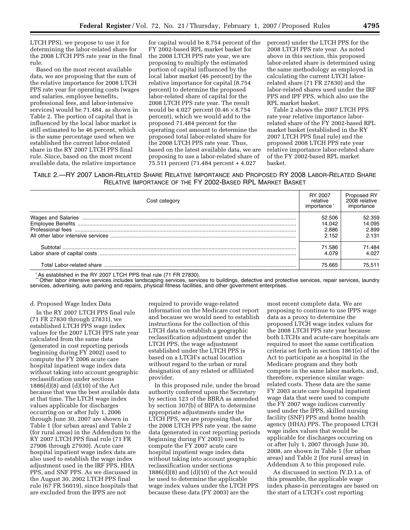LTCH PPS), we propose to use it for determining the labor-related share for the 2008 LTCH PPS rate year in the final rule.

Based on the most recent available data, we are proposing that the sum of the relative importance for 2008 LTCH PPS rate year for operating costs (wages and salaries, employee benefits, professional fees, and labor-intensive services) would be 71.484, as shown in Table 2. The portion of capital that is influenced by the local labor market is still estimated to be 46 percent, which is the same percentage used when we established the current labor-related share in the RY 2007 LTCH PPS final rule. Since, based on the most recent available data, the relative importance

for capital would be 8.754 percent of the FY 2002-based RPL market basket for the 2008 LTCH PPS rate year, we are proposing to multiply the estimated portion of capital influenced by the local labor market (46 percent) by the relative importance for capital (8.754 percent) to determine the proposed labor-related share of capital for the 2008 LTCH PPS rate year. The result would be 4.027 percent  $(0.46 \times 8.754)$ percent), which we would add to the proposed 71.484 percent for the operating cost amount to determine the proposed total labor-related share for the 2008 LTCH PPS rate year. Thus, based on the latest available data, we are proposing to use a labor-related share of 75.511 percent (71.484 percent + 4.027

percent) under the LTCH PPS for the 2008 LTCH PPS rate year. As noted above in this section, this proposed labor-related share is determined using the same methodology as employed in calculating the current LTCH laborrelated share (71 FR 27830) and the labor-related shares used under the IRF PPS and IPF PPS, which also use the RPL market basket.

Table 2 shows the 2007 LTCH PPS rate year relative importance laborrelated share of the FY 2002-based RPL market basket (established in the RY 2007 LTCH PPS final rule) and the proposed 2008 LTCH PPS rate year relative importance labor-related share of the FY 2002-based RPL market basket.

TABLE 2.—RY 2007 LABOR-RELATED SHARE RELATIVE IMPORTANCE AND PROPOSED RY 2008 LABOR-RELATED SHARE RELATIVE IMPORTANCE OF THE FY 2002-BASED RPL MARKET BASKET

| Cost category |                           | Proposed RY<br>2008 relative<br>importance |
|---------------|---------------------------|--------------------------------------------|
|               |                           | 52.359<br>14.095<br>2.899<br>2.131         |
|               | 71.586<br>4.079<br>75.665 | 71.484<br>4.027<br>75.511                  |

\*As established in the RY 2007 LTCH PPS final rule (71 FR 27830).

\*\*Other labor intensive services includes landscaping services, services to buildings, detective and protective services, repair services, laundry services, advertising, auto parking and repairs, physical fitness facilities, and other government enterprises.

#### d. Proposed Wage Index Data

In the RY 2007 LTCH PPS final rule (71 FR 27830 through 27831), we established LTCH PPS wage index values for the 2007 LTCH PPS rate year calculated from the same data (generated in cost reporting periods beginning during FY 2002) used to compute the FY 2006 acute care hospital inpatient wage index data without taking into account geographic reclassification under sections 1886(d)(8) and (d)(10) of the Act because that was the best available data at that time. The LTCH wage index values applicable for discharges occurring on or after July 1, 2006 through June 30, 2007 are shown in Table 1 (for urban areas) and Table 2 (for rural areas) in the Addendum to the RY 2007 LTCH PPS final rule (71 FR 27906 through 27930). Acute care hospital inpatient wage index data are also used to establish the wage index adjustment used in the IRF PPS, HHA PPS, and SNF PPS. As we discussed in the August 30, 2002 LTCH PPS final rule (67 FR 56019), since hospitals that are excluded from the IPPS are not

required to provide wage-related information on the Medicare cost report and because we would need to establish instructions for the collection of this LTCH data to establish a geographic reclassification adjustment under the LTCH PPS, the wage adjustment established under the LTCH PPS is based on a LTCH's actual location without regard to the urban or rural designation of any related or affiliated provider.

In this proposed rule, under the broad authority conferred upon the Secretary by section 123 of the BBRA as amended by section 307(b) of BIPA to determine appropriate adjustments under the LTCH PPS, we are proposing that, for the 2008 LTCH PPS rate year, the same data (generated in cost reporting periods beginning during FY 2003) used to compute the FY 2007 acute care hospital inpatient wage index data without taking into account geographic reclassification under sections  $1886(d)(8)$  and  $(d)(10)$  of the Act would be used to determine the applicable wage index values under the LTCH PPS because these data (FY 2003) are the

most recent complete data. We are proposing to continue to use IPPS wage data as a proxy to determine the proposed LTCH wage index values for the 2008 LTCH PPS rate year because both LTCHs and acute-care hospitals are required to meet the same certification criteria set forth in section 1861(e) of the Act to participate as a hospital in the Medicare program and they both compete in the same labor markets, and, therefore, experience similar wagerelated costs. These data are the same FY 2003 acute care hospital inpatient wage data that were used to compute the FY 2007 wage indices currently used under the IPPS, skilled nursing facility (SNF) PPS and home health agency (HHA) PPS. The proposed LTCH wage index values that would be applicable for discharges occurring on or after July 1, 2007 through June 30, 2008, are shown in Table 1 (for urban areas) and Table 2 (for rural areas) in Addendum A to this proposed rule.

As discussed in section IV.D.1.a. of this preamble, the applicable wage index phase-in percentages are based on the start of a LTCH's cost reporting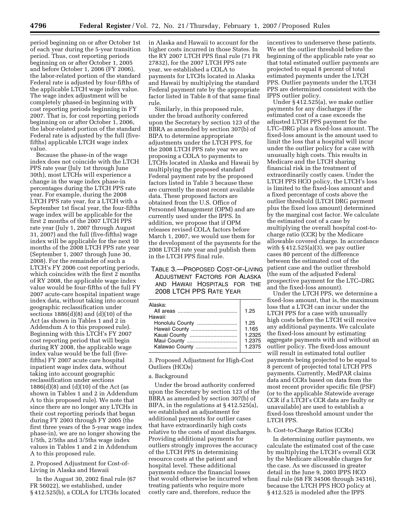period beginning on or after October 1st of each year during the 5-year transition period. Thus, cost reporting periods beginning on or after October 1, 2005 and before October 1, 2006 (FY 2006), the labor-related portion of the standard Federal rate is adjusted by four-fifths of the applicable LTCH wage index value. The wage index adjustment will be completely phased-in beginning with cost reporting periods beginning in FY 2007. That is, for cost reporting periods beginning on or after October 1, 2006, the labor-related portion of the standard Federal rate is adjusted by the full (fivefifths) applicable LTCH wage index value.

Because the phase-in of the wage index does not coincide with the LTCH PPS rate year (July 1st through June 30th), most LTCHs will experience a change in the wage index phase-in percentages during the LTCH PPS rate year. For example, during the 2008 LTCH PPS rate year, for a LTCH with a September 1st fiscal year, the four-fifths wage index will be applicable for the first 2 months of the 2007 LTCH PPS rate year (July 1, 2007 through August 31, 2007) and the full (five-fifths) wage index will be applicable for the next 10 months of the 2008 LTCH PPS rate year (September 1, 2007 through June 30, 2008). For the remainder of such a LTCH's FY 2006 cost reporting periods, which coincides with the first 2 months of RY 2008, the applicable wage index value would be four-fifths of the full FY 2007 acute-care hospital inpatient wage index data, without taking into account geographic reclassification under sections 1886(d)(8) and (d)(10) of the Act (as shown in Tables 1 and 2 in Addendum A to this proposed rule). Beginning with this LTCH's FY 2007 cost reporting period that will begin during RY 2008, the applicable wage index value would be the full (fivefifths) FY 2007 acute care hospital inpatient wage index data, without taking into account geographic reclassification under sections 1886(d)(8) and (d)(10) of the Act (as shown in Tables 1 and 2 in Addendum A to this proposed rule). We note that since there are no longer any LTCHs in their cost reporting periods that began during FY 2003 through FY 2005 (the first three years of the 5-year wage index phase-in), we are no longer showing the 1/5th, 2/5ths and 3/5ths wage index values in Tables 1 and 2 in Addendum A to this proposed rule.

2. Proposed Adjustment for Cost-of-Living in Alaska and Hawaii

In the August 30, 2002 final rule (67 FR 56022), we established, under § 412.525(b), a COLA for LTCHs located in Alaska and Hawaii to account for the higher costs incurred in those States. In the RY 2007 LTCH PPS final rule (71 FR 27832), for the 2007 LTCH PPS rate year, we established a COLA to payments for LTCHs located in Alaska and Hawaii by multiplying the standard Federal payment rate by the appropriate factor listed in Table 8 of that same final rule.

Similarly, in this proposed rule, under the broad authority conferred upon the Secretary by section 123 of the BBRA as amended by section 307(b) of BIPA to determine appropriate adjustments under the LTCH PPS, for the 2008 LTCH PPS rate year we are proposing a COLA to payments to LTCHs located in Alaska and Hawaii by multiplying the proposed standard Federal payment rate by the proposed factors listed in Table 3 because these are currently the most recent available data. These proposed factors are obtained from the U.S. Office of Personnel Management (OPM) and are currently used under the IPPS. In addition, we propose that if OPM releases revised COLA factors before March 1, 2007, we would use them for the development of the payments for the 2008 LTCH rate year and publish them in the LTCH PPS final rule.

#### TABLE 3.—PROPOSED COST-OF-LIVING ADJUSTMENT FACTORS FOR ALASKA AND HAWAII HOSPITALS FOR THE 2008 LTCH PPS RATE YEAR

| Alaska:<br>Hawaii: | 1.25                                        |
|--------------------|---------------------------------------------|
| Honolulu County    | 1.25<br>1.165<br>1.2325<br>1.2375<br>1.2375 |

3. Proposed Adjustment for High-Cost Outliers (HCOs)

#### a. Background

Under the broad authority conferred upon the Secretary by section 123 of the BBRA as amended by section 307(b) of BIPA, in the regulations at § 412.525(a), we established an adjustment for additional payments for outlier cases that have extraordinarily high costs relative to the costs of most discharges. Providing additional payments for outliers strongly improves the accuracy of the LTCH PPS in determining resource costs at the patient and hospital level. These additional payments reduce the financial losses that would otherwise be incurred when treating patients who require more costly care and, therefore, reduce the

incentives to underserve these patients. We set the outlier threshold before the beginning of the applicable rate year so that total estimated outlier payments are projected to equal 8 percent of total estimated payments under the LTCH PPS. Outlier payments under the LTCH PPS are determined consistent with the IPPS outlier policy.

Under § 412.525(a), we make outlier payments for any discharges if the estimated cost of a case exceeds the adjusted LTCH PPS payment for the LTC–DRG plus a fixed-loss amount. The fixed-loss amount is the amount used to limit the loss that a hospital will incur under the outlier policy for a case with unusually high costs. This results in Medicare and the LTCH sharing financial risk in the treatment of extraordinarily costly cases. Under the LTCH PPS HCO policy, the LTCH's loss is limited to the fixed-loss amount and a fixed percentage of costs above the outlier threshold (LTCH DRG payment plus the fixed loss amount) determined by the marginal cost factor. We calculate the estimated cost of a case by multiplying the overall hospital cost-tocharge ratio (CCR) by the Medicare allowable covered charge. In accordance with  $§$  412.525(a)(3), we pay outlier cases 80 percent of the difference between the estimated cost of the patient case and the outlier threshold (the sum of the adjusted Federal prospective payment for the LTC–DRG and the fixed-loss amount).

Under the LTCH PPS, we determine a fixed-loss amount, that is, the maximum loss that a LTCH can incur under the LTCH PPS for a case with unusually high costs before the LTCH will receive any additional payments. We calculate the fixed-loss amount by estimating aggregate payments with and without an outlier policy. The fixed-loss amount will result in estimated total outlier payments being projected to be equal to 8 percent of projected total LTCH PPS payments. Currently, MedPAR claims data and CCRs based on data from the most recent provider specific file (PSF) (or to the applicable Statewide average CCR if a LTCH's CCR data are faulty or unavailable) are used to establish a fixed-loss threshold amount under the LTCH PPS.

#### b. Cost-to-Charge Ratios (CCRs)

In determining outlier payments, we calculate the estimated cost of the case by multiplying the LTCH's overall CCR by the Medicare allowable charges for the case. As we discussed in greater detail in the June 9, 2003 IPPS HCO final rule (68 FR 34506 through 34516), because the LTCH PPS HCO policy at § 412.525 is modeled after the IPPS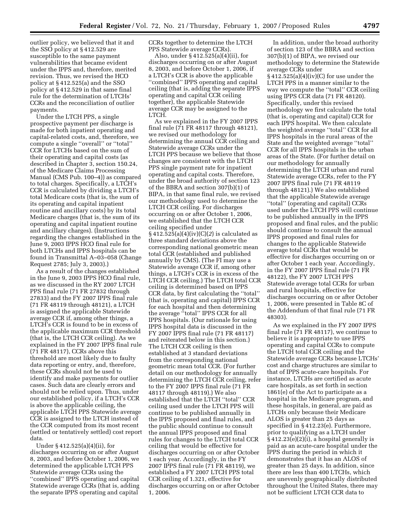outlier policy, we believed that it and the SSO policy at § 412.529 are susceptible to the same payment vulnerabilities that became evident under the IPPS and, therefore, merited revision. Thus, we revised the HCO policy at § 412.525(a) and the SSO policy at § 412.529 in that same final rule for the determination of LTCHs' CCRs and the reconciliation of outlier payments.

Under the LTCH PPS, a single prospective payment per discharge is made for both inpatient operating and capital-related costs, and, therefore, we compute a single ''overall'' or ''total'' CCR for LTCHs based on the sum of their operating and capital costs (as described in Chapter 3, section 150.24, of the Medicare Claims Processing Manual (CMS Pub. 100–4)) as compared to total charges. Specifically, a LTCH's CCR is calculated by dividing a LTCH's total Medicare costs (that is, the sum of its operating and capital inpatient routine and ancillary costs) by its total Medicare charges (that is, the sum of its operating and capital inpatient routine and ancillary charges). (Instructions regarding the changes established in the June 9, 2003 IPPS HCO final rule for both LTCHs and IPPS hospitals can be found in Transmittal A–03–058 (Change Request 2785; July 3, 2003).)

As a result of the changes established in the June 9, 2003 IPPS HCO final rule, as we discussed in the RY 2007 LTCH PPS final rule (71 FR 27832 through 27833) and the FY 2007 IPPS final rule (71 FR 48119 through 48121), a LTCH is assigned the applicable Statewide average CCR if, among other things, a LTCH's CCR is found to be in excess of the applicable maximum CCR threshold (that is, the LTCH CCR ceiling). As we explained in the FY 2007 IPPS final rule (71 FR 48117), CCRs above this threshold are most likely due to faulty data reporting or entry, and, therefore, these CCRs should not be used to identify and make payments for outlier cases. Such data are clearly errors and should not be relied upon. Thus, under our established policy, if a LTCH's CCR is above the applicable ceiling, the applicable LTCH PPS Statewide average CCR is assigned to the LTCH instead of the CCR computed from its most recent (settled or tentatively settled) cost report data.

Under § 412.525(a)(4)(ii), for discharges occurring on or after August 8, 2003, and before October 1, 2006, we determined the applicable LTCH PPS Statewide average CCRs using the ''combined'' IPPS operating and capital Statewide average CCRs (that is, adding the separate IPPS operating and capital

CCRs together to determine the LTCH PPS Statewide average CCRs).

Also, under § 412.525(a)(4)(ii), for discharges occurring on or after August 8, 2003, and before October 1, 2006, if a LTCH's CCR is above the applicable ''combined'' IPPS operating and capital ceiling (that is, adding the separate IPPS operating and capital CCR ceiling together), the applicable Statewide average CCR may be assigned to the LTCH.

As we explained in the FY 2007 IPPS final rule (71 FR 48117 through 48121), we revised our methodology for determining the annual CCR ceiling and Statewide average CCRs under the LTCH PPS because we believe that those changes are consistent with the LTCH PPS single payment rate for inpatient operating and capital costs. Therefore, under the broad authority of section 123 of the BBRA and section 307(b)(1) of BIPA, in that same final rule, we revised our methodology used to determine the LTCH CCR ceiling. For discharges occurring on or after October 1, 2006, we established that the LTCH CCR ceiling specified under § 412.525(a)(4)(iv)(C)(*2*) is calculated as three standard deviations above the corresponding national geometric mean total CCR (established and published annually by CMS). (The FI may use a Statewide average CCR if, among other things, a LTCH's CCR is in excess of the LTCH CCR ceiling.) The LTCH total CCR ceiling is determined based on IPPS CCR data, by first calculating the ''total'' (that is, operating and capital) IPPS CCR for each hospital and then determining the average ''total'' IPPS CCR for all IPPS hospitals. (Our rationale for using IPPS hospital data is discussed in the FY 2007 IPPS final rule (71 FR 48117) and reiterated below in this section.) The LTCH CCR ceiling is then established at 3 standard deviations from the corresponding national geometric mean total CCR. (For further detail on our methodology for annually determining the LTCH CCR ceiling, refer to the FY 2007 IPPS final rule (71 FR 48117 through 48119).) We also established that the LTCH ''total'' CCR ceiling used under the LTCH PPS will continue to be published annually in the IPPS proposed and final rules, and the public should continue to consult the annual IPPS proposed and final rules for changes to the LTCH total CCR ceiling that would be effective for discharges occurring on or after October 1 each year. Accordingly, in the FY 2007 IPPS final rule (71 FR 48119), we established a FY 2007 LTCH PPS total CCR ceiling of 1.321, effective for discharges occurring on or after October 1, 2006.

In addition, under the broad authority of section 123 of the BBRA and section 307(b)(1) of BIPA, we revised our methodology to determine the Statewide average CCRs under

§ 412.525(a)(4)(iv)(C) for use under the LTCH PPS in a manner similar to the way we compute the ''total'' CCR ceiling using IPPS CCR data (71 FR 48120). Specifically, under this revised methodology we first calculate the total (that is, operating and capital) CCR for each IPPS hospital. We then calculate the weighted average ''total'' CCR for all IPPS hospitals in the rural areas of the State and the weighted average ''total'' CCR for all IPPS hospitals in the urban areas of the State. (For further detail on our methodology for annually determining the LTCH urban and rural Statewide average CCRs, refer to the FY 2007 IPPS final rule (71 FR 48119 through 48121).) We also established that the applicable Statewide average ''total'' (operating and capital) CCRs used under the LTCH PPS will continue to be published annually in the IPPS proposed and final rules, and the public should continue to consult the annual IPPS proposed and final rules for changes to the applicable Statewide average total CCRs that would be effective for discharges occurring on or after October 1 each year. Accordingly, in the FY 2007 IPPS final rule (71 FR 48122), the FY 2007 LTCH PPS Statewide average total CCRs for urban and rural hospitals, effective for discharges occurring on or after October 1, 2006, were presented in Table 8C of the Addendum of that final rule (71 FR 48303).

As we explained in the FY 2007 IPPS final rule (71 FR 48117), we continue to believe it is appropriate to use IPPS operating and capital CCRs to compute the LTCH total CCR ceiling and the Statewide average CCRs because LTCHs' cost and charge structures are similar to that of IPPS acute-care hospitals. For instance, LTCHs are certified as acute care hospitals, as set forth in section 1861(e) of the Act to participate as a hospital in the Medicare program, and these hospitals, in general, are paid as LTCHs only because their Medicare ALOS is greater than 25 days as specified in § 412.23(e). Furthermore, prior to qualifying as a LTCH under § 412.23(e)(2)(i), a hospital generally is paid as an acute-care hospital under the IPPS during the period in which it demonstrates that it has an ALOS of greater than 25 days. In addition, since there are less than 400 LTCHs, which are unevenly geographically distributed throughout the United States, there may not be sufficient LTCH CCR data to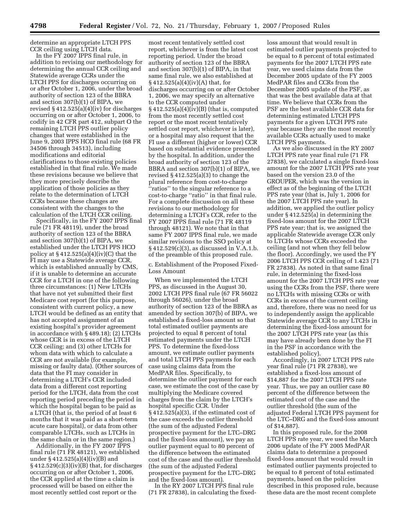determine an appropriate LTCH PPS CCR ceiling using LTCH data.

In the FY 2007 IPPS final rule, in addition to revising our methodology for determining the annual CCR ceiling and Statewide average CCRs under the LTCH PPS for discharges occurring on or after October 1, 2006, under the broad authority of section 123 of the BBRA and section 307(b)(1) of BIPA, we revised § 412.525(a)(4)(iv) for discharges occurring on or after October 1, 2006, to codify in 42 CFR part 412, subpart O the remaining LTCH PPS outlier policy changes that were established in the June 9, 2003 IPPS HCO final rule (68 FR 34506 through 34513), including modifications and editorial clarifications to those existing policies established in that final rule. We made these revisions because we believe that they more precisely describe the application of those policies as they relate to the determination of LTCH CCRs because these changes are consistent with the changes to the calculation of the LTCH CCR ceiling.

Specifically, in the FY 2007 IPPS final rule (71 FR 48119), under the broad authority of section 123 of the BBRA and section 307(b)(1) of BIPA, we established under the LTCH PPS HCO policy at  $§$  412.525(a)(4)(iv)(C) that the FI may use a Statewide average CCR, which is established annually by CMS, if it is unable to determine an accurate CCR for a LTCH in one of the following three circumstances: (1) New LTCHs that have not yet submitted their first Medicare cost report (for this purpose, consistent with current policy, a new LTCH would be defined as an entity that has not accepted assignment of an existing hospital's provider agreement in accordance with § 489.18); (2) LTCHs whose CCR is in excess of the LTCH CCR ceiling; and (3) other LTCHs for whom data with which to calculate a CCR are not available (for example, missing or faulty data). (Other sources of data that the FI may consider in determining a LTCH's CCR included data from a different cost reporting period for the LTCH, data from the cost reporting period preceding the period in which the hospital began to be paid as a LTCH (that is, the period of at least 6 months that it was paid as a short-term acute care hospital), or data from other comparable LTCHs, such as LTCHs in the same chain or in the same region.)

Additionally, in the FY 2007 IPPS final rule (71 FR 48121), we established under § 412.525(a)(4)(iv)(B) and  $§ 412.529(c)(3)(iv)(B)$  that, for discharges occurring on or after October 1, 2006, the CCR applied at the time a claim is processed will be based on either the most recently settled cost report or the

most recent tentatively settled cost report, whichever is from the latest cost reporting period. Under the broad authority of section 123 of the BBRA and section 307(b)(1) of BIPA, in that same final rule, we also established at  $§ 412.525(a)(4)(iv)(A)$  that, for discharges occurring on or after October 1, 2006, we may specify an alternative to the CCR computed under § 412.525(a)(4)(iv)(B) (that is, computed from the most recently settled cost report or the most recent tentatively settled cost report, whichever is later), or a hospital may also request that the FI use a different (higher or lower) CCR based on substantial evidence presented by the hospital. In addition, under the broad authority of section 123 of the BBRA and section 307(b)(1) of BIPA, we revised  $\S 412.525(a)(3)$  to change the plural reference from cost-to-charge ''ratios'' to the singular reference to a cost-to-charge ''ratio'' in that final rule. For a complete discussion on all these revisions to our methodology for determining a LTCH's CCR, refer to the FY 2007 IPPS final rule (71 FR 48119 through 48121). We note that in that same FY 2007 IPPS final rule, we made similar revisions to the SSO policy at § 412.529(c)(3), as discussed in V.A.1.b. of the preamble of this proposed rule.

c. Establishment of the Proposed Fixed-Loss Amount

When we implemented the LTCH PPS, as discussed in the August 30, 2002 LTCH PPS final rule (67 FR 56022 through 56026), under the broad authority of section 123 of the BBRA as amended by section 307(b) of BIPA, we established a fixed-loss amount so that total estimated outlier payments are projected to equal 8 percent of total estimated payments under the LTCH PPS. To determine the fixed-loss amount, we estimate outlier payments and total LTCH PPS payments for each case using claims data from the MedPAR files. Specifically, to determine the outlier payment for each case, we estimate the cost of the case by multiplying the Medicare covered charges from the claim by the LTCH's hospital specific CCR. Under § 412.525(a)(3), if the estimated cost of the case exceeds the outlier threshold (the sum of the adjusted Federal prospective payment for the LTC–DRG and the fixed-loss amount), we pay an outlier payment equal to 80 percent of the difference between the estimated cost of the case and the outlier threshold (the sum of the adjusted Federal prospective payment for the LTC–DRG and the fixed-loss amount).

In the RY 2007 LTCH PPS final rule (71 FR 27838), in calculating the fixedloss amount that would result in estimated outlier payments projected to be equal to 8 percent of total estimated payments for the 2007 LTCH PPS rate year, we used claims data from the December 2005 update of the FY 2005 MedPAR files and CCRs from the December 2005 update of the PSF, as that was the best available data at that time. We believe that CCRs from the PSF are the best available CCR data for determining estimated LTCH PPS payments for a given LTCH PPS rate year because they are the most recently available CCRs actually used to make LTCH PPS payments.

As we also discussed in the RY 2007 LTCH PPS rate year final rule (71 FR 27838), we calculated a single fixed-loss amount for the 2007 LTCH PPS rate year based on the version 23.0 of the GROUPER, which was the version in effect as of the beginning of the LTCH PPS rate year (that is, July 1, 2006 for the 2007 LTCH PPS rate year). In addition, we applied the outlier policy under § 412.525(a) in determining the fixed-loss amount for the 2007 LTCH PPS rate year; that is, we assigned the applicable Statewide average CCR only to LTCHs whose CCRs exceeded the ceiling (and not when they fell below the floor). Accordingly, we used the FY 2006 LTCH PPS CCR ceiling of 1.423 (71 FR 27838). As noted in that same final rule, in determining the fixed-loss amount for the 2007 LTCH PPS rate year using the CCRs from the PSF, there were no LTCHs with missing CCRs or with CCRs in excess of the current ceiling and, therefore, there was no need for us to independently assign the applicable Statewide average CCR to any LTCHs in determining the fixed-loss amount for the 2007 LTCH PPS rate year (as this may have already been done by the FI in the PSF in accordance with the established policy).

Accordingly, in 2007 LTCH PPS rate year final rule (71 FR 27838), we established a fixed-loss amount of \$14,887 for the 2007 LTCH PPS rate year. Thus, we pay an outlier case 80 percent of the difference between the estimated cost of the case and the outlier threshold (the sum of the adjusted Federal LTCH PPS payment for the LTC–DRG and the fixed-loss amount of \$14,887).

In this proposed rule, for the 2008 LTCH PPS rate year, we used the March 2006 update of the FY 2005 MedPAR claims data to determine a proposed fixed-loss amount that would result in estimated outlier payments projected to be equal to 8 percent of total estimated payments, based on the policies described in this proposed rule, because these data are the most recent complete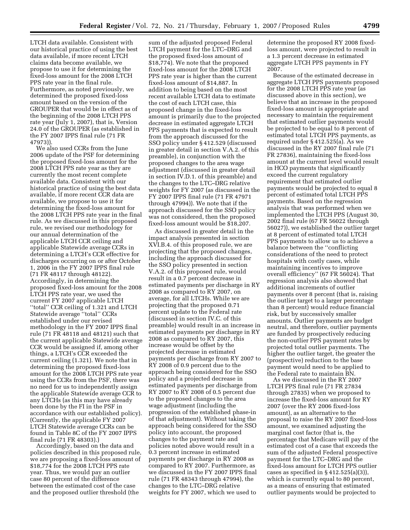LTCH data available. Consistent with our historical practice of using the best data available, if more recent LTCH claims data become available, we propose to use it for determining the fixed-loss amount for the 2008 LTCH PPS rate year in the final rule. Furthermore, as noted previously, we determined the proposed fixed-loss amount based on the version of the GROUPER that would be in effect as of the beginning of the 2008 LTCH PPS rate year (July 1, 2007), that is, Version 24.0 of the GROUPER (as established in the FY 2007 IPPS final rule (71 FR 47973)).

We also used CCRs from the June 2006 update of the PSF for determining the proposed fixed-loss amount for the 2008 LTCH PPS rate year as they are currently the most recent complete available data. Consistent with our historical practice of using the best data available, if more recent CCR data are available, we propose to use it for determining the fixed-loss amount for the 2008 LTCH PPS rate year in the final rule. As we discussed in this proposed rule, we revised our methodology for our annual determination of the applicable LTCH CCR ceiling and applicable Statewide average CCRs in determining a LTCH's CCR effective for discharges occurring on or after October 1, 2006 in the FY 2007 IPPS final rule (71 FR 48117 through 48122). Accordingly, in determining the proposed fixed-loss amount for the 2008 LTCH PPS rate year, we used the current FY 2007 applicable LTCH ''total'' CCR ceiling of 1.321 and LTCH Statewide average ''total'' CCRs established under our revised methodology in the FY 2007 IPPS final rule (71 FR 48118 and 48121) such that the current applicable Statewide average CCR would be assigned if, among other things, a LTCH's CCR exceeded the current ceiling (1.321). We note that in determining the proposed fixed-loss amount for the 2008 LTCH PPS rate year using the CCRs from the PSF, there was no need for us to independently assign the applicable Statewide average CCR to any LTCHs (as this may have already been done by the FI in the PSF in accordance with our established policy). (Currently, the applicable FY 2007 LTCH Statewide average CCRs can be found in Table 8C of the FY 2007 IPPS final rule (71 FR 48303).)

Accordingly, based on the data and policies described in this proposed rule, we are proposing a fixed-loss amount of \$18,774 for the 2008 LTCH PPS rate year. Thus, we would pay an outlier case 80 percent of the difference between the estimated cost of the case and the proposed outlier threshold (the

sum of the adjusted proposed Federal LTCH payment for the LTC–DRG and the proposed fixed-loss amount of \$18,774). We note that the proposed fixed-loss amount for the 2008 LTCH PPS rate year is higher than the current fixed-loss amount of \$14,887. In addition to being based on the most recent available LTCH data to estimate the cost of each LTCH case, this proposed change in the fixed-loss amount is primarily due to the projected decrease in estimated aggregate LTCH PPS payments that is expected to result from the approach discussed for the SSO policy under § 412.529 (discussed in greater detail in section V.A.2. of this preamble), in conjunction with the proposed changes to the area wage adjustment (discussed in greater detail in section IV.D.1. of this preamble) and the changes to the LTC–DRG relative weights for FY 2007 (as discussed in the FY 2007 IPPS final rule (71 FR 47971 through 47994)). We note that if the approach discussed for the SSO policy was not considered, then the proposed fixed-loss amount would be \$18,207.

As discussed in greater detail in the impact analysis presented in section XVI.B.4. of this proposed rule, we are projecting that the proposed changes, including the approach discussed for the SSO policy presented in section V.A.2. of this proposed rule, would result in a 0.7 percent decrease in estimated payments per discharge in RY 2008 as compared to RY 2007, on average, for all LTCHs. While we are projecting that the proposed 0.71 percent update to the Federal rate (discussed in section IV.C. of this preamble) would result in an increase in estimated payments per discharge in RY 2008 as compared to RY 2007, this increase would be offset by the projected decrease in estimated payments per discharge from RY 2007 to RY 2008 of 0.9 percent due to the approach being considered for the SSO policy and a projected decrease in estimated payments per discharge from RY 2007 to RY 2008 of 0.5 percent due to the proposed changes to the area wage adjustment (including the progression of the established phase-in of that adjustment). Without taking the approach being considered for the SSO policy into account, the proposed changes to the payment rate and policies noted above would result in a 0.3 percent increase in estimated payments per discharge in RY 2008 as compared to RY 2007. Furthermore, as we discussed in the FY 2007 IPPS final rule (71 FR 48343 through 47994), the changes to the LTC–DRG relative weights for FY 2007, which we used to

determine the proposed RY 2008 fixedloss amount, were projected to result in a 1.3 percent decrease in estimated aggregate LTCH PPS payments in FY 2007.

Because of the estimated decrease in aggregate LTCH PPS payments proposed for the 2008 LTCH PPS rate year (as discussed above in this section), we believe that an increase in the proposed fixed-loss amount is appropriate and necessary to maintain the requirement that estimated outlier payments would be projected to be equal to 8 percent of estimated total LTCH PPS payments, as required under § 412.525(a). As we discussed in the RY 2007 final rule (71 FR 27836), maintaining the fixed-loss amount at the current level would result in HCO payments that significantly exceed the current regulatory requirement that estimated outlier payments would be projected to equal 8 percent of estimated total LTCH PPS payments. Based on the regression analysis that was performed when we implemented the LTCH PPS (August 30, 2002 final rule (67 FR 56022 through 56027)), we established the outlier target at 8 percent of estimated total LTCH PPS payments to allow us to achieve a balance between the ''conflicting considerations of the need to protect hospitals with costly cases, while maintaining incentives to improve overall efficiency'' (67 FR 56024). That regression analysis also showed that additional increments of outlier payments over 8 percent (that is, raising the outlier target to a larger percentage than 8 percent) would reduce financial risk, but by successively smaller amounts. Outlier payments are budget neutral, and therefore, outlier payments are funded by prospectively reducing the non-outlier PPS payment rates by projected total outlier payments. The higher the outlier target, the greater the (prospective) reduction to the base payment would need to be applied to the Federal rate to maintain BN.

As we discussed in the RY 2007 LTCH PPS final rule (71 FR 27834 through 27835) when we proposed to increase the fixed-loss amount for RY 2007 (over the RY 2006 fixed-loss amount), as an alternative to the proposal to raise the RY 2007 fixed-loss amount, we examined adjusting the marginal cost factor (that is, the percentage that Medicare will pay of the estimated cost of a case that exceeds the sum of the adjusted Federal prospective payment for the LTC–DRG and the fixed-loss amount for LTCH PPS outlier cases as specified in  $\S 412.525(a)(3)$ , which is currently equal to 80 percent, as a means of ensuring that estimated outlier payments would be projected to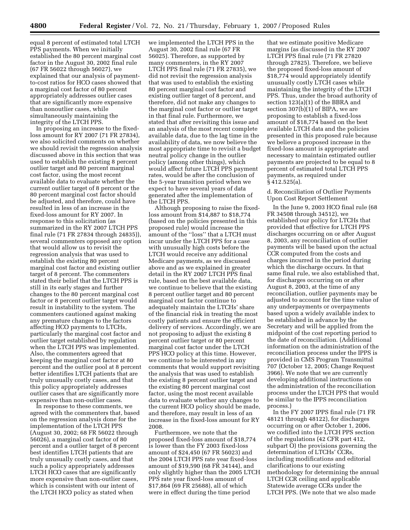equal 8 percent of estimated total LTCH PPS payments. When we initially established the 80 percent marginal cost factor in the August 30, 2002 final rule (67 FR 56022 through 56027), we explained that our analysis of paymentto-cost ratios for HCO cases showed that a marginal cost factor of 80 percent appropriately addresses outlier cases that are significantly more expensive than nonoutlier cases, while simultaneously maintaining the integrity of the LTCH PPS.

In proposing an increase to the fixedloss amount for RY 2007 (71 FR 27834), we also solicited comments on whether we should revisit the regression analysis discussed above in this section that was used to establish the existing 8 percent outlier target and 80 percent marginal cost factor, using the most recent available data to evaluate whether the current outlier target of 8 percent or the 80 percent marginal cost factor should be adjusted, and therefore, could have resulted in less of an increase in the fixed-loss amount for RY 2007. In response to this solicitation (as summarized in the RY 2007 LTCH PPS final rule (71 FR 27834 through 24835)), several commenters opposed any option that would allow us to revisit the regression analysis that was used to establish the existing 80 percent marginal cost factor and existing outlier target of 8 percent. The commenters stated their belief that the LTCH PPS is still in its early stages and further changes to the 80 percent marginal cost factor or 8 percent outlier target would result in instability to the system. The commenters cautioned against making any premature changes to the factors affecting HCO payments to LTCHs, particularly the marginal cost factor and outlier target established by regulation when the LTCH PPS was implemented. Also, the commenters agreed that keeping the marginal cost factor at 80 percent and the outlier pool at 8 percent better identifies LTCH patients that are truly unusually costly cases, and that this policy appropriately addresses outlier cases that are significantly more expensive than non-outlier cases.

In response to these comments, we agreed with the commenters that, based on the regression analysis done for the implementation of the LTCH PPS (August 30, 2002; 68 FR 56022 through 56026), a marginal cost factor of 80 percent and a outlier target of 8 percent best identifies LTCH patients that are truly unusually costly cases, and that such a policy appropriately addresses LTCH HCO cases that are significantly more expensive than non-outlier cases, which is consistent with our intent of the LTCH HCO policy as stated when

we implemented the LTCH PPS in the August 30, 2002 final rule (67 FR 56025). Therefore, as supported by many commenters, in the RY 2007 LTCH PPS final rule (71 FR 27835), we did not revisit the regression analysis that was used to establish the existing 80 percent marginal cost factor and existing outlier target of 8 percent, and therefore, did not make any changes to the marginal cost factor or outlier target in that final rule. Furthermore, we stated that after revisiting this issue and an analysis of the most recent complete available data, due to the lag time in the availability of data, we now believe the most appropriate time to revisit a budget neutral policy change in the outlier policy (among other things), which would affect future LTCH PPS payment rates, would be after the conclusion of the 5-year transition period when we expect to have several years of data generated after the implementation of the LTCH PPS.

Although proposing to raise the fixedloss amount from \$14,887 to \$18,774 (based on the policies presented in this proposed rule) would increase the amount of the ''loss'' that a LTCH must incur under the LTCH PPS for a case with unusually high costs before the LTCH would receive any additional Medicare payments, as we discussed above and as we explained in greater detail in the RY 2007 LTCH PPS final rule, based on the best available data, we continue to believe that the existing 8 percent outlier target and 80 percent marginal cost factor continue to adequately maintain the LTCHs' share of the financial risk in treating the most costly patients and ensure the efficient delivery of services. Accordingly, we are not proposing to adjust the existing 8 percent outlier target or 80 percent marginal cost factor under the LTCH PPS HCO policy at this time. However, we continue to be interested in any comments that would support revisiting the analysis that was used to establish the existing 8 percent outlier target and the existing 80 percent marginal cost factor, using the most recent available data to evaluate whether any changes to the current HCO policy should be made, and therefore, may result in less of an increase in the fixed-loss amount for RY 2008.

Furthermore, we note that the proposed fixed-loss amount of \$18,774 is lower than the FY 2003 fixed-loss amount of \$24,450 (67 FR 56023) and the 2004 LTCH PPS rate year fixed-loss amount of \$19,590 (68 FR 34144), and only slightly higher than the 2005 LTCH PPS rate year fixed-loss amount of \$17,864 (69 FR 25688), all of which were in effect during the time period

that we estimate positive Medicare margins (as discussed in the RY 2007 LTCH PPS final rule (71 FR 27820 through 27825). Therefore, we believe the proposed fixed-loss amount of \$18,774 would appropriately identify unusually costly LTCH cases while maintaining the integrity of the LTCH PPS. Thus, under the broad authority of section 123(a)(1) of the BBRA and section 307(b)(1) of BIPA, we are proposing to establish a fixed-loss amount of \$18,774 based on the best available LTCH data and the policies presented in this proposed rule because we believe a proposed increase in the fixed-loss amount is appropriate and necessary to maintain estimated outlier payments are projected to be equal to 8 percent of estimated total LTCH PPS payments, as required under § 412.525(a).

d. Reconciliation of Outlier Payments Upon Cost Report Settlement

In the June 9, 2003 HCO final rule (68 FR 34508 through 34512), we established our policy for LTCHs that provided that effective for LTCH PPS discharges occurring on or after August 8, 2003, any reconciliation of outlier payments will be based upon the actual CCR computed from the costs and charges incurred in the period during which the discharge occurs. In that same final rule, we also established that, for discharges occurring on or after August 8, 2003, at the time of any reconciliation, outlier payments may be adjusted to account for the time value of any underpayments or overpayments based upon a widely available index to be established in advance by the Secretary and will be applied from the midpoint of the cost reporting period to the date of reconciliation. (Additional information on the administration of the reconciliation process under the IPPS is provided in CMS Program Transmittal 707 (October 12, 2005; Change Request 3966). We note that we are currently developing additional instructions on the administration of the reconciliation process under the LTCH PPS that would be similar to the IPPS reconciliation process.)

In the FY 2007 IPPS final rule (71 FR 48121 through 48122), for discharges occurring on or after October 1, 2006, we codified into the LTCH PPS section of the regulations (42 CFR part 412, subpart O) the provisions governing the determination of LTCHs' CCRs, including modifications and editorial clarifications to our existing methodology for determining the annual LTCH CCR ceiling and applicable Statewide average CCRs under the LTCH PPS. (We note that we also made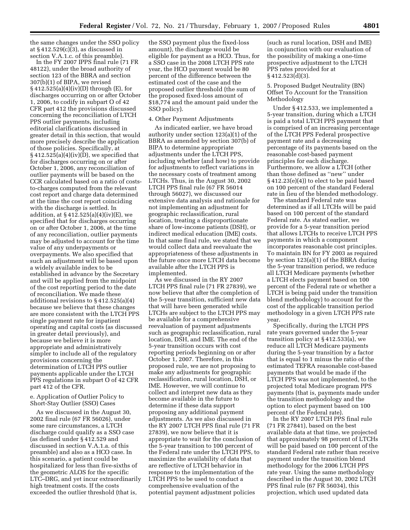the same changes under the SSO policy at § 412.529(c)(3), as discussed in section V.A.1.c. of this preamble).

In the FY 2007 IPPS final rule (71 FR 48122), under the broad authority of section 123 of the BBRA and section 307(b)(1) of BIPA, we revised § 412.525(a)(4)(iv)(D) through (E), for discharges occurring on or after October 1, 2006, to codify in subpart O of 42 CFR part 412 the provisions discussed concerning the reconciliation of LTCH PPS outlier payments, including editorial clarifications discussed in greater detail in this section, that would more precisely describe the application of those policies. Specifically, at  $§ 412.525(a)(4)(iv)(D)$ , we specified that for discharges occurring on or after October 1, 2006, any reconciliation of outlier payments will be based on the CCR calculated based on a ratio of coststo-charges computed from the relevant cost report and charge data determined at the time the cost report coinciding with the discharge is settled. In addition, at § 412.525(a)(4)(iv)(E), we specified that for discharges occurring on or after October 1, 2006, at the time of any reconciliation, outlier payments may be adjusted to account for the time value of any underpayments or overpayments. We also specified that such an adjustment will be based upon a widely available index to be established in advance by the Secretary and will be applied from the midpoint of the cost reporting period to the date of reconciliation. We made these additional revisions to § 412.525(a)(4) because we believe that these changes are more consistent with the LTCH PPS single payment rate for inpatient operating and capital costs (as discussed in greater detail previously), and because we believe it is more appropriate and administratively simpler to include all of the regulatory provisions concerning the determination of LTCH PPS outlier payments applicable under the LTCH PPS regulations in subpart O of 42 CFR part 412 of the CFR.

e. Application of Outlier Policy to Short-Stay Outlier (SSO) Cases

As we discussed in the August 30, 2002 final rule (67 FR 56026), under some rare circumstances, a LTCH discharge could qualify as a SSO case (as defined under § 412.529 and discussed in section V.A.1.a. of this preamble) and also as a HCO case. In this scenario, a patient could be hospitalized for less than five-sixths of the geometric ALOS for the specific LTC–DRG, and yet incur extraordinarily high treatment costs. If the costs exceeded the outlier threshold (that is,

the SSO payment plus the fixed-loss amount), the discharge would be eligible for payment as a HCO. Thus, for a SSO case in the 2008 LTCH PPS rate year, the HCO payment would be 80 percent of the difference between the estimated cost of the case and the proposed outlier threshold (the sum of the proposed fixed-loss amount of \$18,774 and the amount paid under the SSO policy).

#### 4. Other Payment Adjustments

As indicated earlier, we have broad authority under section 123(a)(1) of the BBRA as amended by section 307(b) of BIPA to determine appropriate adjustments under the LTCH PPS, including whether (and how) to provide for adjustments to reflect variations in the necessary costs of treatment among LTCHs. Thus, in the August 30, 2002 LTCH PPS final rule (67 FR 56014 through 56027), we discussed our extensive data analysis and rationale for not implementing an adjustment for geographic reclassification, rural location, treating a disproportionate share of low-income patients (DSH), or indirect medical education (IME) costs. In that same final rule, we stated that we would collect data and reevaluate the appropriateness of these adjustments in the future once more LTCH data become available after the LTCH PPS is implemented.

As we discussed in the RY 2007 LTCH PPS final rule (71 FR 27839), we now believe that after the completion of the 5-year transition, sufficient new data that will have been generated while LTCHs are subject to the LTCH PPS may be available for a comprehensive reevaluation of payment adjustments such as geographic reclassification, rural location, DSH, and IME. The end of the 5-year transition occurs with cost reporting periods beginning on or after October 1, 2007. Therefore, in this proposed rule, we are not proposing to make any adjustments for geographic reclassification, rural location, DSH, or IME. However, we will continue to collect and interpret new data as they become available in the future to determine if these data support proposing any additional payment adjustments. As we also discussed in the RY 2007 LTCH PPS final rule (71 FR 27839), we now believe that it is appropriate to wait for the conclusion of the 5-year transition to 100 percent of the Federal rate under the LTCH PPS, to maximize the availability of data that are reflective of LTCH behavior in response to the implementation of the LTCH PPS to be used to conduct a comprehensive evaluation of the potential payment adjustment policies

(such as rural location, DSH and IME) in conjunction with our evaluation of the possibility of making a one-time prospective adjustment to the LTCH PPS rates provided for at § 412.523(d)(3).

5. Proposed Budget Neutrality (BN) Offset To Account for the Transition Methodology

Under § 412.533, we implemented a 5-year transition, during which a LTCH is paid a total LTCH PPS payment that is comprised of an increasing percentage of the LTCH PPS Federal prospective payment rate and a decreasing percentage of its payments based on the reasonable cost-based payment principles for each discharge. Furthermore, we allow a LTCH (other than those defined as ''new'' under § 412.23(e)(4)) to elect to be paid based on 100 percent of the standard Federal rate in lieu of the blended methodology.

The standard Federal rate was determined as if all LTCHs will be paid based on 100 percent of the standard Federal rate. As stated earlier, we provide for a 5-year transition period that allows LTCHs to receive LTCH PPS payments in which a component incorporates reasonable cost principles. To maintain BN for FY 2003 as required by section 123(a)(1) of the BBRA during the 5-year transition period, we reduce all LTCH Medicare payments (whether a LTCH elects payment based on 100 percent of the Federal rate or whether a LTCH is being paid under the transition blend methodology) to account for the cost of the applicable transition period methodology in a given LTCH PPS rate year.

Specifically, during the LTCH PPS rate years governed under the 5-year transition policy at § 412.533(a), we reduce all LTCH Medicare payments during the 5-year transition by a factor that is equal to 1 minus the ratio of the estimated TEFRA reasonable cost-based payments that would be made if the LTCH PPS was not implemented, to the projected total Medicare program PPS payments (that is, payments made under the transition methodology and the option to elect payment based on 100 percent of the Federal rate).

In the RY 2007 LTCH PPS final rule (71 FR 27841), based on the best available data at that time, we projected that approximately 98 percent of LTCHs will be paid based on 100 percent of the standard Federal rate rather than receive payment under the transition blend methodology for the 2006 LTCH PPS rate year. Using the same methodology described in the August 30, 2002 LTCH PPS final rule (67 FR 56034), this projection, which used updated data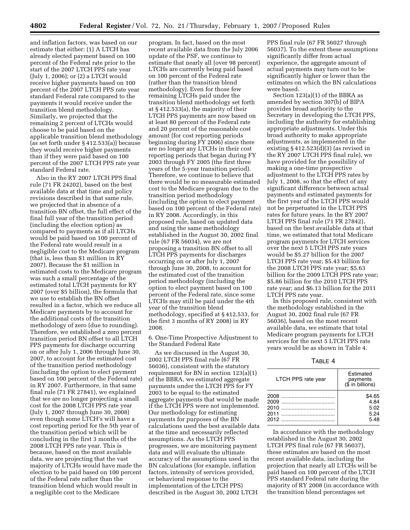and inflation factors, was based on our estimate that either: (1) A LTCH has already elected payment based on 100 percent of the Federal rate prior to the start of the 2007 LTCH PPS rate year (July 1, 2006); or (2) a LTCH would receive higher payments based on 100 percent of the 2007 LTCH PPS rate year standard Federal rate compared to the payments it would receive under the transition blend methodology. Similarly, we projected that the remaining 2 percent of LTCHs would choose to be paid based on the applicable transition blend methodology (as set forth under § 412.533(a)) because they would receive higher payments than if they were paid based on 100 percent of the 2007 LTCH PPS rate year standard Federal rate.

Also in the RY 2007 LTCH PPS final rule (71 FR 24202), based on the best available data at that time and policy revisions described in that same rule, we projected that in absence of a transition BN offset, the full effect of the final full year of the transition period (including the election option) as compared to payments as if all LTCHs would be paid based on 100 percent of the Federal rate would result in a negligible cost to the Medicare program (that is, less than \$1 million in RY 2007). Because the \$1 million in estimated costs to the Medicare program was such a small percentage of the estimated total LTCH payments for RY 2007 (over \$5 billion), the formula that we use to establish the BN offset resulted in a factor, which we reduce all Medicare payments by to account for the additional costs of the transition methodology of zero (due to rounding). Therefore, we established a zero percent transition period BN offset to all LTCH PPS payments for discharge occurring on or after July 1, 2006 through June 30, 2007, to account for the estimated cost of the transition period methodology (including the option to elect payment based on 100 percent of the Federal rate) in RY 2007. Furthermore, in that same final rule (71 FR 27841), we explained that we are no longer projecting a small cost for the 2008 LTCH PPS rate year (July 1, 2007 through June 30, 2008) even though some LTCH's will have a cost reporting period for the 5th year of the transition period which will be concluding in the first 3 months of the 2008 LTCH PPS rate year. This is because, based on the most available data, we are projecting that the vast majority of LTCHs would have made the election to be paid based on 100 percent of the Federal rate rather than the transition blend which would result in a negligible cost to the Medicare

program. In fact, based on the most recent available data from the July 2006 update of the PSF, we continue to estimate that nearly all (over 98 percent) LTCHs are currently being paid based on 100 percent of the Federal rate (rather than the transition blend methodology). Even for those few remaining LTCHs paid under the transition blend methodology set forth at § 412.533(a), the majority of their LTCH PPS payments are now based on at least 80 percent of the Federal rate and 20 percent of the reasonable cost amount (for cost reporting periods beginning during FY 2006) since there are no longer any LTCHs in their cost reporting periods that began during FY 2003 through FY 2005 (the first three years of the 5-year transition period). Therefore, we continue to believe that there would be no measurable estimated cost to the Medicare program due to the transition period methodology (including the option to elect payment based on 100 percent of the Federal rate) in RY 2008. Accordingly, in this proposed rule, based on updated data and using the same methodology established in the August 30, 2002 final rule (67 FR 56034), we are not proposing a transition BN offset to all LTCH PPS payments for discharges occurring on or after July 1, 2007 through June 30, 2008, to account for the estimated cost of the transition period methodology (including the option to elect payment based on 100 percent of the Federal rate, since some LTCHs may still be paid under the 4th year of the transition blend methodology, specified at § 412.533, for the first 3 months of RY 2008) in RY 2008.

6. One-Time Prospective Adjustment to the Standard Federal Rate

As we discussed in the August 30, 2002 LTCH PPS final rule (67 FR 56036), consistent with the statutory requirement for BN in section 123(a)(1) of the BBRA, we estimated aggregate payments under the LTCH PPS for FY 2003 to be equal to the estimated aggregate payments that would be made if the LTCH PPS were not implemented. Our methodology for estimating payments for purposes of the BN calculations used the best available data at the time and necessarily reflected assumptions. As the LTCH PPS progresses, we are monitoring payment data and will evaluate the ultimate accuracy of the assumptions used in the BN calculations (for example, inflation factors, intensity of services provided, or behavioral response to the implementation of the LTCH PPS) described in the August 30, 2002 LTCH

PPS final rule (67 FR 56027 through 56037). To the extent these assumptions significantly differ from actual experience, the aggregate amount of actual payments may turn out to be significantly higher or lower than the estimates on which the BN calculations were based.

Section 123(a)(1) of the BBRA as amended by section 307(b) of BIPA provides broad authority to the Secretary in developing the LTCH PPS, including the authority for establishing appropriate adjustments. Under this broad authority to make appropriate adjustments, as implemented in the existing § 412.523(d)(3) (as revised in the RY 2007 LTCH PPS final rule), we have provided for the possibility of making a one-time prospective adjustment to the LTCH PPS rates by July 1, 2008, so that the effect of any significant difference between actual payments and estimated payments for the first year of the LTCH PPS would not be perpetuated in the LTCH PPS rates for future years. In the RY 2007 LTCH PPS final rule (71 FR 27842), based on the best available data at that time, we estimated that total Medicare program payments for LTCH services over the next 5 LTCH PPS rate years would be \$5.27 billion for the 2007 LTCH PPS rate year; \$5.43 billion for the 2008 LTCH PPS rate year; \$5.63 billion for the 2009 LTCH PPS rate year; \$5.86 billion for the 2010 LTCH PPS rate year; and \$6.13 billion for the 2011 LTCH PPS rate year.

In this proposed rule, consistent with the methodology established in the August 30, 2002 final rule (67 FR 56036), based on the most recent available data, we estimate that total Medicare program payments for LTCH services for the next 5 LTCH PPS rate years would be as shown in Table 4.

TABLE 4

| LTCH PPS rate year | Estimated<br>payments<br>(\$ in billions) |  |
|--------------------|-------------------------------------------|--|
|                    | \$4.65                                    |  |
|                    | 4.84                                      |  |
|                    | 5.02                                      |  |
|                    | 5.24                                      |  |
|                    | 5.48                                      |  |

In accordance with the methodology established in the August 30, 2002 LTCH PPS final rule (67 FR 56037), these estimates are based on the most recent available data, including the projection that nearly all LTCHs will be paid based on 100 percent of the LTCH PPS standard Federal rate during the majority of RY 2008 (in accordance with the transition blend percentages set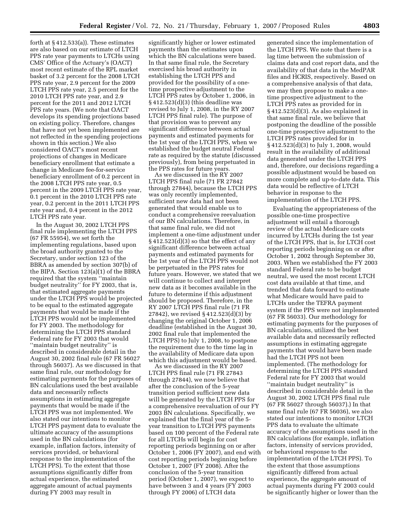forth at § 412.533(a)). These estimates are also based on our estimate of LTCH PPS rate year payments to LTCHs using CMS' Office of the Actuary's (OACT) most recent estimate of the RPL market basket of 3.2 percent for the 2008 LTCH PPS rate year, 2.9 percent for the 2009 LTCH PPS rate year, 2.5 percent for the 2010 LTCH PPS rate year, and 2.9 percent for the 2011 and 2012 LTCH PPS rate years. (We note that OACT develops its spending projections based on existing policy. Therefore, changes that have not yet been implemented are not reflected in the spending projections shown in this section.) We also considered OACT's most recent projections of changes in Medicare beneficiary enrollment that estimate a change in Medicare fee-for-service beneficiary enrollment of 0.2 percent in the 2008 LTCH PPS rate year, 0.5 percent in the 2009 LTCH PPS rate year, 0.1 percent in the 2010 LTCH PPS rate year, 0.2 percent in the 2011 LTCH PPS rate year and, 0.4 percent in the 2012 LTCH PPS rate year.

In the August 30, 2002 LTCH PPS final rule implementing the LTCH PPS (67 FR 55954), we set forth the implementing regulations, based upon the broad authority granted to the Secretary, under section 123 of the BBRA as amended by section 307(b) of the BIPA. Section 123(a)(1) of the BBRA required that the system ''maintain budget neutrality'' for FY 2003, that is, that estimated aggregate payments under the LTCH PPS would be projected to be equal to the estimated aggregate payments that would be made if the LTCH PPS would not be implemented for FY 2003. The methodology for determining the LTCH PPS standard Federal rate for FY 2003 that would ''maintain budget neutrality'' is described in considerable detail in the August 30, 2002 final rule (67 FR 56027 through 56037). As we discussed in that same final rule, our methodology for estimating payments for the purposes of BN calculations used the best available data and necessarily reflects assumptions in estimating aggregate payments that would be made if the LTCH PPS was not implemented. We also stated our intentions to monitor LTCH PPS payment data to evaluate the ultimate accuracy of the assumptions used in the BN calculations (for example, inflation factors, intensity of services provided, or behavioral response to the implementation of the LTCH PPS). To the extent that those assumptions significantly differ from actual experience, the estimated aggregate amount of actual payments during FY 2003 may result in

significantly higher or lower estimated payments than the estimates upon which the BN calculations were based. In that same final rule, the Secretary exercised his broad authority in establishing the LTCH PPS and provided for the possibility of a onetime prospective adjustment to the LTCH PPS rates by October 1, 2006, in § 412.523(d)(3) (this deadline was revised to July 1, 2008, in the RY 2007 LTCH PPS final rule). The purpose of that provision was to prevent any significant difference between actual payments and estimated payments for the 1st year of the LTCH PPS, when we established the budget neutral Federal rate as required by the statute (discussed previously), from being perpetuated in the PPS rates for future years.

As we discussed in the RY 2007 LTCH PPS final rule (71 FR 27842 through 27844), because the LTCH PPS was only recently implemented, sufficient new data had not been generated that would enable us to conduct a comprehensive reevaluation of our BN calculations. Therefore, in that same final rule, we did not implement a one-time adjustment under § 412.523(d)(3) so that the effect of any significant difference between actual payments and estimated payments for the 1st year of the LTCH PPS would not be perpetuated in the PPS rates for future years. However, we stated that we will continue to collect and interpret new data as it becomes available in the future to determine if this adjustment should be proposed. Therefore, in the RY 2007 LTCH PPS final rule (71 FR 27842), we revised § 412.523(d)(3) by changing the original October 1, 2006 deadline (established in the August 30, 2002 final rule that implemented the LTCH PPS) to July 1, 2008, to postpone the requirement due to the time lag in the availability of Medicare data upon which this adjustment would be based.

As we discussed in the RY 2007 LTCH PPS final rule (71 FR 27843 through 27844), we now believe that after the conclusion of the 5-year transition period sufficient new data will be generated by the LTCH PPS for a comprehensive reevaluation of our FY 2003 BN calculations. Specifically, we explained that the final year of the 5 year transition to LTCH PPS payments based on 100 percent of the Federal rate for all LTCHs will begin for cost reporting periods beginning on or after October 1, 2006 (FY 2007), and end with cost reporting periods beginning before October 1, 2007 (FY 2008). After the conclusion of the 5-year transition period (October 1, 2007), we expect to have between 3 and 4 years (FY 2003 through FY 2006) of LTCH data

generated since the implementation of the LTCH PPS. We note that there is a lag time between the submission of claims data and cost report data, and the availability of that data in the MedPAR files and HCRIS, respectively. Based on a comprehensive analysis of that data, we may then propose to make a onetime prospective adjustment to the LTCH PPS rates as provided for in § 412.523(d)(3). As also explained in that same final rule, we believe that postponing the deadline of the possible one-time prospective adjustment to the LTCH PPS rates provided for in § 412.523(d)(3) to July 1, 2008, would result in the availability of additional data generated under the LTCH PPS and, therefore, our decisions regarding a possible adjustment would be based on more complete and up-to-date data. This data would be reflective of LTCH behavior in response to the implementation of the LTCH PPS.

Evaluating the appropriateness of the possible one-time prospective adjustment will entail a thorough review of the actual Medicare costs incurred by LTCHs during the 1st year of the LTCH PPS, that is, for LTCH cost reporting periods beginning on or after October 1, 2002 through September 30, 2003. When we established the FY 2003 standard Federal rate to be budget neutral, we used the most recent LTCH cost data available at that time, and trended that data forward to estimate what Medicare would have paid to LTCHs under the TEFRA payment system if the PPS were not implemented (67 FR 56033). Our methodology for estimating payments for the purposes of BN calculations, utilized the best available data and necessarily reflected assumptions in estimating aggregate payments that would have been made had the LTCH PPS not been implemented. (The methodology for determining the LTCH PPS standard Federal rate for FY 2003 that would ''maintain budget neutrality'' is described in considerable detail in the August 30, 2002 LTCH PPS final rule (67 FR 56027 through 56037).) In that same final rule (67 FR 56036), we also stated our intentions to monitor LTCH PPS data to evaluate the ultimate accuracy of the assumptions used in the BN calculations (for example, inflation factors, intensity of services provided, or behavioral response to the implementation of the LTCH PPS). To the extent that those assumptions significantly differed from actual experience, the aggregate amount of actual payments during FY 2003 could be significantly higher or lower than the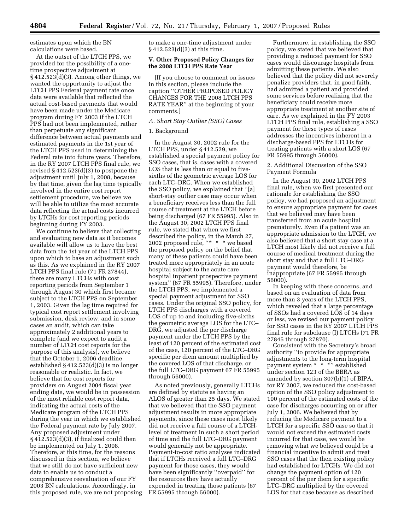estimates upon which the BN calculations were based.

At the outset of the LTCH PPS, we provided for the possibility of a onetime prospective adjustment at § 412.523(d)(3). Among other things, we wanted the opportunity to adjust the LTCH PPS Federal payment rate once data were available that reflected the actual cost-based payments that would have been made under the Medicare program during FY 2003 if the LTCH PPS had not been implemented, rather than perpetuate any significant difference between actual payments and estimated payments in the 1st year of the LTCH PPS used in determining the Federal rate into future years. Therefore, in the RY 2007 LTCH PPS final rule, we revised § 412.523(d)(3) to postpone the adjustment until July 1, 2008, because by that time, given the lag time typically involved in the entire cost report settlement procedure, we believe we will be able to utilize the most accurate data reflecting the actual costs incurred by LTCHs for cost reporting periods beginning during FY 2003.

We continue to believe that collecting and evaluating new data as it becomes available will allow us to have the best data from the 1st year of the LTCH PPS upon which to base an adjustment such as this. As we explained in the RY 2007 LTCH PPS final rule (71 FR 27844), there are many LTCHs with cost reporting periods from September 1 through August 30 which first became subject to the LTCH PPS on September 1, 2003. Given the lag time required for typical cost report settlement involving submission, desk review, and in some cases an audit, which can take approximately 2 additional years to complete (and we expect to audit a number of LTCH cost reports for the purpose of this analysis), we believe that the October 1, 2006 deadline established § 412.523(d)(3) is no longer reasonable or realistic. In fact, we believe that for cost reports for providers on August 2004 fiscal year ending date, we would be in possession of the most reliable cost report data, indicating the actual costs of the Medicare program of the LTCH PPS during the year in which we established the Federal payment rate by July 2007. Any proposed adjustment under § 412.523(d)(3), if finalized could then be implemented on July 1, 2008. Therefore, at this time, for the reasons discussed in this section, we believe that we still do not have sufficient new data to enable us to conduct a comprehensive reevaluation of our FY 2003 BN calculations. Accordingly, in this proposed rule, we are not proposing to make a one-time adjustment under § 412.523(d)(3) at this time.

#### **V. Other Proposed Policy Changes for the 2008 LTCH PPS Rate Year**

[If you choose to comment on issues in this section, please include the caption ''OTHER PROPOSED POLICY CHANGES FOR THE 2008 LTCH PPS RATE YEAR'' at the beginning of your comments.]

#### *A. Short Stay Outlier (SSO) Cases*

#### 1. Background

In the August 30, 2002 rule for the LTCH PPS, under § 412.529, we established a special payment policy for SSO cases, that is, cases with a covered LOS that is less than or equal to fivesixths of the geometric average LOS for each LTC–DRG. When we established the SSO policy, we explained that ''[a] short-stay outlier case may occur when a beneficiary receives less than the full course of treatment at the LTCH before being discharged (67 FR 55995). Also in the August 30, 2002 LTCH PPS final rule, we stated that when we first described the policy, in the March 27, 2002 proposed rule, "\* \* \* we based the proposed policy on the belief that many of these patients could have been treated more appropriately in an acute hospital subject to the acute care hospital inpatient prospective payment system'' (67 FR 55995). Therefore, under the LTCH PPS, we implemented a special payment adjustment for SSO cases. Under the original SSO policy, for LTCH PPS discharges with a covered LOS of up to and including five-sixths the geometric average LOS for the LTC– DRG, we adjusted the per discharge payment under the LTCH PPS by the least of 120 percent of the estimated cost of the case, 120 percent of the LTC–DRG specific per diem amount multiplied by the covered LOS of that discharge, or the full LTC–DRG payment 67 FR 55995 through 56000).

As noted previously, generally LTCHs are defined by statute as having an ALOS of greater than 25 days. We stated that we believed that the SSO payment adjustment results in more appropriate payments, since these cases most likely did not receive a full course of a LTCHlevel of treatment in such a short period of time and the full LTC–DRG payment would generally not be appropriate. Payment-to-cost ratio analyses indicated that if LTCHs received a full LTC–DRG payment for those cases, they would have been significantly ''overpaid'' for the resources they have actually expended in treating those patients (67 FR 55995 through 56000).

Furthermore, in establishing the SSO policy, we stated that we believed that providing a reduced payment for SSO cases would discourage hospitals from admitting these patients. We also believed that the policy did not severely penalize providers that, in good faith, had admitted a patient and provided some services before realizing that the beneficiary could receive more appropriate treatment at another site of care. As we explained in the FY 2003 LTCH PPS final rule, establishing a SSO payment for these types of cases addresses the incentives inherent in a discharge-based PPS for LTCHs for treating patients with a short LOS (67 FR 55995 through 56000).

2. Additional Discussion of the SSO Payment Formula

In the August 30, 2002 LTCH PPS final rule, when we first presented our rationale for establishing the SSO policy, we had proposed an adjustment to ensure appropriate payment for cases that we believed may have been transferred from an acute hospital prematurely. Even if a patient was an appropriate admission to the LTCH, we also believed that a short stay case at a LTCH most likely did not receive a full course of medical treatment during the short stay and that a full LTC–DRG payment would therefore, be inappropriate (67 FR 55995 through 56000).

In keeping with these concerns, and based on an evaluation of data from more than 3 years of the LTCH PPS, which revealed that a large percentage of SSOs had a covered LOS of 14 days or less, we revised our payment policy for SSO cases in the RY 2007 LTCH PPS final rule for subclause (I) LTCHs (71 FR 27845 through 27870).

Consistent with the Secretary's broad authority ''to provide for appropriate adjustments to the long-term hospital payment system \* \* \*'' established under section 123 of the BBRA as amended by section 307(b)(1) of BIPA, for RY 2007, we reduced the cost-based option of the SSO policy adjustment to 100 percent of the estimated costs of the case for discharges occurring on or after July 1, 2006. We believed that by reducing the Medicare payment to a LTCH for a specific SSO case so that it would not exceed the estimated costs incurred for that case, we would be removing what we believed could be a financial incentive to admit and treat SSO cases that the then existing policy had established for LTCHs. We did not change the payment option of 120 percent of the per diem for a specific LTC–DRG multiplied by the covered LOS for that case because as described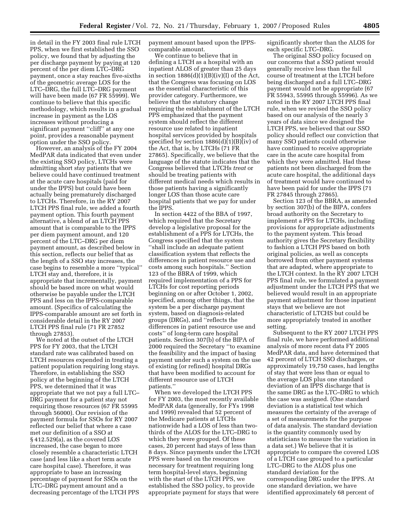in detail in the FY 2003 final rule LTCH PPS, when we first established the SSO policy, we found that by adjusting the per discharge payment by paying at 120 percent of the per diem LTC–DRG payment, once a stay reaches five-sixths of the geometric average LOS for the LTC–DRG, the full LTC–DRG payment will have been made (67 FR 55999). We continue to believe that this specific methodology, which results in a gradual increase in payment as the LOS increases without producing a significant payment ''cliff'' at any one point, provides a reasonable payment option under the SSO policy.

However, an analysis of the FY 2004 MedPAR data indicated that even under the existing SSO policy, LTCHs were admitting short stay patients that we believe could have continued treatment at the acute care hospitals (paid for under the IPPS) but could have been actually being prematurely discharged to LTCHs. Therefore, in the RY 2007 LTCH PPS final rule, we added a fourth payment option. This fourth payment alternative, a blend of an LTCH PPS amount that is comparable to the IPPS per diem payment amount, and 120 percent of the LTC–DRG per diem payment amount, as described below in this section, reflects our belief that as the length of a SSO stay increases, the case begins to resemble a more ''typical'' LTCH stay and, therefore, it is appropriate that incrementally, payment should be based more on what would otherwise be payable under the LTCH PPS and less on the IPPS-comparable amount. (Specifics of calculating the IPPS-comparable amount are set forth in considerable detail in the RY 2007 LTCH PPS final rule (71 FR 27852 through 27853).

We noted at the outset of the LTCH PPS for FY 2003, that the LTCH standard rate was calibrated based on LTCH resources expended in treating a patient population requiring long stays. Therefore, in establishing the SSO policy at the beginning of the LTCH PPS, we determined that it was appropriate that we not pay a full LTC– DRG payment for a patient stay not requiring those resources (67 FR 55995 through 56000). Our revision of the payment formula for SSOs for RY 2007 reflected our belief that where a case met our definition of a SSO at § 412.529(a), as the covered LOS increased, the case began to more closely resemble a characteristic LTCH case (and less like a short term acute care hospital case). Therefore, it was appropriate to base an increasing percentage of payment for SSOs on the LTC–DRG payment amount and a decreasing percentage of the LTCH PPS payment amount based upon the IPPScomparable amount.

We continue to believe that in defining a LTCH as a hospital with an inpatient ALOS of greater than 25 days in section  $1886(d)(1)(B)(iv)(I)$  of the Act, that the Congress was focusing on LOS as the essential characteristic of this provider category. Furthermore, we believe that the statutory change requiring the establishment of the LTCH PPS emphasized that the payment system should reflect the different resource use related to inpatient hospital services provided by hospitals specified by section 1886(d)(1)(B)(iv) of the Act, that is, by LTCHs (71 FR 27865). Specifically, we believe that the language of the statute indicates that the Congress believed that LTCHs *treat* or should be treating patients with different medical needs which results in those patients having a significantly longer LOS than those acute care hospital patients that we pay for under the IPPS.

In section 4422 of the BBA of 1997, which required that the Secretary develop a legislative proposal for the establishment of a PPS for LTCHs, the Congress specified that the system ''shall include an adequate patient classification system that reflects the differences in patient resource use and costs among such hospitals.'' Section 123 of the BBRA of 1999, which required implementation of a PPS for LTCHs for cost reporting periods beginning on or after October 1, 2002, specified, among other things, that the system be a per discharge payment system, based on diagnosis-related groups (DRGs), and ''reflects the differences in patient resource use and costs'' of long-term care hospital patients. Section 307(b) of the BIPA of 2000 required the Secretary ''to examine the feasibility and the impact of basing payment under such a system on the use of existing (or refined) hospital DRGs that have been modified to account for different resource use of LTCH patients.''

When we developed the LTCH PPS for FY 2003, the most recently available MedPAR data (generally, for FYs 1998 and 1999) revealed that 52 percent of the Medicare patients at LTCHs nationwide had a LOS of less than twothirds of the ALOS for the LTC–DRG to which they were grouped. Of these cases, 20 percent had stays of less than 8 days. Since payments under the LTCH PPS were based on the resources necessary for treatment requiring long term hospital-level stays, beginning with the start of the LTCH PPS, we established the SSO policy, to provide appropriate payment for stays that were

significantly shorter than the ALOS for each specific LTC–DRG.

The original SSO policy focused on our concerns that a SSO patient would generally receive less than the full course of treatment at the LTCH before being discharged and a full LTC–DRG payment would not be appropriate (67 FR 55943, 55995 through 55996). As we noted in the RY 2007 LTCH PPS final rule, when we revised the SSO policy based on our analysis of the nearly 3 years of data since we designed the LTCH PPS, we believed that our SSO policy should reflect our conviction that many SSO patients could otherwise have continued to receive appropriate care in the acute care hospital from which they were admitted. Had these patients not been discharged from the acute care hospital, the additional days of treatment would have continued to have been paid for under the IPPS (71 FR 27845 through 27865).

Section 123 of the BBRA, as amended by section 307(b) of the BIPA, confers broad authority on the Secretary to implement a PPS for LTCHs, including provisions for appropriate adjustments to the payment system. This broad authority gives the Secretary flexibility to fashion a LTCH PPS based on both original policies, as well as concepts borrowed from other payment systems that are adapted, where appropriate to the LTCH context. In the RY 2007 LTCH PPS final rule, we formulated a payment adjustment under the LTCH PPS that we believed would result in an appropriate payment adjustment for those inpatient stays that we believe are not characteristic of LTCHS but could be more appropriately treated in another setting.

Subsequent to the RY 2007 LTCH PPS final rule, we have performed additional analysis of more recent data FY 2005 MedPAR data, and have determined that 42 percent of LTCH SSO discharges, or approximately 19,750 cases, had lengths of stay that were less than or equal to the average LOS plus one standard deviation of an IPPS discharge that is the same DRG as the LTC–DRG to which the case was assigned. (One standard deviation is a statistical test which measures the certainty of the average of a set of measurements for the purpose of data analysis. The standard deviation is the quantity commonly used by statisticians to measure the variation in a data set.) We believe that it is appropriate to compare the covered LOS of a LTCH case grouped to a particular LTC–DRG to the ALOS plus one standard deviation for the corresponding DRG under the IPPS. At one standard deviation, we have identified approximately 68 percent of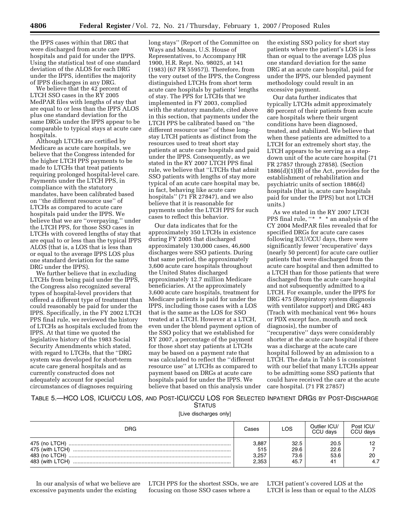the IPPS cases within that DRG that were discharged from acute care hospitals and paid for under the IPPS. Using the statistical test of one standard deviation of the ALOS for each DRG under the IPPS, identifies the majority of IPPS discharges in any DRG.

We believe that the 42 percent of LTCH SSO cases in the RY 2005 MedPAR files with lengths of stay that are equal to or less than the IPPS ALOS plus one standard deviation for the same DRGs under the IPPS appear to be comparable to typical stays at acute care hospitals.

Although LTCHs are certified by Medicare as acute care hospitals, we believe that the Congress intended for the higher LTCH PPS payments to be made to LTCHs that treat patients requiring prolonged hospital-level care. Payments under the LTCH PPS, in compliance with the statutory mandates, have been calibrated based on ''the different resource use'' of LTCHs as compared to acute care hospitals paid under the IPPS. We believe that we are ''overpaying,'' under the LTCH PPS, for those SSO cases in LTCHs with covered lengths of stay that are equal to or less than the typical IPPS ALOS (that is, a LOS that is less than or equal to the average IPPS LOS plus one standard deviation for the same DRG under the IPPS).

We further believe that in excluding LTCHs from being paid under the IPPS, the Congress also recognized several types of hospital-level providers that offered a different type of treatment than could reasonably be paid for under the IPPS. Specifically, in the FY 2002 LTCH PPS final rule, we reviewed the history of LTCHs as hospitals excluded from the IPPS. At that time we quoted the legislative history of the 1983 Social Security Amendments which stated, with regard to LTCHs, that the ''DRG system was developed for short-term acute care general hospitals and as currently constructed does not adequately account for special circumstances of diagnoses requiring

long stays'' (Report of the Committee on Ways and Means, U.S. House of Representatives, to Accompany HR 1900, H.R. Rept. No. 98025, at 141 (1983) (67 FR 55957)). Therefore, from the very outset of the IPPS, the Congress distinguished LTCHs from short term acute care hospitals by patients' lengths of stay. The PPS for LTCHs that we implemented in FY 2003, complied with the statutory mandate, cited above in this section, that payments under the LTCH PPS be calibrated based on ''the different resource use'' of these longstay LTCH patients as distinct from the resources used to treat short stay patients at acute care hospitals and paid under the IPPS. Consequently, as we stated in the RY 2007 LTCH PPS final rule, we believe that ''LTCHs that admit SSO patients with lengths of stay more typical of an acute care hospital may be, in fact, behaving like acute care hospitals'' (71 FR 27847), and we also believe that it is reasonable for payments under the LTCH PPS for such cases to reflect this behavior.

Our data indicates that for the approximately 350 LTCHs in existence during FY 2005 that discharged approximately 130,000 cases, 46,600 discharges were SSO patients. During that same period, the approximately 3,600 acute care hospitals throughout the United States discharged approximately 12.7 million Medicare beneficiaries. At the approximately 3,600 acute care hospitals, treatment for Medicare patients is paid for under the IPPS, including those cases with a LOS that is the same as the LOS for SSO treated at a LTCH. However at a LTCH, even under the blend payment option of the SSO policy that we established for RY 2007, a percentage of the payment for those short stay patients at LTCHs may be based on a payment rate that was calculated to reflect the ''different resource use'' at LTCHs as compared to payment based on DRGs at acute care hospitals paid for under the IPPS. We believe that based on this analysis under the existing SSO policy for short stay patients where the patient's LOS is less than or equal to the average LOS plus one standard deviation for the same DRG at an acute care hospital, paid for under the IPPS, our blended payment methodology could result in an excessive payment.

Our data further indicates that typically LTCHs admit approximately 80 percent of their patients from acute care hospitals where their urgent conditions have been diagnosed, treated, and stabilized. We believe that when these patients are admitted to a LTCH for an extremely short stay, the LTCH appears to be serving as a stepdown unit of the acute care hospital (71 FR 27857 through 27858). (Section 1886(d)(1)(B) of the Act, provides for the establishment of rehabilitation and psychiatric units of section 1886(d) hospitals (that is, acute care hospitals paid for under the IPPS) but not LTCH units.)

As we stated in the RY 2007 LTCH PPS final rule, "\* \* \* an analysis of the CY 2004 MedPAR files revealed that for specified DRGs for acute care cases following ICU/CCU days, there were significantly fewer 'recuperative' days (nearly 50 percent) for acute care outlier patients that were discharged from the acute care hospital and then admitted to a LTCH than for those patients that were discharged from the acute care hospital and not subsequently admitted to a LTCH. For example, under the IPPS for DRG 475 (Respiratory system diagnosis with ventilator support) and DRG 483 (Trach with mechanical vent 96+ hours or PDX except face, mouth and neck diagnosis), the number of ''recuperative'' days were considerably shorter at the acute care hospital if there was a discharge at the acute care hospital followed by an admission to a LTCH. The data in Table 5 is consistent with our belief that many LTCHs appear to be admitting some SSO patients that could have received the care at the acute care hospital. (71 FR 27857)

TABLE 5.—HCO LOS, ICU/CCU LOS, AND POST-ICU/CCU LOS FOR SELECTED INPATIENT DRGS BY POST-DISCHARGE STATUS

[Live discharges only]

| DRG                                                                  | Cases                          | LOS                          | Outlier ICU/<br>CCU days   | Post ICU/<br>CCU days |
|----------------------------------------------------------------------|--------------------------------|------------------------------|----------------------------|-----------------------|
| 475 (no LTCH)<br>475 (with LTCH)<br>483 (no LTCH)<br>483 (with LTCH) | 3,887<br>515<br>3,257<br>2.353 | 32.5<br>29.6<br>73.6<br>45.7 | 20.5<br>22.6<br>53.6<br>4. | 20<br>4.7             |

In our analysis of what we believe are excessive payments under the existing

LTCH PPS for the shortest SSOs, we are focusing on those SSO cases where a

LTCH patient's covered LOS at the LTCH is less than or equal to the ALOS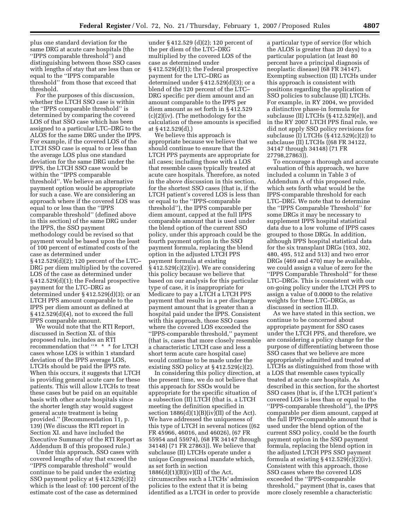plus one standard deviation for the same DRG at acute care hospitals (the ''IPPS comparable threshold'') and distinguishing between those SSO cases with lengths of stay that are less than or equal to the ''IPPS comparable threshold'' from those that exceed that threshold.

For the purposes of this discussion, whether the LTCH SSO case is within the ''IPPS comparable threshold'' is determined by comparing the covered LOS of that SSO case which has been assigned to a particular LTC–DRG to the ALOS for the same DRG under the IPPS. For example, if the covered LOS of the LTCH SSO case is equal to or less than the average LOS plus one standard deviation for the same DRG under the IPPS, the LTCH SSO case would be within the ''IPPS comparable threshold''. We believe an alternative payment option would be appropriate for such a case. We are considering an approach where if the covered LOS was equal to or less than the ''IPPS comparable threshold'' (defined above in this section) of the same DRG under the IPPS, the SSO payment methodology could be revised so that payment would be based upon the least of 100 percent of estimated costs of the case as determined under § 412.529(d)(2); 120 percent of the LTC– DRG per diem multiplied by the covered LOS of the case as determined under § 412.529(d)(1); the Federal prospective payment for the LTC–DRG as determined under § 412.529(d)(3); or an LTCH PPS amount comparable to the IPPS per diem amount as defined at § 412.529(d)(4), not to exceed the full IPPS comparable amount.

We would note that the RTI Report, discussed in Section XI. of this proposed rule, includes an RTI recommendation that ''\* \* \* for LTCH cases whose LOS is within 1 standard deviation of the IPPS average LOS, LTCHs should be paid the IPPS rate. When this occurs, it suggests that LTCH is providing general acute care for these patients. This will allow LTCHs to treat these cases but be paid on an equitable basis with other acute hospitals since the shorter length stay would suggest general acute treatment is being provided.'' (Recommendation 11, p. 139) (We discuss the RTI report in Section XI. and have included the Executive Summary of the RTI Report as Addendum B of this proposed rule.)

Under this approach, SSO cases with covered lengths of stay that exceed the ''IPPS comparable threshold'' would continue to be paid under the existing SSO payment policy at § 412.529(c)(2) which is the least of: 100 percent of the estimate cost of the case as determined

under § 412.529 (d)(2); 120 percent of the per diem of the LTC–DRG multiplied by the covered LOS of the case as determined under § 412.529(d)(1); the Federal prospective payment for the LTC–DRG as determined under § 412.529(d)(3); or a blend of the 120 percent of the LTC– DRG specific per diem amount and an amount comparable to the IPPS per diem amount as set forth in § 412.529 (c)(2)(iv). (The methodology for the calculation of these amounts is specified at § 412.529(d).)

We believe this approach is appropriate because we believe that we should continue to ensure that the LTCH PPS payments are appropriate for all cases; including those with a LOS that resemble cases typically treated at acute care hospitals. Therefore, as noted in the above discussion in this section, for the shortest SSO cases (that is, if the LTCH patient's covered LOS is less than or equal to the ''IPPS-comparable threshold''), the IPPS comparable per diem amount, capped at the full IPPS comparable amount that is used under the blend option of the current SSO policy, under this approach could be the fourth payment option in the SSO payment formula, replacing the blend option in the adjusted LTCH PPS payment formula at existing § 412.529(c)(2)(iv). We are considering this policy because we believe that based on our analysis for this particular type of case, it is inappropriate for Medicare to pay a LTCH a LTCH PPS payment that results in a per discharge payment amount that is greater than a hospital paid under the IPPS. Consistent with this approach, those SSO cases where the covered LOS exceeded the ''IPPS-comparable threshold,'' payment (that is, cases that more closely resemble a characteristic LTCH case and less a short term acute care hospital case) would continue to be made under the existing SSO policy at § 412.529(c)(2).

In considering this policy direction, at the present time, we do not believe that this approach for SSOs would be appropriate for the specific situation of a subsection (II) LTCH (that is, a LTCH meeting the definition specified in section  $1886(d)(1)(B)(iv)(II)$  of the Act). We have addressed the uniqueness of this type of LTCH in several notices ((62 FR 45966, 46016, and 46026), (67 FR 55954 and 55974), (68 FR 34147 through 34148) (71 FR 27863)). We believe that subclause (II) LTCHs operate under a unique Congressional mandate which, as set forth in section 1886(d)(1)(B)(iv)(II) of the Act, circumscribes such a LTCHs' admission policies to the extent that it is being identified as a LTCH in order to provide

a particular type of service (for which the ALOS is greater than 20 days) to a particular population (at least 80 percent have a principal diagnosis of neoplastic disease) (68 FR 34147). Exempting subsection (II) LTCHs under this approach is consistent with positions regarding the application of SSO policies to subclause (II) LTCHs. For example, in RY 2004, we provided a distinctive phase-in formula for subclause (II) LTCHs (§ 412.529(e)), and in the RY 2007 LTCH PPS final rule, we did not apply SSO policy revisions for subclause (I) LTCHs (§ 412.529(c)(2)) to subclause (II) LTCHs ((68 FR 34122, 34147 through 34148) (71 FR 27798,27863)).

To encourage a thorough and accurate evaluation of this approach, we have included a column in Table 3 of Addendum A of this proposed rule, which sets forth what would be the IPPS-comparable threshold for each LTC–DRG. We note that to determine the ''IPPS Comparable Threshold'' for some DRGs it may be necessary to supplement IPPS hospital statistical data due to a low volume of IPPS cases grouped to those DRGs. In addition, although IPPS hospital statistical data for the six transplant DRGs (103, 302, 480, 495, 512 and 513) and two error DRGs (469 and 470) may be available, we could assign a value of zero for the ''IPPS Comparable Threshold'' for these LTC–DRGs. This is consistent with our on-going policy under the LTCH PPS to assign a value of 0.0000 to the relative weights for these LTC–DRGs, as discussed in section III.D.

As we have stated in this section, we continue to be concerned about appropriate payment for SSO cases under the LTCH PPS, and therefore, we are considering a policy change for the purpose of differentiating between those SSO cases that we believe are more appropriately admitted and treated at LTCHs as distinguished from those with a LOS that resemble cases typically treated at acute care hospitals. As described in this section, for the shortest SSO cases (that is, if the LTCH patient's covered LOS is less than or equal to the ''IPPS-comparable threshold''), the IPPS comparable per diem amount, capped at the full IPPS-comparable amount that is used under the blend option of the current SSO policy, could be the fourth payment option in the SSO payment formula, replacing the blend option in the adjusted LTCH PPS SSO payment formula at existing  $\S 412.529(c)(2)(iv)$ . Consistent with this approach, those SSO cases where the covered LOS exceeded the ''IPPS-comparable threshold,'' payment (that is, cases that more closely resemble a characteristic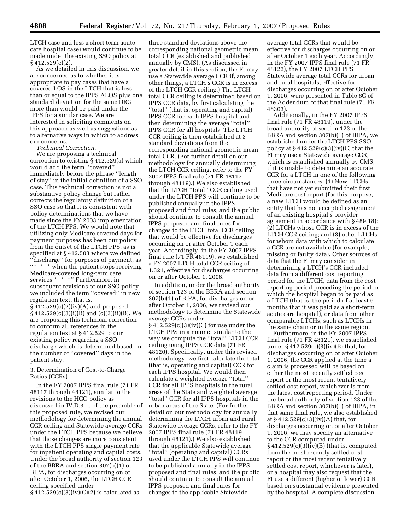LTCH case and less a short term acute care hospital case) would continue to be made under the existing SSO policy at § 412.529(c)(2).

As we detailed in this discussion, we are concerned as to whether it is appropriate to pay cases that have a covered LOS in the LTCH that is less than or equal to the IPPS ALOS plus one standard deviation for the same DRG more than would be paid under the IPPS for a similar case. We are interested in soliciting comments on this approach as well as suggestions as to alternative ways in which to address our concerns.

*Technical Correction.* 

We are proposing a technical correction to existing § 412.529(a) which would add the term ''covered'' immediately before the phrase ''length of stay'' in the initial definition of a SSO case. This technical correction is not a substantive policy change but rather corrects the regulatory definition of a SSO case so that it is consistent with policy determinations that we have made since the FY 2003 implementation of the LTCH PPS. We would note that utilizing only Medicare covered days for payment purposes has been our policy from the outset of the LTCH PPS, as is specified at § 412.503 where we defined ''discharge'' for purposes of payment, as ''\* \* \* when the patient stops receiving Medicare-covered long-term care services \* \* \* \* '' Furthermore, in subsequent revisions of our SSO policy, we included the term ''covered'' in new regulation text, that is, § 412.529(c)(2)(iv)(A) and proposed § 412.529(c)(3)(i)(B) and (c)(3)(ii)(B). We are proposing this technical correction to conform all references in the regulation text at § 412.529 to our existing policy regarding a SSO discharge which is determined based on the number of ''covered'' days in the

#### 3. Determination of Cost-to-Charge Ratios (CCRs)

patient stay.

In the FY 2007 IPPS final rule (71 FR 48117 through 48121), similar to the revisions to the HCO policy as discussed in IV.D.3.d. of the preamble of this proposed rule, we revised our methodology for determining the annual CCR ceiling and Statewide average CCRs under the LTCH PPS because we believe that those changes are more consistent with the LTCH PPS single payment rate for inpatient operating and capital costs. Under the broad authority of section 123 of the BBRA and section 307(b)(1) of BIPA, for discharges occurring on or after October 1, 2006, the LTCH CCR ceiling specified under

 $§$  412.529(c)(3)(iv)(C)(2) is calculated as

three standard deviations above the corresponding national geometric mean total CCR (established and published annually by CMS). (As discussed in greater detail in this section, the FI may use a Statewide average CCR if, among other things, a LTCH's CCR is in excess of the LTCH CCR ceiling.) The LTCH total CCR ceiling is determined based on IPPS CCR data, by first calculating the ''total'' (that is, operating and capital) IPPS CCR for each IPPS hospital and then determining the average ''total'' IPPS CCR for all hospitals. The LTCH CCR ceiling is then established at 3 standard deviations from the corresponding national geometric mean total CCR. (For further detail on our methodology for annually determining the LTCH CCR ceiling, refer to the FY 2007 IPPS final rule (71 FR 48117 through 48119).) We also established that the LTCH ''total'' CCR ceiling used under the LTCH PPS will continue to be published annually in the IPPS proposed and final rules, and the public should continue to consult the annual IPPS proposed and final rules for changes to the LTCH total CCR ceiling that would be effective for discharges occurring on or after October 1 each year. Accordingly, in the FY 2007 IPPS final rule (71 FR 48119), we established a FY 2007 LTCH total CCR ceiling of 1.321, effective for discharges occurring on or after October 1, 2006.

In addition, under the broad authority of section 123 of the BBRA and section 307(b)(1) of BIPA, for discharges on or after October 1, 2006, we revised our methodology to determine the Statewide average CCRs under § 412.529(c)(3)(iv)(C) for use under the LTCH PPS in a manner similar to the way we compute the ''total'' LTCH CCR ceiling using IPPS CCR data (71 FR 48120). Specifically, under this revised methodology, we first calculate the total (that is, operating and capital) CCR for each IPPS hospital. We would then calculate a weighted average ''total'' CCR for all IPPS hospitals in the rural areas of the State and weighted average ''total'' CCR for all IPPS hospitals in the urban areas of the State. (For further detail on our methodology for annually determining the LTCH urban and rural Statewide average CCRs, refer to the FY 2007 IPPS final rule (71 FR 48119 through 48121).) We also established that the applicable Statewide average ''total'' (operating and capital) CCRs used under the LTCH PPS will continue to be published annually in the IPPS proposed and final rules, and the public should continue to consult the annual IPPS proposed and final rules for changes to the applicable Statewide

average total CCRs that would be effective for discharges occurring on or after October 1 each year. Accordingly, in the FY 2007 IPPS final rule (71 FR 48122), the FY 2007 LTCH PPS Statewide average total CCRs for urban and rural hospitals, effective for discharges occurring on or after October 1, 2006, were presented in Table 8C of the Addendum of that final rule (71 FR 48303).

Additionally, in the FY 2007 IPPS final rule (71 FR 48119), under the broad authority of section 123 of the BBRA and section 307(b)(1) of BIPA, we established under the LTCH PPS SSO policy at  $\S 412.529(c)(3)(iv)(C)$  that the FI may use a Statewide average CCR, which is established annually by CMS, if it is unable to determine an accurate CCR for a LTCH in one of the following three circumstances: (1) New LTCHs that have not yet submitted their first Medicare cost report (for this purpose, a new LTCH would be defined as an entity that has not accepted assignment of an existing hospital's provider agreement in accordance with § 489.18); (2) LTCHs whose CCR is in excess of the LTCH CCR ceiling; and (3) other LTCHs for whom data with which to calculate a CCR are not available (for example, missing or faulty data). Other sources of data that the FI may consider in determining a LTCH's CCR included data from a different cost reporting period for the LTCH, data from the cost reporting period preceding the period in which the hospital began to be paid as a LTCH (that is, the period of at least 6 months that it was paid as a short-term acute care hospital), or data from other comparable LTCHs, such as LTCHs in the same chain or in the same region.

Furthermore, in the FY 2007 IPPS final rule (71 FR 48121), we established under  $\S 412.529(c)(3)(iv)(B)$  that, for discharges occurring on or after October 1, 2006, the CCR applied at the time a claim is processed will be based on either the most recently settled cost report or the most recent tentatively settled cost report, whichever is from the latest cost reporting period. Under the broad authority of section 123 of the BBRA and section 307(b)(1) of BIPA, in that same final rule, we also established at § 412.529(c)(3)(iv)(A) that, for discharges occurring on or after October 1, 2006, we may specify an alternative to the CCR computed under § 412.529(c)(3)(iv)(B) (that is, computed from the most recently settled cost report or the most recent tentatively settled cost report, whichever is later), or a hospital may also request that the FI use a different (higher or lower) CCR based on substantial evidence presented by the hospital. A complete discussion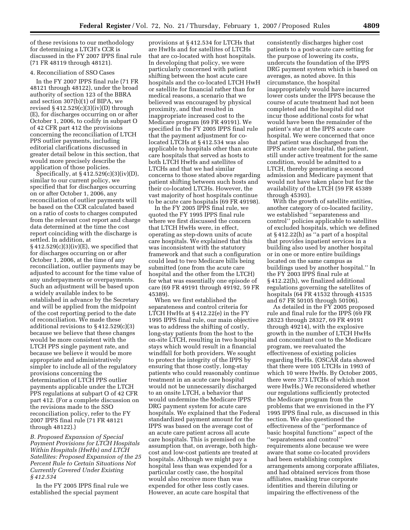of these revisions to our methodology for determining a LTCH's CCR is discussed in the FY 2007 IPPS final rule (71 FR 48119 through 48121).

#### 4. Reconciliation of SSO Cases

In the FY 2007 IPPS final rule (71 FR 48121 through 48122), under the broad authority of section 123 of the BBRA and section 307(b)(1) of BIPA, we revised  $$412.529(c)(3)(iv)(D)$  through (E), for discharges occurring on or after October 1, 2006, to codify in subpart O of 42 CFR part 412 the provisions concerning the reconciliation of LTCH PPS outlier payments, including editorial clarifications discussed in greater detail below in this section, that would more precisely describe the application of those policies.

Specifically, at § 412.529(c)(3)(iv)(D), similar to our current policy, we specified that for discharges occurring on or after October 1, 2006, any reconciliation of outlier payments will be based on the CCR calculated based on a ratio of costs to charges computed from the relevant cost report and charge data determined at the time the cost report coinciding with the discharge is settled. In addition, at  $\S 412.529(c)(3)(iv)(E)$ , we specified that for discharges occurring on or after October 1, 2006, at the time of any reconciliation, outlier payments may be adjusted to account for the time value of any underpayments or overpayments. Such an adjustment will be based upon a widely available index to be established in advance by the Secretary and will be applied from the midpoint of the cost reporting period to the date of reconciliation. We made these additional revisions to § 412.529(c)(3) because we believe that these changes would be more consistent with the LTCH PPS single payment rate, and because we believe it would be more appropriate and administratively simpler to include all of the regulatory provisions concerning the determination of LTCH PPS outlier payments applicable under the LTCH PPS regulations at subpart O of 42 CFR part 412. (For a complete discussion on the revisions made to the SSO reconciliation policy, refer to the FY 2007 IPPS final rule (71 FR 48121 through 48122).)

*B. Proposed Expansion of Special Payment Provisions for LTCH Hospitals Within Hospitals (HwHs) and LTCH Satellites: Proposed Expansion of the 25 Percent Rule to Certain Situations Not Currently Covered Under Existing § 412.534* 

In the FY 2005 IPPS final rule we established the special payment

provisions at § 412.534 for LTCHs that are HwHs and for satellites of LTCHs that are co-located with host hospitals. In developing that policy, we were particularly concerned with patient shifting between the host acute care hospitals and the co-located LTCH HwH or satellite for financial rather than for medical reasons, a scenario that we believed was encouraged by physical proximity, and that resulted in inappropriate increased cost to the Medicare program (69 FR 49191). We specified in the FY 2005 IPPS final rule that the payment adjustment for colocated LTCHs at § 412.534 was also applicable to hospitals other than acute care hospitals that served as hosts to both LTCH HwHs and satellites of LTCHs and that we had similar concerns to those stated above regarding patient shifting between such hosts and their co-located LTCHs. However, the vast majority of host hospitals continue to be acute care hospitals (69 FR 49198).

In the FY 2005 IPPS final rule, we quoted the FY 1995 IPPS final rule where we first discussed the concern that LTCH HwHs were, in effect, operating as step-down units of acute care hospitals. We explained that this was inconsistent with the statutory framework and that such a configuration could lead to two Medicare bills being submitted (one from the acute care hospital and the other from the LTCH) for what was essentially one episode of care (69 FR 49191 through 49192, 59 FR 45389).

When we first established the separateness and control criteria for LTCH HwHs at § 412.22(e) in the FY 1995 IPPS final rule, our main objective was to address the shifting of costly, long-stay patients from the host to the on-site LTCH, resulting in two hospital stays which would result in a financial windfall for both providers. We sought to protect the integrity of the IPPS by ensuring that those costly, long-stay patients who could reasonably continue treatment in an acute care hospital would not be unnecessarily discharged to an onsite LTCH, a behavior that would undermine the Medicare IPPS DRG payment system for acute care hospitals. We explained that the Federal standardized payment amount for the IPPS was based on the average cost of an acute care patient across all acute care hospitals. This is premised on the assumption that, on average, both highcost and low-cost patients are treated at hospitals. Although we might pay a hospital less than was expended for a particular costly case, the hospital would also receive more than was expended for other less costly cases. However, an acute care hospital that

consistently discharges higher cost patients to a post-acute care setting for the purpose of lowering its costs, undercuts the foundation of the IPPS DRG payment system which is based on averages, as noted above. In this circumstance, the hospital inappropriately would have incurred lower costs under the IPPS because the course of acute treatment had not been completed and the hospital did not incur those additional costs for what would have been the remainder of the patient's stay at the IPPS acute care hospital. We were concerned that once that patient was discharged from the IPPS acute care hospital, the patient, still under active treatment for the same condition, would be admitted to a LTCH, thereby generating a second admission and Medicare payment that would not have taken place but for the availability of the LTCH (59 FR 45389 through 45393).

With the growth of satellite entities, another category of co-located facility, we established ''separateness and control'' policies applicable to satellites of excluded hospitals, which we defined at § 412.22(h) as ''a part of a hospital that provides inpatient services in a building also used by another hospital or in one or more entire buildings located on the same campus as buildings used by another hospital.'' In the FY 2003 IPPS final rule at § 412.22(h), we finalized additional regulations governing the satellites of hospitals (64 FR 41532 through 41535 and 67 FR 50105 through 50106).

As detailed in the FY 2005 proposed rule and final rule for the IPPS (69 FR 28323 through 28327, 69 FR 49191 through 49214), with the explosive growth in the number of LTCH HwHs and concomitant cost to the Medicare program, we reevaluated the effectiveness of existing policies regarding HwHs. (OSCAR data showed that there were 105 LTCHs in 1993 of which 10 were HwHs. By October 2005, there were 373 LTCHs of which most were HwHs.) We reconsidered whether our regulations sufficiently protected the Medicare program from the problems that we envisioned in the FY 1995 IPPS final rule, as discussed in this section. We also questioned the effectiveness of the ''performance of basic hospital functions'' aspect of the ''separateness and control'' requirements alone because we were aware that some co-located providers had been establishing complex arrangements among corporate affiliates, and had obtained services from those affiliates, masking true corporate identities and therein diluting or impairing the effectiveness of the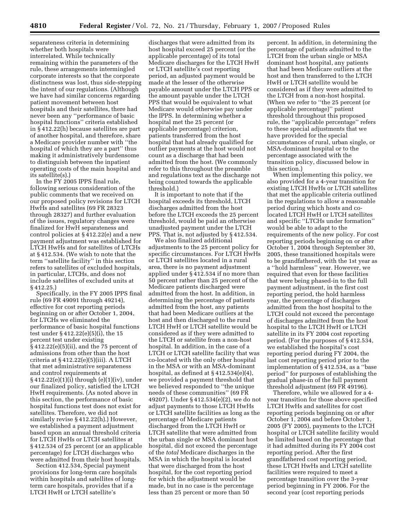separateness criteria in determining whether both hospitals were interrelated. While technically remaining within the parameters of the rule, these arrangements intermingled corporate interests so that the corporate distinctness was lost, thus side-stepping the intent of our regulations. (Although we have had similar concerns regarding patient movement between host hospitals and their satellites, there had never been any ''performance of basic hospital functions'' criteria established in § 412.22(h) because satellites are part of another hospital, and therefore, share a Medicare provider number with ''the hospital of which they are a part'' thus making it administratively burdensome to distinguish between the inpatient operating costs of the main hospital and its satellite(s).)

In the FY 2005 IPPS final rule, following serious consideration of the public comments that we received on our proposed policy revisions for LTCH HwHs and satellites (69 FR 28323 through 28327) and further evaluation of the issues, regulatory changes were finalized for HwH separateness and control policies at § 412.22(e) and a new payment adjustment was established for LTCH HwHs and for satellites of LTCHs at § 412.534. (We wish to note that the term ''satellite facility'' in this section refers to satellites of excluded hospitals, in particular, LTCHs, and does not include satellites of excluded units at § 412.25.)

Specifically, in the FY 2005 IPPS final rule (69 FR 49091 through 49214), effective for cost reporting periods beginning on or after October 1, 2004, for LTCHs we eliminated the performance of basic hospital functions test under § 412.22(e)(5)(i), the 15 percent test under existing § 412.22(e)(5)(ii), and the 75 percent of admissions from other than the host criteria at § 412.22(e)(5)(iii). A LTCH that met administrative separateness and control requirements at § 412.22(e)(1)(i) through (e)(1)(iv), under our finalized policy, satisfied the LTCH HwH requirements. (As noted above in this section, the performance of basic hospital functions test does not exist for satellites. Therefore, we did not similarly revise § 412.22(h).) However, we established a payment adjustment based upon an annual threshold criteria for LTCH HwHs or LTCH satellites at § 412.534 of 25 percent (or an applicable percentage) for LTCH discharges who were admitted from their host hospitals.

Section 412.534, Special payment provisions for long-term care hospitals within hospitals and satellites of longterm care hospitals, provides that if a LTCH HwH or LTCH satellite's

discharges that were admitted from its host hospital exceed 25 percent (or the applicable percentage) of its total Medicare discharges for the LTCH HwH or LTCH satellite's cost reporting period, an adjusted payment would be made at the lesser of the otherwise payable amount under the LTCH PPS or the amount payable under the LTCH PPS that would be equivalent to what Medicare would otherwise pay under the IPPS. In determining whether a hospital met the 25 percent (or applicable percentage) criterion, patients transferred from the host hospital that had already qualified for outlier payments at the host would not count as a discharge that had been admitted from the host. (We commonly refer to this throughout the preamble and regulations text as the discharge not being counted towards the applicable threshold.)

It is important to note that if the hospital exceeds its threshold, LTCH discharges admitted from the host before the LTCH exceeds the 25 percent threshold, would be paid an otherwise unadjusted payment under the LTCH PPS. That is, not adjusted by § 412.534.

We also finalized additional adjustments to the 25 percent policy for specific circumstances. For LTCH HwHs or LTCH satellites located in a rural area, there is no payment adjustment applied under § 412.534 if no more than 50 percent rather than 25 percent of the Medicare patients discharged were admitted from the host. In addition, in determining the percentage of patients admitted from the host, any patients that had been Medicare outliers at the host and then discharged to the rural LTCH HwH or LTCH satellite would be considered as if they were admitted to the LTCH or satellite from a non-host hospital. In addition, in the case of a LTCH or LTCH satellite facility that was co-located with the only other hospital in the MSA or with an MSA-dominant hospital, as defined at § 412.534(e)(4), we provided a payment threshold that we believed responded to ''the unique needs of these communities'' (69 FR 49207). Under § 412.534(e)(2), we do not adjust payments to those LTCH HwHs or LTCH satellite facilities as long as the percentage of Medicare patients discharged from the LTCH HwH or LTCH satellite that were admitted from the urban single or MSA dominant host hospital, did not exceed the percentage of the *total* Medicare discharges in the MSA in which the hospital is located that were discharged from the host hospital, for the cost reporting period for which the adjustment would be made, but in no case is the percentage less than 25 percent or more than 50

percent. In addition, in determining the percentage of patients admitted to the LTCH from the urban single or MSA dominant host hospital, any patients that had been Medicare outliers at the host and then transferred to the LTCH HwH or LTCH satellite would be considered as if they were admitted to the LTCH from a non-host hospital. (When we refer to ''the 25 percent (or applicable percentage)'' patient threshold throughout this proposed rule, the ''applicable percentage'' refers to these special adjustments that we have provided for the special circumstances of rural, urban single, or MSA-dominant hospital or to the percentage associated with the transition policy, discussed below in this section.)

When implementing this policy, we also provided for a 4-year transition for existing LTCH HwHs or LTCH satellites that met the applicable criteria outlined in the regulations to allow a reasonable period during which hosts and colocated LTCH HwH or LTCH satellites and specific ''LTCHs under formation'' would be able to adapt to the requirements of the new policy. For cost reporting periods beginning on or after October 1, 2004 through September 30, 2005, these transitioned hospitals were to be grandfathered, with the 1st year as a ''hold harmless'' year. However, we required that even for these facilities that were being phased-in to the full payment adjustment, in the first cost reporting period, the hold harmless year, the percentage of discharges admitted from the host hospital to the LTCH could not exceed the percentage of discharges admitted from the host hospital to the LTCH HwH or LTCH satellite in its FY 2004 cost reporting period. (For the purposes of § 412.534, we established the hospital's cost reporting period during FY 2004, the last cost reporting period prior to the implementation of § 412.534, as a ''base period'' for purposes of establishing the gradual phase-in of the full payment threshold adjustment (69 FR 49196).

Therefore, while we allowed for a 4 year transition for those above specified LTCH HwHs and satellites for cost reporting periods beginning on or after October 1, 2004 and before October 1, 2005 (FY 2005), payments to the LTCH hospital or LTCH satellite facility would be limited based on the percentage that it had admitted during its FY 2004 cost reporting period. After the first grandfathered cost reporting period, these LTCH HwHs and LTCH satellite facilities were required to meet a percentage transition over the 3-year period beginning in FY 2006. For the second year (cost reporting periods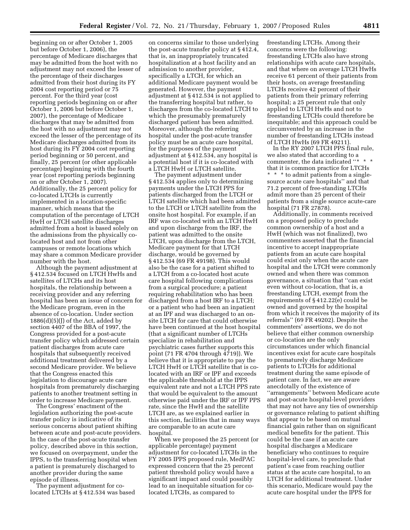beginning on or after October 1, 2005 but before October 1, 2006), the percentage of Medicare discharges that may be admitted from the host with no adjustment may not exceed the lesser of the percentage of their discharges admitted from their host during its FY 2004 cost reporting period or 75 percent. For the third year (cost reporting periods beginning on or after October 1, 2006 but before October 1, 2007), the percentage of Medicare discharges that may be admitted from the host with no adjustment may not exceed the lesser of the percentage of its Medicare discharges admitted from its host during its FY 2004 cost reporting period beginning or 50 percent, and finally, 25 percent (or other applicable percentage) beginning with the fourth year (cost reporting periods beginning on or after October 1, 2007). Additionally, the 25 percent policy for co-located LTCHs is currently implemented in a location-specific manner, which means that the computation of the percentage of LTCH HwH or LTCH satellite discharges admitted from a host is based solely on the admissions from the physically colocated host and not from other campuses or remote locations which may share a common Medicare provider number with the host.

Although the payment adjustment at § 412.534 focused on LTCH HwHs and satellites of LTCHs and its host hospitals, the relationship between a receiving provider and any referring hospital has been an issue of concern for the Medicare program, even in the absence of co-location. Under section  $1886(d)(5)(J)$  of the Act, added by section 4407 of the BBA of 1997, the Congress provided for a post-acute transfer policy which addressed certain patient discharges from acute care hospitals that subsequently received additional treatment delivered by a second Medicare provider. We believe that the Congress enacted this legislation to discourage acute care hospitals from prematurely discharging patients to another treatment setting in order to increase Medicare payment.

The Congress' enactment of the legislation authorizing the post-acute transfer policy is indicative of its serious concerns about patient shifting between acute and post-acute providers. In the case of the post-acute transfer policy, described above in this section, we focused on overpayment, under the IPPS, to the transferring hospital when a patient is prematurely discharged to another provider during the same episode of illness.

The payment adjustment for colocated LTCHs at § 412.534 was based

on concerns similar to those underlying the post-acute transfer policy at § 412.4, that is, an inappropriately truncated hospitalization at a host facility and an admission to another provider, specifically a LTCH, for which an additional Medicare payment would be generated. However, the payment adjustment at § 412.534 is not applied to the transferring hospital but rather, to discharges from the co-located LTCH to which the presumably prematurely discharged patient has been admitted. Moreover, although the referring hospital under the post-acute transfer policy must be an acute care hospital, for the purposes of the payment adjustment at § 412.534, any hospital is a potential host if it is co-located with a LTCH HwH or LTCH satellite.

The payment adjustment under § 412.534 applies only to determining payments under the LTCH PPS for patients discharged from the LTCH or LTCH satellite which had been admitted to the LTCH or LTCH satellite from the onsite host hospital. For example, if an IRF was co-located with an LTCH HwH and upon discharge from the IRF, the patient was admitted to the onsite LTCH, upon discharge from the LTCH, Medicare payment for that LTCH discharge, would be governed by § 412.534 (69 FR 49198). This would also be the case for a patient shifted to a LTCH from a co-located host acute care hospital following complications from a surgical procedure; a patient requiring rehabilitation who has been discharged from a host IRF to a LTCH; or a patient who had been an inpatient at an IPF and was discharged to an onsite LTCH for care that could otherwise have been continued at the host hospital (that a significant number of LTCHs specialize in rehabilitation and psychiatric cases further supports this point (71 FR 4704 through 4719)). We believe that it is appropriate to pay the LTCH HwH or LTCH satellite that is colocated with an IRF or IPF and exceeds the applicable threshold at the IPPS equivalent rate and not a LTCH PPS rate that would be equivalent to the amount otherwise paid under the IRF or IPF PPS rate, since the HwH and the satellite LTCH are, as we explained earlier in this section, facilities that in many ways are comparable to an acute care hospital.

When we proposed the 25 percent (or applicable percentage) payment adjustment for co-located LTCHs in the FY 2005 IPPS proposed rule, MedPAC expressed concern that the 25 percent patient threshold policy would have a significant impact and could possibly lead to an inequitable situation for colocated LTCHs, as compared to

freestanding LTCHs. Among their concerns were the following: freestanding LTCHs also have strong relationships with acute care hospitals, and that where on average LTCH HwHs receive 61 percent of their patients from their hosts, on average freestanding LTCHs receive 42 percent of their patients from their primary referring hospital; a 25 percent rule that only applied to LTCH HwHs and not to freestanding LTCHs could therefore be inequitable; and this approach could be circumvented by an increase in the number of freestanding LTCHs instead of LTCH HwHs (69 FR 49211).

In the RY 2007 LTCH PPS final rule, we also stated that according to a commenter, the data indicated "\* \* \* that it is common practice for LTCHs \* \* \* to admit patients from a singlesource acute care hospitals'' and that 71.2 percent of free-standing LTCHs admit more than 25 percent of their patients from a single source acute-care hospital (71 FR 27878).

Additionally, in comments received on a proposed policy to preclude common ownership of a host and a HwH (which was not finalized), two commenters asserted that the financial incentive to accept inappropriate patients from an acute care hospital could exist only when the acute care hospital and the LTCH were commonly owned and when there was common governance, a situation that ''can exist even without co-location, that is, a freestanding LTCH, exempt from the requirements of § 412.22(e) could be owned and governed by the hospital from which it receives the majority of its referrals'' (69 FR 49202). Despite the commenters' assertions, we do not believe that either common ownership or co-location are the only circumstances under which financial incentives exist for acute care hospitals to prematurely discharge Medicare patients to LTCHs for additional treatment during the same episode of patient care. In fact, we are aware anecdotally of the existence of ''arrangements'' between Medicare acute and post-acute hospital-level providers that may not have any ties of ownership or governance relating to patient shifting that appear to be based on mutual financial gain rather than on significant medical benefits for the patient. This could be the case if an acute care hospital discharges a Medicare beneficiary who continues to require hospital-level care, to preclude that patient's case from reaching outlier status at the acute care hospital, to an LTCH for additional treatment. Under this scenario, Medicare would pay the acute care hospital under the IPPS for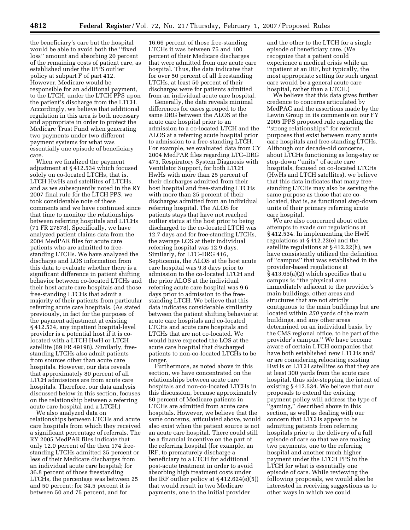the beneficiary's care but the hospital would be able to avoid both the ''fixed loss'' amount and absorbing 20 percent of the remaining costs of patient care, as established under the IPPS outlier policy at subpart F of part 412. However, Medicare would be responsible for an additional payment, to the LTCH, under the LTCH PPS upon the patient's discharge from the LTCH. Accordingly, we believe that additional regulation in this area is both necessary and appropriate in order to protect the Medicare Trust Fund when generating two payments under two different payment systems for what was essentially one episode of beneficiary care.

When we finalized the payment adjustment at § 412.534 which focused solely on co-located LTCHs, that is, LTCH HwHs and satellites of LTCHs, and as we subsequently noted in the RY 2007 final rule for the LTCH PPS, we took considerable note of these comments and we have continued since that time to monitor the relationships between referring hospitals and LTCHs (71 FR 27878). Specifically, we have analyzed patient claims data from the 2004 MedPAR files for acute care patients who are admitted to freestanding LTCHs. We have analyzed the discharge and LOS information from this data to evaluate whether there is a significant difference in patient shifting behavior between co-located LTCHs and their host acute care hospitals and those free-standing LTCHs that admit a majority of their patients from particular referring acute care hospitals. (As stated previously, in fact for the purposes of the payment adjustment at existing § 412.534, any inpatient hospital-level provider is a potential host if it is colocated with a LTCH HwH or LTCH satellite (69 FR 49198). Similarly, freestanding LTCHs also admit patients from sources other than acute care hospitals. However, our data reveals that approximately 80 percent of all LTCH admissions are from acute care hospitals. Therefore, our data analysis discussed below in this section, focuses on the relationship between a referring acute care hospital and a LTCH.)

We also analyzed data on relationships between LTCHs and acute care hospitals from which they received a significant percentage of referrals. The RY 2005 MedPAR files indicate that only 12.0 percent of the then 174 freestanding LTCHs admitted 25 percent or less of their Medicare discharges from an individual acute care hospital; for 36.8 percent of those freestanding LTCHs, the percentage was between 25 and 50 percent; for 34.5 percent it is between 50 and 75 percent, and for

16.66 percent of those free-standing LTCHs it was between 75 and 100 percent of their Medicare discharges that were admitted from one acute care hospital. Thus, the data indicates that for over 50 percent of all freestanding LTCHs, at least 50 percent of their discharges were for patients admitted from an individual acute care hospital.

Generally, the data reveals minimal differences for cases grouped to the same DRG between the ALOS at the acute care hospital prior to an admission to a co-located LTCH and the ALOS at a referring acute hospital prior to admission to a free-standing LTCH. For example, we evaluated data from CY 2004 MedPAR files regarding LTC–DRG 475, Respiratory System Diagnosis with Ventilator Support, for both LTCH HwHs with more than 25 percent of their discharges admitted from their host hospital and free-standing LTCHs with more than 25 percent of their discharges admitted from an individual referring hospital. The ALOS for patients stays that have not reached outlier status at the host prior to being discharged to the co-located LTCH was 12.7 days and for free-standing LTCHs, the average LOS at their individual referring hospital was 12.9 days. Similarly, for LTC–DRG 416, Septicemia, the ALOS at the host acute care hospital was 9.8 days prior to admission to the co-located LTCH and the prior ALOS at the individual referring acute care hospital was 9.6 days prior to admission to the freestanding LTCH. We believe that this data indicates considerable similarity between the patient shifting behavior at acute care hospitals and co-located LTCHs and acute care hospitals and LTCHs that are not co-located. We would have expected the LOS at the acute care hospital that discharged patients to non-co-located LTCHs to be longer.

Furthermore, as noted above in this section, we have concentrated on the relationships between acute care hospitals and non-co-located LTCHs in this discussion, because approximately 80 percent of Medicare patients in LTCHs are admitted from acute care hospitals. However, we believe that the same concerns, articulated above, would also exist when the patient source is not an acute care hospital. There could still be a financial incentive on the part of the referring hospital (for example, an IRF, to prematurely discharge a beneficiary to a LTCH for additional post-acute treatment in order to avoid absorbing high treatment costs under the IRF outlier policy at  $§$  412.624(e)(5)) that would result in two Medicare payments, one to the initial provider

and the other to the LTCH for a single episode of beneficiary care. (We recognize that a patient could experience a medical crisis while an inpatient at an IRF, but typically, the most appropriate setting for such urgent care would be a general acute care hospital, rather than a LTCH.)

We believe that this data gives further credence to concerns articulated by MedPAC and the assertions made by the Lewin Group in its comments on our FY 2005 IPPS proposed rule regarding the ''strong relationships'' for referral purposes that exist between many acute care hospitals and free-standing LTCHs. Although our decade-old concerns, about LTCHs functioning as long-stay or step-down ''units'' of acute care hospitals, focused on co-located LTCHs (HwHs and LTCH satellites), we believe that this data indicates that many freestanding LTCHs may also be serving the same purpose as those that are colocated, that is, as functional step-down units of their primary referring acute care hospital.

We are also concerned about other attempts to evade our regulations at § 412.534. In implementing the HwH regulations at § 412.22(e) and the satellite regulations at § 412.22(h), we have consistently utilized the definition of ''campus'' that was established in the provider-based regulations at § 413.65(a)(2) which specifies that a campus is ''the physical area immediately adjacent to the provider's main buildings, other areas and structures that are not strictly contiguous to the main buildings but are located within *250* yards of the main buildings, and any other areas determined on an individual basis, by the CMS regional office, to be part of the provider's campus.'' We have become aware of certain LTCH companies that have both established new LTCHs and/ or are considering relocating existing HwHs or LTCH satellites so that they are at least 300 yards from the acute care hospital, thus side-stepping the intent of existing § 412.534. We believe that our proposals to extend the existing payment policy will address the type of 'gaming," described above in this section, as well as dealing with our concern that LTCHs appear to be admitting patients from referring hospitals prior to the delivery of a full episode of care so that we are making two payments, one to the referring hospital and another much higher payment under the LTCH PPS to the LTCH for what is essentially one episode of care. While reviewing the following proposals, we would also be interested in receiving suggestions as to other ways in which we could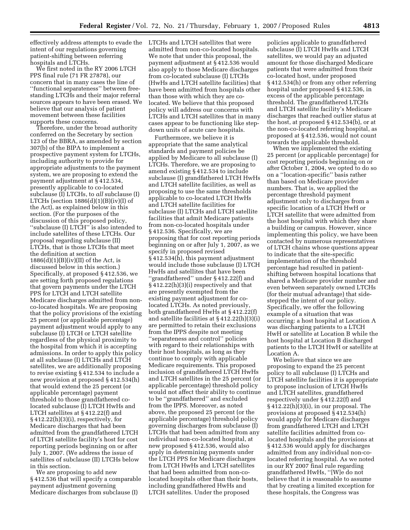effectively address attempts to evade the LTCHs and LTCH satellites that were intent of our regulations governing patient-shifting between referring hospitals and LTCHs.

We first noted in the RY 2006 LTCH PPS final rule (71 FR 27878), our concern that in many cases the line of ''functional separateness'' between freestanding LTCHs and their major referral sources appears to have been erased. We believe that our analysis of patient movement between these facilities supports these concerns.

Therefore, under the broad authority conferred on the Secretary by section 123 of the BBRA, as amended by section 307(b) of the BIPA to implement a prospective payment system for LTCHs, including authority to provide for appropriate adjustments to the payment system, we are proposing to extend the payment adjustment at § 412.534, presently applicable to co-located subclause (I) LTCHs, to *all* subclause (I) LTCHs (section  $1886(d)(1)(B)(iv)(I)$  of the Act), as explained below in this section. (For the purposes of the discussion of this proposed policy, ''subclause (I) LTCH'' is also intended to include satellites of these LTCHs. Our proposal regarding subclause (II) LTCHs, that is those LTCHs that meet the definition at section  $1886(d)(1)(B)(iv)(II)$  of the Act, is discussed below in this section.) Specifically, at proposed § 412.536, we are setting forth proposed regulations that govern payments under the LTCH PPS for LTCH and LTCH satellite Medicare discharges admitted from nonco-located hospitals. We are proposing that the policy provisions of the existing 25 percent (or applicable percentage) payment adjustment would apply to any subclause (I) LTCH or LTCH satellite regardless of the physical proximity to the hospital from which it is accepting admissions. In order to apply this policy at all subclause (I) LTCHs and LTCH satellites, we are additionally proposing to revise existing § 412.534 to include a new provision at proposed § 412.534(h) that would extend the 25 percent (or applicable percentage) payment threshold to those grandfathered colocated subclause (I) LTCH HwHs and LTCH satellites at § 412.22(f) and § 412.22(h)(3)(i), respectively, for Medicare discharges that had been admitted from the grandfathered LTCH of LTCH satellite facility's host for cost reporting periods beginning on or after July 1, 2007. (We address the issue of satellites of subclause (II) LTCHs below in this section.

We are proposing to add new § 412.536 that will specify a comparable payment adjustment governing Medicare discharges from subclause (I)

admitted from non-co-located hospitals. We note that under this proposal, the payment adjustment at § 412.536 would also apply to those Medicare discharges from co-located subclause (I) LTCHs (HwHs and LTCH satellite facilities) that have been admitted from hospitals other than those with which they are colocated. We believe that this proposed policy will address our concerns with LTCHs and LTCH satellites that in many cases appear to be functioning like stepdown units of acute care hospitals.

Furthermore, we believe it is appropriate that the same analytical standards and payment policies be applied by Medicare to all subclause (I) LTCHs. Therefore, we are proposing to amend existing § 412.534 to include subclause (I) grandfathered LTCH HwHs and LTCH satellite facilities, as well as proposing to use the same thresholds applicable to co-located LTCH HwHs and LTCH satellite facilities for subclause (I) LTCHs and LTCH satellite facilities that admit Medicare patients from non-co-located hospitals under § 412.536. Specifically, we are proposing that for cost reporting periods beginning on or after July 1, 2007, as we specify in proposed revised § 412.534(h), this payment adjustment would include those subclause (I) LTCH HwHs and satellites that have been ''grandfathered'' under § 412.22(f) and § 412.22(h)(3)(i) respectively and that are presently exempted from the existing payment adjustment for colocated LTCHs. As noted previously, both grandfathered HwHs at § 412.22(f) and satellite facilities at § 412.22(h)(3)(i) are permitted to retain their exclusions from the IPPS despite not meeting ''separateness and control'' policies with regard to their relationships with their host hospitals, as long as they continue to comply with applicable Medicare requirements. This proposed inclusion of grandfathered LTCH HwHs and LTCH satellites in the 25 percent (or applicable percentage) threshold policy would not affect their ability to continue to be ''grandfathered'' and excluded from the IPPS. Moreover, as noted above, the proposed 25 percent (or the applicable percentage) threshold policy governing discharges from subclause (I) LTCHs that had been admitted from any individual non-co-located hospital, at new proposed § 412.536, would also apply in determining payments under the LTCH PPS for Medicare discharges from LTCH HwHs and LTCH satellites that had been admitted from non-colocated hospitals other than their hosts, including grandfathered HwHs and LTCH satellites. Under the proposed

policies applicable to grandfathered subclause (I) LTCH HwHs and LTCH satellites, we would pay an adjusted amount for those discharged Medicare patients that were admitted from their co-located host, under proposed § 412.534(h) or from any other referring hospital under proposed § 412.536, in excess of the applicable percentage threshold. The grandfathered LTCHs and LTCH satellite facility's Medicare discharges that reached outlier status at the host, at proposed § 412.534(b), or at the non-co-located referring hospital, as proposed at § 412.536, would not count towards the applicable threshold.

When we implemented the existing 25 percent (or applicable percentage) for cost reporting periods beginning on or after October 1, 2004, we opted to do so on a ''location-specific'' basis rather than based on Medicare provider numbers. That is, we applied the percentage threshold payment adjustment only to discharges from a specific location of a LTCH HwH or LTCH satellite that were admitted from the host hospital with which they share a building or campus. However, since implementing this policy, we have been contacted by numerous representatives of LTCH chains whose questions appear to indicate that the site-specific implementation of the threshold percentage had resulted in patientshifting between hospital locations that shared a Medicare provider number and even between separately owned LTCHs (for their mutual advantage) that sidestepped the intent of our policy. Specifically, we offer the following example of a situation that was occurring: a host hospital at Location A was discharging patients to a LTCH HwH or satellite at Location B while the host hospital at Location B discharged patients to the LTCH HwH or satellite at Location A.

We believe that since we are proposing to expand the 25 percent policy to all subclause (I) LTCHs and LTCH satellite facilities it is appropriate to propose inclusion of LTCH HwHs and LTCH satellites, grandfathered respectively under § 412.22(f) and § 412.22(h)(3)(i), in our proposal. The provisions at proposed § 412.534(h) would apply for Medicare discharges from grandfathered LTCH and LTCH satellite facilities admitted from colocated hospitals and the provisions at § 412.536 would apply for discharges admitted from any individual non-colocated referring hospital. As we noted in our RY 2007 final rule regarding grandfathered HwHs, ''[W]e do not believe that it is reasonable to assume that by creating a limited exception for these hospitals, the Congress was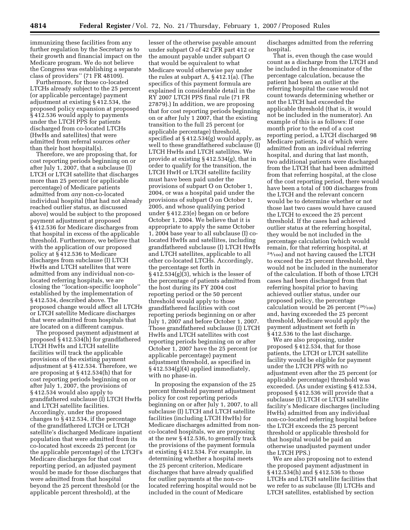immunizing these facilities from any further regulation by the Secretary as to their growth and financial impact on the Medicare program. We do not believe the Congress was establishing a separate class of providers'' (71 FR 48109).

Furthermore, for those co-located LTCHs already subject to the 25 percent (or applicable percentage) payment adjustment at existing § 412.534, the proposed policy expansion at proposed § 412.536 would apply to payments under the LTCH PPS for patients discharged from co-located LTCHs (HwHs and satellites) that were admitted from referral sources *other*  than their host hospital(s).

Therefore, we are proposing that, for cost reporting periods beginning on or after July 1, 2007, that a subclause (I) LTCH or LTCH satellite that discharges more than 25 percent (or applicable percentage) of Medicare patients admitted from *any* non-co-located individual hospital (that had not already reached outlier status, as discussed above) would be subject to the proposed payment adjustment at proposed § 412.536 for Medicare discharges from that hospital in excess of the applicable threshold. Furthermore, we believe that with the application of our proposed policy at § 412.536 to Medicare discharges from subclause (I) LTCH HwHs and LTCH satellites that were admitted from any individual non-colocated referring hospitals, we are closing the ''location-specific loophole'' established by the implementation of § 412.534, described above. The proposed change would affect all LTCHs or LTCH satellite Medicare discharges that were admitted from hospitals that are located on a different campus.

The proposed payment adjustment at proposed § 412.534(h) for grandfathered LTCH HwHs and LTCH satellite facilities will track the applicable provisions of the existing payment adjustment at § 412.534. Therefore, we are proposing at § 412.534(h) that for cost reporting periods beginning on or after July 1, 2007, the provisions of § 412.534 would also apply to grandfathered subclause (I) LTCH HwHs and LTCH satellite facilities. Accordingly, under the proposed changes to § 412.534, if the percentage of the grandfathered LTCH or LTCH satellite's discharged Medicare inpatient population that were admitted from its co-located host exceeds 25 percent (or the applicable percentage) of the LTCH's Medicare discharges for that cost reporting period, an adjusted payment would be made for those discharges that were admitted from that hospital beyond the 25 percent threshold (or the applicable percent threshold), at the

lesser of the otherwise payable amount under subpart O of 42 CFR part 412 or the amount payable under subpart O that would be equivalent to what Medicare would otherwise pay under the rules at subpart A, § 412.1(a). (The specifics of this payment formula are explained in considerable detail in the RY 2007 LTCH PPS final rule (71 FR 27879).) In addition, we are proposing that for cost reporting periods beginning on or after July 1 2007, that the existing transition to the full 25 percent (or applicable percentage) threshold, specified at § 412.534(g) would apply, as well to these grandfathered subclause (I) LTCH HwHs and LTCH satellites. We provide at existing § 412.534(g), that in order to qualify for the transition, the LTCH HwH or LTCH satellite facility must have been paid under the provisions of subpart O on October 1, 2004, or was a hospital paid under the provisions of subpart O on October 1, 2005, and whose qualifying period under § 412.23(e) began on or before October 1, 2004. We believe that it is appropriate to apply the same October 1, 2004 base year to all subclause (I) colocated HwHs and satellites, including grandfathered subclause (I) LTCH HwHs and LTCH satellites, applicable to all other co-located LTCHs. Accordingly, the percentage set forth in § 412.534(g)(3), which is the lesser of the percentage of patients admitted from the host during its FY 2004 cost reporting period or the 50 percent threshold would apply to those grandfathered facilities with cost reporting periods beginning on or after July 1, 2007 and before October 1, 2007. Those grandfathered subclause (I) LTCH HwHs and LTCH satellites with cost reporting periods beginning on or after October 1, 2007 have the 25 percent (or applicable percentage) payment adjustment threshold, as specified in § 412.534(g)(4) applied immediately, with no phase-in.

In proposing the expansion of the 25 percent threshold payment adjustment policy for cost reporting periods beginning on or after July 1, 2007, to all subclause (I) LTCH and LTCH satellite facilities (including LTCH HwHs) for Medicare discharges admitted from nonco-located hospitals, we are proposing at the new § 412.536, to generally track the provisions of the payment formula at existing § 412.534. For example, in determining whether a hospital meets the 25 percent criterion, Medicare discharges that have already qualified for outlier payments at the non-colocated referring hospital would not be included in the count of Medicare

discharges admitted from the referring hospital.

That is, even though the case would count as a discharge from the LTCH and be included in the denominator of the percentage calculation, because the patient had been an outlier at the referring hospital the case would not count towards determining whether or not the LTCH had exceeded the applicable threshold (that is, it would not be included in the numerator). An example of this is as follows: If one month prior to the end of a cost reporting period, a LTCH discharged 98 Medicare patients, 24 of which were admitted from an individual referring hospital, and during that last month, two additional patients were discharged from the LTCH that had been admitted from that referring hospital, at the close of the cost reporting period, there would have been a total of 100 discharges from the LTCH and the relevant concern would be to determine whether or not those last two cases would have caused the LTCH to exceed the 25 percent threshold. If the cases had achieved outlier status at the referring hospital, they would be not included in the percentage calculation (which would remain, for that referring hospital, at 24⁄100) and not having caused the LTCH to exceed the 25 percent threshold, they would not be included in the numerator of the calculation. If both of those LTCH cases had been discharged from that referring hospital prior to having achieved outlier status, under our proposed policy, the percentage calculation would be 26 percent  $(26/100)$ and, having exceeded the 25 percent threshold, Medicare would apply the payment adjustment set forth in § 412.536 to the last discharge.

We are also proposing, under proposed § 412.534, that for those patients, the LTCH or LTCH satellite facility would be eligible for payment under the LTCH PPS with no adjustment even after the 25 percent (or applicable percentage) threshold was exceeded. (As under existing § 412.534, proposed § 412.536 will provide that a subclause (I) LTCH or LTCH satellite facility's Medicare discharges (including HwHs) admitted from any individual non-co-located referring hospital before the LTCH exceeds the 25 percent threshold or applicable threshold for that hospital would be paid an otherwise unadjusted payment under the LTCH PPS.)

We are also proposing not to extend the proposed payment adjustment in § 412.534(h) and § 412.536 to those LTCHs and LTCH satellite facilities that we refer to as subclause (II) LTCHs and LTCH satellites, established by section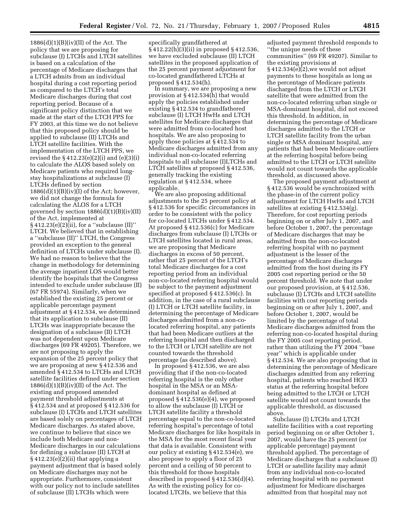$1886(d)(1)(B)(iv)(II)$  of the Act. The policy that we are proposing for subclause (I) LTCHs and LTCH satellites is based on a calculation of the percentage of Medicare discharges that a LTCH admits from an individual hospital during a cost reporting period as compared to the LTCH's total Medicare discharges during that cost reporting period. Because of a significant policy distinction that we made at the start of the LTCH PPS for FY 2003, at this time we do not believe that this proposed policy should be applied to subclause (II) LTCHs and LTCH satellite facilities. With the implementation of the LTCH PPS, we revised the § 412.23(e)(2)(i) and (e)(3)(i) to calculate the ALOS based solely on Medicare patients who required longstay hospitalizations at subclause (I) LTCHs defined by section  $1886(d)(1)(B)(iv)(I)$  of the Act; however, we did not change the formula for calculating the ALOS for a LTCH governed by section  $1886(d)(1)(B)(iv)(II)$ of the Act, implemented at  $\S 412.23(e)(2)$ (ii), for a "subclause (II)" LTCH. We believed that in establishing a ''subclause (II)'' LTCH, the Congress provided an exception to the general definition of LTCHs under subclause (I). We had no reason to believe that the change in methodology for determining the average inpatient LOS would better identify the hospitals that the Congress intended to exclude under subclause (II) (67 FR 55974). Similarly, when we established the existing 25 percent or applicable percentage payment adjustment at § 412.534, we determined that its application to subclause (II) LTCHs was inappropriate because the designation of a subclause (II) LTCH was not dependent upon Medicare discharges (69 FR 49205). Therefore, we are not proposing to apply the expansion of the 25 percent policy that we are proposing at new § 412.536 and amended § 412.534 to LTCHs and LTCH satellite facilities defined under section  $1886(d)(1)(B)(iv)(II)$  of the Act. The existing and proposed amended payment threshold adjustments at § 412.534 and at proposed § 412.536 for subclause (I) LTCHs and LTCH satellites are based solely on percentages of LTCH Medicare discharges. As stated above, we continue to believe that since we include both Medicare and non-Medicare discharges in our calculations for defining a subclause (II) LTCH at  $\S 412.23(e)(2)(ii)$  that applying a payment adjustment that is based solely on Medicare discharges may not be appropriate. Furthermore, consistent with our policy not to include satellites of subclause (II) LTCHs which were

specifically grandfathered at § 412.22(h)(3)(ii) in proposed § 412.536, we have excluded subclause (II) LTCH satellites in the proposed application of the 25 percent payment adjustment for co-located grandfathered LTCHs at proposed § 412.534(h).

In summary, we are proposing a new provision at § 412.534(h) that would apply the policies established under existing § 412.534 to grandfathered subclause (I) LTCH HwHs and LTCH satellites for Medicare discharges that were admitted from co-located host hospitals. We are also proposing to apply those policies at § 412.534 to Medicare discharges admitted from any individual non-co-located referring hospitals to all subclause (I)LTCHs and LTCH satellites at proposed § 412.536, generally tracking the existing regulation at § 412.534, where applicable.

We are also proposing additional adjustments to the 25 percent policy at § 412.536 for specific circumstances in order to be consistent with the policy for co-located LTCHs under § 412.534. At proposed § 412.536(c) for Medicare discharges from subclause (I) LTCHs or LTCH satellites located in rural areas, we are proposing that Medicare discharges in excess of 50 percent, rather that 25 percent of the LTCH's total Medicare discharges for a cost reporting period from an individual non-co-located referring hospital would be subject to the payment adjustment specified at proposed § 412.536(c). In addition, in the case of a rural subclause (I) LTCH or LTCH satellite facility, in determining the percentage of Medicare discharges admitted from a non-colocated referring hospital, any patients that had been Medicare outliers at the referring hospital and then discharged to the LTCH or LTCH satellite are not counted towards the threshold percentage (as described above).

In proposed § 412.536, we are also providing that if the non-co-located referring hospital is the only other hospital in the MSA or an MSAdominant hospital as defined at proposed § 412.536(e)(4), we proposed to allow the subclause (I) LTCH or LTCH satellite facility a threshold percentage equal to the non-co-located referring hospital's percentage of total Medicare discharges for like hospitals in the MSA for the most recent fiscal year that data is available. Consistent with our policy at existing § 412.534(e), we also propose to apply a floor of 25 percent and a ceiling of 50 percent to this threshold for those hospitals described in proposed § 412.536(d)(4). As with the existing policy for colocated LTCHs, we believe that this

adjusted payment threshold responds to ''the unique needs of these communities'' (69 FR 49207). Similar to the existing provisions at  $§ 412.534(e)(2)$ , we would not adjust payments to these hospitals as long as the percentage of Medicare patients discharged from the LTCH or LTCH satellite that were admitted from the non-co-located referring urban single or MSA-dominant hospital, did not exceed this threshold. In addition, in determining the percentage of Medicare discharges admitted to the LTCH or LTCH satellite facility from the urban single or MSA dominant hospital, any patients that had been Medicare outliers at the referring hospital before being admitted to the LTCH or LTCH satellite would not count towards the applicable threshold, as discussed above.

The proposed payment adjustment at § 412.536 would be synchronized with the phase-in of the current policy adjustment for LTCH HwHs and LTCH satellites at existing § 412.534(g). Therefore, for cost reporting periods beginning on or after July 1, 2007, and before October 1, 2007, the percentage of Medicare discharges that may be admitted from the non-co-located referring hospital with no payment adjustment is the lesser of the percentage of Medicare discharges admitted from the host during its FY 2005 cost reporting period or the 50 percent threshold. We note that under our proposed provision, at § 412.536, subclause (I) LTCHs and LTCH satellite facilities with cost reporting periods beginning on or after July 1, 2007, and before October 1, 2007, would be limited by the percentage of total Medicare discharges admitted from the referring non-co-located hospital during the FY 2005 cost reporting period, rather than utilizing the FY 2004 ''base year'' which is applicable under § 412.534. We are also proposing that in determining the percentage of Medicare discharges admitted from any referring hospital, patients who reached HCO status at the referring hospital before being admitted to the LTCH or LTCH satellite would not count towards the applicable threshold, as discussed above.

Subclause (I) LTCHs and LTCH satellite facilities with a cost reporting period beginning on or after October 1, 2007, would have the 25 percent (or applicable percentage) payment threshold applied. The percentage of Medicare discharges that a subclause (I) LTCH or satellite facility may admit from any individual non-co-located referring hospital with no payment adjustment for Medicare discharges admitted from that hospital may not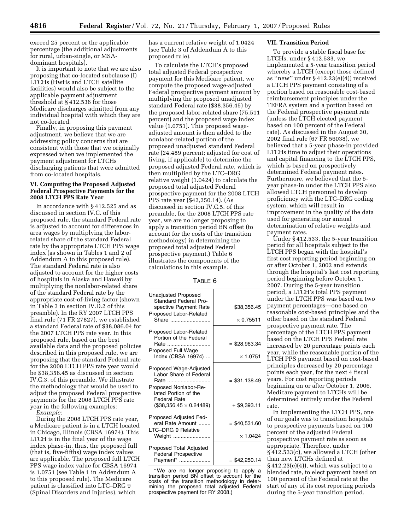exceed 25 percent or the applicable percentage (the additional adjustments for rural, urban-single, or MSAdominant hospitals).

It is important to note that we are also proposing that co-located subclause (I) LTCHs (HwHs and LTCH satellite facilities) would also be subject to the applicable payment adjustment threshold at § 412.536 for those Medicare discharges admitted from any individual hospital with which they are not co-located.

Finally, in proposing this payment adjustment, we believe that we are addressing policy concerns that are consistent with those that we originally expressed when we implemented the payment adjustment for LTCHs discharging patients that were admitted from co-located hospitals.

# **VI. Computing the Proposed Adjusted Federal Prospective Payments for the 2008 LTCH PPS Rate Year**

In accordance with § 412.525 and as discussed in section IV.C. of this proposed rule, the standard Federal rate is adjusted to account for differences in area wages by multiplying the laborrelated share of the standard Federal rate by the appropriate LTCH PPS wage index (as shown in Tables 1 and 2 of Addendum A to this proposed rule). The standard Federal rate is also adjusted to account for the higher costs of hospitals in Alaska and Hawaii by multiplying the nonlabor-related share of the standard Federal rate by the appropriate cost-of-living factor (shown in Table 3 in section IV.D.2 of this preamble). In the RY 2007 LTCH PPS final rule (71 FR 27827), we established a standard Federal rate of \$38,086.04 for the 2007 LTCH PPS rate year. In this proposed rule, based on the best available data and the proposed policies described in this proposed rule, we are proposing that the standard Federal rate for the 2008 LTCH PPS rate year would be \$38,356.45 as discussed in section IV.C.3. of this preamble. We illustrate the methodology that would be used to adjust the proposed Federal prospective payments for the 2008 LTCH PPS rate year in the following examples: *Example:* 

During the 2008 LTCH PPS rate year, a Medicare patient is in a LTCH located in Chicago, Illinois (CBSA 16974). This LTCH is in the final year of the wage index phase-in, thus, the proposed full (that is, five-fifths) wage index values are applicable. The proposed full LTCH PPS wage index value for CBSA 16974 is 1.0751 (see Table 1 in Addendum A to this proposed rule). The Medicare patient is classified into LTC–DRG 9 (Spinal Disorders and Injuries), which

has a current relative weight of 1.0424 (see Table 3 of Addendum A to this proposed rule).

To calculate the LTCH's proposed total adjusted Federal prospective payment for this Medicare patient, we compute the proposed wage-adjusted Federal prospective payment amount by multiplying the proposed unadjusted standard Federal rate (\$38,356.45) by the proposed labor-related share (75.511 percent) and the proposed wage index value (1.0751). This proposed wageadjusted amount is then added to the nonlabor-related portion of the proposed unadjusted standard Federal rate (24.489 percent; adjusted for cost of living, if applicable) to determine the proposed adjusted Federal rate, which is then multiplied by the LTC–DRG relative weight (1.0424) to calculate the proposed total adjusted Federal prospective payment for the 2008 LTCH PPS rate year (\$42,250.14). (As discussed in section IV.C.5. of this preamble, for the 2008 LTCH PPS rate year, we are no longer proposing to apply a transition period BN offset (to account for the costs of the transition methodology) in determining the proposed total adjusted Federal prospective payment.) Table 6 illustrates the components of the calculations in this example.

|--|--|

| <b>Unadjusted Proposed</b><br><b>Standard Federal Pro-</b><br>spective Payment Rate                                       | \$38,356.45      |
|---------------------------------------------------------------------------------------------------------------------------|------------------|
| Proposed Labor-Related<br>Share                                                                                           | $\times$ 0.75511 |
| Proposed Labor-Related<br>Portion of the Federal<br>Rate                                                                  | $= $28,963.34$   |
| Proposed Full Wage<br>Index (CBSA 16974)                                                                                  | $\times$ 1.0751  |
| Proposed Wage-Adjusted<br>Labor Share of Federal<br>Rate<br>Proposed Nonlabor-Re-<br>lated Portion of the<br>Federal Rate | $= $31,138.49$   |
| $($38,356.45 \times 0.24489)$                                                                                             | + \$9,393.11     |
| Proposed Adjusted Fed-<br>eral Rate Amount<br>LTC-DRG 9 Relative                                                          | $=$ \$40,531.60  |
| Weight                                                                                                                    | $\times$ 1.0424  |
| <b>Proposed Total Adjusted</b><br><b>Federal Prospective</b><br>Payment*                                                  | $= $42,250.14$   |

\* We are no longer proposing to apply a transition period BN offset to account for the costs of the transition methodology in determining the proposed total adjusted Federal prospective payment for RY 2008.)

# **VII. Transition Period**

To provide a stable fiscal base for LTCHs, under § 412.533, we implemented a 5-year transition period whereby a LTCH (except those defined as ''new'' under § 412.23(e)(4)) received a LTCH PPS payment consisting of a portion based on reasonable cost-based reimbursement principles under the TEFRA system and a portion based on the Federal prospective payment rate (unless the LTCH elected payment based on 100 percent of the Federal rate). As discussed in the August 30, 2002 final rule (67 FR 56038), we believed that a 5-year phase-in provided LTCHs time to adjust their operations and capital financing to the LTCH PPS, which is based on prospectively determined Federal payment rates. Furthermore, we believed that the 5 year phase-in under the LTCH PPS also allowed LTCH personnel to develop proficiency with the LTC–DRG coding system, which will result in improvement in the quality of the data used for generating our annual determination of relative weights and payment rates.

Under § 412.533, the 5-year transition period for all hospitals subject to the LTCH PPS began with the hospital's first cost reporting period beginning on or after October 1, 2002 and extends through the hospital's last cost reporting period beginning before October 1, 2007. During the 5-year transition period, a LTCH's total PPS payment under the LTCH PPS was based on two payment percentages—one based on reasonable cost-based principles and the other based on the standard Federal prospective payment rate. The percentage of the LTCH PPS payment based on the LTCH PPS Federal rate increased by 20 percentage points each year, while the reasonable portion of the LTCH PPS payment based on cost-based principles decreased by 20 percentage points each year, for the next 4 fiscal years. For cost reporting periods beginning on or after October 1, 2006, Medicare payment to LTCHs will be determined entirely under the Federal rate.

In implementing the LTCH PPS, one of our goals was to transition hospitals to prospective payments based on 100 percent of the adjusted Federal prospective payment rate as soon as appropriate. Therefore, under § 412.533(c), we allowed a LTCH (other than new LTCHs defined at  $§ 412.23(e)(4)$ , which was subject to a blended rate, to elect payment based on 100 percent of the Federal rate at the start of any of its cost reporting periods during the 5-year transition period.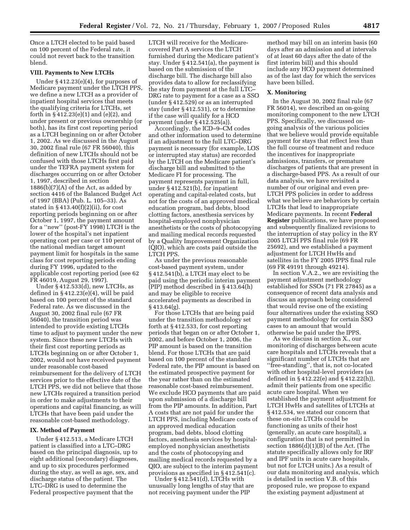Once a LTCH elected to be paid based on 100 percent of the Federal rate, it could not revert back to the transition blend.

## **VIII. Payments to New LTCHs**

Under § 412.23(e)(4), for purposes of Medicare payment under the LTCH PPS, we define a new LTCH as a provider of inpatient hospital services that meets the qualifying criteria for LTCHs, set forth in § 412.23(e)(1) and (e)(2), and under present or previous ownership (or both), has its first cost reporting period as a LTCH beginning on or after October 1, 2002. As we discussed in the August 30, 2002 final rule (67 FR 56040), this definition of new LTCHs should not be confused with those LTCHs first paid under the TEFRA payment system for discharges occurring on or after October 1, 1997, described in section  $1886(b)(7)(A)$  of the Act, as added by section 4416 of the Balanced Budget Act of 1997 (BBA) (Pub. L. 105–33). As stated in  $§$  413.40(f)(2)(ii), for cost reporting periods beginning on or after October 1, 1997, the payment amount for a ''new'' (post-FY 1998) LTCH is the lower of the hospital's net inpatient operating cost per case or 110 percent of the national median target amount payment limit for hospitals in the same class for cost reporting periods ending during FY 1996, updated to the applicable cost reporting period (see 62 FR 46019, August 29, 1997).

Under § 412.533(d), new LTCHs, as defined in  $§$  412.23(e)(4), will be paid based on 100 percent of the standard Federal rate. As we discussed in the August 30, 2002 final rule (67 FR 56040), the transition period was intended to provide existing LTCHs time to adjust to payment under the new system. Since these new LTCHs with their first cost reporting periods as LTCHs beginning on or after October 1, 2002, would not have received payment under reasonable cost-based reimbursement for the delivery of LTCH services prior to the effective date of the LTCH PPS, we did not believe that those new LTCHs required a transition period in order to make adjustments to their operations and capital financing, as will LTCHs that have been paid under the reasonable cost-based methodology.

### **IX. Method of Payment**

Under § 412.513, a Medicare LTCH patient is classified into a LTC–DRG based on the principal diagnosis, up to eight additional (secondary) diagnoses, and up to six procedures performed during the stay, as well as age, sex, and discharge status of the patient. The LTC–DRG is used to determine the Federal prospective payment that the

LTCH will receive for the Medicarecovered Part A services the LTCH furnished during the Medicare patient's stay. Under § 412.541(a), the payment is based on the submission of the discharge bill. The discharge bill also provides data to allow for reclassifying the stay from payment at the full LTC– DRG rate to payment for a case as a SSO (under § 412.529) or as an interrupted stay (under § 412.531), or to determine if the case will qualify for a HCO payment (under § 412.525(a)).

Accordingly, the ICD–9–CM codes and other information used to determine if an adjustment to the full LTC–DRG payment is necessary (for example, LOS or interrupted stay status) are recorded by the LTCH on the Medicare patient's discharge bill and submitted to the Medicare FI for processing. The payment represents payment in full, under § 412.521(b), for inpatient operating and capital-related costs, but not for the costs of an approved medical education program, bad debts, blood clotting factors, anesthesia services by hospital-employed nonphysician anesthetists or the costs of photocopying and mailing medical records requested by a Quality Improvement Organization (QIO), which are costs paid outside the LTCH PPS.

As under the previous reasonable cost-based payment system, under § 412.541(b), a LTCH may elect to be paid using the periodic interim payment (PIP) method described in § 413.64(h) and may be eligible to receive accelerated payments as described in  $§$  413.64(g).

For those LTCHs that are being paid under the transition methodology set forth at § 412.533, for cost reporting periods that began on or after October 1, 2002, and before October 1, 2006, the PIP amount is based on the transition blend. For those LTCHs that are paid based on 100 percent of the standard Federal rate, the PIP amount is based on the estimated prospective payment for the year rather than on the estimated reasonable cost-based reimbursement. We exclude HCO payments that are paid upon submission of a discharge bill from the PIP amounts. In addition, Part A costs that are not paid for under the LTCH PPS, including Medicare costs of an approved medical education program, bad debts, blood clotting factors, anesthesia services by hospitalemployed nonphysician anesthetists and the costs of photocopying and mailing medical records requested by a QIO, are subject to the interim payment provisions as specified in § 412.541(c).

Under § 412.541(d), LTCHs with unusually long lengths of stay that are not receiving payment under the PIP

method may bill on an interim basis (60 days after an admission and at intervals of at least 60 days after the date of the first interim bill) and this should include any HCO payment determined as of the last day for which the services have been billed.

### **X. Monitoring**

In the August 30, 2002 final rule (67 FR 56014), we described an on-going monitoring component to the new LTCH PPS. Specifically, we discussed ongoing analysis of the various policies that we believe would provide equitable payment for stays that reflect less than the full course of treatment and reduce the incentives for inappropriate admissions, transfers, or premature discharges of patients that are present in a discharge-based PPS. As a result of our data analysis, we have revisited a number of our original and even pre-LTCH PPS policies in order to address what we believe are behaviors by certain LTCHs that lead to inappropriate Medicare payments. In recent **Federal Register** publications, we have proposed and subsequently finalized revisions to the interruption of stay policy in the RY 2005 LTCH PPS final rule (69 FR 25692), and we established a payment adjustment for LTCH HwHs and satellites in the FY 2005 IPPS final rule (69 FR 49191 through 49214).

In section V.A.2., we are revisiting the payment adjustment methodology established for SSOs (71 FR 27845) as a consequence of recent data analysis and discuss an approach being considered that would revise one of the existing four alternatives under the existing SSO payment methodology for certain SSO cases to an amount that would otherwise be paid under the IPPS.

As we discuss in section X., our monitoring of discharges between acute care hospitals and LTCHs reveals that a significant number of LTCHs that are ''free-standing'', that is, not co-located with other hospital-level providers (as defined in § 412.22(e) and § 412.22(h)), admit their patients from one specific acute care hospital. When we established the payment adjustment for LTCH HwHs and satellites of LTCHs at § 412.534, we stated our concern that these on-site LTCHs could be functioning as units of their host (generally, an acute care hospital), a configuration that is not permitted in section  $1886(d)(1)(B)$  of the Act. (The statute specifically allows only for IRF and IPF units in acute care hospitals, but not for LTCH units.) As a result of our data monitoring and analysis, which is detailed in section V.B. of this proposed rule, we propose to expand the existing payment adjustment at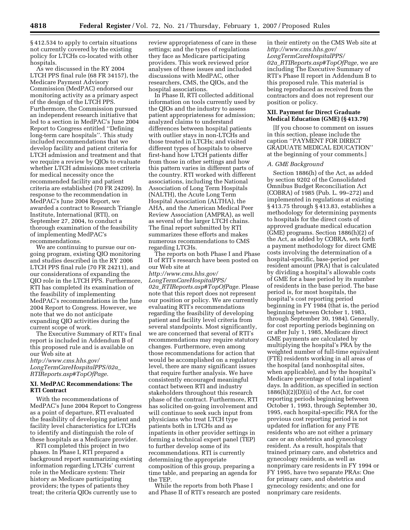§ 412.534 to apply to certain situations not currently covered by the existing policy for LTCHs co-located with other hospitals.

As we discussed in the RY 2004 LTCH PPS final rule (68 FR 34157), the Medicare Payment Advisory Commission (MedPAC) endorsed our monitoring activity as a primary aspect of the design of the LTCH PPS. Furthermore, the Commission pursued an independent research initiative that led to a section in MedPAC's June 2004 Report to Congress entitled ''Defining long-term care hospitals''. This study included recommendations that we develop facility and patient criteria for LTCH admission and treatment and that we require a review by QIOs to evaluate whether LTCH admissions meet criteria for medical necessity once the recommended facility and patient criteria are established (70 FR 24209). In response to the recommendation in MedPAC's June 2004 Report, we awarded a contract to Research Triangle Institute, International (RTI), on September 27, 2004, to conduct a thorough examination of the feasibility of implementing MedPAC's recommendations.

We are continuing to pursue our ongoing program, existing QIO monitoring and studies described in the RY 2006 LTCH PPS final rule (70 FR 24211), and our considerations of expanding the QIO role in the LTCH PPS. Furthermore, RTI has completed its examination of the feasibility of implementing MedPAC's recommendations in the June 2004 Report to Congress. However, we note that we do not anticipate expanding QIO activities during the current scope of work.

The Executive Summary of RTI's final report is included in Addendum B of this proposed rule and is available on our Web site at *http://www.cms.hhs.gov/ LongTermCareHospitalPPS/02a*\_ *RTIReports.asp#TopOfPage.* 

## **XI. MedPAC Recommendations: The RTI Contract**

With the recommendations of MedPAC's June 2004 Report to Congress as a point of departure, RTI evaluated the feasibility of developing patient and facility level characteristics for LTCHs to identify and distinguish the role of these hospitals as a Medicare provider.

RTI completed this project in two phases. In Phase I, RTI prepared a background report summarizing existing information regarding LTCHs' current role in the Medicare system: Their history as Medicare participating providers; the types of patients they treat; the criteria QIOs currently use to

review appropriateness of care in these settings; and the types of regulations they face as Medicare participating providers. This work reviewed prior analyses of these issues and included discussions with MedPAC, other researchers, CMS, the QIOs, and the hospital associations.

In Phase II, RTI collected additional information on tools currently used by the QIOs and the industry to assess patient appropriateness for admission; analyzed claims to understand differences between hospital patients with outlier stays in non-LTCHs and those treated in LTCHs; and visited different types of hospitals to observe first-hand how LTCH patients differ from those in other settings and how this pattern varies in different parts of the country. RTI worked with different associations, including the National Association of Long Term Hospitals (NALTH), the Acute Long Term Hospital Association (ALTHA), the AHA, and the American Medical Peer Review Association (AMPRA), as well as several of the larger LTCH chains. The final report submitted by RTI summarizes these efforts and makes numerous recommendations to CMS regarding LTCHs.

The reports on both Phase I and Phase II of RTI's research have been posted on our Web site at

*http://www.cms.hhs.gov/ LongTermCareHospitalPPS/ 02a*\_*RTIReports.asp#TopOfPage.* Please note that this report does not represent our position or policy. We are currently evaluating RTI's recommendations regarding the feasibility of developing patient and facility level criteria from several standpoints. Most significantly, we are concerned that several of RTI's recommendations may require statutory changes. Furthermore, even among those recommendations for action that would be accomplished on a regulatory level, there are many significant issues that require further analysis. We have consistently encouraged meaningful contact between RTI and industry stakeholders throughout this research phase of the contract. Furthermore, RTI has solicited on-going involvement and will continue to seek such input from physicians who treat LTCH type patients both in LTCHs and as inpatients in other provider settings in forming a technical expert panel (TEP) to further develop some of its recommendations. RTI is currently determining the appropriate composition of this group, preparing a time table, and preparing an agenda for the TEP.

While the reports from both Phase I and Phase II of RTI's research are posted in their entirety on the CMS Web site at *http://www.cms.hhs.gov/ LongTermCareHospitalPPS/ 02a*\_*RTIReports.asp#TopOfPage,* we are including The Executive Summary of RTI's Phase II report in Addendum B to this proposed rule. This material is being reproduced as received from the contractors and does not represent our position or policy.

### **XII. Payment for Direct Graduate Medical Education (GME) (§ 413.79)**

[If you choose to comment on issues in this section, please include the caption ''PAYMENT FOR DIRECT GRADUATE MEDICAL EDUCATION'' at the beginning of your comments.]

# *A. GME Background*

Section 1886(h) of the Act, as added by section 9202 of the Consolidated Omnibus Budget Reconciliation Act (COBRA) of 1985 (Pub. L. 99–272) and implemented in regulations at existing § 413.75 through § 413.83, establishes a methodology for determining payments to hospitals for the direct costs of approved graduate medical education (GME) programs. Section 1886(h)(2) of the Act, as added by COBRA, sets forth a payment methodology for direct GME costs involving the determination of a hospital-specific, base-period per resident amount (PRA) that is calculated by dividing a hospital's allowable costs of GME for a base period by its number of residents in the base period. The base period is, for most hospitals, the hospital's cost reporting period beginning in FY 1984 (that is, the period beginning between October 1, 1983, through September 30, 1984). Generally, for cost reporting periods beginning on or after July 1, 1985, Medicare direct GME payments are calculated by multiplying the hospital's PRA by the weighted number of full-time equivalent (FTE) residents working in all areas of the hospital (and nonhospital sites, when applicable), and by the hospital's Medicare percentage of total inpatient days. In addition, as specified in section  $1886(h)(2)(D)(ii)$  of the Act, for cost reporting periods beginning between October 1, 1993, through September 30, 1995, each hospital-specific PRA for the previous cost reporting period is not updated for inflation for any FTE residents who are not either a primary care or an obstetrics and gynecology resident. As a result, hospitals that trained primary care, and obstetrics and gynecology residents, as well as nonprimary care residents in FY 1994 or FY 1995, have two separate PRAs: One for primary care, and obstetrics and gynecology residents; and one for nonprimary care residents.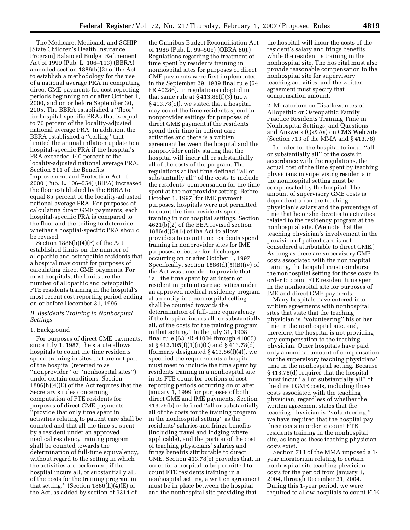The Medicare, Medicaid, and SCHIP [State Children's Health Insurance Program] Balanced Budget Refinement Act of 1999 (Pub. L. 106–113) (BBRA) amended section 1886(h)(2) of the Act to establish a methodology for the use of a national average PRA in computing direct GME payments for cost reporting periods beginning on or after October 1, 2000, and on or before September 30, 2005. The BBRA established a ''floor'' for hospital-specific PRAs that is equal to 70 percent of the locality-adjusted national average PRA. In addition, the BBRA established a ''ceiling'' that limited the annual inflation update to a hospital-specific PRA if the hospital's PRA exceeded 140 percent of the locality-adjusted national average PRA. Section 511 of the Benefits Improvement and Protection Act of 2000 (Pub. L. 106–554) (BIPA) increased the floor established by the BBRA to equal 85 percent of the locality-adjusted national average PRA. For purposes of calculating direct GME payments, each hospital-specific PRA is compared to the floor and the ceiling to determine whether a hospital-specific PRA should be revised.

Section 1886(h)(4)(F) of the Act established limits on the number of allopathic and osteopathic residents that a hospital may count for purposes of calculating direct GME payments. For most hospitals, the limits are the number of allopathic and osteopathic FTE residents training in the hospital's most recent cost reporting period ending on or before December 31, 1996.

# *B. Residents Training in Nonhospital Settings*

# 1. Background

For purposes of direct GME payments, since July 1, 1987, the statute allows hospitals to count the time residents spend training in sites that are not part of the hospital (referred to as ''nonprovider'' or ''nonhospital sites'') under certain conditions. Section 1886(h)(4)(E) of the Act requires that the Secretary's rules concerning computation of FTE residents for purposes of direct GME payments 'provide that only time spent in activities relating to patient care shall be counted and that all the time so spent by a resident under an approved medical residency training program shall be counted towards the determination of full-time equivalency, without regard to the setting in which the activities are performed, if the hospital incurs all, or substantially all, of the costs for the training program in that setting." (Section  $1886(h)(4)(E)$  of the Act, as added by section of 9314 of

the Omnibus Budget Reconciliation Act of 1986 (Pub. L. 99–509) (OBRA 86).) Regulations regarding the treatment of time spent by residents training in nonhospital sites for purposes of direct GME payments were first implemented in the September 29, 1989 final rule (54 FR 40286). In regulations adopted in that same rule at  $\S 413.86(f)(3)$  (now § 413.78(c)), we stated that a hospital may count the time residents spend in nonprovider settings for purposes of direct GME payment if the residents spend their time in patient care activities and there is a written agreement between the hospital and the nonprovider entity stating that the hospital will incur all or substantially all of the costs of the program. The regulations at that time defined ''all or substantially all'' of the costs to include the residents' compensation for the time spent at the nonprovider setting. Before October 1, 1997, for IME payment purposes, hospitals were not permitted to count the time residents spent training in nonhospital settings. Section 4621(b)(2) of the BBA revised section  $1886(d)(5)(B)$  of the Act to allow providers to count time residents spend training in nonprovider sites for IME purposes, effective for discharges occurring on or after October 1, 1997. Specifically, section 1886(d)(5)(B)(iv) of the Act was amended to provide that ''all the time spent by an intern or resident in patient care activities under an approved medical residency program at an entity in a nonhospital setting shall be counted towards the determination of full-time equivalency if the hospital incurs all, or substantially all, of the costs for the training program in that setting.'' In the July 31, 1998 final rule (63 FR 41004 through 41005) at § 412.105(f)(1)(ii)(C) and § 413.78(d) (formerly designated  $§$  413.86(f)(4)), we specified the requirements a hospital must meet to include the time spent by residents training in a nonhospital site in its FTE count for portions of cost reporting periods occurring on or after January 1, 1999 for purposes of both direct GME and IME payments. Section 413.75(b) redefined ''all or substantially all of the costs for the training program in the nonhospital setting'' as the residents' salaries and fringe benefits (including travel and lodging where applicable), and the portion of the cost of teaching physicians' salaries and fringe benefits attributable to direct GME. Section 413.78(e) provides that, in order for a hospital to be permitted to count FTE residents training in a nonhospital setting, a written agreement must be in place between the hospital and the nonhospital site providing that

the hospital will incur the costs of the resident's salary and fringe benefits while the resident is training in the nonhospital site. The hospital must also provide reasonable compensation to the nonhospital site for supervisory teaching activities, and the written agreement must specify that compensation amount.

2. Moratorium on Disallowances of Allopathic or Osteopathic Family Practice Residents Training Time in Nonhospital Settings, and Questions and Answers (Qs&As) on CMS Web Site (Section 713 of the MMA and § 413.78)

In order for the hospital to incur ''all or substantially all'' of the costs in accordance with the regulations, the actual cost of the time spent by teaching physicians in supervising residents in the nonhospital setting must be compensated by the hospital. The amount of supervisory GME costs is dependent upon the teaching physician's salary and the percentage of time that he or she devotes to activities related to the residency program at the nonhospital site. (We note that the teaching physician's involvement in the provision of patient care is not considered attributable to direct GME.) As long as there are supervisory GME costs associated with the nonhospital training, the hospital must reimburse the nonhospital setting for those costs in order to count FTE resident time spent in the nonhospital site for purposes of IME and direct GME payments.

Many hospitals have entered into written agreements with nonhospital sites that state that the teaching physician is ''volunteering'' his or her time in the nonhospital site, and, therefore, the hospital is not providing any compensation to the teaching physician. Other hospitals have paid only a nominal amount of compensation for the supervisory teaching physicians' time in the nonhospital setting. Because § 413.78(d) requires that the hospital must incur ''all or substantially all'' of the direct GME costs, including those costs associated with the teaching physician, regardless of whether the written agreement states that the teaching physician is ''volunteering,'' we have required that the hospital pay these costs in order to count FTE residents training in the nonhospital site, as long as these teaching physician costs exist.

Section 713 of the MMA imposed a 1 year moratorium relating to certain nonhospital site teaching physician costs for the period from January 1, 2004, through December 31, 2004. During this 1-year period, we were required to allow hospitals to count FTE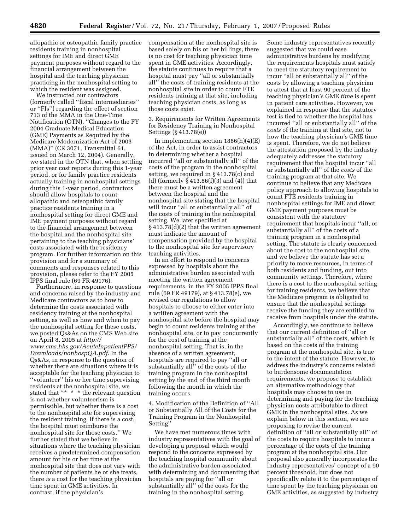allopathic or osteopathic family practice residents training in nonhospital settings for IME and direct GME payment purposes without regard to the financial arrangement between the hospital and the teaching physician practicing in the nonhospital setting to which the resident was assigned.

We instructed our contractors (formerly called ''fiscal intermediaries'' or ''FIs'') regarding the effect of section 713 of the MMA in the One-Time Notification (OTN), ''Changes to the FY 2004 Graduate Medical Education (GME) Payments as Required by the Medicare Modernization Act of 2003 (MMA)'' (CR 3071, Transmittal 61, issued on March 12, 2004). Generally, we stated in the OTN that, when settling prior year cost reports during this 1-year period, or for family practice residents actually training in nonhospital settings during this 1-year period, contractors should allow hospitals to count allopathic and osteopathic family practice residents training in a nonhospital setting for direct GME and IME payment purposes without regard to the financial arrangement between the hospital and the nonhospital site pertaining to the teaching physicians' costs associated with the residency program. For further information on this provision and for a summary of comments and responses related to this provision, please refer to the FY 2005 IPPS final rule (69 FR 49176).

Furthermore, in response to questions and concerns raised by the industry and Medicare contractors as to how to determine the costs associated with residency training at the nonhospital setting, as well as how and when to pay the nonhospital setting for these costs, we posted Qs&As on the CMS Web site on April 8, 2005 at *http:// www.cms.hhs.gov/AcuteInpatientPPS/ Downloads/nonhospQA.pdf.* In the Qs&As, in response to the question of whether there are situations where it is acceptable for the teaching physician to ''volunteer'' his or her time supervising residents at the nonhospital site, we stated that "\* \* \* the relevant question is not whether volunteerism is permissible, but whether there is a cost to the nonhospital site for supervising the resident training. If there is a cost, the hospital must reimburse the nonhospital site for those costs.'' We further stated that we believe in situations where the teaching physician receives a predetermined compensation amount for his or her time at the nonhospital site that does not vary with the number of patients he or she treats, there *is* a cost for the teaching physician time spent in GME activities. In contrast, if the physician's

compensation at the nonhospital site is based solely on his or her billings, there is no cost for teaching physician time spent in GME activities. Accordingly, the statute continues to require that a hospital must pay ''all or substantially all'' the costs of training residents at the nonhospital site in order to count FTE residents training at that site, including teaching physician costs, as long as those costs exist.

3. Requirements for Written Agreements for Residency Training in Nonhospital Settings (§ 413.78(e))

In implementing section  $1886(h)(4)(E)$ of the Act, in order to assist contractors in determining whether a hospital incurred ''all or substantially all'' of the costs of the program in the nonhospital setting, we required in § 413.78(c) and (d) (formerly  $\S 413.86(f)(3)$  and (4)) that there must be a written agreement between the hospital and the nonhospital site stating that the hospital will incur ''all or substantially all'' of the costs of training in the nonhospital setting. We later specified at § 413.78(d)(2) that the written agreement must indicate the amount of compensation provided by the hospital to the nonhospital site for supervisory teaching activities.

In an effort to respond to concerns expressed by hospitals about the administrative burden associated with meeting the written agreement requirements, in the FY 2005 IPPS final rule (69 FR 49179), at § 413.78(e), we revised our regulations to allow hospitals to choose to either enter into a written agreement with the nonhospital site before the hospital may begin to count residents training at the nonhospital site, or to pay concurrently for the cost of training at the nonhospital setting. That is, in the absence of a written agreement, hospitals are required to pay ''all or substantially all'' of the costs of the training program in the nonhospital setting by the end of the third month following the month in which the training occurs.

4. Modification of the Definition of ''All or Substantially All of the Costs for the Training Program in the Nonhospital Setting''

We have met numerous times with industry representatives with the goal of developing a proposal which would respond to the concerns expressed by the teaching hospital community about the administrative burden associated with determining and documenting that hospitals are paying for ''all or substantially all'' of the costs for the training in the nonhospital setting.

Some industry representatives recently suggested that we could ease administrative burdens by modifying the requirements hospitals must satisfy to meet the statutory requirement to incur ''all or substantially all'' of the costs by allowing a teaching physician to attest that at least 90 percent of the teaching physician's GME *time* is spent in patient care activities. However, we explained in response that the statutory test is tied to whether the hospital has incurred ''all or substantially all'' of the *costs* of the training at that site, not to how the teaching physician's GME time is spent. Therefore, we do not believe the attestation proposed by the industry adequately addresses the statutory requirement that the hospital incur ''all or substantially all'' of the *costs* of the training program at that site. We continue to believe that any Medicare policy approach to allowing hospitals to count FTE residents training in nonhospital settings for IME and direct GME payment purposes must be consistent with the statutory requirement that hospitals incur ''all, or substantially all'' of the costs of a training program in a nonhospital setting. The statute is clearly concerned about the cost to the nonhospital site, and we believe the statute has set a priority to move resources, in terms of both residents and funding, out into community settings. Therefore, where there is a cost to the nonhospital setting for training residents, we believe that the Medicare program is obligated to ensure that the nonhospital settings receive the funding they are entitled to receive from hospitals under the statute.

Accordingly, we continue to believe that our current definition of ''all or substantially all'' of the costs, which is based on the costs of the training program at the nonhospital site, is true to the intent of the statute. However, to address the industry's concerns related to burdensome documentation requirements, we propose to establish an alternative methodology that hospitals may choose to use in determining and paying for the teaching physician costs attributable to direct GME in the nonhospital sites. As we explain below in this section, we are proposing to revise the current definition of ''all or substantially all'' of the costs to require hospitals to incur a percentage of the costs of the training program at the nonhospital site. Our proposal also generally incorporates the industry representatives' concept of a 90 percent threshold, but does not specifically relate it to the percentage of time spent by the teaching physician on GME activities, as suggested by industry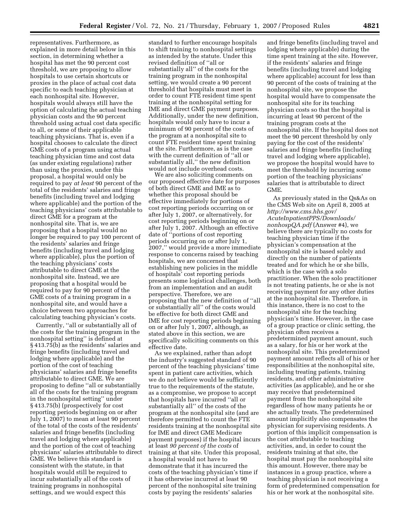representatives. Furthermore, as explained in more detail below in this section, in determining whether a hospital has met the 90 percent cost threshold, we are proposing to allow hospitals to use certain shortcuts or proxies in the place of actual cost data specific to each teaching physician at each nonhospital site. However, hospitals would always still have the option of calculating the actual teaching physician costs and the 90 percent threshold using actual cost data specific to all, or some of their applicable teaching physicians. That is, even if a hospital chooses to calculate the direct GME costs of a program using actual teaching physician time and cost data (as under existing regulations) rather than using the proxies, under this proposal, a hospital would only be required to pay *at least* 90 percent of the total of the residents' salaries and fringe benefits (including travel and lodging where applicable) and the portion of the teaching physicians' costs attributable to direct GME for a program at the nonhospital site. That is, we are proposing that a hospital would no longer be required to pay 100 percent of the residents' salaries and fringe benefits (including travel and lodging where applicable), plus the portion of the teaching physicians' costs attributable to direct GME at the nonhospital site. Instead, we are proposing that a hospital would be required to pay for 90 percent of the GME costs of a training program in a nonhospital site, and would have a choice between two approaches for calculating teaching physician's costs.

Currently, ''all or substantially all of the costs for the training program in the nonhospital setting'' is defined at § 413.75(b) as the residents' salaries and fringe benefits (including travel and lodging where applicable) and the portion of the cost of teaching physicians' salaries and fringe benefits attributable to direct GME. We are proposing to define ''all or substantially all of the costs for the training program in the nonhospital setting'' under § 413.75(b) (prospectively for cost reporting periods beginning on or after July 1, 2007) to mean at least 90 percent of the total of the costs of the residents' salaries and fringe benefits (including travel and lodging where applicable) and the portion of the cost of teaching physicians' salaries attributable to direct GME. We believe this standard is consistent with the statute, in that hospitals would still be required to incur substantially all of the costs of training programs in nonhospital settings, and we would expect this

standard to further encourage hospitals to shift training to nonhospital settings as intended by the statute. Under this revised definition of ''all or substantially all'' of the costs for the training program in the nonhospital setting, we would create a 90 percent threshold that hospitals must meet in order to count FTE resident time spent training at the nonhospital setting for IME and direct GME payment purposes. Additionally, under the new definition, hospitals would only have to incur a minimum of 90 percent of the costs of the program at a nonhospital site to count FTE resident time spent training at the site. Furthermore, as is the case with the current definition of ''all or substantially all,'' the new definition would not include overhead costs.

We are also soliciting comments on our proposed effective date for purposes of both direct GME and IME as to whether this proposal should be effective immediately for portions of cost reporting periods occurring on or after July 1, 2007, or alternatively, for cost reporting periods beginning on or after July 1, 2007. Although an effective date of ''portions of cost reporting periods occurring on or after July 1, 2007,'' would provide a more immediate response to concerns raised by teaching hospitals, we are concerned that establishing new policies in the middle of hospitals' cost reporting periods presents some logistical challenges, both from an implementation and an audit perspective. Therefore, we are proposing that the new definition of ''all or substantially all'' of the costs would be effective for both direct GME and IME for cost reporting periods beginning on or after July 1, 2007, although, as stated above in this section, we are specifically soliciting comments on this effective date.

As we explained, rather than adopt the industry's suggested standard of 90 percent of the teaching physicians' time spent in patient care activities, which we do not believe would be sufficiently true to the requirements of the statute, as a compromise, we propose to accept that hospitals have incurred ''all or substantially all'' of the costs of the program at the nonhospital site (and are therefore permitted to count the FTE residents training at the nonhospital site for IME and direct GME Medicare payment purposes) if the hospital incurs at least *90 percent of the costs* of training at that site. Under this proposal, a hospital would not have to demonstrate that it has incurred the costs of the teaching physician's time if it has otherwise incurred at least 90 percent of the nonhospital site training costs by paying the residents' salaries

and fringe benefits (including travel and lodging where applicable) during the time spent training at the site. However, if the residents' salaries and fringe benefits (including travel and lodging where applicable) account for less than 90 percent of the costs of training at the nonhospital site, we propose the hospital would have to compensate the nonhospital site for its teaching physician costs so that the hospital is incurring at least 90 percent of the training program costs at the nonhospital site. If the hospital does not meet the 90 percent threshold by only paying for the cost of the residents' salaries and fringe benefits (including travel and lodging where applicable), we propose the hospital would have to meet the threshold by incurring some portion of the teaching physicians' salaries that is attributable to direct GME.

As previously stated in the Qs&As on the CMS Web site on April 8, 2005 at *http://www.cms.hhs.gov/ AcuteInpatientPPS/Downloads/ nonhospQA.pdf* (Answer #4), we believe there are typically no costs for teaching physician time if the physician's compensation at the nonhospital site is based solely and directly on the number of patients treated and for which he or she bills, which is the case with a solo practitioner. When the solo practitioner is not treating patients, he or she is not receiving payment for any other duties at the nonhospital site. Therefore, in this instance, there is no cost to the nonhospital site for the teaching physician's time. However, in the case of a group practice or clinic setting, the physician often receives a predetermined payment amount, such as a salary, for his or her work at the nonhospital site. This predetermined payment amount reflects all of his or her responsibilities at the nonhospital site, including treating patients, training residents, and other administrative activities (as applicable), and he or she may receive that predetermined payment from the nonhospital site regardless of how many patients he or she actually treats. The predetermined amount implicitly also compensates the physician for supervising residents. A portion of this implicit compensation is the cost attributable to teaching activities, and, in order to count the residents training at that site, the hospital must pay the nonhospital site this amount. However, there may be instances in a group practice, where a teaching physician is not receiving a form of predetermined compensation for his or her work at the nonhospital site.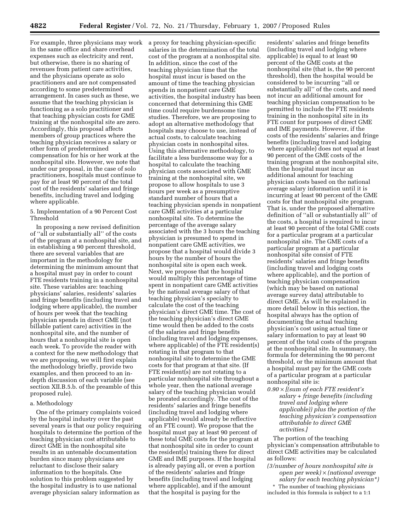For example, three physicians may work a proxy for teaching physician-specific in the same office and share overhead expenses such as electricity and rent, but otherwise, there is no sharing of revenues from patient care activities, and the physicians operate as solo practitioners and are not compensated according to some predetermined arrangement. In cases such as these, we assume that the teaching physician is functioning as a solo practitioner and that teaching physician costs for GME training at the nonhospital site are zero. Accordingly, this proposal affects members of group practices where the teaching physician receives a salary or other form of predetermined compensation for his or her work at the nonhospital site. However, we note that under our proposal, in the case of solo practitioners, hospitals must continue to pay for at least 90 percent of the total cost of the residents' salaries and fringe benefits, including travel and lodging where applicable.

5. Implementation of a 90 Percent Cost Threshold

In proposing a new revised definition of ''all or substantially all'' of the costs of the program at a nonhospital site, and in establishing a 90 percent threshold, there are several variables that are important in the methodology for determining the minimum amount that a hospital must pay in order to count FTE residents training in a nonhospital site. These variables are: teaching physicians' salaries, residents' salaries and fringe benefits (including travel and lodging where applicable), the number of hours per week that the teaching physician spends in direct GME (not billable patient care) activities in the nonhospital site, and the number of hours that a nonhospital site is open each week. To provide the reader with a context for the new methodology that we are proposing, we will first explain the methodology briefly, provide two examples, and then proceed to an indepth discussion of each variable (see section XII.B.5.b. of the preamble of this proposed rule).

## a. Methodology

One of the primary complaints voiced by the hospital industry over the past several years is that our policy requiring hospitals to determine the portion of the teaching physician cost attributable to direct GME in the nonhospital site results in an untenable documentation burden since many physicians are reluctant to disclose their salary information to the hospitals. One solution to this problem suggested by the hospital industry is to use national average physician salary information as

salaries in the determination of the total cost of the program at a nonhospital site. In addition, since the cost of the teaching physician time that the hospital must incur is based on the amount of time the teaching physician spends in nonpatient care GME activities, the hospital industry has been concerned that determining this GME time could require burdensome time studies. Therefore, we are proposing to adopt an alternative methodology that hospitals may choose to use, instead of actual costs, to calculate teaching physician costs in nonhospital sites. Using this alternative methodology, to facilitate a less burdensome way for a hospital to calculate the teaching physician costs associated with GME training at the nonhospital site, we propose to allow hospitals to use 3 hours per week as a presumptive standard number of hours that a teaching physician spends in nonpatient care GME activities at a particular nonhospital site. To determine the percentage of the average salary associated with the 3 hours the teaching physician is presumed to spend in nonpatient care GME activities, we propose that a hospital would divide 3 hours by the number of hours the nonhospital site is open each week. Next, we propose that the hospital would multiply this percentage of time spent in nonpatient care GME activities by the national average salary of that teaching physician's specialty to calculate the cost of the teaching physician's direct GME time. The cost of the teaching physician's direct GME time would then be added to the costs of the salaries and fringe benefits (including travel and lodging expenses, where applicable) of the FTE resident(s) rotating in that program to that nonhospital site to determine the GME costs for that program at that site. (If FTE resident(s) are not rotating to a particular nonhospital site throughout a whole year, then the national average salary of the teaching physician would be prorated accordingly. The cost of the residents' salaries and fringe benefits (including travel and lodging where applicable) would already be reflective of an FTE count). We propose that the hospital must pay at least 90 percent of these total GME costs for the program at that nonhospital site in order to count the resident(s) training there for direct GME and IME purposes. If the hospital is already paying all, or even a portion of the residents' salaries and fringe benefits (including travel and lodging where applicable), and if the amount that the hospital is paying for the

residents' salaries and fringe benefits (including travel and lodging where applicable) is equal to at least 90 percent of the GME costs at the nonhospital site (that is, the 90 percent threshold), then the hospital would be considered to be incurring ''all or substantially all'' of the costs, and need not incur an additional amount for teaching physician compensation to be permitted to include the FTE residents training in the nonhospital site in its FTE count for purposes of direct GME and IME payments. However, if the costs of the residents' salaries and fringe benefits (including travel and lodging where applicable) does not equal at least 90 percent of the GME costs of the training program at the nonhospital site, then the hospital must incur an additional amount for teaching physician costs based on the national average salary information until it is incurring at least 90 percent of the GME costs for that nonhospital site program. That is, under the proposed alternative definition of ''all or substantially all'' of the costs, a hospital is required to incur at least 90 percent of the total GME costs for a particular program at a particular nonhospital site. The GME costs of a particular program at a particular nonhospital site consist of FTE residents' salaries and fringe benefits (including travel and lodging costs where applicable), and the portion of teaching physician compensation (which may be based on national average survey data) attributable to direct GME. As will be explained in more detail below in this section, the hospital always has the option of documenting the actual teaching physician's cost using actual time or salary information to pay at least 90 percent of the total costs of the program at the nonhospital site. In summary, the formula for determining the 90 percent threshold, or the minimum amount that a hospital must pay for the GME costs of a particular program at a particular nonhospital site is:

*0.90* × *[(sum of each FTE resident's salary + fringe benefits (including travel and lodging where applicable)) plus the portion of the teaching physician's compensation attributable to direct GME activities.]* 

The portion of the teaching physician's compensation attributable to direct GME activities may be calculated as follows:

*(3/number of hours nonhospital site is open per week)* × *(national average salary for each teaching physician\*)* 

\* The number of teaching physicians included in this formula is subject to a 1:1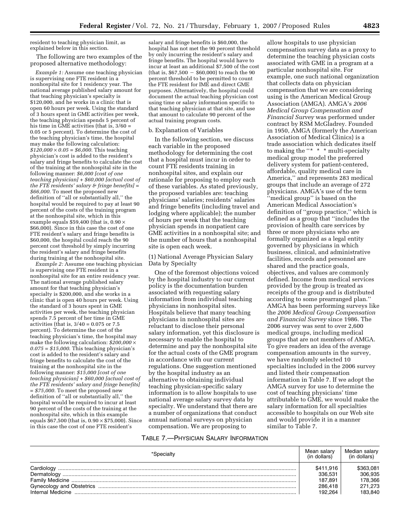resident to teaching physician limit, as explained below in this section.

The following are two examples of the proposed alternative methodology:

*Example 1:* Assume one teaching physician is supervising one FTE resident in a nonhospital site for 1 residency year. The national average published salary amount for that teaching physician's specialty is \$120,000, and he works in a clinic that is open 60 hours per week. Using the standard of 3 hours spent in GME activities per week, the teaching physician spends 5 percent of his time in GME activities (that is, 3/60 = 0.05 or 5 percent). To determine the cost of the teaching physician's time, the hospital may make the following calculation:  $$120,000 \times 0.05 = $6,000$ . This teaching physician's cost is added to the resident's salary and fringe benefits to calculate the cost of the training at the nonhospital site in the following manner: *\$6,000 [cost of one teaching physician] + \$60,000 [actual cost of the FTE residents' salary & fringe benefits] = \$66,000.* To meet the proposed new definition of ''all or substantially all,'' the hospital would be required to pay at least 90 percent of the costs of the training program at the nonhospital site, which in this example equals \$59,400 (that is,  $0.90 \times$ \$66,000). Since in this case the cost of one FTE resident's salary and fringe benefits is \$60,000, the hospital could reach the 90 percent cost threshold by simply incurring the resident's salary and fringe benefits during training at the nonhospital site.

*Example 2:* Assume one teaching physician is supervising one FTE resident in a nonhospital site for an entire residency year. The national average published salary amount for that teaching physician's specialty is \$200,000, and she works in a clinic that is open 40 hours per week. Using the standard of 3 hours spent in GME activities per week, the teaching physician spends 7.5 percent of her time in GME activities (that is, 3/40 = 0.075 or 7.5 percent). To determine the cost of the teaching physician's time, the hospital may make the following calculation: *\$200,000* × *0.075 = \$15,000*. This teaching physician's cost is added to the resident's salary and fringe benefits to calculate the cost of the training at the nonhospital site in the following manner: *\$15,000 [cost of one teaching physician] + \$60,000 [actual cost of the FTE residents' salary and fringe benefits] = \$75,000.* To meet the proposed new definition of ''all or substantially all,'' the hospital would be required to incur at least 90 percent of the costs of the training at the nonhospital site, which in this example equals  $$67,500$  (that is,  $0.90 \times $75,000$ ). Since in this case the cost of one FTE resident's

salary and fringe benefits is \$60,000, the hospital has not met the 90 percent threshold by only incurring the resident's salary and fringe benefits. The hospital would have to incur at least an additional \$7,500 of the cost (that is,  $$67,500 - $60,000$ ) to reach the 90 percent threshold to be permitted to count the FTE resident for IME and direct GME purposes. Alternatively, the hospital could document the actual teaching physician cost using time or salary information specific to that teaching physician at that site, and use that amount to calculate 90 percent of the actual training program costs.

### b. Explanation of Variables

In the following section, we discuss each variable in the proposed methodology for determining the cost that a hospital must incur in order to count FTE residents training in nonhospital sites, and explain our rationale for proposing to employ each of these variables. As stated previously, the proposed variables are: teaching physicians' salaries; residents' salaries and fringe benefits (including travel and lodging where applicable); the number of hours per week that the teaching physician spends in nonpatient care GME activities in a nonhospital site; and the number of hours that a nonhospital site is open each week.

(1) National Average Physician Salary Data by Specialty

One of the foremost objections voiced by the hospital industry to our current policy is the documentation burden associated with requesting salary information from individual teaching physicians in nonhospital sites. Hospitals believe that many teaching physicians in nonhospital sites are reluctant to disclose their personal salary information, yet this disclosure is necessary to enable the hospital to determine and pay the nonhospital site for the actual costs of the GME program in accordance with our current regulations. One suggestion mentioned by the hospital industry as an alternative to obtaining individual teaching physician-specific salary information is to allow hospitals to use national average salary survey data by specialty. We understand that there are a number of organizations that conduct annual national surveys on physician compensation. We are proposing to

allow hospitals to use physician compensation survey data as a proxy to determine the teaching physician costs associated with GME in a program at a particular nonhospital site. For example, one such national organization that collects data on physician compensation that we are considering using is the American Medical Group Association (AMGA). AMGA's *2006 Medical Group Compensation and Financial Survey* was performed under contract by RSM McGladrey. Founded in 1950, AMGA (formerly the American Association of Medical Clinics) is a trade association which dedicates itself to making the "\* \* \* multi-specialty medical group model the preferred delivery system for patient-centered, affordable, quality medical care in America,'' and represents 283 medical groups that include an average of 272 physicians. AMGA's use of the term 'medical group'' is based on the American Medical Association's definition of ''group practice,'' which is defined as a group that ''includes the provision of health care services by three or more physicians who are formally organized as a legal entity governed by physicians in which business, clinical, and administrative facilities, records and personnel are shared and the practice goals, objectives, and values are commonly defined. Income from medical services provided by the group is treated as receipts of the group and is distributed according to some prearranged plan.'' AMGA has been performing surveys like the *2006 Medical Group Compensation and Financial Survey* since 1986. The 2006 survey was sent to over 2,600 medical groups, including medical groups that are not members of AMGA. To give readers an idea of the average compensation amounts in the survey, we have randomly selected 10 specialties included in the 2006 survey and listed their compensation information in Table 7. If we adopt the AMGA survey for use to determine the cost of teaching physicians' time attributable to GME, we would make the salary information for all specialties accessible to hospitals on our Web site and would provide it in a manner similar to Table 7.

## TABLE 7.—PHYSICIAN SALARY INFORMATION

| *Specialty                                                                                                                                                                                                                                                                                                                                                                                                                                                                                                                                                                                                                                       | Mean salarv<br>(in dollars) | Median salarv<br>(in dollars) |
|--------------------------------------------------------------------------------------------------------------------------------------------------------------------------------------------------------------------------------------------------------------------------------------------------------------------------------------------------------------------------------------------------------------------------------------------------------------------------------------------------------------------------------------------------------------------------------------------------------------------------------------------------|-----------------------------|-------------------------------|
|                                                                                                                                                                                                                                                                                                                                                                                                                                                                                                                                                                                                                                                  | \$411,916                   | \$363.081                     |
| $\textbf{Dermatology} \begin{small} \textcolor{red}{\textbf{Dermatology}} \end{small} \begin{small} \begin{smallmatrix} \textcolor{red}{\textbf{Dermatology}} \end{smallmatrix} \end{small} \begin{smallmatrix} \begin{smallmatrix} \textcolor{red}{\textbf{Dermatology}} \end{smallmatrix} \end{smallmatrix} \begin{smallmatrix} \begin{smallmatrix} \textcolor{red}{\textbf{Dermatology}} \end{smallmatrix} \end{smallmatrix} \begin{smallmatrix} \begin{smallmatrix} \textcolor{red}{\textbf{Dermatology}} \end{smallmatrix} \end{smallmatrix} \begin{smallmatrix} \begin{smallmatrix} \textcolor{red}{\textbf{Dermatalog}} \end{smallmatrix$ | 336.531                     | 306.935                       |
|                                                                                                                                                                                                                                                                                                                                                                                                                                                                                                                                                                                                                                                  | 187.891                     | 178,366                       |
|                                                                                                                                                                                                                                                                                                                                                                                                                                                                                                                                                                                                                                                  | 286,418                     | 271,273                       |
| Internal Medicine                                                                                                                                                                                                                                                                                                                                                                                                                                                                                                                                                                                                                                | 192.264                     | 183.840                       |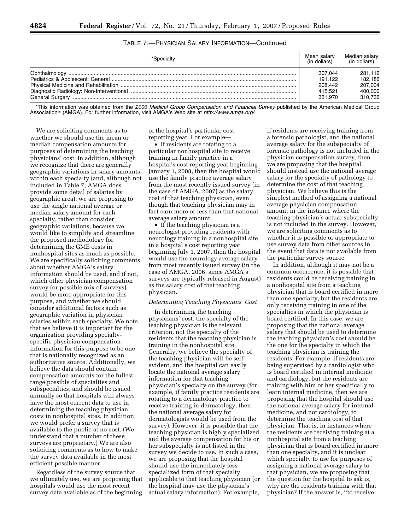# TABLE 7.—PHYSICIAN SALARY INFORMATION—Continued

| *Specialty | Mean salarv<br>(in dollars) | Median salary<br>(in dollars) |
|------------|-----------------------------|-------------------------------|
|            | 307.044                     | 281.112                       |
|            | 191.122                     | 182.186                       |
|            | 208.442                     | 207.004                       |
|            | 415.521                     | 400.000                       |
|            | 331.970                     | 310,736                       |

\*This information was obtained from the *2006 Medical Group Compensation and Financial Survey* published by the American Medical Group Association (AMGA). For further information, visit AMGA's Web site at *http://www.amga.org/*.

We are soliciting comments as to whether we should use the mean or median compensation amounts for purposes of determining the teaching physicians' cost. In addition, although we recognize that there are generally geographic variations in salary amounts within each specialty (and, although not included in Table 7, AMGA does provide some detail of salaries by geographic area), we are proposing to use the single national average or median salary amount for each specialty, rather than consider geographic variations, because we would like to simplify and streamline the proposed methodology for determining the GME costs in nonhospital sites as much as possible. We are specifically soliciting comments about whether AMGA's salary information should be used, and if not, which other physician compensation survey (or possible mix of surveys) would be more appropriate for this purpose, and whether we should consider additional factors such as geographic variation in physician salaries within each specialty. We note that we believe it is important for the organization providing specialtyspecific physician compensation information for this purpose to be one that is nationally recognized as an authoritative source. Additionally, we believe the data should contain compensation amounts for the fullest range possible of specialties and subspecialties, and should be issued annually so that hospitals will always have the most current data to use in determining the teaching physician costs in nonhospital sites. In addition, we would prefer a survey that is available to the public at no cost. (We understand that a number of these surveys are proprietary.) We are also soliciting comments as to how to make the survey data available in the most efficient possible manner.

Regardless of the survey source that we ultimately use, we are proposing that hospitals would use the most recent survey data available as of the beginning

of the hospital's particular cost reporting year. For example—

• If residents are rotating to a particular nonhospital site to receive training in family practice in a hospital's cost reporting year beginning January 1, 2008, then the hospital would use the family practice average salary from the most recently issued survey (in the case of AMGA, 2007) as the salary cost of that teaching physician, even though that teaching physician may in fact earn more or less than that national average salary amount.

• If the teaching physician is a neurologist providing residents with neurology training in a nonhospital site in a hospital's cost reporting year beginning July 1, 2007, then the hospital would use the neurology average salary from most recently issued survey (in the case of AMGA, 2006, since AMGA's surveys are typically released in August) as the salary cost of that teaching physician.

# *Determining Teaching Physicians' Cost*

In determining the teaching physicians' cost, the specialty of the teaching physician is the relevant criterion, not the specialty of the residents that the teaching physician is training in the nonhospital site. Generally, we believe the specialty of the teaching physician will be selfevident, and the hospital can easily locate the national average salary information for that teaching physician's specialty on the survey (for example, if family practice residents are rotating to a dermatology practice to receive training in dermatology, then the national average salary for dermatologists would be used from the survey). However, it is possible that the teaching physician is highly specialized and the average compensation for his or her subspecialty is not listed in the survey we decide to use. In such a case, we are proposing that the hospital should use the immediately lessspecialized form of that specialty applicable to that teaching physician (or the hospital may use the physician's actual salary information). For example,

if residents are receiving training from a forensic pathologist, and the national average salary for the subspecialty of forensic pathology is not included in the physician compensation survey, then we are proposing that the hospital should instead use the national average salary for the specialty of pathology to determine the cost of that teaching physician. We believe this is the simplest method of assigning a national average physician compensation amount in the instance where the teaching physician's actual subspecialty is not included in the survey. However, we are soliciting comments as to whether it is possible or appropriate to use survey data from other sources in the event that data is not available from the particular survey source.

In addition, although it may not be a common occurrence, it is possible that residents could be receiving training in a nonhospital site from a teaching physician that is board certified in more than one specialty, but the residents are only receiving training in one of the specialties in which the physician is board certified. In this case, we are proposing that the national average salary that should be used to determine the teaching physician's cost should be the one for the specialty in which the teaching physician is training the residents. For example, if residents are being supervised by a cardiologist who is board certified in internal medicine and cardiology, but the residents are training with him or her specifically to learn internal medicine, then we are proposing that the hospital should use the national average salary for internal medicine, and not cardiology, to determine the teaching cost of that physician. That is, in instances where the residents are receiving training at a nonhospital site from a teaching physician that is board certified in more than one specialty, and it is unclear which specialty to use for purposes of assigning a national average salary to that physician, we are proposing that the question for the hospital to ask is, why are the residents training with that physician? If the answer is, ''to receive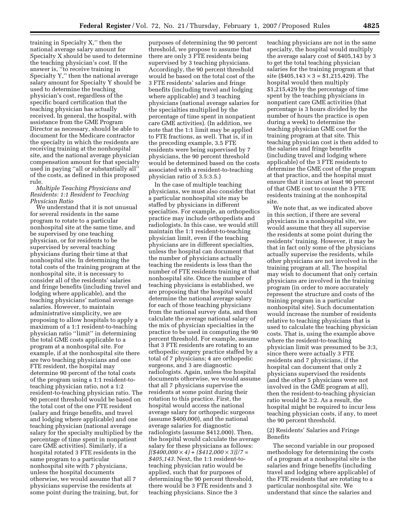training in Specialty X,'' then the national average salary amount for Specialty X should be used to determine the teaching physician's cost. If the answer is, ''to receive training in Specialty Y,'' then the national average salary amount for Specialty Y should be used to determine the teaching physician's cost, regardless of the specific board certification that the teaching physician has actually received. In general, the hospital, with assistance from the GME Program Director as necessary, should be able to document for the Medicare contractor the specialty in which the residents are receiving training at the nonhospital site, and the national average physician compensation amount for that specialty used in paying "all or substantially all" of the costs, as defined in this proposed rule.

## *Multiple Teaching Physicians and Residents: 1:1 Resident to Teaching Physician Ratio*

We understand that it is not unusual for several residents in the same program to rotate to a particular nonhospital site at the same time, and be supervised by one teaching physician, or for residents to be supervised by several teaching physicians during their time at that nonhospital site. In determining the total costs of the training program at the nonhospital site, it is necessary to consider all of the residents' salaries and fringe benefits (including travel and lodging where applicable), and the teaching physicians' national average salaries. However, to maintain administrative simplicity, we are proposing to allow hospitals to apply a maximum of a 1:1 resident-to-teaching physician ratio ''limit'' in determining the total GME costs applicable to a program at a nonhospital site. For example, if at the nonhospital site there are two teaching physicians and one FTE resident, the hospital may determine 90 percent of the total costs of the program using a 1:1 resident-toteaching physician ratio, not a 1:2 resident-to-teaching physician ratio. The 90 percent threshold would be based on the total cost of the one FTE resident (salary and fringe benefits, and travel and lodging where applicable) and one teaching physician (national average salary for the specialty multiplied by the percentage of time spent in nonpatient care GME activities). Similarly, if a hospital rotated 3 FTE residents in the same program to a particular nonhospital site with 7 physicians, unless the hospital documents otherwise, we would assume that all 7 physicians supervise the residents at some point during the training, but, for

purposes of determining the 90 percent threshold, we propose to assume that there are only 3 FTE residents being supervised by 3 teaching physicians. Accordingly, the 90 percent threshold would be based on the total cost of the 3 FTE residents' salaries and fringe benefits (including travel and lodging where applicable) and 3 teaching physicians (national average salaries for the specialties multiplied by the percentage of time spent in nonpatient care GME activities). (In addition, we note that the 1:1 limit may be applied to FTE fractions, as well. That is, if in the preceding example, 3.5 FTE residents were being supervised by 7 physicians, the 90 percent threshold would be determined based on the costs associated with a resident-to-teaching physician ratio of 3.5:3.5.)

In the case of multiple teaching physicians, we must also consider that a particular nonhospital site may be staffed by physicians in different specialties. For example, an orthopedics practice may include orthopedists and radiologists. In this case, we would still maintain the 1:1 resident-to-teaching physician limit, even if the teaching physicians are in different specialties, unless the hospital can document that the number of physicians actually teaching the residents is less than the number of FTE residents training at that nonhospital site. Once the number of teaching physicians is established, we are proposing that the hospital would determine the national average salary for each of those teaching physicians from the national survey data, and then calculate the average national salary of the mix of physician specialties in the practice to be used in computing the 90 percent threshold. For example, assume that 3 FTE residents are rotating to an orthopedic surgery practice staffed by a total of 7 physicians; 4 are orthopedic surgeons, and 3 are diagnostic radiologists. Again, unless the hospital documents otherwise, we would assume that all 7 physicians supervise the residents at some point during their rotation to this practice. First, the hospital would access the national average salary for orthopedic surgeons (assume \$400,000), and the national average salaries for diagnostic radiologists (assume \$412,000). Then, the hospital would calculate the average salary for these physicians as follows: *[(\$400,000* × *4) + (\$412,000* × *3)]/7 = \$405,143.* Next, the 1:1 resident-toteaching physician ratio would be applied, such that for purposes of determining the 90 percent threshold, there would be 3 FTE residents and 3 teaching physicians. Since the 3

teaching physicians are not in the same specialty, the hospital would multiply the average salary cost of \$405,143 by 3 to get the total teaching physician salaries for the training program at that site (\$405,143  $\times$  3 = \$1,215,429). The hospital would then multiply \$1,215,429 by the percentage of time spent by the teaching physicians in nonpatient care GME activities (that percentage is 3 hours divided by the number of hours the practice is open during a week) to determine the teaching physician GME cost for the training program at that site. This teaching physician cost is then added to the salaries and fringe benefits (including travel and lodging where applicable) of the 3 FTE residents to determine the GME cost of the program at that practice, and the hospital must ensure that it incurs at least 90 percent of that GME cost to count the 3 FTE residents training at the nonhospital site.

We note that, as we indicated above in this section, if there are several physicians in a nonhospital site, we would assume that they all supervise the residents at some point during the residents' training. However, it may be that in fact only some of the physicians actually supervise the residents, while other physicians are not involved in the training program at all. The hospital may wish to document that only certain physicians are involved in the training program (in order to more accurately represent the structure and costs of the training program in a particular nonhospital site). Such documentation would increase the number of residents relative to teaching physicians that is used to calculate the teaching physician costs. That is, using the example above where the resident-to-teaching physician limit was presumed to be 3:3, since there were actually 3 FTE residents and 7 physicians, if the hospital can document that only 2 physicians supervised the residents (and the other 5 physicians were not involved in the GME program at all), then the resident-to-teaching physician ratio would be 3:2. As a result, the hospital might be required to incur less teaching physician costs, if any, to meet the 90 percent threshold.

## (2) Residents' Salaries and Fringe Benefits

The second variable in our proposed methodology for determining the costs of a program at a nonhospital site is the salaries and fringe benefits (including travel and lodging where applicable) of the FTE residents that are rotating to a particular nonhospital site. We understand that since the salaries and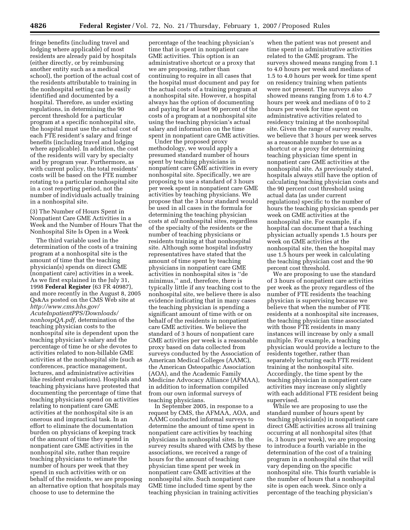fringe benefits (including travel and lodging where applicable) of most residents are already paid by hospitals (either directly, or by reimbursing another entity such as a medical school), the portion of the actual cost of the residents attributable to training in the nonhospital setting can be easily identified and documented by a hospital. Therefore, as under existing regulations, in determining the 90 percent threshold for a particular program at a specific nonhospital site, the hospital must use the actual cost of each FTE resident's salary and fringe benefits (including travel and lodging where applicable). In addition, the cost of the residents will vary by specialty and by program year. Furthermore, as with current policy, the total residents' costs will be based on the FTE number rotating to a particular nonhospital site in a cost reporting period, not the number of individuals actually training in a nonhospital site.

(3) The Number of Hours Spent in Nonpatient Care GME Activities in a Week and the Number of Hours That the Nonhospital Site Is Open in a Week

The third variable used in the determination of the costs of a training program at a nonhospital site is the amount of time that the teaching physician(s) spends on direct GME (nonpatient care) activities in a week. As we first explained in the July 31, 1998 **Federal Register** (63 FR 40987), and more recently in the August 8, 2005 Qs&As posted on the CMS Web site at *http://www.cms.hhs.gov/ AcuteInpatientPPS/Downloads/ nonhospQA.pdf,* determination of the teaching physician costs to the nonhospital site is dependent upon the teaching physician's salary and the percentage of time he or she devotes to activities related to non-billable GME activities at the nonhospital site (such as conferences, practice management, lectures, and administrative activities like resident evaluations). Hospitals and teaching physicians have protested that documenting the percentage of time that teaching physicians spend on activities relating to nonpatient care GME activities at the nonhospital site is an onerous and impractical task. In an effort to eliminate the documentation burden on physicians of keeping track of the amount of time they spend in nonpatient care GME activities in the nonhospital site, rather than require teaching physicians to estimate the number of hours per week that they spend in such activities with or on behalf of the residents, we are proposing an alternative option that hospitals may choose to use to determine the

percentage of the teaching physician's time that is spent in nonpatient care GME activities. This option is an administrative shortcut or a proxy that we are proposing, rather than continuing to require in all cases that the hospital must document and pay for the actual costs of a training program at a nonhospital site. However, a hospital always has the option of documenting and paying for at least 90 percent of the costs of a program at a nonhospital site using the teaching physician's actual salary and information on the time spent in nonpatient care GME activities.

Under the proposed proxy methodology, we would apply a presumed standard number of hours spent by teaching physicians in nonpatient care GME activities in every nonhospital site. Specifically, we are proposing to use a standard of 3 hours per week spent in nonpatient care GME activities by teaching physicians. We propose that the 3 hour standard would be used in all cases in the formula for determining the teaching physician costs at *all* nonhospital sites, regardless of the specialty of the residents or the number of teaching physicians or residents training at that nonhospital site. Although some hospital industry representatives have stated that the amount of time spent by teaching physicians in nonpatient care GME activities in nonhospital sites is ''de minimus,'' and, therefore, there is typically little if any teaching cost to the nonhospital site, we believe there is also evidence indicating that in many cases the teaching physician is spending a significant amount of time with or on behalf of the residents in nonpatient care GME activities. We believe the standard of 3 hours of nonpatient care GME activities per week is a reasonable proxy based on data collected from surveys conducted by the Association of American Medical Colleges (AAMC), the American Osteopathic Association (AOA), and the Academic Family Medicine Advocacy Alliance (AFMAA), in addition to information compiled from our own informal surveys of teaching physicians.

In September 2005, in response to a request by CMS, the AFMAA, AOA, and AAMC conducted informal surveys to determine the amount of time spent in nonpatient care activities by teaching physicians in nonhospital sites. In the survey results shared with CMS by these associations, we received a range of hours for the amount of teaching physician time spent per week in nonpatient care GME activities at the nonhospital site. Such nonpatient care GME time included time spent by the teaching physician in training activities

when the patient was not present and time spent in administrative activities related to the GME program. The surveys showed means ranging from 1.1 to 4.0 hours per week and medians of 1.5 to 4.0 hours per week for time spent on residency training when patients were not present. The surveys also showed means ranging from 1.6 to 4.7 hours per week and medians of 0 to 2 hours per week for time spent on administrative activities related to residency training at the nonhospital site. Given the range of survey results, we believe that 3 hours per week serves as a reasonable number to use as a shortcut or a proxy for determining teaching physician time spent in nonpatient care GME activities at the nonhospital site. As previously stated, hospitals always still have the option of calculating teaching physician costs and the 90 percent cost threshold using actual data (as under current regulations) specific to the number of hours the teaching physician spends per week on GME activities at the nonhospital site. For example, if a hospital can document that a teaching physician actually spends 1.5 hours per week on GME activities at the nonhospital site, then the hospital may use 1.5 hours per week in calculating the teaching physician cost and the 90 percent cost threshold.

We are proposing to use the standard of 3 hours of nonpatient care activities per week as the proxy regardless of the number of FTE residents the teaching physician is supervising because we believe that when the number of FTE residents at a nonhospital site increases, the teaching physician time associated with those FTE residents in many instances will increase by only a small multiple. For example, a teaching physician would provide a lecture to the residents together, rather than separately lecturing each FTE resident training at the nonhospital site. Accordingly, the time spent by the teaching physician in nonpatient care activities may increase only slightly with each additional FTE resident being supervised.

While we are proposing to use the standard number of hours spent by teaching physician(s) in nonpatient care direct GME activities across all training occurring at all nonhospital sites (that is, 3 hours per week), we are proposing to introduce a fourth variable in the determination of the cost of a training program in a nonhospital site that will vary depending on the specific nonhospital site. This fourth variable is the number of hours that a nonhospital site is open each week. Since only a percentage of the teaching physician's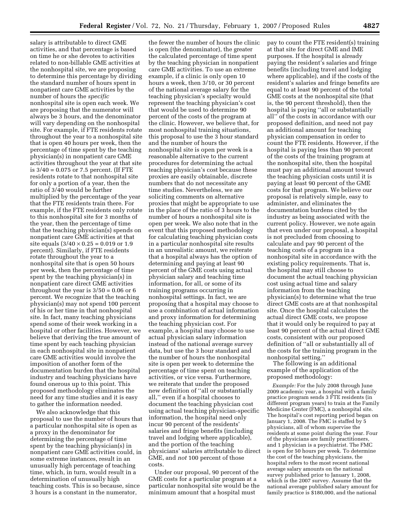salary is attributable to direct GME activities, and that percentage is based on time he or she devotes to activities related to non-billable GME activities at the nonhospital site, we are proposing to determine this percentage by dividing the standard number of hours spent in nonpatient care GME activities by the number of hours the *specific*  nonhospital site is open each week. We are proposing that the numerator will always be 3 hours, and the denominator will vary depending on the nonhospital site. For example, if FTE residents rotate throughout the year to a nonhospital site that is open 40 hours per week, then the percentage of time spent by the teaching physician(s) in nonpatient care GME activities throughout the year at that site is 3/40 = 0.075 or 7.5 percent. (If FTE residents rotate to that nonhospital site for only a portion of a year, then the ratio of 3/40 would be further multiplied by the percentage of the year that the FTE residents train there. For example, if the FTE residents only rotate to this nonhospital site for 3 months of the year, then the percentage of time that the teaching physician(s) spends on nonpatient care GME activities at that site equals  $(3/40 \times 0.25 = 0.019 \text{ or } 1.9)$ percent). Similarly, if FTE residents rotate throughout the year to a nonhospital site that is open 50 hours per week, then the percentage of time spent by the teaching physician(s) in nonpatient care direct GME activities throughout the year is  $3/50 = 0.06$  or 6 percent. We recognize that the teaching physician(s) may not spend 100 percent of his or her time in that nonhospital site. In fact, many teaching physicians spend some of their week working in a hospital or other facilities. However, we believe that deriving the true amount of time spent by each teaching physician in each nonhospital site in nonpatient care GME activities would involve the imposition of another form of the documentation burden that the hospital industry and teaching physicians have found onerous up to this point. This proposed methodology eliminates the need for any time studies and it is easy to gather the information needed.

We also acknowledge that this proposal to use the number of hours that a particular nonhospital site is open as a proxy in the denominator for determining the percentage of time spent by the teaching physician(s) in nonpatient care GME activities could, in some extreme instances, result in an unusually high percentage of teaching time, which, in turn, would result in a determination of unusually high teaching costs. This is so because, since 3 hours is a constant in the numerator,

the fewer the number of hours the clinic is open (the denominator), the greater the calculated percentage of time spent by the teaching physician in nonpatient care GME activities. To use an extreme example, if a clinic is only open 10 hours a week, then 3/10, or 30 percent of the national average salary for the teaching physician's specialty would represent the teaching physician's cost that would be used to determine 90 percent of the costs of the program at the clinic. However, we believe that, for most nonhospital training situations, this proposal to use the 3 hour standard and the number of hours the nonhospital site is open per week is a reasonable alternative to the current procedures for determining the actual teaching physician's cost because these proxies are easily obtainable, discrete numbers that do not necessitate any time studies. Nevertheless, we are soliciting comments on alternative proxies that might be appropriate to use in the place of the ratio of 3 hours to the number of hours a nonhospital site is open per week. We also note that in the event that this proposed methodology for calculating teaching physician costs in a particular nonhospital site results in an unrealistic amount, we reiterate that a hospital always has the option of determining and paying at least 90 percent of the GME costs using actual physician salary and teaching time information, for all, or some of its training programs occurring in nonhospital settings. In fact, we are proposing that a hospital may choose to use a combination of actual information and proxy information for determining the teaching physician cost. For example, a hospital may choose to use actual physician salary information instead of the national average survey data, but use the 3 hour standard and the number of hours the nonhospital site is open per week to determine the percentage of time spent on teaching activities, or vice versa. Furthermore, we reiterate that under the proposed new definition of ''all or substantially all,'' even if a hospital chooses to document the teaching physician cost using actual teaching physician-specific information, the hospital need only incur 90 percent of the residents' salaries and fringe benefits (including travel and lodging where applicable), and the portion of the teaching physicians' salaries attributable to direct GME, and *not* 100 percent of those costs.

Under our proposal, 90 percent of the GME costs for a particular program at a particular nonhospital site would be the minimum amount that a hospital must

pay to count the FTE resident(s) training at that site for direct GME and IME purposes. If the hospital is already paying the resident's salaries and fringe benefits (including travel and lodging where applicable), and if the costs of the resident's salaries and fringe benefits are equal to at least 90 percent of the total GME costs at the nonhospital site (that is, the 90 percent threshold), then the hospital is paying ''all or substantially all'' of the costs in accordance with our proposed definition, and need not pay an additional amount for teaching physician compensation in order to count the FTE residents. However, if the hospital is paying less than 90 percent of the costs of the training program at the nonhospital site, then the hospital must pay an additional amount toward the teaching physician costs until it is paying at least 90 percent of the GME costs for that program. We believe our proposal is relatively simple, easy to administer, and eliminates the documentation burdens cited by the industry as being associated with the current policy. However, we note again that even under our proposal, a hospital is not precluded from choosing to calculate and pay 90 percent of the teaching costs of a program in a nonhospital site in accordance with the existing policy requirements. That is, the hospital may still choose to document the actual teaching physician cost using actual time and salary information from the teaching physician(s) to determine what the true direct GME costs are at that nonhospital site. Once the hospital calculates the actual direct GME costs, we propose that it would only be required to pay at least 90 percent of the actual direct GME costs, consistent with our proposed definition of ''all or substantially all of the costs for the training program in the nonhospital setting.''

The following is an additional example of the application of the proposed methodology:

*Example:* For the July 2008 through June 2009 academic year, a hospital with a family practice program sends 3 FTE residents (in different program years) to train at the Family Medicine Center (FMC), a nonhospital site. The hospital's cost reporting period began on January 1, 2008. The FMC is staffed by 5 physicians, all of whom supervise the residents at some point during the year. Four of the physicians are family practitioners, and 1 physician is a psychiatrist. The FMC is open for 50 hours per week. To determine the cost of the teaching physicians, the hospital refers to the most recent national average salary amounts on the national survey published prior to January 1, 2008, which is the 2007 survey. Assume that the national average published salary amount for family practice is \$180,000, and the national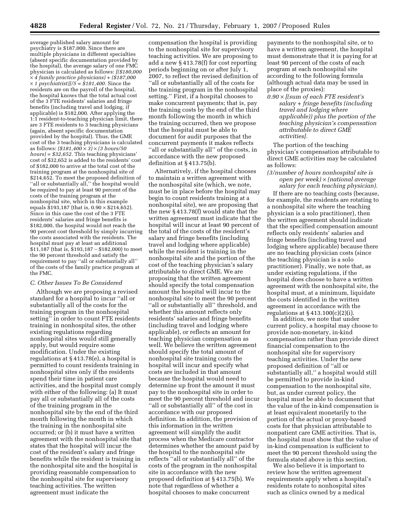average published salary amount for psychiatry is \$187,000. Since there are multiple physicians in different specialties (absent specific documentation provided by the hospital), the average salary of one FMC physician is calculated as follows: *[(\$180,000*  × *4 family practice physicians) + (\$187,000*  × *1 psychiatrist)]/5 = \$181,400.* Since the residents are on the payroll of the hospital, the hospital knows that the total actual cost of the 3 FTE residents' salaries and fringe benefits (including travel and lodging, if applicable) is \$182,000. After applying the 1:1 resident-to-teaching physician limit, there are 3 FTE residents to 3 teaching physicians (again, absent specific documentation provided by the hospital). Thus, the GME cost of the 3 teaching physicians is calculated as follows: *(\$181,400* × *3)* × *(3 hours/50 hours) = \$32,652.* This teaching physicians' cost of \$32,652 is added to the residents' cost of \$182,000 to arrive at the total cost of the training program at the nonhospital site of \$214,652. To meet the proposed definition of ''all or substantially all,'' the hospital would be required to pay at least 90 percent of the costs of the training program at the nonhospital site, which in this example equals  $$193,187$  (that is,  $0.90 \times $214,652$ ). Since in this case the cost of the 3 FTE residents' salaries and fringe benefits is \$182,000, the hospital would not reach the 90 percent cost threshold by simply incurring the costs associated with the residents. The hospital must pay at least an additional  $$11,187$  (that is,  $$193,187 - $182,000$ ) to meet the 90 percent threshold and satisfy the requirement to pay ''all or substantially all'' of the costs of the family practice program at the FMC.

# *C. Other Issues To Be Considered*

Although we are proposing a revised standard for a hospital to incur ''all or substantially all of the costs for the training program in the nonhospital setting'' in order to count FTE residents training in nonhospital sites, the other existing regulations regarding nonhospital sites would still generally apply, but would require some modification. Under the existing regulations at § 413.78(e), a hospital is permitted to count residents training in nonhospital sites only if the residents spend their time in patient care activities, and the hospital must comply with either of the following: (a) It must pay all or substantially all of the costs of the training program in the nonhospital site by the end of the third month following the month in which the training in the nonhospital site occurred; or (b) it must have a written agreement with the nonhospital site that states that the hospital will incur the cost of the resident's salary and fringe benefits while the resident is training in the nonhospital site and the hospital is providing reasonable compensation to the nonhospital site for supervisory teaching activities. The written agreement must indicate the

compensation the hospital is providing to the nonhospital site for supervisory teaching activities. We are proposing to add a new § 413.78(f) for cost reporting periods beginning on or after July 1, 2007, to reflect the revised definition of ''all or substantially all of the costs for the training program in the nonhospital setting.'' First, if a hospital chooses to make concurrent payments; that is, pay the training costs by the end of the third month following the month in which the training occurred, then we propose that the hospital must be able to document for audit purposes that the concurrent payments it makes reflects ''all or substantially all'' of the costs, in accordance with the new proposed definition at § 413.75(b).

Alternatively, if the hospital chooses to maintain a written agreement with the nonhospital site (which, we note, must be in place before the hospital may begin to count residents training at a nonhospital site), we are proposing that the new § 413.78(f) would state that the written agreement must indicate that the hospital will incur at least 90 percent of the total of the costs of the resident's salary and fringe benefits (including travel and lodging where applicable) while the resident is training in the nonhospital site and the portion of the cost of the teaching physician's salary attributable to direct GME. We are proposing that the written agreement should specify the total compensation amount the hospital will incur to the nonhospital site to meet the 90 percent ''all or substantially all'' threshold, and whether this amount reflects only residents' salaries and fringe benefits (including travel and lodging where applicable), or reflects an amount for teaching physician compensation as well. We believe the written agreement should specify the total amount of nonhospital site training costs the hospital will incur and specify what costs are included in that amount because the hospital would need to determine up front the amount it must pay to the nonhospital site in order to meet the 90 percent threshold and incur ''all or substantially all'' of the cost in accordance with our proposed definition. In addition, the provision of this information in the written agreement will simplify the audit process when the Medicare contractor determines whether the amount paid by the hospital to the nonhospital site reflects ''all or substantially all'' of the costs of the program in the nonhospital site in accordance with the new proposed definition at § 413.75(b). We note that regardless of whether a hospital chooses to make concurrent

payments to the nonhospital site, or to have a written agreement, the hospital must demonstrate that it is paying for at least 90 percent of the costs of each program at each nonhospital site according to the following formula (although actual data may be used in place of the proxies):

*0.90* × *[(sum of each FTE resident's salary + fringe benefits (including travel and lodging where applicable)) plus the portion of the teaching physician's compensation attributable to direct GME activities].* 

The portion of the teaching physician's compensation attributable to direct GME activities may be calculated as follows:

# *(3/number of hours nonhospital site is open per week)* × *(national average salary for each teaching physician).*

If there are no teaching costs (because, for example, the residents are rotating to a nonhospital site where the teaching physician is a solo practitioner), then the written agreement should indicate that the specified compensation amount reflects only residents' salaries and fringe benefits (including travel and lodging where applicable) because there are no teaching physician costs (since the teaching physician is a solo practitioner). Finally, we note that, as under existing regulations, if the hospital does choose to have a written agreement with the nonhospital site, the hospital must, at a minimum, liquidate the costs identified in the written agreement in accordance with the regulations at § 413.100(c)(2)(i).

In addition, we note that under current policy, a hospital may choose to provide non-monetary, in-kind compensation rather than provide direct financial compensation to the nonhospital site for supervisory teaching activities. Under the new proposed definition of ''all or substantially all,'' a hospital would still be permitted to provide in-kind compensation to the nonhospital site, but, as under current policy, the hospital must be able to document that the value of the in-kind compensation is at least equivalent monetarily to the portion of the actual or proxy-based costs for that physician attributable to nonpatient care GME activities. That is, the hospital must show that the value of in-kind compensation is sufficient to meet the 90 percent threshold using the formula stated above in this section.

We also believe it is important to review how the written agreement requirements apply when a hospital's residents rotate to nonhospital sites such as clinics owned by a medical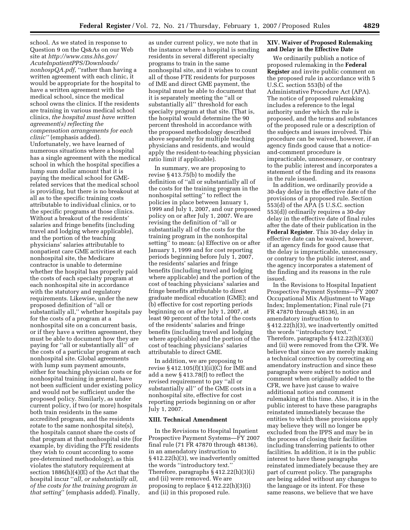school. As we stated in response to Question 9 on the Qs&As on our Web site at *http://www.cms.hhs.gov/ AcuteInpatientPPS/Downloads/ nonhospQA.pdf,* ''rather than having a written agreement with each clinic, it would be appropriate for the hospital to have a written agreement with the medical school, since the medical school owns the clinics. If the residents are training in various medical school clinics, *the hospital must have written agreement(s) reflecting the compensation arrangements for each clinic''* (emphasis added). Unfortunately, we have learned of numerous situations where a hospital has a single agreement with the medical school in which the hospital specifies a lump sum dollar amount that it is paying the medical school for GMErelated services that the medical school is providing, but there is no breakout at all as to the specific training costs attributable to individual clinics, or to the specific programs at those clinics. Without a breakout of the residents' salaries and fringe benefits (including travel and lodging where applicable), and the portion of the teaching physicians' salaries attributable to nonpatient care GME activities at each nonhospital site, the Medicare contractor is unable to determine whether the hospital has properly paid the costs of each specialty program at each nonhospital site in accordance with the statutory and regulatory requirements. Likewise, under the new proposed definition of ''all or substantially all,'' whether hospitals pay for the costs of a program at a nonhospital site on a concurrent basis, or if they have a written agreement, they must be able to document how they are paying for ''all or substantially all'' of the costs of a particular program at each nonhospital site. Global agreements with lump sum payment amounts, either for teaching physician costs or for nonhospital training in general, have not been sufficient under existing policy and would not be sufficient under the proposed policy. Similarly, as under current policy, if two (or more) hospitals both train residents in the same accredited program, and the residents rotate to the same nonhospital site(s), the hospitals cannot share the costs of that program at that nonhospital site (for example, by dividing the FTE residents they wish to count according to some pre-determined methodology), as this violates the statutory requirement at section 1886(h)(4)(E) of the Act that the hospital incur ''*all, or substantially all, of the costs for the training program in that setting*'' (emphasis added). Finally,

as under current policy, we note that in the instance where a hospital is sending residents in several different specialty programs to train in the same nonhospital site, and it wishes to count all of those FTE residents for purposes of IME and direct GME payment, the hospital must be able to document that it is separately meeting the ''all or substantially all'' threshold for each specialty program at that site. (That is, the hospital would determine the 90 percent threshold in accordance with the proposed methodology described above separately for multiple teaching physicians and residents, and would apply the resident-to-teaching physician ratio limit if applicable).

In summary, we are proposing to revise § 413.75(b) to modify the definition of ''all or substantially all of the costs for the training program in the nonhospital setting'' to reflect the policies in place between January 1, 1999 and July 1, 2007, and our proposed policy on or after July 1, 2007. We are revising the definition of ''all or substantially all of the costs for the training program in the nonhospital setting'' to mean: (a) Effective on or after January 1, 1999 and for cost reporting periods beginning before July 1, 2007, the residents' salaries and fringe benefits (including travel and lodging where applicable) and the portion of the cost of teaching physicians' salaries and fringe benefits attributable to direct graduate medical education (GME); and (b) effective for cost reporting periods beginning on or after July 1, 2007, at least 90 percent of the total of the costs of the residents' salaries and fringe benefits (including travel and lodging where applicable) and the portion of the cost of teaching physicians' salaries attributable to direct GME.

In addition, we are proposing to revise § 412.105(f)(1)(ii)(C) for IME and add a new § 413.78(f) to reflect the revised requirement to pay ''all or substantially all'' of the GME costs in a nonhospital site, effective for cost reporting periods beginning on or after July 1, 2007.

### **XIII. Technical Amendment**

In the Revisions to Hospital Inpatient Prospective Payment Systems—FY 2007 final rule (71 FR 47870 through 48136), in an amendatory instruction to § 412.22(h)(3), we inadvertently omitted the words ''introductory text.'' Therefore, paragraphs § 412.22(h)(3)(i) and (ii) were removed. We are proposing to replace § 412.22(h)(3)(i) and (ii) in this proposed rule.

## **XIV. Waiver of Proposed Rulemaking and Delay in the Effective Date**

We ordinarily publish a notice of proposed rulemaking in the **Federal Register** and invite public comment on the proposed rule in accordance with 5 U.S.C. section 553(b) of the Administrative Procedure Act (APA). The notice of proposed rulemaking includes a reference to the legal authority under which the rule is proposed, and the terms and substances of the proposed rule or a description of the subjects and issues involved. This procedure can be waived, however, if an agency finds good cause that a noticeand-comment procedure is impracticable, unnecessary, or contrary to the public interest and incorporates a statement of the finding and its reasons in the rule issued.

In addition, we ordinarily provide a 30-day delay in the effective date of the provisions of a proposed rule. Section  $\overline{5}$ 53(d) of the APA (5 U.S.C. section 553(d)) ordinarily requires a 30-day delay in the effective date of final rules after the date of their publication in the **Federal Register**. This 30-day delay in effective date can be waived, however, if an agency finds for good cause that the delay is impracticable, unnecessary, or contrary to the public interest, and the agency incorporates a statement of the finding and its reasons in the rule issued.

In the Revisions to Hospital Inpatient Prospective Payment Systems—FY 2007 Occupational Mix Adjustment to Wage Index; Implementation; Final rule (71 FR 47870 through 48136), in an amendatory instruction to § 412.22(h)(3), we inadvertently omitted the words ''introductory text.'' Therefore, paragraphs § 412.22(h)(3)(i) and (ii) were removed from the CFR. We believe that since we are merely making a technical correction by correcting an amendatory instruction and since these paragraphs were subject to notice and comment when originally added to the CFR, we have just cause to waive additional notice and comment rulemaking at this time. Also, it is in the public interest to have these paragraphs reinstated immediately because the entities to which these provisions apply may believe they will no longer be excluded from the IPPS and may be in the process of closing their facilities including transferring patients to other facilities. In addition, it is in the public interest to have these paragraphs reinstated immediately because they are part of current policy. The paragraphs are being added without any changes to the language or its intent. For these same reasons, we believe that we have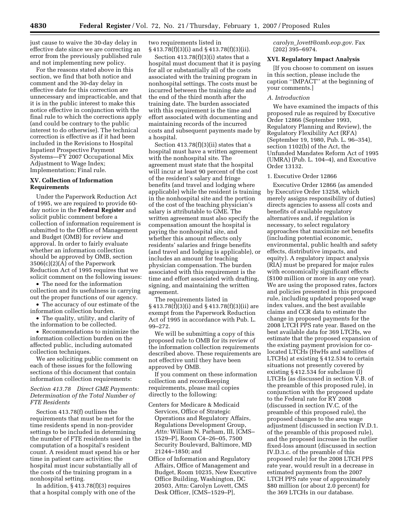just cause to waive the 30-day delay in effective date since we are correcting an error from the previously published rule and not implementing new policy.

For the reasons stated above in this section, we find that both notice and comment and the 30-day delay in effective date for this correction are unnecessary and impracticable, and that it is in the public interest to make this notice effective in conjunction with the final rule to which the corrections apply (and could be contrary to the public interest to do otherwise). The technical correction is effective as if it had been included in the Revisions to Hospital Inpatient Prospective Payment Systems—FY 2007 Occupational Mix Adjustment to Wage Index; Implementation; Final rule.

## **XV. Collection of Information Requirements**

Under the Paperwork Reduction Act of 1995, we are required to provide 60 day notice in the **Federal Register** and solicit public comment before a collection of information requirement is submitted to the Office of Management and Budget (OMB) for review and approval. In order to fairly evaluate whether an information collection should be approved by OMB, section 3506(c)(2)(A) of the Paperwork Reduction Act of 1995 requires that we solicit comment on the following issues:

• The need for the information collection and its usefulness in carrying out the proper functions of our agency.

• The accuracy of our estimate of the information collection burden.

• The quality, utility, and clarity of the information to be collected.

• Recommendations to minimize the information collection burden on the affected public, including automated collection techniques.

We are soliciting public comment on each of these issues for the following sections of this document that contain information collection requirements:

## *Section 413.78 Direct GME Payments: Determination of the Total Number of FTE Residents*

Section 413.78(f) outlines the requirements that must be met for the time residents spend in non-provider settings to be included in determining the number of FTE residents used in the computation of a hospital's resident count. A resident must spend his or her time in patient care activities; the hospital must incur substantially all of the costs of the training program in a nonhospital setting.

In addition, § 413.78(f)(3) requires that a hospital comply with one of the two requirements listed in § 413.78(f)(3)(i) and § 413.78(f)(3)(ii).

Section  $413.78(f)(3)(i)$  states that a hospital must document that it is paying for all or substantially all of the costs associated with the training program in nonhospital settings. The costs must be incurred between the training date and the end of the third month after the training date. The burden associated with this requirement is the time and effort associated with documenting and maintaining records of the incurred costs and subsequent payments made by a hospital.

Section 413.78(f)(3)(ii) states that a hospital must have a written agreement with the nonhospital site. The agreement must state that the hospital will incur at least 90 percent of the cost of the resident's salary and fringe benefits (and travel and lodging where applicable) while the resident is training in the nonhospital site and the portion of the cost of the teaching physician's salary is attributable to GME. The written agreement must also specify the compensation amount the hospital is paying the nonhospital site, and whether this amount reflects only residents' salaries and fringe benefits (and travel and lodging is applicable), or includes an amount for teaching physician compensation. The burden associated with this requirement is the time and effort associated with drafting, signing, and maintaining the written agreement.

The requirements listed in § 413.78(f)(3)(i) and § 413.78(f)(3)(ii) are exempt from the Paperwork Reduction Act of 1995 in accordance with Pub. L. 99–272.

We will be submitting a copy of this proposed rule to OMB for its review of the information collection requirements described above. These requirements are not effective until they have been approved by OMB.

If you comment on these information collection and recordkeeping requirements, please mail copies directly to the following:

- Centers for Medicare & Medicaid Services, Office of Strategic Operations and Regulatory Affairs, Regulations Development Group, *Attn:* William N. Parham, III, [CMS– 1529–P], Room C4–26–05, 7500 Security Boulevard, Baltimore, MD 21244–1850; and
- Office of Information and Regulatory Affairs, Office of Management and Budget, Room 10235, New Executive Office Building, Washington, DC 20503, Attn: Carolyn Lovett, CMS Desk Officer, [CMS–1529–P],

*carolyn*\_*lovett@omb.eop.gov*. Fax (202) 395–6974.

### **XVI. Regulatory Impact Analysis**

[If you choose to comment on issues in this section, please include the caption ''IMPACT'' at the beginning of your comments.]

# *A. Introduction*

We have examined the impacts of this proposed rule as required by Executive Order 12866 (September 1993, Regulatory Planning and Review), the Regulatory Flexibility Act (RFA) (September 19, 1980, Pub. L. 96–354), section 1102(b) of the Act, the Unfunded Mandates Reform Act of 1995 (UMRA) (Pub. L. 104–4), and Executive Order 13132.

### 1. Executive Order 12866

Executive Order 12866 (as amended by Executive Order 13258, which merely assigns responsibility of duties) directs agencies to assess all costs and benefits of available regulatory alternatives and, if regulation is necessary, to select regulatory approaches that maximize net benefits (including potential economic, environmental, public health and safety effects, distributive impacts, and equity). A regulatory impact analysis (RIA) must be prepared for major rules with economically significant effects (\$100 million or more in any one year). We are using the proposed rates, factors and policies presented in this proposed rule, including updated proposed wage index values, and the best available claims and CCR data to estimate the change in proposed payments for the 2008 LTCH PPS rate year. Based on the best available data for 369 LTCHs, we estimate that the proposed expansion of the existing payment provision for colocated LTCHs (HwHs and satellites of LTCHs) at existing § 412.534 to certain situations not presently covered by existing § 412.534 for subclause (I) LTCHs (as discussed in section V.B. of the preamble of this proposed rule), in conjunction with the proposed update to the Federal rate for RY 2008 (discussed in section IV.C. of the preamble of this proposed rule), the proposed changes to the area wage adjustment (discussed in section IV.D.1. of the preamble of this proposed rule), and the proposed increase in the outlier fixed-loss amount (discussed in section IV.D.3.c. of the preamble of this proposed rule) for the 2008 LTCH PPS rate year, would result in a decrease in estimated payments from the 2007 LTCH PPS rate year of approximately \$80 million (or about 2.0 percent) for the 369 LTCHs in our database.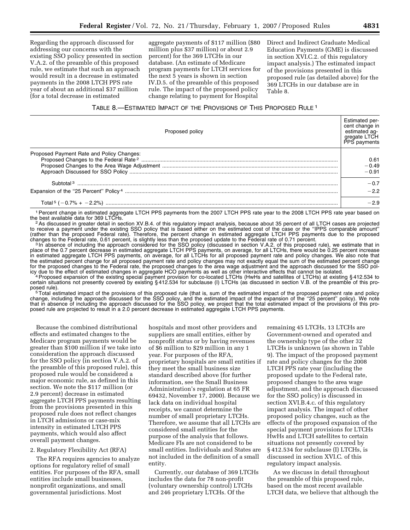Regarding the approach discussed for addressing our concerns with the existing SSO policy presented in section V.A.2. of the preamble of this proposed rule, we estimate that such an approach would result in a decrease in estimated payments in the 2008 LTCH PPS rate year of about an additional \$37 million (for a total decrease in estimated

aggregate payments of \$117 million (\$80 million plus \$37 million) or about 2.9 percent) for the 369 LTCHs in our database. (An estimate of Medicare program payments for LTCH services for the next 5 years is shown in section IV.D.5. of the preamble of this proposed rule. The impact of the proposed policy change relating to payment for Hospital

Direct and Indirect Graduate Medical Education Payments (GME) is discussed in section XVI.C.2. of this regulatory impact analysis.) The estimated impact of the provisions presented in this proposed rule (as detailed above) for the 369 LTCHs in our database are in Table 8.

# TABLE 8.—ESTIMATED IMPACT OF THE PROVISIONS OF THIS PROPOSED RULE 1

| Proposed policy                           | <b>Estimated per-</b><br>cent change in<br>estimated ag-<br>gregate LTCH<br>PPS payments |
|-------------------------------------------|------------------------------------------------------------------------------------------|
| Proposed Payment Rate and Policy Changes: | 0.61<br>$-0.49$<br>$-0.91$                                                               |
|                                           | $-0.7$                                                                                   |
|                                           | $-22$                                                                                    |
|                                           | -29                                                                                      |

<sup>1</sup> Percent change in estimated aggregate LTCH PPS payments from the 2007 LTCH PPS rate year to the 2008 LTCH PPS rate year based on the best available data for 369 LTCHs.

<sup>2</sup> As discussed in greater detail in section XV.B.4. of this regulatory impact analysis, because about 35 percent of all LTCH cases are projected to receive a payment under the existing SSO policy that is based either on the estimated cost of the case or the ''IPPS comparable amount'' (rather than the proposed Federal rate). Therefore, the percent change in estimated aggregate LTCH PPS payments due to the proposed changes to the Federal rate, 0.61 percent, is slightly less than the proposed update to the Federal rate of 0.71 percent.<br><sup>3</sup>In absence of including the approach considered for the SSO policy (discussed in section V.A.2. o

place of the 0.7 percent decrease in estimated aggregate LTCH PPS payments, on average, for all LTCHs, there would be 0.25 percent increase in estimated aggregate LTCH PPS payments, on average, for all LTCHs for all proposed payment rate and policy changes. We also note that the estimated percent change for all proposed payment rate and policy changes may not exactly equal the sum of the estimated percent change for the proposed changes to the Federal rate, the proposed changes to the area wage adjustment and the approach discussed for the SSO policy due to the effect of estimated changes in aggregate HCO payments as well as other interactive effects that cannot be isolated.<br><sup>4</sup> Proposed expansion of the existing special payment provision for co-located LTCHs (HwHs

certain situations not presently covered by existing §412.534 for subclause (I) LTCHs (as discussed in section V.B. of the preamble of this pro-<br>posed rule).

posed rule).<br><sup>5</sup>Total estimated impact of the provisions of this proposed rule (that is, sum of the estimated impact of the proposed payment rate and policy change, including the approach discussed for the SSO policy, and the estimated impact of the expansion of the ''25 percent'' policy). We note that in absence of including the approach discussed for the SSO policy, we project that the total estimated impact of the provisions of this proposed rule are projected to result in a 2.0 percent decrease in estimated aggregate LTCH PPS payments.

Because the combined distributional effects and estimated changes to the Medicare program payments would be greater than \$100 million if we take into consideration the approach discussed for the SSO policy (in section V.A.2. of the preamble of this proposed rule), this proposed rule would be considered a major economic rule, as defined in this section. We note the \$117 million (or 2.9 percent) decrease in estimated aggregate LTCH PPS payments resulting from the provisions presented in this proposed rule does not reflect changes in LTCH admissions or case-mix intensity in estimated LTCH PPS payments, which would also affect overall payment changes.

### 2. Regulatory Flexibility Act (RFA)

The RFA requires agencies to analyze options for regulatory relief of small entities. For purposes of the RFA, small entities include small businesses, nonprofit organizations, and small governmental jurisdictions. Most

hospitals and most other providers and suppliers are small entities, either by nonprofit status or by having revenues of \$6 million to \$29 million in any 1 year. For purposes of the RFA, proprietary hospitals are small entities if they meet the small business size standard described above (for further information, see the Small Business Administration's regulation at 65 FR 69432, November 17, 2000). Because we lack data on individual hospital receipts, we cannot determine the number of small proprietary LTCHs. Therefore, we assume that all LTCHs are considered small entities for the purpose of the analysis that follows. Medicare FIs are not considered to be small entities. Individuals and States are not included in the definition of a small entity.

Currently, our database of 369 LTCHs includes the data for 78 non-profit (voluntary ownership control) LTCHs and 246 proprietary LTCHs. Of the

remaining 45 LTCHs, 13 LTCHs are Government-owned and operated and the ownership type of the other 32 LTCHs is unknown (as shown in Table 9). The impact of the proposed payment rate and policy changes for the 2008 LTCH PPS rate year (including the proposed update to the Federal rate, proposed changes to the area wage adjustment, and the approach discussed for the SSO policy) is discussed in section XVI.B.4.c. of this regulatory impact analysis. The impact of other proposed policy changes, such as the effects of the proposed expansion of the special payment provisions for LTCHs HwHs and LTCH satellites to certain situations not presently covered by § 412.534 for subclause (I) LTCHs, is discussed in section XVI.C. of this regulatory impact analysis.

As we discuss in detail throughout the preamble of this proposed rule, based on the most recent available LTCH data, we believe that although the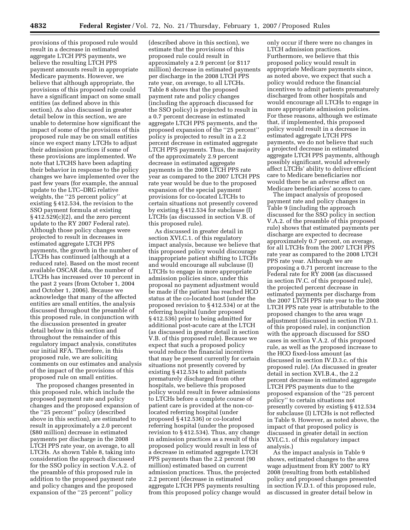provisions of this proposed rule would result in a decrease in estimated aggregate LTCH PPS payments, we believe the resulting LTCH PPS payment amounts result in appropriate Medicare payments. However, we believe that although appropriate, the provisions of this proposed rule could have a significant impact on some small entities (as defined above in this section). As also discussed in greater detail below in this section, we are unable to determine how significant the impact of some of the provisions of this proposed rule may be on small entities since we expect many LTCHs to adjust their admission practices if some of these provisions are implemented. We note that LTCHS have been adapting their behavior in response to the policy changes we have implemented over the past few years (for example, the annual update to the LTC–DRG relative weights, the ''25 percent policy'' at existing § 412.534, the revision to the SSO payment formula at existing  $§$  412.529(c)(2), and the zero percent update to the RY 2007 Federal rate). Although those policy changes were projected to result in decreases in estimated aggregate LTCH PPS payments, the growth in the number of LTCHs has continued (although at a reduced rate). Based on the most recent available OSCAR data, the number of LTCHs has increased over 10 percent in the past 2 years (from October 1, 2004 and October 1, 2006). Because we acknowledge that many of the affected entities are small entities, the analysis discussed throughout the preamble of this proposed rule, in conjunction with the discussion presented in greater detail below in this section and throughout the remainder of this regulatory impact analysis, constitutes our initial RFA. Therefore, in this proposed rule, we are soliciting comments on our estimates and analysis of the impact of the provisions of this proposed rule on small entities.

The proposed changes presented in this proposed rule, which include the proposed payment rate and policy changes and the proposed expansion of the ''25 percent'' policy (described above in this section), are estimated to result in approximately a 2.0 percent (\$80 million) decrease in estimated payments per discharge in the 2008 LTCH PPS rate year, on average, to all LTCHs. As shown Table 8, taking into consideration the approach discussed for the SSO policy in section V.A.2. of the preamble of this proposed rule in addition to the proposed payment rate and policy changes and the proposed expansion of the ''25 percent'' policy

(described above in this section), we estimate that the provisions of this proposed rule could result in approximately a 2.9 percent (or \$117 million) decrease in estimated payments per discharge in the 2008 LTCH PPS rate year, on average, to all LTCHs. Table 8 shows that the proposed payment rate and policy changes (including the approach discussed for the SSO policy) is projected to result in a 0.7 percent decrease in estimated aggregate LTCH PPS payments, and the proposed expansion of the ''25 percent'' policy is projected to result in a 2.2 percent decrease in estimated aggregate LTCH PPS payments. Thus, the majority of the approximately 2.9 percent decrease in estimated aggregate payments in the 2008 LTCH PPS rate year as compared to the 2007 LTCH PPS rate year would be due to the proposed expansion of the special payment provisions for co-located LTCHs to certain situations not presently covered by existing § 412.534 for subclause (I) LTCHs (as discussed in section V.B. of this proposed rule).

As discussed in greater detail in section XVI.C.1. of this regulatory impact analysis, because we believe that this proposed policy would discourage inappropriate patient shifting to LTCHs and would encourage all subclause (I) LTCHs to engage in more appropriate admission policies since, under this proposal no payment adjustment would be made if the patient has reached HCO status at the co-located host (under the proposed revision to § 412.534) or at the referring hospital (under proposed § 412.536) prior to being admitted for additional post-acute care at the LTCH (as discussed in greater detail in section V.B. of this proposed rule). Because we expect that such a proposed policy would reduce the financial incentives that may be present currently for certain situations not presently covered by existing § 412.534 to admit patients prematurely discharged from other hospitals, we believe this proposed policy would result in fewer admissions to LTCHs before a complete course of patient care is provided at the non-colocated referring hospital (under proposed § 412.536) or co-located referring hospital (under the proposed revision to § 412.534). Thus, any change in admission practices as a result of this proposed policy would result in less of a decrease in estimated aggregate LTCH PPS payments than the 2.2 percent (90 million) estimated based on current admission practices. Thus, the projected 2.2 percent (decrease in estimated aggregate LTCH PPS payments resulting from this proposed policy change would

only occur if there were no changes in LTCH admission practices. Furthermore, we believe that this proposed policy would result in appropriate Medicare payments since, as noted above, we expect that such a policy would reduce the financial incentives to admit patients prematurely discharged from other hospitals and would encourage all LTCHs to engage in more appropriate admission policies. For these reasons, although we estimate that, if implemented, this proposed policy would result in a decrease in estimated aggregate LTCH PPS payments, we do not believe that such a projected decrease in estimated aggregate LTCH PPS payments, although possibly significant, would adversely affect LTCHs' ability to deliver efficient care to Medicare beneficiaries nor would there be an adverse affect on Medicare beneficiaries' access to care.

The impact analysis of proposed payment rate and policy changes in Table 9 (including the approach discussed for the SSO policy in section V.A.2. of the preamble of this proposed rule) shows that estimated payments per discharge are expected to decrease approximately 0.7 percent, on average, for all LTCHs from the 2007 LTCH PPS rate year as compared to the 2008 LTCH PPS rate year. Although we are proposing a 0.71 percent increase to the Federal rate for RY 2008 (as discussed in section IV.C. of this proposed rule), the projected percent decrease in estimated payments per discharge from the 2007 LTCH PPS rate year to the 2008 LTCH PPS rate year is attributable to the proposed changes to the area wage adjustment (discussed in section IV.D.1. of this proposed rule), in conjunction with the approach discussed for SSO cases in section V.A.2. of this proposed rule, as well as the proposed increase to the HCO fixed-loss amount (as discussed in section IV.D.3.c. of this proposed rule). (As discussed in greater detail in section XVI.B.4., the 2.2 percent decrease in estimated aggregate LTCH PPS payments due to the proposed expansion of the ''25 percent policy'' to certain situations not presently covered by existing § 412.534 for subclause (I) LTCHs is not reflected in Table 9. However, as noted above, the impact of that proposed policy is discussed in greater detail in section XVI.C.1. of this regulatory impact analysis.)

As the impact analysis in Table 9 shows, estimated changes to the area wage adjustment from RY 2007 to RY 2008 (resulting from both established policy and proposed changes presented in section IV.D.1. of this proposed rule, as discussed in greater detail below in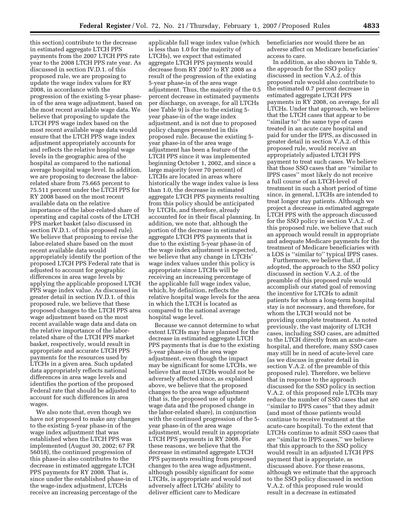this section) contribute to the decrease in estimated aggregate LTCH PPS payments from the 2007 LTCH PPS rate year to the 2008 LTCH PPS rate year. As discussed in section IV.D.1. of this proposed rule, we are proposing to update the wage index values for RY 2008, in accordance with the progression of the existing 5-year phasein of the area wage adjustment, based on the most recent available wage data. We believe that proposing to update the LTCH PPS wage index based on the most recent available wage data would ensure that the LTCH PPS wage index adjustment appropriately accounts for and reflects the relative hospital wage levels in the geographic area of the hospital as compared to the national average hospital wage level. In addition, we are proposing to decrease the laborrelated share from 75.665 percent to 75.511 percent under the LTCH PPS for RY 2008 based on the most recent available data on the relative importance of the labor-related share of operating and capital costs of the LTCH PPS market basket (also discussed in section IV.D.1. of this proposed rule). We believe that proposing to revise the labor-related share based on the most recent available data would appropriately identify the portion of the proposed LTCH PPS Federal rate that is adjusted to account for geographic differences in area wage levels by applying the applicable proposed LTCH PPS wage index value. As discussed in greater detail in section IV.D.1. of this proposed rule, we believe that these proposed changes to the LTCH PPS area wage adjustment based on the most recent available wage data and data on the relative importance of the laborrelated share of the LTCH PPS market basket, respectively, would result in appropriate and accurate LTCH PPS payments for the resources used by LTCHs in a given area. Such updated data appropriately reflects national differences in area wage levels and identifies the portion of the proposed Federal rate that should be adjusted to account for such differences in area wages.

We also note that, even though we have not proposed to make any changes to the existing 5-year phase-in of the wage index adjustment that was established when the LTCH PPS was implemented (August 30, 2002; 67 FR 56018), the continued progression of this phase-in also contributes to the decrease in estimated aggregate LTCH PPS payments for RY 2008. That is, since under the established phase-in of the wage-index adjustment, LTCHs receive an increasing percentage of the

applicable full wage index value (which is less than 1.0 for the majority of LTCHs), we expect that estimated aggregate LTCH PPS payments would decrease from RY 2007 to RY 2008 as a result of the progression of the existing 5-year phase-in of the area wage adjustment. Thus, the majority of the 0.5 percent decrease in estimated payments per discharge, on average, for all LTCHs  $($ see Table 9 $)$  is due to the existing 5year phase-in of the wage index adjustment, and is not due to proposed policy changes presented in this proposed rule. Because the existing 5 year phase-in of the area wage adjustment has been a feature of the LTCH PPS since it was implemented beginning October 1, 2002, and since a large majority (over 70 percent) of LTCHs are located in areas where historically the wage index value is less than 1.0, the decrease in estimated aggregate LTCH PPS payments resulting from this policy should be anticipated by LTCHs, and therefore, already accounted for in their fiscal planning. In addition, we note that, although the portion of the decrease in estimated aggregate LTCH PPS payments that is due to the existing 5-year phase-in of the wage index adjustment is expected, we believe that any change in LTCHs' wage index values under this policy is appropriate since LTCHs will be receiving an increasing percentage of the applicable full wage index value, which, by definition, reflects the relative hospital wage levels for the area in which the LTCH is located as compared to the national average hospital wage level.

Because we cannot determine to what extent LTCHs may have planned for the decrease in estimated aggregate LTCH PPS payments that is due to the existing 5-year phase-in of the area wage adjustment, even though the impact may be significant for some LTCHs, we believe that most LTCHs would not be adversely affected since, as explained above, we believe that the proposed changes to the area wage adjustment (that is, the proposed use of update wage data and the proposed change in the labor-related share), in conjunction with the continued progression of the 5 year phase-in of the area wage adjustment, would result in appropriate LTCH PPS payments in RY 2008. For these reasons, we believe that the decrease in estimated aggregate LTCH PPS payments resulting from proposed changes to the area wage adjustment, although possibly significant for some LTCHs, is appropriate and would not adversely affect LTCHs' ability to deliver efficient care to Medicare

beneficiaries nor would there be an adverse affect on Medicare beneficiaries' access to care.

In addition, as also shown in Table 9, the approach for the SSO policy discussed in section V.A.2. of this proposed rule would also contribute to the estimated 0.7 percent decrease in estimated aggregate LTCH PPS payments in RY 2008, on average, for all LTCHs. Under that approach, we believe that the LTCH cases that appear to be ''similar to'' the same type of cases treated in an acute care hospital and paid for under the IPPS, as discussed in greater detail in section V.A.2. of this proposed rule, would receive an appropriately adjusted LTCH PPS payment to treat such cases. We believe that those SSO cases that are ''similar to IPPS cases'' most likely do not receive a full course of an LTCH-level of treatment in such a short period of time since, in general, LTCHs are intended to treat longer stay patients. Although we project a decrease in estimated aggregate LTCH PPS with the approach discussed for the SSO policy in section V.A.2. of this proposed rule, we believe that such an approach would result in appropriate and adequate Medicare payments for the treatment of Medicare beneficiaries with a LOS is ''similar to'' typical IPPS cases.

Furthermore, we believe that, if adopted, the approach to the SSO policy discussed in section V.A.2. of the preamble of this proposed rule would accomplish our stated goal of removing the incentive for LTCHs to admit patients for whom a long-term hospital stay is not necessary, and therefore, for whom the LTCH would not be providing complete treatment. As noted previously, the vast majority of LTCH cases, including SSO cases, are admitted to the LTCH directly from an acute-care hospital, and therefore, many SSO cases may still be in need of acute-level care (as we discuss in greater detail in section V.A.2. of the preamble of this proposed rule). Therefore, we believe that in response to the approach discussed for the SSO policy in section V.A.2. of this proposed rule LTCHs may reduce the number of SSO cases that are ''similar to IPPS cases'' that they admit (and most of those patients would continue to receive treatment at the acute-care hospital). To the extent that LTCHs continue to admit SSO cases that are ''similar to IPPS cases,'' we believe that this approach to the SSO policy would result in an adjusted LTCH PPS payment that is appropriate, as discussed above. For these reasons, although we estimate that the approach to the SSO policy discussed in section V.A.2. of this proposed rule would result in a decrease in estimated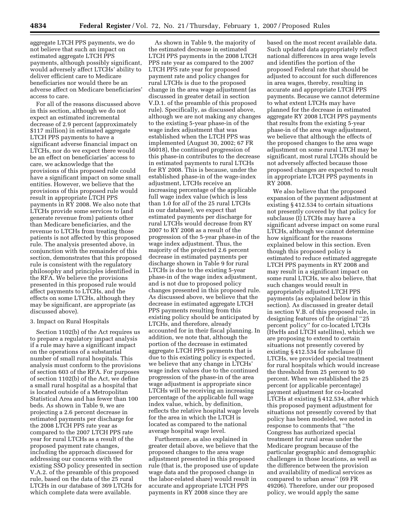aggregate LTCH PPS payments, we do not believe that such an impact on estimated aggregate LTCH PPS payments, although possibly significant, would adversely affect LTCHs' ability to deliver efficient care to Medicare beneficiaries nor would there be an adverse affect on Medicare beneficiaries' access to care.

For all of the reasons discussed above in this section, although we do not expect an estimated incremental decrease of 2.9 percent (approximately \$117 million) in estimated aggregate LTCH PPS payments to have a significant adverse financial impact on LTCHs, nor do we expect there would be an effect on beneficiaries' access to care, we acknowledge that the provisions of this proposed rule could have a significant impact on some small entities. However, we believe that the provisions of this proposed rule would result in appropriate LTCH PPS payments in RY 2008. We also note that LTCHs provide some services to (and generate revenue from) patients other than Medicare beneficiaries, and the revenue to LTCHs from treating those patients is not affected by this proposed rule. The analysis presented above, in conjunction with the remainder of this section, demonstrates that this proposed rule is consistent with the regulatory philosophy and principles identified in the RFA. We believe the provisions presented in this proposed rule would affect payments to LTCHs, and the effects on some LTCHs, although they may be significant, are appropriate (as discussed above).

### 3. Impact on Rural Hospitals

Section 1102(b) of the Act requires us to prepare a regulatory impact analysis if a rule may have a significant impact on the operations of a substantial number of small rural hospitals. This analysis must conform to the provisions of section 603 of the RFA. For purposes of section 1102(b) of the Act, we define a small rural hospital as a hospital that is located outside of a Metropolitan Statistical Area and has fewer than 100 beds. As shown in Table 9, we are projecting a 2.6 percent decrease in estimated payments per discharge for the 2008 LTCH PPS rate year as compared to the 2007 LTCH PPS rate year for rural LTCHs as a result of the proposed payment rate changes, including the approach discussed for addressing our concerns with the existing SSO policy presented in section V.A.2. of the preamble of this proposed rule, based on the data of the 25 rural LTCHs in our database of 369 LTCHs for which complete data were available.

As shown in Table 9, the majority of the estimated decrease in estimated LTCH PPS payments in the 2008 LTCH PPS rate year as compared to the 2007 LTCH PPS rate year for proposed payment rate and policy changes for rural LTCHs is due to the proposed change in the area wage adjustment (as discussed in greater detail in section V.D.1. of the preamble of this proposed rule). Specifically, as discussed above, although we are not making any changes to the existing 5-year phase-in of the wage index adjustment that was established when the LTCH PPS was implemented (August 30, 2002; 67 FR 56018), the continued progression of this phase-in contributes to the decrease in estimated payments to rural LTCHs for RY 2008. This is because, under the established phase-in of the wage-index adjustment, LTCHs receive an increasing percentage of the applicable full wage index value (which is less than 1.0 for *all* of the 25 rural LTCHs in our database), we expect that estimated payments per discharge for rural LTCHs would decrease from RY 2007 to RY 2008 as a result of the progression of the 5-year phase-in of the wage index adjustment. Thus, the majority of the projected 2.6 percent decrease in estimated payments per discharge shown in Table 9 for rural LTCHs is due to the existing 5-year phase-in of the wage index adjustment, and is not due to proposed policy changes presented in this proposed rule. As discussed above, we believe that the decrease in estimated aggregate LTCH PPS payments resulting from this existing policy should be anticipated by LTCHs, and therefore, already accounted for in their fiscal planning. In addition, we note that, although the portion of the decrease in estimated aggregate LTCH PPS payments that is due to this existing policy is expected, we believe that any change in LTCHs' wage index values due to the continued progression of the phase-in of the area wage adjustment is appropriate since LTCHs will be receiving an increasing percentage of the applicable full wage index value, which, by definition, reflects the relative hospital wage levels for the area in which the LTCH is located as compared to the national average hospital wage level.

Furthermore, as also explained in greater detail above, we believe that the proposed changes to the area wage adjustment presented in this proposed rule (that is, the proposed use of update wage data and the proposed change in the labor-related share) would result in accurate and appropriate LTCH PPS payments in RY 2008 since they are

based on the most recent available data. Such updated data appropriately reflect national differences in area wage levels and identifies the portion of the proposed Federal rate that should be adjusted to account for such differences in area wages, thereby, resulting in accurate and appropriate LTCH PPS payments. Because we cannot determine to what extent LTCHs may have planned for the decrease in estimated aggregate RY 2008 LTCH PPS payments that results from the existing 5-year phase-in of the area wage adjustment, we believe that although the effects of the proposed changes to the area wage adjustment on some rural LTCH may be significant, most rural LTCHs should be not adversely affected because those proposed changes are expected to result in appropriate LTCH PPS payments in RY 2008.

We also believe that the proposed expansion of the payment adjustment at existing § 412.534 to certain situations not presently covered by that policy for subclause (I) LTCHs may have a significant adverse impact on some rural LTCHs, although we cannot determine how significant for the reasons explained below in this section. Even though this proposed policy is estimated to reduce estimated aggregate LTCH PPS payments in RY 2008 and may result in a significant impact on some rural LTCHs, we also believe, that such changes would result in appropriately adjusted LTCH PPS payments (as explained below in this section). As discussed in greater detail in section V.B. of this proposed rule, in designing features of the original ''25 percent policy'' for co-located LTCHs (HwHs and LTCH satellites), which we are proposing to extend to certain situations not presently covered by existing § 412.534 for subclause (I) LTCHs, we provided special treatment for rural hospitals which would increase the threshold from 25 percent to 50 percent. When we established the 25 percent (or applicable percentage) payment adjustment for co-located LTCHs at existing § 412.534, after which this proposed payment adjustment for situations not presently covered by that policy has been modeled, we noted in response to comments that ''the Congress has authorized special treatment for rural areas under the Medicare program because of the particular geographic and demographic challenges in those locations, as well as the difference between the provision and availability of medical services as compared to urban areas'' (69 FR 49206). Therefore, under our proposed policy, we would apply the same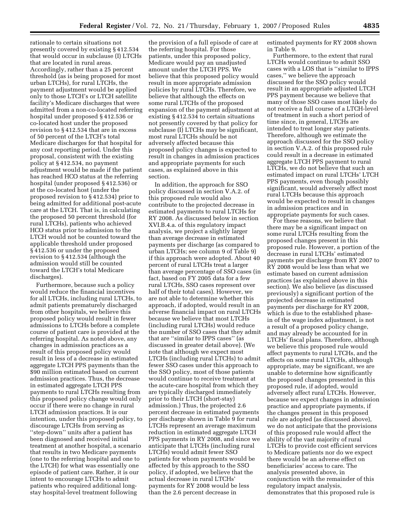rationale to certain situations not presently covered by existing § 412.534 that would occur in subclause (I) LTCHs that are located in rural areas. Accordingly, rather than a 25 percent threshold (as is being proposed for most urban LTCHs), for rural LTCHs, the payment adjustment would be applied only to those LTCH's or LTCH satellite facility's Medicare discharges that were admitted from a non-co-located referring hospital under proposed § 412.536 or co-located host under the proposed revision to § 412.534 that are in excess of 50 percent of the LTCH's total Medicare discharges for that hospital for any cost reporting period. Under this proposal, consistent with the existing policy at § 412.534, no payment adjustment would be made if the patient has reached HCO status at the referring hospital (under proposed § 412.536) or at the co-located host (under the proposed revision to § 412.534) prior to being admitted for additional post-acute care at the LTCH. That is, in calculating the proposed 50 percent threshold (for rural LTCHs), patients who achieved HCO status prior to admission to the LTCH would not be counted toward the applicable threshold under proposed § 412.536 or under the proposed revision to § 412.534 (although the admission would still be counted toward the LTCH's total Medicare discharges).

Furthermore, because such a policy would reduce the financial incentives for all LTCHs, including rural LTCHs, to admit patients prematurely discharged from other hospitals, we believe this proposed policy would result in fewer admissions to LTCHs before a complete course of patient care is provided at the referring hospital. As noted above, any changes in admission practices as a result of this proposed policy would result in less of a decrease in estimated aggregate LTCH PPS payments than the \$90 million estimated based on current admission practices. Thus, the decrease in estimated aggregate LTCH PPS payments to rural LTCHs resulting from this proposed policy change would only occur if there were no change in rural LTCH admission practices. It is our intention, under this proposed policy, to discourage LTCHs from serving as ''step-down'' units after a patient has been diagnosed and received initial treatment at another hospital, a scenario that results in two Medicare payments (one to the referring hospital and one to the LTCH) for what was essentially one episode of patient care. Rather, it is our intent to encourage LTCHs to admit patients who required additional longstay hospital-level treatment following

the provision of a full episode of care at the referring hospital. For those patients, under this proposed policy, Medicare would pay an unadjusted amount under the LTCH PPS. We believe that this proposed policy would result in more appropriate admission policies by rural LTCHs. Therefore, we believe that although the effects on some rural LTCHs of the proposed expansion of the payment adjustment at existing § 412.534 to certain situations not presently covered by that policy for subclause (I) LTCHs may be significant, most rural LTCHs should be not adversely affected because this proposed policy changes is expected to result in changes in admission practices and appropriate payments for such cases, as explained above in this section.

In addition, the approach for SSO policy discussed in section V.A.2. of this proposed rule would also contribute to the projected decrease in estimated payments to rural LTCHs for RY 2008. As discussed below in section XVI.B.4.a. of this regulatory impact analysis, we project a slightly larger than average decrease in estimated payments per discharge (as compared to urban LTCHs; see column 9 of Table 9) if this approach were adopted. About 40 percent of rural LTCHs treat a larger than average percentage of SSO cases (in fact, based on FY 2005 data for a few rural LTCHs, SSO cases represent over half of their total cases). However, we are not able to determine whether this approach, if adopted, would result in an adverse financial impact on rural LTCHs because we believe that most LTCHs (including rural LTCHs) would reduce the number of SSO cases that they admit that are ''similar to IPPS cases'' (as discussed in greater detail above). (We note that although we expect most LTCHs (including rural LTCHs) to admit fewer SSO cases under this approach to the SSO policy, most of those patients would continue to receive treatment at the acute-care hospital from which they are typically discharged immediately prior to their LTCH (short-stay) admission.) Thus, the projected 2.6 percent decrease in estimated payments per discharge shown in Table 9 for rural LTCHs represent an average maximum reduction in estimated aggregate LTCH PPS payments in RY 2008, and since we anticipate that LTCHs (including rural LTCHs) would admit fewer SSO patients for whom payments would be affected by this approach to the SSO policy, if adopted, we believe that the actual decrease in rural LTCHs' payments for RY 2008 would be less than the 2.6 percent decrease in

estimated payments for RY 2008 shown in Table 9.

Furthermore, to the extent that rural LTCHs would continue to admit SSO cases with a LOS that is ''similar to IPPS cases,'' we believe the approach discussed for the SSO policy would result in an appropriate adjusted LTCH PPS payment because we believe that many of those SSO cases most likely do not receive a full course of a LTCH-level of treatment in such a short period of time since, in general, LTCHs are intended to treat longer stay patients. Therefore, although we estimate the approach discussed for the SSO policy in section V.A.2. of this proposed rule could result in a decrease in estimated aggregate LTCH PPS payment to rural LTCHs, we do not believe that such an estimated impact on rural LTCHs' LTCH PPS payments, even though possibly significant, would adversely affect most rural LTCHs because this approach would be expected to result in changes in admission practices and in appropriate payments for such cases.

For these reasons, we believe that there may be a significant impact on some rural LTCHs resulting from the proposed changes present in this proposed rule. However, a portion of the decrease in rural LTCHs' estimated payments per discharge from RY 2007 to RY 2008 would be less than what we estimate based on current admission practices (as explained above in this section). We also believe (as discussed previously) a significant portion of the projected decrease in estimated payments per discharge for RY 2008, which is due to the established phasein of the wage index adjustment, is not a result of a proposed policy change, and may already be accounted for in LTCHs' fiscal plans. Therefore, although we believe this proposed rule would affect payments to rural LTCHs, and the effects on some rural LTCHs, although appropriate, may be significant, we are unable to determine how significantly the proposed changes presented in this proposed rule, if adopted, would adversely affect rural LTCHs. However, because we expect changes in admission practice and appropriate payments, if the changes present in this proposed rule are adopted (as discussed above), we do not anticipate that the provisions of this proposed rule would affect the ability of the vast majority of rural LTCHs to provide cost efficient services to Medicare patients nor do we expect there would be an adverse effect on beneficiaries' access to care. The analysis presented above, in conjunction with the remainder of this regulatory impact analysis, demonstrates that this proposed rule is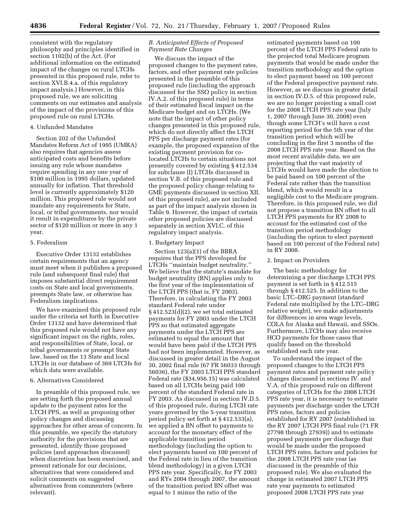consistent with the regulatory philosophy and principles identified in section 1102(b) of the Act. (For additional information on the estimated impact of the changes on rural LTCHs presented in this proposed rule, refer to section XVI.B.4.a. of this regulatory impact analysis.) However, in this proposed rule, we are soliciting comments on our estimates and analysis of the impact of the provisions of this proposed rule on rural LTCHs.

## 4. Unfunded Mandates

Section 202 of the Unfunded Mandates Reform Act of 1995 (UMRA) also requires that agencies assess anticipated costs and benefits before issuing any rule whose mandates require spending in any one year of \$100 million in 1995 dollars, updated annually for inflation. That threshold level is currently approximately \$120 million. This proposed rule would not mandate any requirements for State, local, or tribal governments, nor would it result in expenditures by the private sector of \$120 million or more in any 1 year.

## 5. Federalism

Executive Order 13132 establishes certain requirements that an agency must meet when it publishes a proposed rule (and subsequent final rule) that imposes substantial direct requirement costs on State and local governments, preempts State law, or otherwise has Federalism implications.

We have examined this proposed rule under the criteria set forth in Executive Order 13132 and have determined that this proposed rule would not have any significant impact on the rights, roles, and responsibilities of State, local, or tribal governments or preempt State law, based on the 13 State and local LTCHs in our database of 369 LTCHs for which data were available.

### 6. Alternatives Considered

In preamble of this proposed rule, we are setting forth the proposed annual update to the payment rates for the LTCH PPS, as well as proposing other policy changes and discussing approaches for other areas of concern. In this preamble, we specify the statutory authority for the provisions that are presented, identify those proposed policies (and approaches discussed) when discretion has been exercised, and present rationale for our decisions, alternatives that were considered and solicit comments on suggested alternatives from commenters (where relevant).

# *B. Anticipated Effects of Proposed Payment Rate Changes*

We discuss the impact of the proposed changes to the payment rates, factors, and other payment rate policies presented in the preamble of this proposed rule (including the approach discussed for the SSO policy in section IV.A.2. of this proposed rule) in terms of their estimated fiscal impact on the Medicare budget and on LTCHs. (We note that the impact of other policy changes presented in this proposed rule, which do not directly affect the LTCH PPS per discharge payment rates (for example, the proposed expansion of the existing payment provision for colocated LTCHs to certain situations not presently covered by existing § 412.534 for subclause (I) LTCHs discussed in section V.B. of this proposed rule and the proposed policy change relating to GME payments discussed in section XII. of this proposed rule), are not included as part of the impact analysis shown in Table 9. However, the impact of certain other proposed policies are discussed separately in section XVI.C. of this regulatory impact analysis.

## 1. Budgetary Impact

Section 123(a)(1) of the BBRA requires that the PPS developed for LTCHs ''maintain budget neutrality.'' We believe that the statute's mandate for budget neutrality (BN) applies only to the first year of the implementation of the LTCH PPS (that is, FY 2003). Therefore, in calculating the FY 2003 standard Federal rate under § 412.523(d)(2), we set total estimated payments for FY 2003 under the LTCH PPS so that estimated aggregate payments under the LTCH PPS are estimated to equal the amount that would have been paid if the LTCH PPS had not been implemented. However, as discussed in greater detail in the August 30, 2002 final rule (67 FR 56033 through 56036), the FY 2003 LTCH PPS standard Federal rate (\$34,956.15) was calculated based on all LTCHs being paid 100 percent of the standard Federal rate in FY 2003. As discussed in section IV.D.5. of this proposed rule, during LTCH rate years governed by the 5-year transition period policy set forth at § 412.533(a), we applied a BN offset to payments to account for the monetary effect of the applicable transition period methodology (including the option to elect payments based on 100 percent of the Federal rate in lieu of the transition blend methodology) in a given LTCH PPS rate year. Specifically, for FY 2003 and RYs 2004 through 2007, the amount of the transition period BN offset was equal to 1 minus the ratio of the

estimated payments based on 100 percent of the LTCH PPS Federal rate to the projected total Medicare program payments that would be made under the transition methodology and the option to elect payment based on 100 percent of the Federal prospective payment rate. However, as we discuss in greater detail in section IV.D.5. of this proposed rule, we are no longer projecting a small cost for the 2008 LTCH PPS rate year (July 1, 2007 through June 30, 2008) even though some LTCH's will have a cost reporting period for the 5th year of the transition period which will be concluding in the first 3 months of the 2008 LTCH PPS rate year. Based on the most recent available data, we are projecting that the vast majority of LTCHs would have made the election to be paid based on 100 percent of the Federal rate rather than the transition blend, which would result in a negligible cost to the Medicare program. Therefore, in this proposed rule, we did not propose a transition BN offset to all LTCH PPS payments for RY 2008 to account for the estimated cost of the transition period methodology (including the option to elect payment based on 100 percent of the Federal rate) in RY 2008.

### 2. Impact on Providers

The basic methodology for determining a per discharge LTCH PPS payment is set forth in § 412.515 through § 412.525. In addition to the basic LTC–DRG payment (standard Federal rate multiplied by the LTC–DRG relative weight), we make adjustments for differences in area wage levels, COLA for Alaska and Hawaii, and SSOs. Furthermore, LTCHs may also receive HCO payments for those cases that qualify based on the threshold established each rate year.

To understand the impact of the proposed changes to the LTCH PPS payment rates and payment rate policy changes discussed in sections IV. and V.A. of this proposed rule on different categories of LTCHs for the 2008 LTCH PPS rate year, it is necessary to estimate payments per discharge under the LTCH PPS rates, factors and policies established for RY 2007 (established in the RY 2007 LTCH PPS final rule (71 FR 27798 through 27939)) and to estimate proposed payments per discharge that would be made under the proposed LTCH PPS rates, factors and policies for the 2008 LTCH PPS rate year (as discussed in the preamble of this proposed rule). We also evaluated the change in estimated 2007 LTCH PPS rate year payments to estimated proposed 2008 LTCH PPS rate year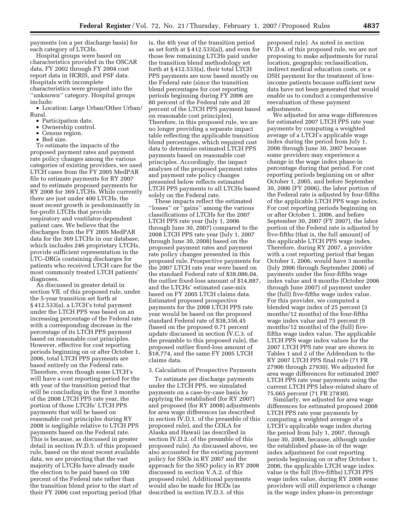payments (on a per discharge basis) for each category of LTCHs.

Hospital groups were based on characteristics provided in the OSCAR data, FY 2002 through FY 2004 cost report data in HCRIS, and PSF data. Hospitals with incomplete characteristics were grouped into the ''unknown'' category. Hospital groups include:

• Location: Large Urban/Other Urban/ Rural.

- Participation date.
- Ownership control.
- Census region.
- Bed size.

To estimate the impacts of the proposed payment rates and payment rate policy changes among the various categories of existing providers, we used LTCH cases from the FY 2005 MedPAR file to estimate payments for RY 2007 and to estimate proposed payments for RY 2008 for 369 LTCHs. While currently there are just under 400 LTCHs, the most recent growth is predominantly in for-profit LTCHs that provide respiratory and ventilator-dependent patient care. We believe that the discharges from the FY 2005 MedPAR data for the 369 LTCHs in our database, which includes 246 proprietary LTCHs, provide sufficient representation in the LTC–DRGs containing discharges for patients who received LTCH care for the most commonly treated LTCH patients' diagnoses.

As discussed in greater detail in section VII. of this proposed rule, under the 5-year transition set forth at § 412.533(a), a LTCH's total payment under the LTCH PPS was based on an increasing percentage of the Federal rate with a corresponding decrease in the percentage of its LTCH PPS payment based on reasonable cost principles. However, effective for cost reporting periods beginning on or after October 1, 2006, total LTCH PPS payments are based entirely on the Federal rate. Therefore, even though some LTCH's will have a cost reporting period for the 4th year of the transition period that will be concluding in the first 3 months of the 2008 LTCH PPS rate year, the portion of those LTCHs' LTCH PPS payments that will be based on reasonable cost principles during RY 2008 is negligible relative to LTCH PPS payments based on the Federal rate. This is because, as discussed in greater detail in section IV.D.5. of this proposed rule, based on the most recent available data, we are projecting that the vast majority of LTCHs have already made the election to be paid based on 100 percent of the Federal rate rather than the transition blend prior to the start of their FY 2006 cost reporting period (that is, the 4th year of the transition period as set forth at § 412.533(a)), and even for those few remaining LTCHs paid under the transition blend methodology set forth at § 412.533(a), their total LTCH PPS payments are now based mostly on the Federal rate (since the transition blend percentages for cost reporting periods beginning during FY 2006 are 80 percent of the Federal rate and 20 percent of the LTCH PPS payment based on reasonable cost principles). Therefore, in this proposed rule, we are no longer providing a separate impact table reflecting the applicable transition blend percentages, which required cost data to determine estimated LTCH PPS payments based on reasonable cost principles. Accordingly, the impact analyses of the proposed payment rates and payment rate policy changes presented below reflects estimated LTCH PPS payments to all LTCHs based solely on the Federal rate.

These impacts reflect the estimated ''losses'' or ''gains'' among the various classifications of LTCHs for the 2007 LTCH PPS rate year (July 1, 2006 through June 30, 2007) compared to the 2008 LTCH PPS rate year (July 1, 2007 through June 30, 2008) based on the proposed payment rates and payment rate policy changes presented in this proposed rule. Prospective payments for the 2007 LTCH rate year were based on the standard Federal rate of \$38,086.04, the outlier fixed-loss amount of \$14,887, and the LTCHs' estimated case-mix based on FY 2005 LTCH claims data. Estimated proposed prospective payments for the 2008 LTCH PPS rate year would be based on the proposed standard Federal rate of \$38,356.45 (based on the proposed 0.71 percent update discussed in section IV.C.3. of the preamble to this proposed rule), the proposed outlier fixed-loss amount of \$18,774, and the same FY 2005 LTCH claims data.

# 3. Calculation of Prospective Payments

To estimate per discharge payments under the LTCH PPS, we simulated payments on a case-by-case basis by applying the established (for RY 2007) and proposed (for RY 2008) adjustments for area wage differences (as described in section IV.D.1. of the preamble of this proposed rule), and the COLA for Alaska and Hawaii (as described in section IV.D.2. of the preamble of this proposed rule). As discussed above, we also accounted for the existing payment policy for SSOs in RY 2007 and the approach for the SSO policy in RY 2008 discussed in section V.A.2. of this proposed rule). Additional payments would also be made for HCOs (as described in section IV.D.3. of this

proposed rule). As noted in section IV.D.4. of this proposed rule, we are not proposing to make adjustments for rural location, geographic reclassification, indirect medical education costs, or a DSH payment for the treatment of lowincome patients because sufficient new data have not been generated that would enable us to conduct a comprehensive reevaluation of these payment adjustments.

We adjusted for area wage differences for estimated 2007 LTCH PPS rate year payments by computing a weighted average of a LTCH's applicable wage index during the period from July 1, 2006 through June 30, 2007 because some providers may experience a change in the wage index phase-in percentage during that period. For cost reporting periods beginning on or after October 1, 2005, and before September 30, 2006 (FY 2006), the labor portion of the Federal rate is adjusted by four-fifths of the applicable LTCH PPS wage index. For cost reporting periods beginning on or after October 1, 2006, and before September 30, 2007 (FY 2007), the labor portion of the Federal rate is adjusted by five-fifths (that is, the full amount) of the applicable LTCH PPS wage index. Therefore, during RY 2007, a provider with a cost reporting period that began October 1, 2006, would have 3 months (July 2006 through September 2006) of payments under the four-fifths wage index value and 9 months (October 2006 through June 2007) of payment under the (full) five-fifths wage index value. For this provider, we computed a blended wage index of 25 percent (3 months/12 months) of the four-fifths wage index value and 75 percent (9 months/12 months) of the (full) fivefifths wage index value. The applicable LTCH PPS wage index values for the 2007 LTCH PPS rate year are shown in Tables 1 and 2 of the Addendum to the RY 2007 LTCH PPS final rule (71 FR 27906 through 27930). We adjusted for area wage differences for estimated 2007 LTCH PPS rate year payments using the current LTCH PPS labor-related share of 75.665 percent (71 FR 27830).

Similarly, we adjusted for area wage differences for estimated proposed 2008 LTCH PPS rate year payments by computing a weighted average of a LTCH's applicable wage index during the period from July 1, 2007, through June 30, 2008, because, although under the established phase-in of the wage index adjustment for cost reporting periods beginning on or after October 1, 2006, the applicable LTCH wage index value is the full (five-fifths) LTCH PPS wage index value, during RY 2008 some providers will still experience a change in the wage index phase-in percentage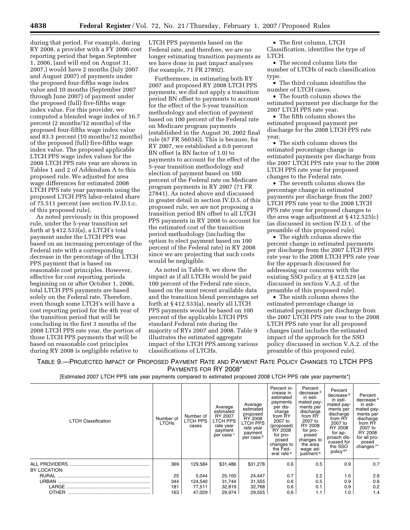during that period. For example, during RY 2008, a provider with a FY 2006 cost reporting period that began September 1, 2006, (and will end on August 31, 2007,) would have 2 months (July 2007 and August 2007) of payments under the proposed four-fifths wage index value and 10 months (September 2007 through June 2007) of payment under the proposed (full) five-fifths wage index value. For this provider, we computed a blended wage index of 16.7 percent (2 months/12 months) of the proposed four-fifths wage index value and 83.3 percent (10 months/12 months) of the proposed (full) five-fifths wage index value. The proposed applicable LTCH PPS wage index values for the 2008 LTCH PPS rate year are shown in Tables 1 and 2 of Addendum A to this proposed rule. We adjusted for area wage differences for estimated 2008 LTCH PPS rate year payments using the proposed LTCH PPS labor-related share of 75.511 percent (see section IV.D.1.c. of this proposed rule).

As noted previously in this proposed rule, under the 5-year transition set forth at  $\S 412.533(a)$ , a LTCH's total payment under the LTCH PPS was based on an increasing percentage of the Federal rate with a corresponding decrease in the percentage of the LTCH PPS payment that is based on reasonable cost principles. However, effective for cost reporting periods beginning on or after October 1, 2006, total LTCH PPS payments are based solely on the Federal rate. Therefore, even though some LTCH's will have a cost reporting period for the 4th year of the transition period that will be concluding in the first 3 months of the 2008 LTCH PPS rate year, the portion of those LTCH PPS payments that will be based on reasonable cost principles during RY 2008 is negligible relative to

LTCH PPS payments based on the Federal rate, and therefore, we are no longer estimating transition payments as we have done in past impact analyses (for example, 71 FR 27892).

Furthermore, in estimating both RY 2007 and proposed RY 2008 LTCH PPS payments, we did not apply a transition period BN offset to payments to account for the effect of the 5-year transition methodology and election of payment based on 100 percent of the Federal rate on Medicare program payments (established in the August 30, 2002 final rule (67 FR 56034)). This is because, for RY 2007, we established a 0.0 percent BN offset (a BN factor of 1.0) to payments to account for the effect of the 5-year transition methodology and election of payment based on 100 percent of the Federal rate on Medicare program payments in RY 2007 (71 FR 27841). As noted above and discussed in greater detail in section IV.D.5. of this proposed rule, we are not proposing a transition period BN offset to all LTCH PPS payments in RY 2008 to account for the estimated cost of the transition period methodology (including the option to elect payment based on 100 percent of the Federal rate) in RY 2008 since we are projecting that such costs would be negligible.

As noted in Table 9, we show the impact as if all LTCHs would be paid 100 percent of the Federal rate since, based on the most recent available data and the transition blend percentages set forth at § 412.533(a), nearly all LTCH PPS payments would be based on 100 percent of the applicable LTCH PPS standard Federal rate during the majority of RYs 2007 and 2008. Table 9 illustrates the estimated aggregate impact of the LTCH PPS among various classifications of LTCHs.

• The first column, LTCH Classification, identifies the type of LTCH.

• The second column lists the number of LTCHs of each classification type.

• The third column identifies the number of LTCH cases.

• The fourth column shows the estimated payment per discharge for the 2007 LTCH PPS rate year.

• The fifth column shows the estimated proposed payment per discharge for the 2008 LTCH PPS rate year.

• The sixth column shows the estimated percentage change in estimated payments per discharge from the 2007 LTCH PPS rate year to the 2008 LTCH PPS rate year for proposed changes to the Federal rate.

• The seventh column shows the percentage change in estimated payments per discharge from the 2007 LTCH PPS rate year to the 2008 LTCH PPS rate year for proposed changes to the area wage adjustment at § 412.525(c) (as discussed in section IV.D.1. of the preamble of this proposed rule).

• The eighth column shows the percent change in estimated payments per discharge from the 2007 LTCH PPS rate year to the 2008 LTCH PPS rate year for the approach discussed for addressing our concerns with the existing SSO policy at § 412.529 (as discussed in section V.A.2. of the preamble of this proposed rule).

• The ninth column shows the estimated percentage change in estimated payments per discharge from the 2007 LTCH PPS rate year to the 2008 LTCH PPS rate year for all proposed changes (and includes the estimated impact of the approach for the SSO policy discussed in section V.A.2. of the preamble of this proposed rule).

TABLE 9.—PROJECTED IMPACT OF PROPOSED PAYMENT RATE AND PAYMENT RATE POLICY CHANGES TO LTCH PPS PAYMENTS FOR RY 2008\*

[Estimated 2007 LTCH PPS rate year payments compared to estimated proposed 2008 LTCH PPS rate year payments\*]

| <b>LTCH Classification</b>           | Number of<br><b>LTCHs</b> | Number of<br>LTCH PPS<br>cases | Average<br>estimated<br>RY 2007<br>LTCH PPS<br>rate year<br>payment<br>per case <sup>1</sup> | Average<br>estimated<br>proposed<br>RY 2008<br>LTCH PPS<br>rate year<br>payment<br>per case <sup>2</sup> | Percent in-<br>crease in<br>estimated<br>payments<br>per dis-<br>charge<br>from RY<br>2007 to<br>(proposed)<br>RY 2008<br>for pro-<br>posed<br>changes to<br>the Fed-<br>eral rate <sup>4</sup> | Percent<br>decrease <sup>3</sup><br>in esti-<br>mated pay-<br>ments per<br>discharge<br>from RY<br>2007 to<br>RY 2008<br>for pro-<br>posed<br>changes to<br>the area<br>wage ad-<br>justment <sup>5</sup> | Percent<br>decrease <sup>3</sup><br>in esti-<br>mated pay-<br>ments per<br>discharge<br>from RY<br>2007 to<br>RY 2008<br>for ap-<br>proach dis-<br>cussed for<br>the SSO<br>policy <sup>6*</sup> | Percent<br>decrease <sup>3</sup><br>in esti-<br>mated pay-<br>ments per<br>discharge<br>from RY<br>2007 to<br>RY 2008<br>for all pro-<br>posed<br>changes <sup>7*</sup> |
|--------------------------------------|---------------------------|--------------------------------|----------------------------------------------------------------------------------------------|----------------------------------------------------------------------------------------------------------|-------------------------------------------------------------------------------------------------------------------------------------------------------------------------------------------------|-----------------------------------------------------------------------------------------------------------------------------------------------------------------------------------------------------------|--------------------------------------------------------------------------------------------------------------------------------------------------------------------------------------------------|-------------------------------------------------------------------------------------------------------------------------------------------------------------------------|
| <b>ALL PROVIDERS</b><br>BY LOCATION: | 369                       | 129,584                        | \$31,486                                                                                     | \$31,278                                                                                                 | 0.6                                                                                                                                                                                             | 0.5                                                                                                                                                                                                       | 0.9                                                                                                                                                                                              | 0.7                                                                                                                                                                     |
|                                      | 25                        | 5,044                          | 25,100                                                                                       | 24,447                                                                                                   | 0.7                                                                                                                                                                                             | 2.2                                                                                                                                                                                                       | 1.0                                                                                                                                                                                              | 2.6                                                                                                                                                                     |
|                                      | 344                       | 124,540                        | 31,744                                                                                       | 31,555                                                                                                   | 0.6                                                                                                                                                                                             | 0.5                                                                                                                                                                                                       | 0.9                                                                                                                                                                                              | 0.6                                                                                                                                                                     |
|                                      | 181                       | 77,511                         | 32,819                                                                                       | 32,768                                                                                                   | 0.6                                                                                                                                                                                             | 0.1                                                                                                                                                                                                       | 0.9                                                                                                                                                                                              | 0.2                                                                                                                                                                     |
|                                      | 163                       | 47,029                         | 29,974                                                                                       | 29,555                                                                                                   | 0.6                                                                                                                                                                                             | 1.1                                                                                                                                                                                                       | 1.0                                                                                                                                                                                              | 1.4                                                                                                                                                                     |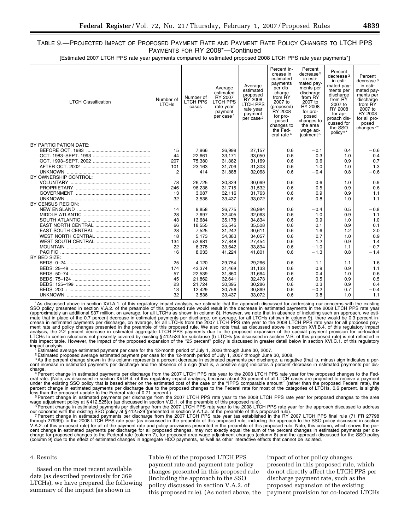[Estimated 2007 LTCH PPS rate year payments compared to estimated proposed 2008 LTCH PPS rate year payments\*]

| <b>LTCH Classification</b> | Number of<br><b>LTCHs</b> | Number of<br><b>LTCH PPS</b><br>cases | Average<br>estimated<br>RY 2007<br><b>LTCH PPS</b><br>rate year<br>payment<br>per case <sup>1</sup> | Average<br>estimated<br>proposed<br>RY 2008<br><b>LTCH PPS</b><br>rate year<br>payment<br>per case <sup>2</sup> | Percent in-<br>crease in<br>estimated<br>payments<br>per dis-<br>charge<br>from RY<br>2007 to<br>(proposed)<br>RY 2008<br>for pro-<br>posed<br>changes to<br>the Fed-<br>eral rate <sup>4</sup> | Percent<br>decrease <sup>3</sup><br>in esti-<br>mated pay-<br>ments per<br>discharge<br>from RY<br>2007 to<br>RY 2008<br>for pro-<br>posed<br>changes to<br>the area<br>wage ad-<br>justment <sup>5</sup> | Percent<br>decrease <sup>3</sup><br>in esti-<br>mated pay-<br>ments per<br>discharge<br>from RY<br>2007 to<br>RY 2008<br>for ap-<br>proach dis-<br>cussed for<br>the SSO<br>policy <sup>6*</sup> | Percent<br>decrease <sup>3</sup><br>in esti-<br>mated pay-<br>ments per<br>discharge<br>from RY<br>2007 to<br>RY 2008<br>for all pro-<br>posed<br>changes <sup>7*</sup> |
|----------------------------|---------------------------|---------------------------------------|-----------------------------------------------------------------------------------------------------|-----------------------------------------------------------------------------------------------------------------|-------------------------------------------------------------------------------------------------------------------------------------------------------------------------------------------------|-----------------------------------------------------------------------------------------------------------------------------------------------------------------------------------------------------------|--------------------------------------------------------------------------------------------------------------------------------------------------------------------------------------------------|-------------------------------------------------------------------------------------------------------------------------------------------------------------------------|
| BY PARTICIPATION DATE:     |                           |                                       |                                                                                                     |                                                                                                                 |                                                                                                                                                                                                 |                                                                                                                                                                                                           |                                                                                                                                                                                                  |                                                                                                                                                                         |
|                            | 15                        | 7,966                                 | 26,999                                                                                              | 27,157                                                                                                          | 0.6                                                                                                                                                                                             | $-0.1$                                                                                                                                                                                                    | 0.4                                                                                                                                                                                              | $-0.6$                                                                                                                                                                  |
|                            | 44                        | 22.661                                | 33.171                                                                                              | 33.050                                                                                                          | 0.6                                                                                                                                                                                             | 0.3                                                                                                                                                                                                       | 1.0                                                                                                                                                                                              | 0.4                                                                                                                                                                     |
|                            | 207                       | 75,380                                | 31,382                                                                                              | 31,169                                                                                                          | 0.6                                                                                                                                                                                             | 0.6                                                                                                                                                                                                       | 0.9                                                                                                                                                                                              | 0.7                                                                                                                                                                     |
|                            | 101                       | 23.163                                | 31,709                                                                                              | 31,303                                                                                                          | 0.6                                                                                                                                                                                             | 1.0                                                                                                                                                                                                       | 1.0                                                                                                                                                                                              | 1.3                                                                                                                                                                     |
|                            | $\overline{2}$            | 414                                   | 31.888                                                                                              | 32,068                                                                                                          | 0.6                                                                                                                                                                                             | $-0.4$                                                                                                                                                                                                    | 0.8                                                                                                                                                                                              | $-0.6$                                                                                                                                                                  |
| BY OWNERSHIP CONTROL:      |                           |                                       |                                                                                                     |                                                                                                                 |                                                                                                                                                                                                 |                                                                                                                                                                                                           |                                                                                                                                                                                                  |                                                                                                                                                                         |
|                            | 78                        | 26.725                                | 30.329                                                                                              | 30.069                                                                                                          | 0.6                                                                                                                                                                                             | 0.6                                                                                                                                                                                                       | 1.0                                                                                                                                                                                              | 0.9                                                                                                                                                                     |
|                            | 246                       | 96.236                                | 31,715                                                                                              | 31.532                                                                                                          | 0.6                                                                                                                                                                                             | 0.5                                                                                                                                                                                                       | 0.9                                                                                                                                                                                              | 0.6                                                                                                                                                                     |
|                            | 13                        | 3.087                                 | 32,116                                                                                              | 31.763                                                                                                          | 0.6                                                                                                                                                                                             | 0.9                                                                                                                                                                                                       | 0.9                                                                                                                                                                                              | 1.1                                                                                                                                                                     |
|                            | 32                        | 3,536                                 | 33,437                                                                                              | 33,072                                                                                                          | 0.6                                                                                                                                                                                             | 0.8                                                                                                                                                                                                       | 1.0                                                                                                                                                                                              | 1.1                                                                                                                                                                     |
| BY CENSUS REGION:          |                           |                                       |                                                                                                     |                                                                                                                 |                                                                                                                                                                                                 |                                                                                                                                                                                                           |                                                                                                                                                                                                  |                                                                                                                                                                         |
|                            | 14                        | 9,858                                 | 26,775                                                                                              | 26,984                                                                                                          | 0.6                                                                                                                                                                                             | $-0.4$                                                                                                                                                                                                    | 0.5                                                                                                                                                                                              | $-0.8$                                                                                                                                                                  |
|                            | 28                        | 7,697                                 | 32,405                                                                                              | 32,063                                                                                                          | 0.6                                                                                                                                                                                             | 1.0                                                                                                                                                                                                       | 0.9                                                                                                                                                                                              | 1.1                                                                                                                                                                     |
|                            | 43                        | 13.684                                | 35,178                                                                                              | 34,834                                                                                                          | 0.6                                                                                                                                                                                             | 0.9                                                                                                                                                                                                       | 1.0                                                                                                                                                                                              | 1.0                                                                                                                                                                     |
|                            | 66                        | 18.555                                | 35.545                                                                                              | 35,508                                                                                                          | 0.6                                                                                                                                                                                             | 0.1                                                                                                                                                                                                       | 0.9                                                                                                                                                                                              | 0.1                                                                                                                                                                     |
|                            | 28                        | 7,525                                 | 31,242                                                                                              | 30,611                                                                                                          | 0.6                                                                                                                                                                                             | 1.6                                                                                                                                                                                                       | 1.2                                                                                                                                                                                              | 2.0                                                                                                                                                                     |
|                            | 18                        | 5.173                                 | 34.383                                                                                              | 34.057                                                                                                          | 0.6                                                                                                                                                                                             | 0.7                                                                                                                                                                                                       | 1.0                                                                                                                                                                                              | 0.9                                                                                                                                                                     |
|                            | 134                       | 52,681                                | 27,848                                                                                              | 27,454                                                                                                          | 0.6                                                                                                                                                                                             | 1.2                                                                                                                                                                                                       | 0.9                                                                                                                                                                                              | 1.4                                                                                                                                                                     |
|                            | 22                        | 6,378                                 | 33,642                                                                                              | 33,894                                                                                                          | 0.6                                                                                                                                                                                             | $-1.0$                                                                                                                                                                                                    | 1.1                                                                                                                                                                                              | $-0.7$                                                                                                                                                                  |
|                            | 16                        | 8,033                                 | 41,224                                                                                              | 41,801                                                                                                          | 0.6                                                                                                                                                                                             | $-1.3$                                                                                                                                                                                                    | 0.8                                                                                                                                                                                              | $-1.4$                                                                                                                                                                  |
| BY BED SIZE:               |                           |                                       |                                                                                                     |                                                                                                                 |                                                                                                                                                                                                 |                                                                                                                                                                                                           |                                                                                                                                                                                                  |                                                                                                                                                                         |
|                            | 25                        | 4.120                                 | 29.754                                                                                              | 29,266                                                                                                          | 0.6                                                                                                                                                                                             | 1.1                                                                                                                                                                                                       | 1.1                                                                                                                                                                                              | 1.6                                                                                                                                                                     |
|                            | 174                       | 43.374                                | 31,469                                                                                              | 31,133                                                                                                          | 0.6                                                                                                                                                                                             | 0.9                                                                                                                                                                                                       | 0.9                                                                                                                                                                                              | 1.1                                                                                                                                                                     |
|                            | 57                        | 22.539                                | 31.860                                                                                              | 31.664                                                                                                          | 0.6                                                                                                                                                                                             | 0.4                                                                                                                                                                                                       | 1.0                                                                                                                                                                                              | 0.6                                                                                                                                                                     |
|                            | 45                        | 21,862                                | 32,641                                                                                              | 32,473                                                                                                          | 0.6                                                                                                                                                                                             | 0.5                                                                                                                                                                                                       | 0.9                                                                                                                                                                                              | 0.5                                                                                                                                                                     |
|                            | 23                        | 21,724                                | 30,395                                                                                              | 30,286                                                                                                          | 0.6                                                                                                                                                                                             | 0.3                                                                                                                                                                                                       | 0.9                                                                                                                                                                                              | 0.4                                                                                                                                                                     |
|                            | 13                        | 12,429                                | 30,756                                                                                              | 30,869                                                                                                          | 0.6                                                                                                                                                                                             | $-0.2$                                                                                                                                                                                                    | 0.7                                                                                                                                                                                              | $-0.4$                                                                                                                                                                  |
|                            | 32                        | 3,536                                 | 33,437                                                                                              | 33,072                                                                                                          | 0.6                                                                                                                                                                                             | 0.8                                                                                                                                                                                                       | 1.0                                                                                                                                                                                              | 1.1                                                                                                                                                                     |
|                            |                           |                                       |                                                                                                     |                                                                                                                 |                                                                                                                                                                                                 |                                                                                                                                                                                                           |                                                                                                                                                                                                  |                                                                                                                                                                         |

As discussed above in section XVI.A.1. of this regulatory impact analysis, we estimate that the approach discussed for addressing our concerns with the existing<br>SSO policy presented in section V.A.2. of the preamble of thi mate that in place of the 0.7 percent decrease in estimated payments per discharge, on average, for all LTCHs (shown in column 9), there would be 0.3 percent in-<br>crease in estimated payments per discharge, on average, for analysis, the 2.2 percent decrease in estimated aggregate LTCH PPS payments due to the proposed expansion of the special payment provision for co-located<br>LTCHs to certain situations not presently covered by existing §412.5

impact analysis.<br><sup>↑</sup> Estimated average estimated payment per case for the 12-month period of July 1, 2006 through June 30, 2007.<br><sup>↑ 2</sup> Estimated proposed average estimated payment per case for the 12-month period of July

<sup>3</sup> As the percent change shown in this column represents a percent decrease in estimated payments per discharge, a negative (that is, minus) sign indicates a per-<br>cent increase in estimated payments per discharge and the

charge.<br><sup>4</sup> Percent change in estimated payments per discharge from the 2007 LTCH PPS rate year to the 2008 LTCH PPS rate year for the proposed changes to the Fed-<br>eral rate. (Note, as discussed in section XVI.B.4. of this percent change in estimated payments per discharge due to the proposed changes to the Federal rate for most of the categories of LTCHs, 0.6 percent, is slightly<br>less than the proposed update to the Federal rate of 0.71 pe

wage adjustment policy at §412.525(c) (as discussed in section V.D.1. of the preamble of this proposed rule).<br><sup>6</sup> Percent change in estimated payments per discharge from the 2007 LTCH PPS rate year to the 2008 LTCH PPS rat

our concerns with the existing SSO policy at §412.529 (presented in section V.A.1.a. of the preamble of this proposed rule).<br>7 Percent change in estimated payments per discharge from the 2007 LTCH PPS rate year (as establi cent change in estimated payments per discharge for all proposed changes, may not exactly equal the sum of the percent changes in estimated payments per dis-<br>charge for proposed changes to the Federal rate (column 7), for

### 4. Results

Based on the most recent available data (as described previously for 369 LTCHs), we have prepared the following summary of the impact (as shown in

Table 9) of the proposed LTCH PPS payment rate and payment rate policy changes presented in this proposed rule (including the approach to the SSO policy discussed in section V.A.2. of this proposed rule). (As noted above, the

impact of other policy changes presented in this proposed rule, which do not directly affect the LTCH PPS per discharge payment rate, such as the proposed expansion of the existing payment provision for co-located LTCHs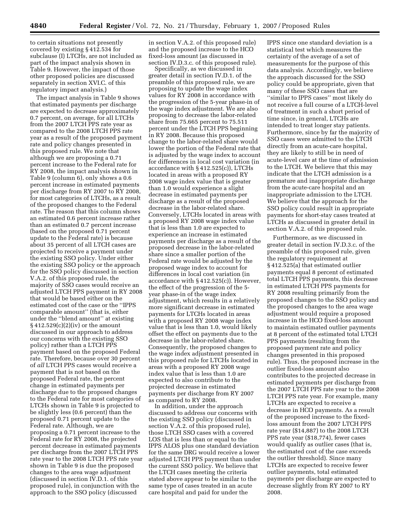to certain situations not presently covered by existing § 412.534 for subclause (I) LTCHs, are not included as part of the impact analysis shown in Table 9. However, the impact of those other proposed policies are discussed separately in section XVI.C. of this regulatory impact analysis.)

The impact analysis in Table 9 shows that estimated payments per discharge are expected to decrease approximately 0.7 percent, on average, for all LTCHs from the 2007 LTCH PPS rate year as compared to the 2008 LTCH PPS rate year as a result of the proposed payment rate and policy changes presented in this proposed rule. We note that although we are proposing a 0.71 percent increase to the Federal rate for RY 2008, the impact analysis shown in Table 9 (column 6), only shows a 0.6 percent increase in estimated payments per discharge from RY 2007 to RY 2008, for most categories of LTCHs, as a result of the proposed changes to the Federal rate. The reason that this column shows an estimated 0.6 percent increase rather than an estimated 0.7 percent increase (based on the proposed 0.71 percent update to the Federal rate) is because about 35 percent of all LTCH cases are projected to receive a payment under the existing SSO policy. Under either the existing SSO policy or the approach for the SSO policy discussed in section V.A.2. of this proposed rule, the majority of SSO cases would receive an adjusted LTCH PPS payment in RY 2008 that would be based either on the estimated cost of the case or the ''IPPS comparable amount'' (that is, either under the ''blend amount'' at existing  $\S 412.529(c)(2)(iv)$  or the amount discussed in our approach to address our concerns with the existing SSO policy) rather than a LTCH PPS payment based on the proposed Federal rate. Therefore, because over 30 percent of *all* LTCH PPS cases would receive a payment that is not based on the proposed Federal rate, the percent change in estimated payments per discharge due to the proposed changes to the Federal rate for most categories of LTCHs shown in Table 9 is projected to be slightly less (0.6 percent) than the proposed 0.71 percent update to the Federal rate. Although, we are proposing a 0.71 percent increase to the Federal rate for RY 2008, the projected percent decrease in estimated payments per discharge from the 2007 LTCH PPS rate year to the 2008 LTCH PPS rate year shown in Table 9 is due the proposed changes to the area wage adjustment (discussed in section IV.D.1. of this proposed rule), in conjunction with the approach to the SSO policy (discussed

in section V.A.2. of this proposed rule) and the proposed increase to the HCO fixed-loss amount (as discussed in section IV.D.3.c. of this proposed rule).

Specifically, as we discussed in greater detail in section IV.D.1. of the preamble of this proposed rule, we are proposing to update the wage index values for RY 2008 in accordance with the progression of the 5-year phase-in of the wage index adjustment. We are also proposing to decrease the labor-related share from 75.665 percent to 75.511 percent under the LTCH PPS beginning in RY 2008. Because this proposed change to the labor-related share would lower the portion of the Federal rate that is adjusted by the wage index to account for differences in local cost variation (in accordance with § 412.525(c)), LTCHs located in areas with a proposed RY 2008 wage index value that is greater than 1.0 would experience a slight decrease in estimated payments per discharge as a result of the proposed decrease in the labor-related share. Conversely, LTCHs located in areas with a proposed RY 2008 wage index value that is less than 1.0 are expected to experience an increase in estimated payments per discharge as a result of the proposed decrease in the labor-related share since a smaller portion of the Federal rate would be adjusted by the proposed wage index to account for differences in local cost variation (in accordance with § 412.525(c)). However, the effect of the progression of the 5 year phase-in of the wage index adjustment, which results in a relatively more significant decrease in estimated payments for LTCHs located in areas with a proposed RY 2008 wage index value that is less than 1.0, would likely offset the effect on payments due to the decrease in the labor-related share. Consequently, the proposed changes to the wage index adjustment presented in this proposed rule for LTCHs located in areas with a proposed RY 2008 wage index value that is less than 1.0 are expected to also contribute to the projected decrease in estimated payments per discharge from RY 2007 as compared to RY 2008.

In addition, under the approach discussed to address our concerns with the existing SSO policy (discussed in section V.A.2. of this proposed rule), those LTCH SSO cases with a covered LOS that is less than or equal to the IPPS ALOS plus one standard deviation for the same DRG would receive a lower adjusted LTCH PPS payment than under the current SSO policy. We believe that the LTCH cases meeting the criteria stated above appear to be similar to the same type of cases treated in an acute care hospital and paid for under the

IPPS since one standard deviation is a statistical test which measures the certainty of the average of a set of measurements for the purpose of this data analysis. Accordingly, we believe the approach discussed for the SSO policy could be appropriate, given that many of these SSO cases that are ''similar to IPPS cases'' most likely do not receive a full course of a LTCH-level of treatment in such a short period of time since, in general, LTCHs are intended to treat longer stay patients. Furthermore, since by far the majority of SSO cases were admitted to the LTCH directly from an acute-care hospital, they are likely to still be in need of acute-level care at the time of admission to the LTCH. We believe that this may indicate that the LTCH admission is a premature and inappropriate discharge from the acute-care hospital and an inappropriate admission to the LTCH. We believe that the approach for the SSO policy could result in appropriate payments for short-stay cases treated at LTCHs as discussed in greater detail in section V.A.2. of this proposed rule.

Furthermore, as we discussed in greater detail in section IV.D.3.c. of the preamble of this proposed rule, given the regulatory requirement at § 412.525(a) that estimated outlier payments equal 8 percent of estimated total LTCH PPS payments, this decrease in estimated LTCH PPS payments for RY 2008 resulting primarily from the proposed changes to the SSO policy and the proposed changes to the area wage adjustment would require a proposed increase in the HCO fixed-loss amount to maintain estimated outlier payments at 8 percent of the estimated total LTCH PPS payments (resulting from the proposed payment rate and policy changes presented in this proposed rule). Thus, the proposed increase in the outlier fixed-loss amount also contributes to the projected decrease in estimated payments per discharge from the 2007 LTCH PPS rate year to the 2008 LTCH PPS rate year. For example, many LTCHs are expected to receive a decrease in HCO payments. As a result of the proposed increase to the fixedloss amount from the 2007 LTCH PPS rate year (\$14,887) to the 2008 LTCH PPS rate year (\$18,774), fewer cases would qualify as outlier cases (that is, the estimated cost of the case exceeds the outlier threshold). Since many LTCHs are expected to receive fewer outlier payments, total estimated payments per discharge are expected to decrease slightly from RY 2007 to RY 2008.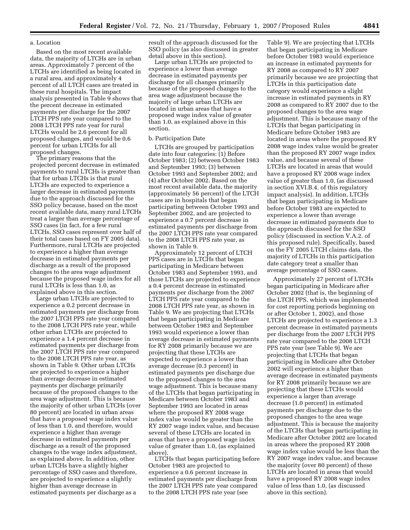## a. Location

Based on the most recent available data, the majority of LTCHs are in urban areas. Approximately 7 percent of the LTCHs are identified as being located in a rural area, and approximately 4 percent of all LTCH cases are treated in these rural hospitals. The impact analysis presented in Table 9 shows that the percent decrease in estimated payments per discharge for the 2007 LTCH PPS rate year compared to the 2008 LTCH PPS rate year for rural LTCHs would be 2.6 percent for all proposed changes, and would be 0.6 percent for urban LTCHs for all proposed changes.

The primary reasons that the projected percent decrease in estimated payments to rural LTCHs is greater than that for urban LTCHs is that rural LTCHs are expected to experience a larger decrease in estimated payments due to the approach discussed for the SSO policy because, based on the most recent available data, many rural LTCHs treat a larger than average percentage of SSO cases (in fact, for a few rural LTCHs, SSO cases represent over half of their total cases based on FY 2005 data). Furthermore, rural LTCHs are projected to experience a higher than average decrease in estimated payments per discharge as a result of the proposed changes to the area wage adjustment because the proposed wage index for all rural LTCHs is less than 1.0, as explained above in this section.

Large urban LTCHs are projected to experience a 0.2 percent decrease in estimated payments per discharge from the 2007 LTCH PPS rate year compared to the 2008 LTCH PPS rate year, while other urban LTCHs are projected to experience a 1.4 percent decrease in estimated payments per discharge from the 2007 LTCH PPS rate year compared to the 2008 LTCH PPS rate year, as shown in Table 9. Other urban LTCHs are projected to experience a higher than average decrease in estimated payments per discharge primarily because of the proposed changes to the area wage adjustment. This is because the majority of other urban LTCHs (over 80 percent) are located in urban areas that have a proposed wage index value of less than 1.0, and therefore, would experience a higher than average decrease in estimated payments per discharge as a result of the proposed changes to the wage index adjustment, as explained above. In addition, other urban LTCHs have a slightly higher percentage of SSO cases and therefore, are projected to experience a slightly higher than average decrease in estimated payments per discharge as a

result of the approach discussed for the SSO policy (as also discussed in greater detail above in this section).

Large urban LTCHs are projected to experience a lower than average decrease in estimated payments per discharge for all changes primarily because of the proposed changes to the area wage adjustment because the majority of large urban LTCHs are located in urban areas that have a proposed wage index value of greater than 1.0, as explained above in this section.

## b. Participation Date

LTCHs are grouped by participation date into four categories: (1) Before October 1983; (2) between October 1983 and September 1993; (3) between October 1993 and September 2002; and (4) after October 2002. Based on the most recent available data, the majority (approximately 56 percent) of the LTCH cases are in hospitals that began participating between October 1993 and September 2002, and are projected to experience a 0.7 percent decrease in estimated payments per discharge from the 2007 LTCH PPS rate year compared to the 2008 LTCH PPS rate year, as shown in Table 9.

Approximately 12 percent of LTCH PPS cases are in LTCHs that began participating in Medicare between October 1983 and September 1993, and those LTCHs are projected to experience a 0.4 percent decrease in estimated payments per discharge from the 2007 LTCH PPS rate year compared to the 2008 LTCH PPS rate year, as shown in Table 9. We are projecting that LTCHs that began participating in Medicare between October 1983 and September 1993 would experience a lower than average decrease in estimated payments for RY 2008 primarily because we are projecting that these LTCHs are expected to experience a lower than average decrease (0.3 percent) in estimated payments per discharge due to the proposed changes to the area wage adjustment. This is because many of the LTCHs that began participating in Medicare between October 1983 and September 1993 are located in areas where the proposed RY 2008 wage index value would be greater than the RY 2007 wage index value, and because several of these LTCHs are located in areas that have a proposed wage index value of greater than 1.0, (as explained above).

LTCHs that began participating before October 1983 are projected to experience a 0.6 percent increase in estimated payments per discharge from the 2007 LTCH PPS rate year compared to the 2008 LTCH PPS rate year (see

Table 9). We are projecting that LTCHs that began participating in Medicare before October 1983 would experience an increase in estimated payments for RY 2008 as compared to RY 2007 primarily because we are projecting that LTCHs in this participation date category would experience a slight increase in estimated payments in RY 2008 as compared to RY 2007 due to the proposed changes to the area wage adjustment. This is because many of the LTCHs that began participating in Medicare before October 1983 are located in areas where the proposed RY 2008 wage index value would be greater than the proposed RY 2007 wage index value, and because several of these LTCHs are located in areas that would have a proposed RY 2008 wage index value of greater than 1.0, (as discussed in section XVI.B.4. of this regulatory impact analysis). In addition, LTCHs that began participating in Medicare before October 1983 are expected to experience a lower than average decrease in estimated payments due to the approach discussed for the SSO policy (discussed in section V.A.2. of this proposed rule). Specifically, based on the FY 2005 LTCH claims data, the majority of LTCHs in this participation date category treat a smaller than average percentage of SSO cases.

Approximately 27 percent of LTCHs began participating in Medicare after October 2002 (that is, the beginning of the LTCH PPS, which was implemented for cost reporting periods beginning on or after October 1, 2002), and those LTCHs are projected to experience a 1.3 percent decrease in estimated payments per discharge from the 2007 LTCH PPS rate year compared to the 2008 LTCH PPS rate year (see Table 9). We are projecting that LTCHs that began participating in Medicare after October 2002 will experience a higher than average decrease in estimated payments for RY 2008 primarily because we are projecting that these LTCHs would experience a larger than average decrease (1.0 percent) in estimated payments per discharge due to the proposed changes to the area wage adjustment. This is because the majority of the LTCHs that began participating in Medicare after October 2002 are located in areas where the proposed RY 2008 wage index value would be less than the RY 2007 wage index value, and because the majority (over 80 percent) of these LTCHs are located in areas that would have a proposed RY 2008 wage index value of less than 1.0, (as discussed above in this section).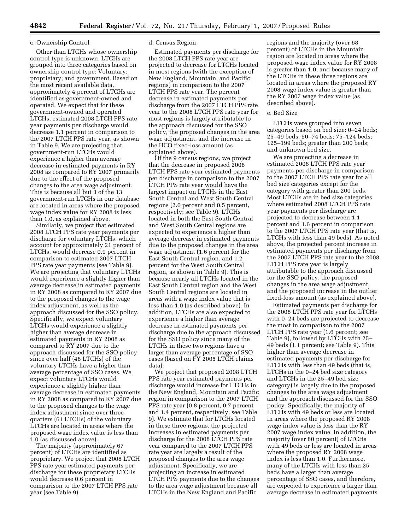## c. Ownership Control

Other than LTCHs whose ownership control type is unknown, LTCHs are grouped into three categories based on ownership control type: Voluntary; proprietary; and government. Based on the most recent available data, approximately 4 percent of LTCHs are identified as government-owned and operated. We expect that for these government-owned and operated LTCHs, estimated 2008 LTCH PPS rate year payments per discharge would decrease 1.1 percent in comparison to the 2007 LTCH PPS rate year, as shown in Table 9. We are projecting that government-run LTCHs would experience a higher than average decrease in estimated payments in RY 2008 as compared to RY 2007 primarily due to the effect of the proposed changes to the area wage adjustment. This is because all but 3 of the 13 government-run LTCHs in our database are located in areas where the proposed wage index value for RY 2008 is less than 1.0, as explained above.

Similarly, we project that estimated 2008 LTCH PPS rate year payments per discharge for voluntary LTCHs, which account for approximately 21 percent of LTCHs, would decrease 0.9 percent in comparison to estimated 2007 LTCH PPS rate year payments (see Table 9). We are projecting that voluntary LTCHs would experience a slightly higher than average decrease in estimated payments in RY 2008 as compared to RY 2007 due to the proposed changes to the wage index adjustment, as well as the approach discussed for the SSO policy. Specifically, we expect voluntary LTCHs would experience a slightly higher than average decrease in estimated payments in RY 2008 as compared to RY 2007 due to the approach discussed for the SSO policy since over half (48 LTCHs) of the voluntary LTCHs have a higher than average percentage of SSO cases. We expect voluntary LTCHs would experience a slightly higher than average decrease in estimated payments in RY 2008 as compared to RY 2007 due to the proposed changes to the wage index adjustment since over threequarters (61 LTCHs) of the voluntary LTCHs are located in areas where the proposed wage index value is less than 1.0 (as discussed above).

The majority (approximately 67 percent) of LTCHs are identified as proprietary. We project that 2008 LTCH PPS rate year estimated payments per discharge for these proprietary LTCHs would decrease 0.6 percent in comparison to the 2007 LTCH PPS rate year (see Table 9).

### d. Census Region

Estimated payments per discharge for the 2008 LTCH PPS rate year are projected to decrease for LTCHs located in most regions (with the exception of New England, Mountain, and Pacific regions) in comparison to the 2007 LTCH PPS rate year. The percent decrease in estimated payments per discharge from the 2007 LTCH PPS rate year to the 2008 LTCH PPS rate year for most regions is largely attributable to the approach discussed for the SSO policy, the proposed changes in the area wage adjustment, and the increase in the HCO fixed-loss amount (as explained above).

Of the 9 census regions, we project that the decrease in proposed 2008 LTCH PPS rate year estimated payments per discharge in comparison to the 2007 LTCH PPS rate year would have the largest impact on LTCHs in the East South Central and West South Central regions (2.0 percent and 0.5 percent, respectively; see Table 9). LTCHs located in both the East South Central and West South Central regions are expected to experience a higher than average decrease in estimated payments due to the proposed changes in the area wage adjustment (1.6 percent for the East South Central region, and 1.2 percent for the West South Central region, as shown in Table 9). This is because nearly all LTCHs located in the East South Central region and the West South Central regions are located in areas with a wage index value that is less than 1.0 (as described above). In addition, LTCHs are also expected to experience a higher than average decrease in estimated payments per discharge due to the approach discussed for the SSO policy since many of the LTCHs in these two regions have a larger than average percentage of SSO cases (based on FY 2005 LTCH claims data).

We project that proposed 2008 LTCH PPS rate year estimated payments per discharge would increase for LTCHs in the New England, Mountain and Pacific region in comparison to the 2007 LTCH PPS rate year (0.8 percent, 0.7 percent and 1.4 percent, respectively; see Table 9). We estimate that for LTCHs located in these three regions, the projected increases in estimated payments per discharge for the 2008 LTCH PPS rate year compared to the 2007 LTCH PPS rate year are largely a result of the proposed changes to the area wage adjustment. Specifically, we are projecting an increase in estimated LTCH PPS payments due to the changes to the area wage adjustment because all LTCHs in the New England and Pacific

regions and the majority (over 68 percent) of LTCHs in the Mountain region are located in areas where the proposed wage index value for RY 2008 is greater than 1.0, and because many of the LTCHs in these three regions are located in areas where the proposed RY 2008 wage index value is greater than the RY 2007 wage index value (as described above).

### e. Bed Size

LTCHs were grouped into seven categories based on bed size: 0–24 beds; 25–49 beds; 50–74 beds; 75–124 beds; 125–199 beds; greater than 200 beds; and unknown bed size.

We are projecting a decrease in estimated 2008 LTCH PPS rate year payments per discharge in comparison to the 2007 LTCH PPS rate year for all bed size categories except for the category with greater than 200 beds. Most LTCHs are in bed size categories where estimated 2008 LTCH PPS rate year payments per discharge are projected to decrease between 1.1 percent and 1.6 percent in comparison to the 2007 LTCH PPS rate year (that is, LTCHs with less than 49 beds). As noted above, the projected percent increase in estimated payments per discharge from the 2007 LTCH PPS rate year to the 2008 LTCH PPS rate year is largely attributable to the approach discussed for the SSO policy, the proposed changes in the area wage adjustment, and the proposed increase in the outlier fixed-loss amount (as explained above).

Estimated payments per discharge for the 2008 LTCH PPS rate year for LTCHs with 0–24 beds are projected to decrease the most in comparison to the 2007 LTCH PPS rate year (1.6 percent; see Table 9), followed by LTCHs with 25– 49 beds (1.1 percent; see Table 9). This higher than average decrease in estimated payments per discharge for LTCHs with less than 49 beds (that is, LTCHs in the 0–24 bed size category and LTCHs in the 25–49 bed size category) is largely due to the proposed changes to the area wage adjustment and the approach discussed for the SSO policy. Specifically, the majority of LTCHs with 49 beds or less are located in areas where the proposed RY 2008 wage index value is less than the RY 2007 wage index value. In addition, the majority (over 80 percent) of LTCHs with 49 beds or less are located in areas where the proposed RY 2008 wage index is less than 1.0. Furthermore, many of the LTCHs with less than 25 beds have a larger than average percentage of SSO cases, and therefore, are expected to experience a larger than average decrease in estimated payments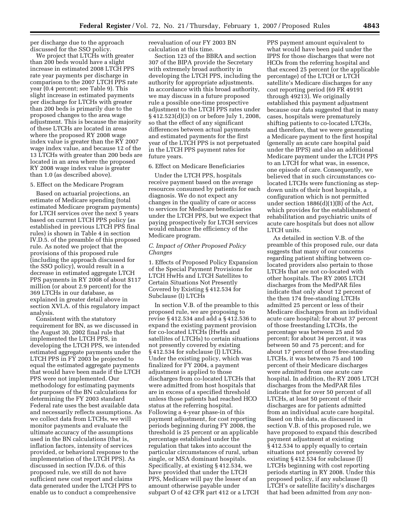per discharge due to the approach discussed for the SSO policy.

We project that LTCHs with greater than 200 beds would have a slight increase in estimated 2008 LTCH PPS rate year payments per discharge in comparison to the 2007 LTCH PPS rate year (0.4 percent; see Table 9). This slight increase in estimated payments per discharge for LTCHs with greater than 200 beds is primarily due to the proposed changes to the area wage adjustment. This is because the majority of these LTCHs are located in areas where the proposed RY 2008 wage index value is greater than the RY 2007 wage index value, and because 12 of the 13 LTCHs with greater than 200 beds are located in an area where the proposed RY 2008 wage index value is greater than 1.0 (as described above).

#### 5. Effect on the Medicare Program

Based on actuarial projections, an estimate of Medicare spending (total estimated Medicare program payments) for LTCH services over the next 5 years based on current LTCH PPS policy (as established in previous LTCH PPS final rules) is shown in Table 4 in section IV.D.5. of the preamble of this proposed rule. As noted we project that the provisions of this proposed rule (including the approach discussed for the SSO policy), would result in a decrease in estimated aggregate LTCH PPS payments in RY 2008 of about \$117 million (or about 2.9 percent) for the 369 LTCHs in our database, as explained in greater detail above in section XVI.A. of this regulatory impact analysis.

Consistent with the statutory requirement for BN, as we discussed in the August 30, 2002 final rule that implemented the LTCH PPS, in developing the LTCH PPS, we intended estimated aggregate payments under the LTCH PPS in FY 2003 be projected to equal the estimated aggregate payments that would have been made if the LTCH PPS were not implemented. Our methodology for estimating payments for purposes of the BN calculations for determining the FY 2003 standard Federal rate uses the best available data and necessarily reflects assumptions. As we collect data from LTCHs, we will monitor payments and evaluate the ultimate accuracy of the assumptions used in the BN calculations (that is, inflation factors, intensity of services provided, or behavioral response to the implementation of the LTCH PPS). As discussed in section IV.D.6. of this proposed rule, we still do not have sufficient new cost report and claims data generated under the LTCH PPS to enable us to conduct a comprehensive

reevaluation of our FY 2003 BN calculation at this time.

Section 123 of the BBRA and section 307 of the BIPA provide the Secretary with extremely broad authority in developing the LTCH PPS, including the authority for appropriate adjustments. In accordance with this broad authority, we may discuss in a future proposed rule a possible one-time prospective adjustment to the LTCH PPS rates under § 412.523(d)(3) on or before July 1, 2008, so that the effect of any significant differences between actual payments and estimated payments for the first year of the LTCH PPS is not perpetuated in the LTCH PPS payment rates for future years.

### 6. Effect on Medicare Beneficiaries

Under the LTCH PPS, hospitals receive payment based on the average resources consumed by patients for each diagnosis. We do not expect any changes in the quality of care or access to services for Medicare beneficiaries under the LTCH PPS, but we expect that paying prospectively for LTCH services would enhance the efficiency of the Medicare program.

# *C. Impact of Other Proposed Policy Changes*

1. Effects of Proposed Policy Expansion of the Special Payment Provisions for LTCH HwHs and LTCH Satellites to Certain Situations Not Presently Covered by Existing § 412.534 for Subclause (I) LTCHs

In section V.B. of the preamble to this proposed rule, we are proposing to revise § 412.534 and add a § 412.536 to expand the existing payment provision for co-located LTCHs (HwHs and satellites of LTCHs) to certain situations not presently covered by existing § 412.534 for subclause (I) LTCHs. Under the existing policy, which was finalized for FY 2004, a payment adjustment is applied to those discharges from co-located LTCHs that were admitted from host hospitals that are in excess of a specified threshold unless those patients had reached HCO status at the referring hospital. Following a 4-year phase-in of this payment adjustment, for cost reporting periods beginning during FY 2008, the threshold is 25 percent or an applicable percentage established under the regulation that takes into account the particular circumstances of rural, urban single, or MSA dominant hospitals. Specifically, at existing § 412.534, we have provided that under the LTCH PPS, Medicare will pay the lesser of an amount otherwise payable under subpart O of 42 CFR part 412 or a LTCH

PPS payment amount equivalent to what would have been paid under the IPPS for those discharges that were not HCOs from the referring hospital and that exceed 25 percent (or the applicable percentage) of the LTCH or LTCH satellite's Medicare discharges for any cost reporting period (69 FR 49191 through 49213). We originally established this payment adjustment because our data suggested that in many cases, hospitals were prematurely shifting patients to co-located LTCHs, and therefore, that we were generating a Medicare payment to the first hospital (generally an acute care hospital paid under the IPPS) and also an additional Medicare payment under the LTCH PPS to an LTCH for what was, in essence, one episode of care. Consequently, we believed that in such circumstances colocated LTCHs were functioning as stepdown units of their host hospitals, a configuration which is not permitted under section 1886(d)(1)(B) of the Act, which provides for the establishment of rehabilitation and psychiatric units of acute care hospitals but does not allow LTCH units.

As detailed in section V.B. of the preamble of this proposed rule, our data suggests that many of our concerns regarding patient shifting between colocated providers also pertain to those LTCHs that are not co-located with other hospitals. The RY 2005 LTCH discharges from the MedPAR files indicate that only about 12 percent of the then 174 free-standing LTCHs admitted 25 percent or less of their Medicare discharges from an individual acute care hospital; for about 37 percent of those freestanding LTCHs, the percentage was between 25 and 50 percent; for about 34 percent, it was between 50 and 75 percent; and for about 17 percent of those free-standing LTCHs, it was between 75 and 100 percent of their Medicare discharges were admitted from one acute care hospital. In addition, the RY 2005 LTCH discharges from the MedPAR files indicate that for over 50 percent of all LTCHs, at least 50 percent of their discharges are for patients admitted from an individual acute care hospital. Based on this data, as discussed in section V.B. of this proposed rule, we have proposed to expand this described payment adjustment at existing § 412.534 to apply equally to certain situations not presently covered by existing § 412.534 for subclause (I) LTCHs beginning with cost reporting periods starting in RY 2008. Under this proposed policy, if any subclause (I) LTCH's or satellite facility's discharges that had been admitted from *any* non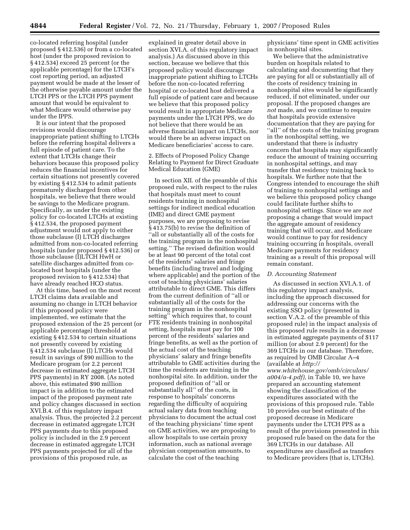co-located referring hospital (under proposed § 412.536) or from a co-located host (under the proposed revision to § 412.534) exceed 25 percent (or the applicable percentage) for the LTCH's cost reporting period, an adjusted payment would be made at the lesser of the otherwise payable amount under the LTCH PPS or the LTCH PPS payment amount that would be equivalent to what Medicare would otherwise pay under the IPPS.

It is our intent that the proposed revisions would discourage inappropriate patient shifting to LTCHs before the referring hospital delivers a full episode of patient care. To the extent that LTCHs change their behaviors because this proposed policy reduces the financial incentives for certain situations not presently covered by existing § 412.534 to admit patients prematurely discharged from other hospitals, we believe that there would be savings to the Medicare program. Specifically, as under the existing policy for co-located LTCHs at existing § 412.534, the proposed payment adjustment would not apply to either those subclause (I) LTCH discharges admitted from non-co-located referring hospitals (under proposed § 412.536) or those subclause (I)LTCH HwH or satellite discharges admitted from colocated host hospitals (under the proposed revision to § 412.534) that have already reached HCO status.

At this time, based on the most recent LTCH claims data available and assuming no change in LTCH behavior if this proposed policy were implemented, we estimate that the proposed extension of the 25 percent (or applicable percentage) threshold at existing § 412.534 to certain situations not presently covered by existing § 412.534 subclause (I) LTCHs would result in savings of \$90 million to the Medicare program (or 2.2 percent decrease in estimated aggregate LTCH PPS payments) in RY 2008. (As noted above, this estimated \$90 million impact is in addition to the estimated impact of the proposed payment rate and policy changes discussed in section XVI.B.4. of this regulatory impact analysis. Thus, the projected 2.2 percent decrease in estimated aggregate LTCH PPS payments due to this proposed policy is included in the 2.9 percent decrease in estimated aggregate LTCH PPS payments projected for all of the provisions of this proposed rule, as

explained in greater detail above in section XVI.A. of this regulatory impact analysis.) As discussed above in this section, because we believe that this proposed policy would discourage inappropriate patient shifting to LTCHs before the non-co-located referring hospital or co-located host delivered a full episode of patient care and because we believe that this proposed policy would result in appropriate Medicare payments under the LTCH PPS, we do not believe that there would be an adverse financial impact on LTCHs, nor would there be an adverse impact on Medicare beneficiaries' access to care.

2. Effects of Proposed Policy Change Relating to Payment for Direct Graduate Medical Education (GME)

In section XII. of the preamble of this proposed rule, with respect to the rules that hospitals must meet to count residents training in nonhospital settings for indirect medical education (IME) and direct GME payment purposes, we are proposing to revise § 413.75(b) to revise the definition of ''all or substantially all of the costs for the training program in the nonhospital setting.'' The revised definition would be at least 90 percent of the total cost of the residents' salaries and fringe benefits (including travel and lodging where applicable) and the portion of the cost of teaching physicians' salaries attributable to direct GME. This differs from the current definition of ''all or substantially all of the costs for the training program in the nonhospital setting'' which requires that, to count FTE residents training in nonhospital setting, hospitals must pay for 100 percent of the residents' salaries and fringe benefits, as well as the portion of the actual cost of the teaching physicians' salary and fringe benefits attributable to GME activities during the time the residents are training in the nonhospital site. In addition, under the proposed definition of ''all or substantially all'' of the costs, in response to hospitals' concerns regarding the difficulty of acquiring actual salary data from teaching physicians to document the actual cost of the teaching physicians' time spent on GME activities, we are proposing to allow hospitals to use certain proxy information, such as national average physician compensation amounts, to calculate the cost of the teaching

physicians' time spent in GME activities in nonhospital sites.

We believe that the administrative burden on hospitals related to calculating and documenting that they are paying for all or substantially all of the costs of residency training in nonhospital sites would be significantly reduced, if not eliminated, under our proposal. If the proposed changes are *not* made, and we continue to require that hospitals provide extensive documentation that they are paying for ''all'' of the costs of the training program in the nonhospital setting, we understand that there is industry concern that hospitals may significantly reduce the amount of training occurring in nonhospital settings, and may transfer that residency training back to hospitals. We further note that the Congress intended to encourage the shift of training to nonhospital settings and we believe this proposed policy change could facilitate further shifts to nonhospital settings. Since we are *not*  proposing a change that would impact the aggregate amount of residency training that will occur, and Medicare would continue to pay for residency training occurring in hospitals, overall Medicare payments for residency training as a result of this proposal will remain constant.

## *D. Accounting Statement*

As discussed in section XVI.A.1. of this regulatory impact analysis, including the approach discussed for addressing our concerns with the existing SSO policy (presented in section V.A.2. of the preamble of this proposed rule) in the impact analysis of this proposed rule results in a decrease in estimated aggregate payments of \$117 million (or about 2.9 percent) for the 369 LTCHs in our database. Therefore, as required by OMB Circular A–4 (available at *http://* 

*www.whitehouse.gov/omb/circulars/ a004/a-4.pdf),* in Table 10, we have prepared an accounting statement showing the classification of the expenditures associated with the provisions of this proposed rule. Table 10 provides our best estimate of the proposed decrease in Medicare payments under the LTCH PPS as a result of the provisions presented in this proposed rule based on the data for the 369 LTCHs in our database. All expenditures are classified as transfers to Medicare providers (that is, LTCHs).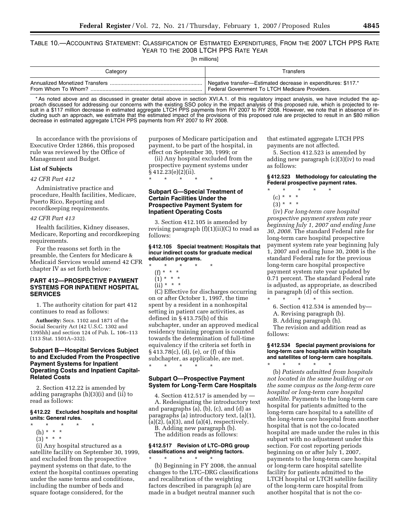# TABLE 10.—ACCOUNTING STATEMENT: CLASSIFICATION OF ESTIMATED EXPENDITURES, FROM THE 2007 LTCH PPS RATE YEAR TO THE 2008 LTCH PPS RATE YEAR

[In millions]

| Category                       | Transfers                                                     |
|--------------------------------|---------------------------------------------------------------|
| Annualized Monetized Transfers | Negative transfer-Estimated decrease in expenditures: \$117.* |
| From Whom To Whom?             | Federal Government To LTCH Medicare Providers.                |

\* As noted above and as discussed in greater detail above in section XVI.A.1. of this regulatory impact analysis, we have included the approach discussed for addressing our concerns with the existing SSO policy in the impact analysis of this proposed rule, which is projected to result in a \$117 million decrease in estimated aggregate LTCH PPS payments from RY 2007 to RY 2008. However, we note that in absence of including such an approach, we estimate that the estimated impact of the provisions of this proposed rule are projected to result in an \$80 million decrease in estimated aggregate LTCH PPS payments from RY 2007 to RY 2008.

In accordance with the provisions of Executive Order 12866, this proposed rule was reviewed by the Office of Management and Budget.

## **List of Subjects**

### *42 CFR Part 412*

Administrative practice and procedure, Health facilities, Medicare, Puerto Rico, Reporting and recordkeeping requirements.

#### *42 CFR Part 413*

Health facilities, Kidney diseases, Medicare, Reporting and recordkeeping requirements.

For the reasons set forth in the preamble, the Centers for Medicare & Medicaid Services would amend 42 CFR chapter IV as set forth below:

# **PART 412—PROSPECTIVE PAYMENT SYSTEMS FOR INPATIENT HOSPITAL SERVICES**

1. The authority citation for part 412 continues to read as follows:

**Authority:** Secs. 1102 and 1871 of the Social Security Act (42 U.S.C. 1302 and 1395hh) and section 124 of Pub. L. 106–113 (113 Stat. 1501A–332).

# **Subpart B—Hospital Services Subject to and Excluded From the Prospective Payment Systems for Inpatient Operating Costs and Inpatient Capital-Related Costs**

2. Section 412.22 is amended by adding paragraphs (h)(3)(i) and (ii) to read as follows:

## **§ 412.22 Excluded hospitals and hospital units: General rules.**

- \* \* \* \* \*
	- (h) \* \* \*
	- $(3) * * * *$

(i) Any hospital structured as a satellite facility on September 30, 1999, and excluded from the prospective payment systems on that date, to the extent the hospital continues operating under the same terms and conditions, including the number of beds and square footage considered, for the

purposes of Medicare participation and payment, to be part of the hospital, in effect on September 30, 1999; or

(ii) Any hospital excluded from the prospective payment systems under  $\bar{\S}$  412.23(e)(2)(ii).

\* \* \* \* \*

# **Subpart G—Special Treatment of Certain Facilities Under the Prospective Payment System for Inpatient Operating Costs**

3. Section 412.105 is amended by revising paragraph (f)(1)(ii)(C) to read as follows:

### **§ 412.105 Special treatment: Hospitals that incur indirect costs for graduate medical education programs.**

- \* \* \* \* \*
	- (f) \* \* \*  $(1) * * * *$
	-
	- (ii) \* \* \*

(C) Effective for discharges occurring on or after October 1, 1997, the time spent by a resident in a nonhospital setting in patient care activities, as defined in § 413.75(b) of this subchapter, under an approved medical residency training program is counted towards the determination of full-time equivalency if the criteria set forth in § 413.78(c), (d), (e), or (f) of this subchapter, as applicable, are met. \* \* \* \* \*

# **Subpart O—Prospective Payment System for Long-Term Care Hospitals**

4. Section 412.517 is amended by — A. Redesignating the introductory text and paragraphs (a), (b), (c), and (d) as paragraphs (a) introductory text, (a)(1),  $(a)(2)$ ,  $(a)(3)$ , and  $(a)(4)$ , respectively.

B. Adding new paragraph (b).

The addition reads as follows:

# **§ 412.517 Revision of LTC–DRG group classifications and weighting factors.**

\* \* \* \* \* (b) Beginning in FY 2008, the annual changes to the LTC–DRG classifications and recalibration of the weighting factors described in paragraph (a) are made in a budget neutral manner such

that estimated aggregate LTCH PPS payments are not affected.

5. Section 412.523 is amended by adding new paragraph (c)(3)(iv) to read as follows:

## **§ 412.523 Methodology for calculating the Federal prospective payment rates.**

- \* \* \* \* \* (c) \* \* \*
	- $(3) * * * *$
	-

(iv) *For long-term care hospital prospective payment system rate year beginning July 1, 2007 and ending June 30, 2008.* The standard Federal rate for long-term care hospital prospective payment system rate year beginning July 1, 2007 and ending June 30, 2008 is the standard Federal rate for the previous long-term care hospital prospective payment system rate year updated by 0.71 percent. The standard Federal rate is adjusted, as appropriate, as described in paragraph (d) of this section. \* \* \* \* \*

6. Section 412.534 is amended by—

A. Revising paragraph (b).

B. Adding paragraph (h).

The revision and addition read as follows:

# **§ 412.534 Special payment provisions for long-term care hospitals within hospitals and satellites of long-term care hospitals.**  \* \* \* \* \*

(b) *Patients admitted from hospitals not located in the same building or on the same campus as the long-term care hospital or long-term care hospital satellite.* Payments to the long-term care hospital for patients admitted to the long-term care hospital to a satellite of the long-term care hospital from another hospital that is not the co-located hospital are made under the rules in this subpart with no adjustment under this section. For cost reporting periods beginning on or after July 1, 2007, payments to the long-term care hospital or long-term care hospital satellite facility for patients admitted to the LTCH hospital or LTCH satellite facility of the long-term care hospital from another hospital that is not the co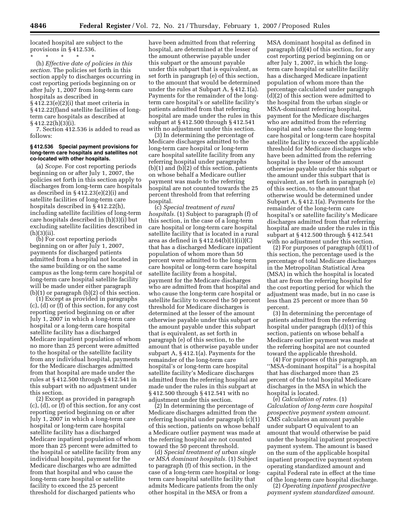located hospital are subject to the provisions in § 412.536.

\* \* \* \* \* (h) *Effective date of policies in this section.* The policies set forth in this section apply to discharges occurring in cost reporting periods beginning on or after July 1, 2007 from long-term care hospitals as described in § 412.23(e)(2)(i) that meet criteria in § 412.22(f)and satellite facilities of longterm care hospitals as described at § 412.22(h)(3)(i).

7. Section 412.536 is added to read as follows:

## **§ 412.536 Special payment provisions for long-term care hospitals and satellites not co-located with other hospitals.**

(a) *Scope.* For cost reporting periods beginning on or after July 1, 2007, the policies set forth in this section apply to discharges from long-term care hospitals as described in § 412.23(e)(2)(i) and satellite facilities of long-term care hospitals described in § 412.22(h), including satellite facilities of long-term care hospitals described in (h)(3)(i) but excluding satellite facilities described in  $(h)(3)(ii)$ .

(b) For cost reporting periods beginning on or after July 1, 2007, payments for discharged patients admitted from a hospital not located in the same building or on the same campus as the long-term care hospital or long-term care hospital satellite facility will be made under either paragraph (b)(1) or paragraph (b)(2) of this section.

(1) Except as provided in paragraphs (c), (d) or (f) of this section, for any cost reporting period beginning on or after July 1, 2007 in which a long-term care hospital or a long-term care hospital satellite facility has a discharged Medicare inpatient population of whom no more than 25 percent were admitted to the hospital or the satellite facility from any individual hospital, payments for the Medicare discharges admitted from that hospital are made under the rules at § 412.500 through § 412.541 in this subpart with no adjustment under this section.

(2) Except as provided in paragraph (c), (d), or (f) of this section, for any cost reporting period beginning on or after July 1, 2007 in which a long-term care hospital or long-term care hospital satellite facility has a discharged Medicare inpatient population of whom more than 25 percent were admitted to the hospital or satellite facility from any individual hospital, payment for the Medicare discharges who are admitted from that hospital and who cause the long-term care hospital or satellite facility to exceed the 25 percent threshold for discharged patients who

have been admitted from that referring hospital, are determined at the lesser of the amount otherwise payable under this subpart or the amount payable under this subpart that is equivalent, as set forth in paragraph (e) of this section, to the amount that would be determined under the rules at Subpart A, § 412.1(a). Payments for the remainder of the longterm care hospital's or satellite facility's patients admitted from that referring hospital are made under the rules in this subpart at § 412.500 through § 412.541 with no adjustment under this section.

(3) In determining the percentage of Medicare discharges admitted to the long-term care hospital or long-term care hospital satellite facility from any referring hospital under paragraphs  $(b)(1)$  and  $(b)(2)$  of this section, patients on whose behalf a Medicare outlier payment was made to the referring hospital are not counted towards the 25 percent threshold from that referring hospital.

(c) *Special treatment of rural hospitals.* (1) Subject to paragraph (f) of this section, in the case of a long-term care hospital or long-term care hospital satellite facility that is located in a rural area as defined in  $\S 412.64(b)(1)(ii)(C)$ that has a discharged Medicare inpatient population of whom more than 50 percent were admitted to the long-term care hospital or long-term care hospital satellite facility from a hospital, payment for the Medicare discharges who are admitted from that hospital and who cause the long-term care hospital or satellite facility to exceed the 50 percent threshold for Medicare discharges is determined at the lesser of the amount otherwise payable under this subpart or the amount payable under this subpart that is equivalent, as set forth in paragraph (e) of this section, to the amount that is otherwise payable under subpart A, § 412.1(a). Payments for the remainder of the long-term care hospital's or long-term care hospital satellite facility's Medicare discharges admitted from the referring hospital are made under the rules in this subpart at § 412.500 through § 412.541 with no adjustment under this section.

(2) In determining the percentage of Medicare discharges admitted from the referring hospital under paragraph (c)(1) of this section, patients on whose behalf a Medicare outlier payment was made at the referring hospital are not counted toward the 50 percent threshold.

(d) *Special treatment of urban single or MSA dominant hospitals.* (1) Subject to paragraph (f) of this section, in the case of a long-term care hospital or longterm care hospital satellite facility that admits Medicare patients from the only other hospital in the MSA or from a

MSA dominant hospital as defined in paragraph (d)(4) of this section, for any cost reporting period beginning on or after July 1, 2007, in which the longterm care hospital or satellite facility has a discharged Medicare inpatient population of whom more than the percentage calculated under paragraph (d)(2) of this section were admitted to the hospital from the urban single or MSA-dominant referring hospital, payment for the Medicare discharges who are admitted from the referring hospital and who cause the long-term care hospital or long-term care hospital satellite facility to exceed the applicable threshold for Medicare discharges who have been admitted from the referring hospital is the lesser of the amount otherwise payable under this subpart or the amount under this subpart that is equivalent, as set forth in paragraph (e) of this section, to the amount that otherwise would be determined under Subpart A, § 412.1(a). Payments for the remainder of the long-term care hospital's or satellite facility's Medicare discharges admitted from that referring hospital are made under the rules in this subpart at § 412.500 through § 412.541 with no adjustment under this section.

(2) For purposes of paragraph (d)(1) of this section, the percentage used is the percentage of total Medicare discharges in the Metropolitan Statistical Area (MSA) in which the hospital is located that are from the referring hospital for the cost reporting period for which the adjustment was made, but in no case is less than 25 percent or more than 50 percent.

(3) In determining the percentage of patients admitted from the referring hospital under paragraph (d)(1) of this section, patients on whose behalf a Medicare outlier payment was made at the referring hospital are not counted toward the applicable threshold.

(4) For purposes of this paragraph, an ''MSA-dominant hospital'' is a hospital that has discharged more than 25 percent of the total hospital Medicare discharges in the MSA in which the hospital is located.

(e) *Calculation of rates.* (1) *Calculation of long-term care hospital prospective payment system amount.*  CMS calculates an amount payable under subpart O equivalent to an amount that would otherwise be paid under the hospital inpatient prospective payment system. The amount is based on the sum of the applicable hospital inpatient prospective payment system operating standardized amount and capital Federal rate in effect at the time of the long-term care hospital discharge.

(2) *Operating inpatient prospective payment system standardized amount.*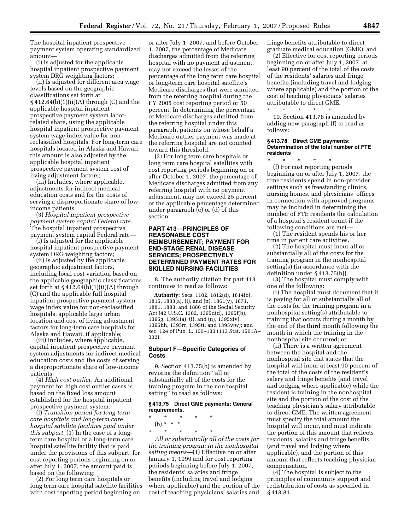The hospital inpatient prospective payment system operating standardized amount—

(i) Is adjusted for the applicable hospital inpatient prospective payment system DRG weighting factors;

(ii) Is adjusted for different area wage levels based on the geographic classifications set forth at  $§ 412.64(b)(1)(ii)(A)$  through (C) and the applicable hospital inpatient prospective payment system laborrelated share, using the applicable hospital inpatient prospective payment system wage index value for nonreclassified hospitals. For long-term care hospitals located in Alaska and Hawaii, this amount is also adjusted by the applicable hospital inpatient prospective payment system cost of living adjustment factors;

(iii) Includes, where applicable, adjustments for indirect medical education costs and for the costs of serving a disproportionate share of lowincome patients.

(3) *Hospital inpatient prospective payment system capital Federal rate.*  The hospital inpatient prospective payment system capital Federal rate—

(i) Is adjusted for the applicable hospital inpatient prospective payment system DRG weighting factors;

(ii) Is adjusted by the applicable geographic adjustment factors, including local cost variation based on the applicable geographic classifications set forth at  $\S 412.64(b)(1)(ii)(A)$  through (C) and the applicable full hospital inpatient prospective payment system wage index value for non-reclassified hospitals, applicable large urban location and cost of living adjustment factors for long-term care hospitals for Alaska and Hawaii, if applicable;

(iii) Includes, where applicable, capital inpatient prospective payment system adjustments for indirect medical education costs and the costs of serving a disproportionate share of low-income patients.

(4) *High cost outlier.* An additional payment for high cost outlier cases is based on the fixed loss amount established for the hospital inpatient prospective payment system.

(f) *Transition period for long-term care hospitals and long-term care hospital satellite facilities paid under this subpart.* (1) In the case of a longterm care hospital or a long-term care hospital satellite facility that is paid under the provisions of this subpart, for cost reporting periods beginning on or after July 1, 2007, the amount paid is based on the following:

(2) For long term care hospitals or long term care hospital satellite facilities with cost reporting period beginning on

or after July 1, 2007, and before October 1, 2007, the percentage of Medicare discharges admitted from the referring hospital with no payment adjustment, may not exceed the lesser of the percentage of the long term care hospital or long-term care hospital satellite's Medicare discharges that were admitted from the referring hospital during the FY 2005 cost reporting period or 50 percent. In determining the percentage of Medicare discharges admitted from the referring hospital under this paragraph, patients on whose behalf a Medicare outlier payment was made at the referring hospital are not counted toward this threshold.

(3) For long term care hospitals or long term care hospital satellites with cost reporting periods beginning on or after October 1, 2007, the percentage of Medicare discharges admitted from any referring hospital with no payment adjustment, may not exceed 25 percent or the applicable percentage determined under paragraph (c) or (d) of this section.

#### **PART 413—PRINCIPLES OF REASONABLE COST REIMBURSEMENT; PAYMENT FOR END-STAGE RENAL DISEASE SERVICES; PROSPECTIVELY DETERMINED PAYMENT RATES FOR SKILLED NURSING FACILITIES**

8. The authority citation for part 413 continues to read as follows:

**Authority:** Secs. 1102, 1812(d), 1814(b), 1815, 1833(a), (i), and (n), 1861(v), 1871, 1881, 1883, and 1886 of the Social Security Act (42 U.S.C. 1302, 1395d(d), 1395f(b), 1395g, 1395l(a), (i), and (n), 1395x(v), 1395hh, 1395rr, 1395tt, and 1395ww); and sec. 124 of Pub. L. 106–133 (113 Stat. 1501A– 332).

#### **Subpart F—Specific Categories of Costs**

9. Section 413.75(b) is amended by revising the definition ''all or substantially all of the costs for the training program in the nonhospital setting'' to read as follows:

#### **§ 413.75 Direct GME payments: General requirements.**

\* \* \* \* \* (b) \* \* \*

\* \* \* \* \* *All or substantially all of the costs for the training program in the nonhospital setting means*—(1) Effective on or after January 1, 1999 and for cost reporting periods beginning before July 1, 2007, the residents' salaries and fringe benefits (including travel and lodging where applicable) and the portion of the cost of teaching physicians' salaries and fringe benefits attributable to direct graduate medical education (GME); and

(2) Effective for cost reporting periods beginning on or after July 1, 2007, at least 90 percent of the total of the costs of the residents' salaries and fringe benefits (including travel and lodging where applicable) and the portion of the cost of teaching physicians' salaries attributable to direct GME.

\* \* \* \* \*

10. Section 413.78 is amended by adding new paragraph (f) to read as follows:

#### **§ 413.78 Direct GME payments: Determination of the total number of FTE residents**

\* \* \* \* \* (f) For cost reporting periods beginning on or after July 1, 2007, the time residents spend in non-provider settings such as freestanding clinics, nursing homes, and physicians' offices in connection with approved programs may be included in determining the number of FTE residents the calculation of a hospital's resident count if the following conditions are met—

(1) The resident spends his or her time in patient care activities.

(2) The hospital must incur all or substantially all of the costs for the training program in the nonhospital setting(s) (in accordance with the definition under § 413.75(b)).

(3) The hospital must comply with one of the following:

(i) The hospital must document that it is paying for all or substantially all of the costs for the training program in a nonhospital setting(s) attributable to training that occurs during a month by the end of the third month following the month in which the training in the nonhospital site occurred; or

(ii) There is a written agreement between the hospital and the nonhospital site that states that the hospital will incur at least 90 percent of the total of the costs of the resident's salary and fringe benefits (and travel and lodging where applicable) while the resident is training in the nonhospital site and the portion of the cost of the teaching physician's salary attributable to direct GME. The written agreement must specify the total amount the hospital will incur, and must indicate the portion of this amount that reflects residents' salaries and fringe benefits (and travel and lodging where applicable), and the portion of this amount that reflects teaching physician compensation.

(4) The hospital is subject to the principles of community support and redistribution of costs as specified in § 413.81.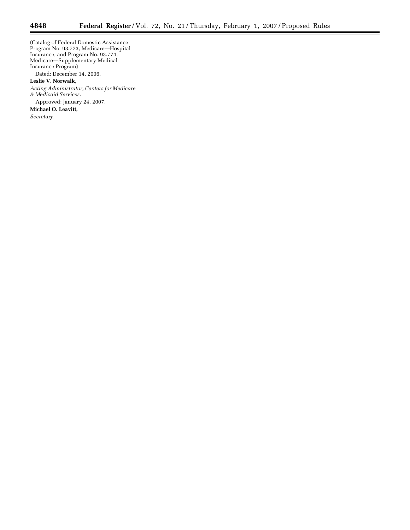(Catalog of Federal Domestic Assistance Program No. 93.773, Medicare—Hospital Insurance; and Program No. 93.774, Medicare—Supplementary Medical Insurance Program)

Dated: December 14, 2006.

# **Leslie V. Norwalk,**

*Acting Administrator, Centers for Medicare & Medicaid Services.* 

Approved: January 24, 2007.

**Michael O. Leavitt,** 

*Secretary.* 

 $\equiv$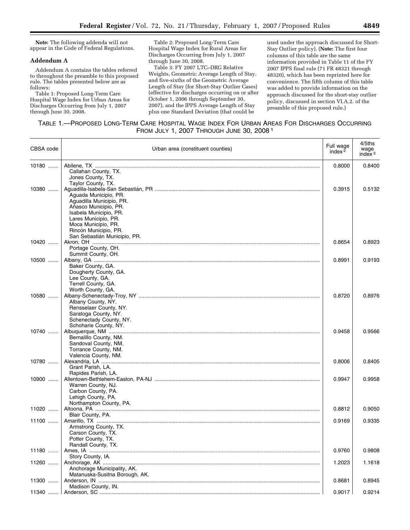**Note:** The following addenda will not appear in the Code of Federal Regulations.

#### **Addendum A**

Addendum A contains the tables referred to throughout the preamble to this proposed rule. The tables presented below are as follows:

Table 1: Proposed Long-Term Care Hospital Wage Index for Urban Areas for Discharges Occurring from July 1, 2007 through June 30, 2008.

Table 2: Proposed Long-Term Care Hospital Wage Index for Rural Areas for Discharges Occurring from July 1, 2007 through June 30, 2008.

Table 3: FY 2007 LTC–DRG Relative Weights, Geometric Average Length of Stay, and five-sixths of the Geometric Average Length of Stay (for Short-Stay Outlier Cases) (effective for discharges occurring on or after October 1, 2006 through September 30, 2007), and the IPPS Average Length of Stay plus one Standard Deviation (that could be

used under the approach discussed for Short-Stay Outlier policy). (**Note:** The first four columns of this table are the same information provided in Table 11 of the FY 2007 IPPS final rule (71 FR 48321 through 48320), which has been reprinted here for convenience. The fifth column of this table was added to provide information on the approach discussed for the short-stay outlier policy, discussed in section VI.A.2. of the preamble of this proposed rule.)

| CBSA code | Urban area (constituent counties)                                                                                                                   | Full wage<br>index $2$ | 4/5ths<br>wage<br>index <sup>3</sup> |
|-----------|-----------------------------------------------------------------------------------------------------------------------------------------------------|------------------------|--------------------------------------|
| 10180     | Callahan County, TX.<br>Jones County, TX.<br>Taylor County, TX.                                                                                     | 0.8000                 | 0.8400                               |
| 10380     | Aguada Municipio, PR.<br>Aguadilla Municipio, PR.<br>Añasco Municipio, PR.<br>Isabela Municipio, PR.<br>Lares Municipio, PR.<br>Moca Municipio, PR. | 0.3915                 | 0.5132                               |
| 10420     | Rincón Municipio, PR.<br>San Sebastián Municipio, PR.                                                                                               | 0.8654                 | 0.8923                               |
|           | Portage County, OH.<br>Summit County, OH.                                                                                                           |                        |                                      |
| 10500     | Baker County, GA.<br>Dougherty County, GA.<br>Lee County, GA.<br>Terrell County, GA.<br>Worth County, GA.                                           | 0.8991                 | 0.9193                               |
| 10580     | Albany County, NY.<br>Rensselaer County, NY.<br>Saratoga County, NY.<br>Schenectady County, NY.<br>Schoharie County, NY.                            | 0.8720                 | 0.8976                               |
| 10740     | Bernalillo County, NM.<br>Sandoval County, NM.<br>Torrance County, NM.<br>Valencia County, NM.                                                      | 0.9458                 | 0.9566                               |
| 10780     | Grant Parish, LA.<br>Rapides Parish, LA.                                                                                                            | 0.8006                 | 0.8405                               |
| $10900$   | Warren County, NJ.<br>Carbon County, PA.<br>Lehigh County, PA.<br>Northampton County, PA.                                                           | 0.9947                 | 0.9958                               |
| 11020     | Blair County, PA.                                                                                                                                   | 0.8812                 | 0.9050                               |
| $11100$   | Armstrong County, TX.<br>Carson County, TX.<br>Potter County, TX.<br>Randall County, TX.                                                            | 0.9169                 | 0.9335                               |
| 11180     | Story County, IA.                                                                                                                                   | 0.9760                 | 0.9808                               |
| 11260     | Anchorage Municipality, AK.<br>Matanuska-Susitna Borough, AK.                                                                                       | 1.2023                 | 1.1618                               |
| 11300     | Madison County, IN.                                                                                                                                 | 0.8681                 | 0.8945                               |
| 11340     |                                                                                                                                                     | 0.9017                 | 0.9214                               |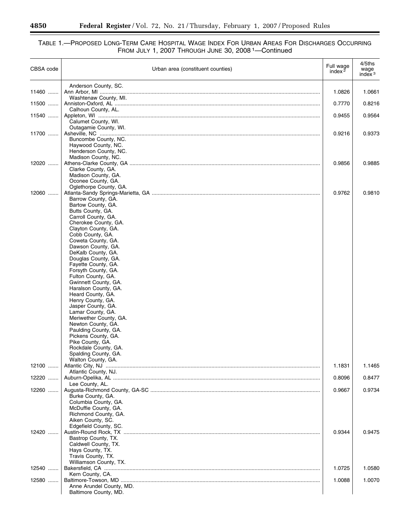#### TABLE 1.—PROPOSED LONG-TERM CARE HOSPITAL WAGE INDEX FOR URBAN AREAS FOR DISCHARGES OCCURRING FROM JULY 1, 2007 THROUGH JUNE 30, 2008 1—Continued

| CBSA code | Urban area (constituent counties)                                                                                                                                                                                                                                                                                                                                                                                                                                                                                                                                                                                                                      | Full wage<br>index $2$ | 4/5ths<br>wage<br>index $3$ |
|-----------|--------------------------------------------------------------------------------------------------------------------------------------------------------------------------------------------------------------------------------------------------------------------------------------------------------------------------------------------------------------------------------------------------------------------------------------------------------------------------------------------------------------------------------------------------------------------------------------------------------------------------------------------------------|------------------------|-----------------------------|
| 11460     | Anderson County, SC.                                                                                                                                                                                                                                                                                                                                                                                                                                                                                                                                                                                                                                   | 1.0826                 | 1.0661                      |
| 11500     | Washtenaw County, MI.<br>Calhoun County, AL.                                                                                                                                                                                                                                                                                                                                                                                                                                                                                                                                                                                                           | 0.7770                 | 0.8216                      |
| 11540     | Calumet County, WI.                                                                                                                                                                                                                                                                                                                                                                                                                                                                                                                                                                                                                                    | 0.9455                 | 0.9564                      |
| 11700     | Outagamie County, WI.<br>Buncombe County, NC.<br>Haywood County, NC.<br>Henderson County, NC.                                                                                                                                                                                                                                                                                                                                                                                                                                                                                                                                                          | 0.9216                 | 0.9373                      |
| 12020     | Madison County, NC.<br>Clarke County, GA.<br>Madison County, GA.<br>Oconee County, GA.                                                                                                                                                                                                                                                                                                                                                                                                                                                                                                                                                                 | 0.9856                 | 0.9885                      |
| 12060     | Oglethorpe County, GA.<br>Barrow County, GA.<br>Bartow County, GA.<br>Butts County, GA.<br>Carroll County, GA.<br>Cherokee County, GA.<br>Clayton County, GA.<br>Cobb County, GA.<br>Coweta County, GA.<br>Dawson County, GA.<br>DeKalb County, GA.<br>Douglas County, GA.<br>Fayette County, GA.<br>Forsyth County, GA.<br>Fulton County, GA.<br>Gwinnett County, GA.<br>Haralson County, GA.<br>Heard County, GA.<br>Henry County, GA.<br>Jasper County, GA.<br>Lamar County, GA.<br>Meriwether County, GA.<br>Newton County, GA.<br>Paulding County, GA.<br>Pickens County, GA.<br>Pike County, GA.<br>Rockdale County, GA.<br>Spalding County, GA. | 0.9762                 | 0.9810                      |
| 12100     | Walton County, GA.<br>Atlantic County, NJ.                                                                                                                                                                                                                                                                                                                                                                                                                                                                                                                                                                                                             | 1.1831                 | 1.1465                      |
| 12220     | Lee County, AL.                                                                                                                                                                                                                                                                                                                                                                                                                                                                                                                                                                                                                                        | 0.8096                 | 0.8477                      |
| 12260     | Burke County, GA.<br>Columbia County, GA.<br>McDuffie County, GA.<br>Richmond County, GA.<br>Aiken County, SC.<br>Edgefield County, SC.                                                                                                                                                                                                                                                                                                                                                                                                                                                                                                                | 0.9667                 | 0.9734                      |
| 12420     | Bastrop County, TX.<br>Caldwell County, TX.<br>Hays County, TX.<br>Travis County, TX.<br>Williamson County, TX.                                                                                                                                                                                                                                                                                                                                                                                                                                                                                                                                        | 0.9344                 | 0.9475                      |
| 12540     | Kern County, CA.                                                                                                                                                                                                                                                                                                                                                                                                                                                                                                                                                                                                                                       | 1.0725                 | 1.0580                      |
| 12580     | Anne Arundel County, MD.<br>Baltimore County, MD.                                                                                                                                                                                                                                                                                                                                                                                                                                                                                                                                                                                                      | 1.0088                 | 1.0070                      |

-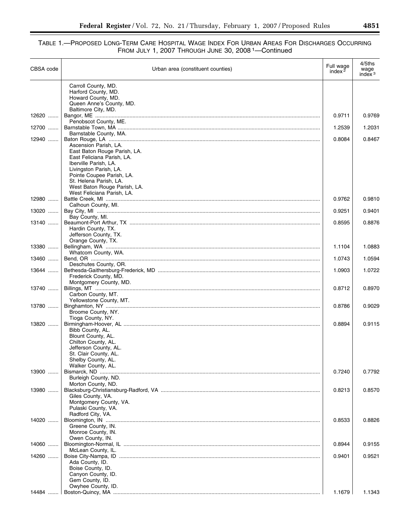| Carroll County, MD.<br>Harford County, MD.<br>Howard County, MD.<br>Queen Anne's County, MD.<br>Baltimore City, MD.<br>12620<br>0.9711<br>Penobscot County, ME.<br>12700<br>1.2539<br>1.2031<br>Barnstable County, MA.<br>12940<br>0.8084<br>Ascension Parish, LA.<br>East Baton Rouge Parish, LA.<br>East Feliciana Parish, LA.<br>Iberville Parish, LA.<br>Livingston Parish, LA.<br>Pointe Coupee Parish, LA.<br>St. Helena Parish, LA.<br>West Baton Rouge Parish, LA.<br>West Feliciana Parish, LA.<br>12980<br>0.9762<br>0.9810<br>Calhoun County, MI.<br>13020<br>0.9251<br>Bay County, MI.<br>13140<br>0.8595<br>Hardin County, TX.<br>Jefferson County, TX.<br>Orange County, TX.<br>13380<br>1.1104<br>Whatcom County, WA.<br>13460<br>1.0743<br>Deschutes County, OR.<br>13644<br>1.0903<br>1.0722<br>Frederick County, MD.<br>Montgomery County, MD.<br>0.8712<br>13740<br>0.8970<br>Carbon County, MT.<br>Yellowstone County, MT.<br>13780<br>0.8786<br>0.9029<br>Broome County, NY.<br>Tioga County, NY.<br>13820<br>0.8894<br>0.9115<br>Bibb County, AL.<br>Blount County, AL.<br>Chilton County, AL.<br>Jefferson County, AL.<br>St. Clair County, AL.<br>Shelby County, AL.<br>Walker County, AL.<br>13900<br>0.7240<br>Burleigh County, ND.<br>Morton County, ND.<br>13980<br>0.8213<br>Giles County, VA.<br>Montgomery County, VA.<br>Pulaski County, VA.<br>Radford City, VA.<br>14020<br>0.8533<br>Greene County, IN.<br>Monroe County, IN.<br>Owen County, IN.<br>14060<br>0.8944<br>McLean County, IL.<br>14260<br>0.9401<br>Ada County, ID.<br>Boise County, ID.<br>Canyon County, ID. | CBSA code | Urban area (constituent counties) | Full wage<br>index $2$ | 4/5ths<br>wage<br>index $3$ |
|----------------------------------------------------------------------------------------------------------------------------------------------------------------------------------------------------------------------------------------------------------------------------------------------------------------------------------------------------------------------------------------------------------------------------------------------------------------------------------------------------------------------------------------------------------------------------------------------------------------------------------------------------------------------------------------------------------------------------------------------------------------------------------------------------------------------------------------------------------------------------------------------------------------------------------------------------------------------------------------------------------------------------------------------------------------------------------------------------------------------------------------------------------------------------------------------------------------------------------------------------------------------------------------------------------------------------------------------------------------------------------------------------------------------------------------------------------------------------------------------------------------------------------------------------------------------------------------------------------------|-----------|-----------------------------------|------------------------|-----------------------------|
|                                                                                                                                                                                                                                                                                                                                                                                                                                                                                                                                                                                                                                                                                                                                                                                                                                                                                                                                                                                                                                                                                                                                                                                                                                                                                                                                                                                                                                                                                                                                                                                                                |           |                                   |                        |                             |
|                                                                                                                                                                                                                                                                                                                                                                                                                                                                                                                                                                                                                                                                                                                                                                                                                                                                                                                                                                                                                                                                                                                                                                                                                                                                                                                                                                                                                                                                                                                                                                                                                |           |                                   |                        |                             |
|                                                                                                                                                                                                                                                                                                                                                                                                                                                                                                                                                                                                                                                                                                                                                                                                                                                                                                                                                                                                                                                                                                                                                                                                                                                                                                                                                                                                                                                                                                                                                                                                                |           |                                   |                        |                             |
|                                                                                                                                                                                                                                                                                                                                                                                                                                                                                                                                                                                                                                                                                                                                                                                                                                                                                                                                                                                                                                                                                                                                                                                                                                                                                                                                                                                                                                                                                                                                                                                                                |           |                                   |                        | 0.9769                      |
|                                                                                                                                                                                                                                                                                                                                                                                                                                                                                                                                                                                                                                                                                                                                                                                                                                                                                                                                                                                                                                                                                                                                                                                                                                                                                                                                                                                                                                                                                                                                                                                                                |           |                                   |                        |                             |
|                                                                                                                                                                                                                                                                                                                                                                                                                                                                                                                                                                                                                                                                                                                                                                                                                                                                                                                                                                                                                                                                                                                                                                                                                                                                                                                                                                                                                                                                                                                                                                                                                |           |                                   |                        |                             |
|                                                                                                                                                                                                                                                                                                                                                                                                                                                                                                                                                                                                                                                                                                                                                                                                                                                                                                                                                                                                                                                                                                                                                                                                                                                                                                                                                                                                                                                                                                                                                                                                                |           |                                   |                        | 0.8467                      |
|                                                                                                                                                                                                                                                                                                                                                                                                                                                                                                                                                                                                                                                                                                                                                                                                                                                                                                                                                                                                                                                                                                                                                                                                                                                                                                                                                                                                                                                                                                                                                                                                                |           |                                   |                        |                             |
|                                                                                                                                                                                                                                                                                                                                                                                                                                                                                                                                                                                                                                                                                                                                                                                                                                                                                                                                                                                                                                                                                                                                                                                                                                                                                                                                                                                                                                                                                                                                                                                                                |           |                                   |                        |                             |
|                                                                                                                                                                                                                                                                                                                                                                                                                                                                                                                                                                                                                                                                                                                                                                                                                                                                                                                                                                                                                                                                                                                                                                                                                                                                                                                                                                                                                                                                                                                                                                                                                |           |                                   |                        |                             |
|                                                                                                                                                                                                                                                                                                                                                                                                                                                                                                                                                                                                                                                                                                                                                                                                                                                                                                                                                                                                                                                                                                                                                                                                                                                                                                                                                                                                                                                                                                                                                                                                                |           |                                   |                        |                             |
|                                                                                                                                                                                                                                                                                                                                                                                                                                                                                                                                                                                                                                                                                                                                                                                                                                                                                                                                                                                                                                                                                                                                                                                                                                                                                                                                                                                                                                                                                                                                                                                                                |           |                                   |                        |                             |
|                                                                                                                                                                                                                                                                                                                                                                                                                                                                                                                                                                                                                                                                                                                                                                                                                                                                                                                                                                                                                                                                                                                                                                                                                                                                                                                                                                                                                                                                                                                                                                                                                |           |                                   |                        |                             |
|                                                                                                                                                                                                                                                                                                                                                                                                                                                                                                                                                                                                                                                                                                                                                                                                                                                                                                                                                                                                                                                                                                                                                                                                                                                                                                                                                                                                                                                                                                                                                                                                                |           |                                   |                        |                             |
|                                                                                                                                                                                                                                                                                                                                                                                                                                                                                                                                                                                                                                                                                                                                                                                                                                                                                                                                                                                                                                                                                                                                                                                                                                                                                                                                                                                                                                                                                                                                                                                                                |           |                                   |                        | 0.9401                      |
|                                                                                                                                                                                                                                                                                                                                                                                                                                                                                                                                                                                                                                                                                                                                                                                                                                                                                                                                                                                                                                                                                                                                                                                                                                                                                                                                                                                                                                                                                                                                                                                                                |           |                                   |                        | 0.8876                      |
|                                                                                                                                                                                                                                                                                                                                                                                                                                                                                                                                                                                                                                                                                                                                                                                                                                                                                                                                                                                                                                                                                                                                                                                                                                                                                                                                                                                                                                                                                                                                                                                                                |           |                                   |                        |                             |
|                                                                                                                                                                                                                                                                                                                                                                                                                                                                                                                                                                                                                                                                                                                                                                                                                                                                                                                                                                                                                                                                                                                                                                                                                                                                                                                                                                                                                                                                                                                                                                                                                |           |                                   |                        |                             |
|                                                                                                                                                                                                                                                                                                                                                                                                                                                                                                                                                                                                                                                                                                                                                                                                                                                                                                                                                                                                                                                                                                                                                                                                                                                                                                                                                                                                                                                                                                                                                                                                                |           |                                   |                        | 1.0883                      |
|                                                                                                                                                                                                                                                                                                                                                                                                                                                                                                                                                                                                                                                                                                                                                                                                                                                                                                                                                                                                                                                                                                                                                                                                                                                                                                                                                                                                                                                                                                                                                                                                                |           |                                   |                        | 1.0594                      |
|                                                                                                                                                                                                                                                                                                                                                                                                                                                                                                                                                                                                                                                                                                                                                                                                                                                                                                                                                                                                                                                                                                                                                                                                                                                                                                                                                                                                                                                                                                                                                                                                                |           |                                   |                        |                             |
|                                                                                                                                                                                                                                                                                                                                                                                                                                                                                                                                                                                                                                                                                                                                                                                                                                                                                                                                                                                                                                                                                                                                                                                                                                                                                                                                                                                                                                                                                                                                                                                                                |           |                                   |                        |                             |
|                                                                                                                                                                                                                                                                                                                                                                                                                                                                                                                                                                                                                                                                                                                                                                                                                                                                                                                                                                                                                                                                                                                                                                                                                                                                                                                                                                                                                                                                                                                                                                                                                |           |                                   |                        |                             |
|                                                                                                                                                                                                                                                                                                                                                                                                                                                                                                                                                                                                                                                                                                                                                                                                                                                                                                                                                                                                                                                                                                                                                                                                                                                                                                                                                                                                                                                                                                                                                                                                                |           |                                   |                        |                             |
|                                                                                                                                                                                                                                                                                                                                                                                                                                                                                                                                                                                                                                                                                                                                                                                                                                                                                                                                                                                                                                                                                                                                                                                                                                                                                                                                                                                                                                                                                                                                                                                                                |           |                                   |                        |                             |
|                                                                                                                                                                                                                                                                                                                                                                                                                                                                                                                                                                                                                                                                                                                                                                                                                                                                                                                                                                                                                                                                                                                                                                                                                                                                                                                                                                                                                                                                                                                                                                                                                |           |                                   |                        |                             |
|                                                                                                                                                                                                                                                                                                                                                                                                                                                                                                                                                                                                                                                                                                                                                                                                                                                                                                                                                                                                                                                                                                                                                                                                                                                                                                                                                                                                                                                                                                                                                                                                                |           |                                   |                        |                             |
|                                                                                                                                                                                                                                                                                                                                                                                                                                                                                                                                                                                                                                                                                                                                                                                                                                                                                                                                                                                                                                                                                                                                                                                                                                                                                                                                                                                                                                                                                                                                                                                                                |           |                                   |                        |                             |
|                                                                                                                                                                                                                                                                                                                                                                                                                                                                                                                                                                                                                                                                                                                                                                                                                                                                                                                                                                                                                                                                                                                                                                                                                                                                                                                                                                                                                                                                                                                                                                                                                |           |                                   |                        |                             |
|                                                                                                                                                                                                                                                                                                                                                                                                                                                                                                                                                                                                                                                                                                                                                                                                                                                                                                                                                                                                                                                                                                                                                                                                                                                                                                                                                                                                                                                                                                                                                                                                                |           |                                   |                        |                             |
|                                                                                                                                                                                                                                                                                                                                                                                                                                                                                                                                                                                                                                                                                                                                                                                                                                                                                                                                                                                                                                                                                                                                                                                                                                                                                                                                                                                                                                                                                                                                                                                                                |           |                                   |                        |                             |
|                                                                                                                                                                                                                                                                                                                                                                                                                                                                                                                                                                                                                                                                                                                                                                                                                                                                                                                                                                                                                                                                                                                                                                                                                                                                                                                                                                                                                                                                                                                                                                                                                |           |                                   |                        |                             |
|                                                                                                                                                                                                                                                                                                                                                                                                                                                                                                                                                                                                                                                                                                                                                                                                                                                                                                                                                                                                                                                                                                                                                                                                                                                                                                                                                                                                                                                                                                                                                                                                                |           |                                   |                        | 0.7792                      |
|                                                                                                                                                                                                                                                                                                                                                                                                                                                                                                                                                                                                                                                                                                                                                                                                                                                                                                                                                                                                                                                                                                                                                                                                                                                                                                                                                                                                                                                                                                                                                                                                                |           |                                   |                        |                             |
|                                                                                                                                                                                                                                                                                                                                                                                                                                                                                                                                                                                                                                                                                                                                                                                                                                                                                                                                                                                                                                                                                                                                                                                                                                                                                                                                                                                                                                                                                                                                                                                                                |           |                                   |                        | 0.8570                      |
|                                                                                                                                                                                                                                                                                                                                                                                                                                                                                                                                                                                                                                                                                                                                                                                                                                                                                                                                                                                                                                                                                                                                                                                                                                                                                                                                                                                                                                                                                                                                                                                                                |           |                                   |                        |                             |
|                                                                                                                                                                                                                                                                                                                                                                                                                                                                                                                                                                                                                                                                                                                                                                                                                                                                                                                                                                                                                                                                                                                                                                                                                                                                                                                                                                                                                                                                                                                                                                                                                |           |                                   |                        |                             |
|                                                                                                                                                                                                                                                                                                                                                                                                                                                                                                                                                                                                                                                                                                                                                                                                                                                                                                                                                                                                                                                                                                                                                                                                                                                                                                                                                                                                                                                                                                                                                                                                                |           |                                   |                        | 0.8826                      |
|                                                                                                                                                                                                                                                                                                                                                                                                                                                                                                                                                                                                                                                                                                                                                                                                                                                                                                                                                                                                                                                                                                                                                                                                                                                                                                                                                                                                                                                                                                                                                                                                                |           |                                   |                        |                             |
|                                                                                                                                                                                                                                                                                                                                                                                                                                                                                                                                                                                                                                                                                                                                                                                                                                                                                                                                                                                                                                                                                                                                                                                                                                                                                                                                                                                                                                                                                                                                                                                                                |           |                                   |                        |                             |
|                                                                                                                                                                                                                                                                                                                                                                                                                                                                                                                                                                                                                                                                                                                                                                                                                                                                                                                                                                                                                                                                                                                                                                                                                                                                                                                                                                                                                                                                                                                                                                                                                |           |                                   |                        | 0.9155                      |
|                                                                                                                                                                                                                                                                                                                                                                                                                                                                                                                                                                                                                                                                                                                                                                                                                                                                                                                                                                                                                                                                                                                                                                                                                                                                                                                                                                                                                                                                                                                                                                                                                |           |                                   |                        | 0.9521                      |
|                                                                                                                                                                                                                                                                                                                                                                                                                                                                                                                                                                                                                                                                                                                                                                                                                                                                                                                                                                                                                                                                                                                                                                                                                                                                                                                                                                                                                                                                                                                                                                                                                |           |                                   |                        |                             |
|                                                                                                                                                                                                                                                                                                                                                                                                                                                                                                                                                                                                                                                                                                                                                                                                                                                                                                                                                                                                                                                                                                                                                                                                                                                                                                                                                                                                                                                                                                                                                                                                                |           |                                   |                        |                             |
|                                                                                                                                                                                                                                                                                                                                                                                                                                                                                                                                                                                                                                                                                                                                                                                                                                                                                                                                                                                                                                                                                                                                                                                                                                                                                                                                                                                                                                                                                                                                                                                                                |           | Gem County, ID.                   |                        |                             |
| Owyhee County, ID.<br>ا  14484<br>1.1679                                                                                                                                                                                                                                                                                                                                                                                                                                                                                                                                                                                                                                                                                                                                                                                                                                                                                                                                                                                                                                                                                                                                                                                                                                                                                                                                                                                                                                                                                                                                                                       |           |                                   |                        | 1.1343                      |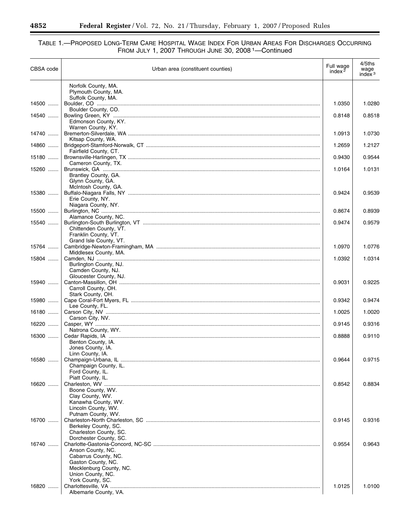#### TABLE 1.—PROPOSED LONG-TERM CARE HOSPITAL WAGE INDEX FOR URBAN AREAS FOR DISCHARGES OCCURRING FROM JULY 1, 2007 THROUGH JUNE 30, 2008 1—Continued

| CBSA code | Urban area (constituent counties)                | Full wage<br>index $2$ | 4/5ths<br>wage<br>index $3$ |
|-----------|--------------------------------------------------|------------------------|-----------------------------|
|           | Norfolk County, MA.<br>Plymouth County, MA.      |                        |                             |
| 14500     | Suffolk County, MA.                              | 1.0350                 | 1.0280                      |
| 14540     | Boulder County, CO.<br>Edmonson County, KY.      | 0.8148                 | 0.8518                      |
| 14740     | Warren County, KY.                               | 1.0913                 | 1.0730                      |
| 14860     | Kitsap County, WA.                               | 1.2659                 | 1.2127                      |
| 15180     | Fairfield County, CT.                            | 0.9430                 | 0.9544                      |
| 15260     | Cameron County, TX.                              | 1.0164                 | 1.0131                      |
|           | Brantley County, GA.<br>Glynn County, GA.        |                        |                             |
| 15380     | McIntosh County, GA.<br>Erie County, NY.         | 0.9424                 | 0.9539                      |
| 15500     | Niagara County, NY.                              | 0.8674                 | 0.8939                      |
| 15540     | Alamance County, NC.                             | 0.9474                 | 0.9579                      |
|           | Chittenden County, VT.<br>Franklin County, VT.   |                        |                             |
| 15764     | Grand Isle County, VT.<br>Middlesex County, MA.  | 1.0970                 | 1.0776                      |
| 15804     | Burlington County, NJ.                           | 1.0392                 | 1.0314                      |
|           | Camden County, NJ.<br>Gloucester County, NJ.     |                        |                             |
| 15940     | Carroll County, OH.                              | 0.9031                 | 0.9225                      |
| 15980     | Stark County, OH.                                | 0.9342                 | 0.9474                      |
| 16180     | Lee County, FL.<br>Carson City, NV.              | 1.0025                 | 1.0020                      |
| 16220     | Natrona County, WY.                              | 0.9145                 | 0.9316                      |
| 16300     | Benton County, IA.                               | 0.8888                 | 0.9110                      |
|           | Jones County, IA.<br>Linn County, IA.            |                        |                             |
| 16580     | Champaign County, IL.                            | 0.9644                 | 0.9715                      |
|           | Ford County, IL.<br>Piatt County, IL.            |                        |                             |
| 16620     | Boone County, WV.                                | 0.8542                 | 0.8834                      |
|           | Clay County, WV.<br>Kanawha County, WV.          |                        |                             |
|           | Lincoln County, WV.<br>Putnam County, WV.        |                        |                             |
| 16700     | Berkeley County, SC.                             | 0.9145                 | 0.9316                      |
|           | Charleston County, SC.<br>Dorchester County, SC. |                        |                             |
| 16740     | Anson County, NC.                                | 0.9554                 | 0.9643                      |
|           | Cabarrus County, NC.<br>Gaston County, NC.       |                        |                             |
|           | Mecklenburg County, NC.<br>Union County, NC.     |                        |                             |
| 16820     | York County, SC.<br>Albemarle County, VA.        | 1.0125                 | 1.0100                      |

۳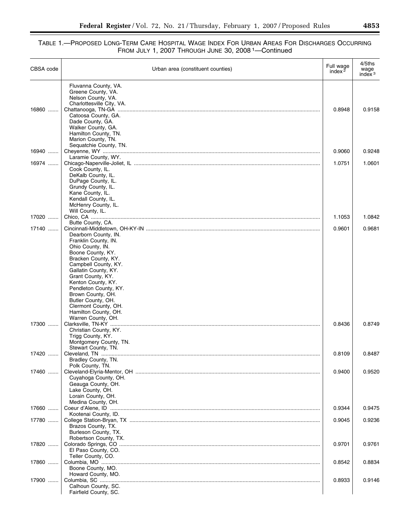$\equiv$ 

| CBSA code | Urban area (constituent counties)            | Full wage<br>index $2$ | 4/5ths<br>wage<br>index <sup>3</sup> |
|-----------|----------------------------------------------|------------------------|--------------------------------------|
|           | Fluvanna County, VA.<br>Greene County, VA.   |                        |                                      |
|           | Nelson County, VA.                           |                        |                                      |
|           | Charlottesville City, VA.                    |                        |                                      |
| 16860     |                                              | 0.8948                 | 0.9158                               |
|           | Catoosa County, GA.<br>Dade County, GA.      |                        |                                      |
|           | Walker County, GA.                           |                        |                                      |
|           | Hamilton County, TN.                         |                        |                                      |
|           | Marion County, TN.                           |                        |                                      |
|           | Sequatchie County, TN.                       |                        |                                      |
| 16940     | Laramie County, WY.                          | 0.9060                 | 0.9248                               |
| 16974     |                                              | 1.0751                 | 1.0601                               |
|           | Cook County, IL.                             |                        |                                      |
|           | DeKalb County, IL.                           |                        |                                      |
|           | DuPage County, IL.                           |                        |                                      |
|           | Grundy County, IL.                           |                        |                                      |
|           | Kane County, IL.<br>Kendall County, IL.      |                        |                                      |
|           | McHenry County, IL.                          |                        |                                      |
|           | Will County, IL.                             |                        |                                      |
| 17020     |                                              | 1.1053                 | 1.0842                               |
|           | Butte County, CA.                            |                        |                                      |
| 17140     | Dearborn County, IN.                         | 0.9601                 | 0.9681                               |
|           | Franklin County, IN.                         |                        |                                      |
|           | Ohio County, IN.                             |                        |                                      |
|           | Boone County, KY.                            |                        |                                      |
|           | Bracken County, KY.                          |                        |                                      |
|           | Campbell County, KY.<br>Gallatin County, KY. |                        |                                      |
|           | Grant County, KY.                            |                        |                                      |
|           | Kenton County, KY.                           |                        |                                      |
|           | Pendleton County, KY.                        |                        |                                      |
|           | Brown County, OH.                            |                        |                                      |
|           | Butler County, OH.<br>Clermont County, OH.   |                        |                                      |
|           | Hamilton County, OH.                         |                        |                                      |
|           | Warren County, OH.                           |                        |                                      |
| 17300     |                                              | 0.8436                 | 0.8749                               |
|           | Christian County, KY.                        |                        |                                      |
|           | Trigg County, KY.<br>Montgomery County, TN.  |                        |                                      |
|           | Stewart County, TN.                          |                        |                                      |
| 17420     |                                              | 0.8109                 | 0.8487                               |
|           | Bradley County, TN.                          |                        |                                      |
|           | Polk County, TN.                             |                        |                                      |
| 17460     | Cuyahoga County, OH.                         | 0.9400                 | 0.9520                               |
|           | Geauga County, OH.                           |                        |                                      |
|           | Lake County, OH.                             |                        |                                      |
|           | Lorain County, OH.                           |                        |                                      |
|           | Medina County, OH.                           |                        |                                      |
| 17660     |                                              | 0.9344                 | 0.9475                               |
| 17780     | Kootenai County, ID.                         | 0.9045                 | 0.9236                               |
|           | Brazos County, TX.                           |                        |                                      |
|           | Burleson County, TX.                         |                        |                                      |
|           | Robertson County, TX.                        |                        |                                      |
| 17820     |                                              | 0.9701                 | 0.9761                               |
|           | El Paso County, CO.                          |                        |                                      |
| 17860     | Teller County, CO.                           | 0.8542                 | 0.8834                               |
|           | Boone County, MO.                            |                        |                                      |
|           | Howard County, MO.                           |                        |                                      |
| 17900     |                                              | 0.8933                 | 0.9146                               |
|           | Calhoun County, SC.                          |                        |                                      |
|           | Fairfield County, SC.                        |                        |                                      |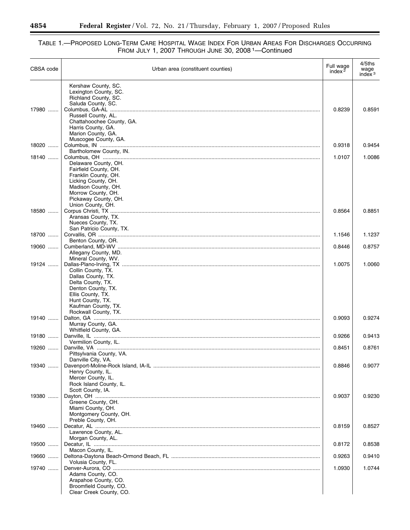#### TABLE 1.—PROPOSED LONG-TERM CARE HOSPITAL WAGE INDEX FOR URBAN AREAS FOR DISCHARGES OCCURRING FROM JULY 1, 2007 THROUGH JUNE 30, 2008 1—Continued

| CBSA code | Urban area (constituent counties)             | Full wage<br>index $2$ | 4/5ths<br>wage<br>index $3$ |
|-----------|-----------------------------------------------|------------------------|-----------------------------|
|           | Kershaw County, SC.                           |                        |                             |
|           | Lexington County, SC.<br>Richland County, SC. |                        |                             |
|           | Saluda County, SC.                            |                        |                             |
| 17980     |                                               | 0.8239                 | 0.8591                      |
|           | Russell County, AL.                           |                        |                             |
|           | Chattahoochee County, GA.                     |                        |                             |
|           | Harris County, GA.<br>Marion County, GA.      |                        |                             |
|           | Muscogee County, GA.                          |                        |                             |
| 18020     |                                               | 0.9318                 | 0.9454                      |
|           | Bartholomew County, IN.                       |                        |                             |
| 18140     | Delaware County, OH.                          | 1.0107                 | 1.0086                      |
|           | Fairfield County, OH.                         |                        |                             |
|           | Franklin County, OH.                          |                        |                             |
|           | Licking County, OH.                           |                        |                             |
|           | Madison County, OH.<br>Morrow County, OH.     |                        |                             |
|           | Pickaway County, OH.                          |                        |                             |
|           | Union County, OH.                             |                        |                             |
| 18580     |                                               | 0.8564                 | 0.8851                      |
|           | Aransas County, TX.<br>Nueces County, TX.     |                        |                             |
|           | San Patricio County, TX.                      |                        |                             |
| 18700     |                                               | 1.1546                 | 1.1237                      |
|           | Benton County, OR.                            |                        |                             |
| 19060     | Allegany County, MD.                          | 0.8446                 | 0.8757                      |
|           | Mineral County, WV.                           |                        |                             |
| 19124     |                                               | 1.0075                 | 1.0060                      |
|           | Collin County, TX.                            |                        |                             |
|           | Dallas County, TX.<br>Delta County, TX.       |                        |                             |
|           | Denton County, TX.                            |                        |                             |
|           | Ellis County, TX.                             |                        |                             |
|           | Hunt County, TX.                              |                        |                             |
|           | Kaufman County, TX.<br>Rockwall County, TX.   |                        |                             |
| 19140     |                                               | 0.9093                 | 0.9274                      |
|           | Murray County, GA.                            |                        |                             |
|           | Whitfield County, GA.                         |                        |                             |
| 19180     | Vermilion County, IL.                         | 0.9266                 | 0.9413                      |
| 19260     |                                               | 0.8451                 | 0.8761                      |
|           | Pittsylvania County, VA.                      |                        |                             |
|           | Danville City, VA.                            |                        |                             |
| 19340     | Henry County, IL.                             | 0.8846                 | 0.9077                      |
|           | Mercer County, IL.                            |                        |                             |
|           | Rock Island County, IL.                       |                        |                             |
|           | Scott County, IA.                             |                        |                             |
| 19380     | Greene County, OH.                            | 0.9037                 | 0.9230                      |
|           | Miami County, OH.                             |                        |                             |
|           | Montgomery County, OH.                        |                        |                             |
|           | Preble County, OH.                            |                        |                             |
| 19460     |                                               | 0.8159                 | 0.8527                      |
|           | Lawrence County, AL.<br>Morgan County, AL.    |                        |                             |
| 19500     |                                               | 0.8172                 | 0.8538                      |
|           | Macon County, IL.                             |                        |                             |
| 19660     |                                               | 0.9263                 | 0.9410                      |
| 19740     | Volusia County, FL.                           | 1.0930                 | 1.0744                      |
|           | Adams County, CO.                             |                        |                             |
|           | Arapahoe County, CO.                          |                        |                             |
|           | Broomfield County, CO.                        |                        |                             |
|           | Clear Creek County, CO.                       |                        |                             |

Ξ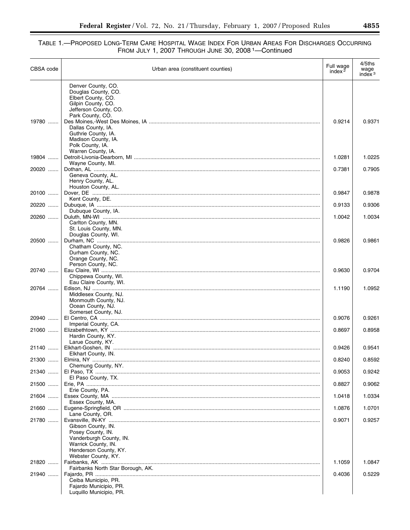| CBSA code | Urban area (constituent counties)                                 | Full wage<br>index $2$ | 4/5ths<br>wage<br>index $3$ |
|-----------|-------------------------------------------------------------------|------------------------|-----------------------------|
|           | Denver County, CO.<br>Douglas County, CO.                         |                        |                             |
|           | Elbert County, CO.<br>Gilpin County, CO.<br>Jefferson County, CO. |                        |                             |
| 19780     | Park County, CO.<br>Dallas County, IA.                            | 0.9214                 | 0.9371                      |
|           | Guthrie County, IA.<br>Madison County, IA.<br>Polk County, IA.    |                        |                             |
| 19804     | Warren County, IA.                                                | 1.0281                 | 1.0225                      |
| 20020     | Wayne County, MI.                                                 | 0.7381                 | 0.7905                      |
|           | Geneva County, AL.<br>Henry County, AL.<br>Houston County, AL.    |                        |                             |
| 20100     |                                                                   | 0.9847                 | 0.9878                      |
| 20220     | Kent County, DE.                                                  | 0.9133                 | 0.9306                      |
| 20260     | Dubuque County, IA.                                               | 1.0042                 | 1.0034                      |
|           | Carlton County, MN.<br>St. Louis County, MN.                      |                        |                             |
| 20500     | Douglas County, WI.                                               | 0.9826                 | 0.9861                      |
|           | Chatham County, NC.                                               |                        |                             |
|           | Durham County, NC.<br>Orange County, NC.                          |                        |                             |
| 20740     | Person County, NC.                                                | 0.9630                 | 0.9704                      |
|           | Chippewa County, WI.<br>Eau Claire County, WI.                    |                        |                             |
| 20764     | Middlesex County, NJ.                                             | 1.1190                 | 1.0952                      |
|           | Monmouth County, NJ.                                              |                        |                             |
|           | Ocean County, NJ.<br>Somerset County, NJ.                         |                        |                             |
| 20940     | Imperial County, CA.                                              | 0.9076                 | 0.9261                      |
| 21060     | Hardin County, KY.                                                | 0.8697                 | 0.8958                      |
|           | Larue County, KY.                                                 |                        |                             |
| 21140     | Elkhart County, IN.                                               | 0.9426                 | 0.9541                      |
| 21300     | Chemung County, NY.                                               | 0.8240                 | 0.8592                      |
| 21340     | El Paso County, TX.                                               | 0.9053                 | 0.9242                      |
| 21500     |                                                                   | 0.8827                 | 0.9062                      |
| 21604     | Erie County, PA.                                                  | 1.0418                 | 1.0334                      |
| 21660     | Essex County, MA.                                                 | 1.0876                 | 1.0701                      |
| 21780     | Lane County, OR.                                                  | 0.9071                 | 0.9257                      |
|           | Gibson County, IN.<br>Posey County, IN.                           |                        |                             |
|           | Vanderburgh County, IN.<br>Warrick County, IN.                    |                        |                             |
|           | Henderson County, KY.                                             |                        |                             |
| 21820     | Webster County, KY.                                               | 1.1059                 | 1.0847                      |
| 21940     | Fairbanks North Star Borough, AK.                                 | 0.4036                 | 0.5229                      |
|           | Ceiba Municipio, PR.<br>Fajardo Municipio, PR.                    |                        |                             |
|           | Luquillo Municipio, PR.                                           |                        |                             |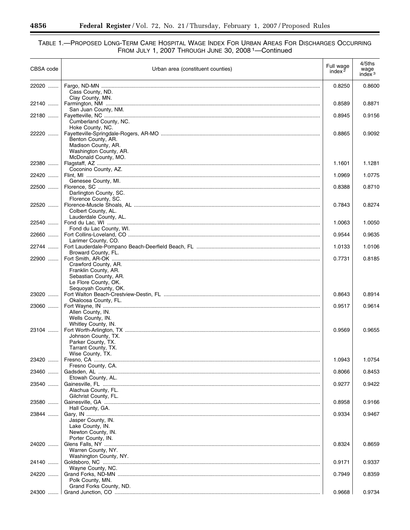#### TABLE 1.—PROPOSED LONG-TERM CARE HOSPITAL WAGE INDEX FOR URBAN AREAS FOR DISCHARGES OCCURRING FROM JULY 1, 2007 THROUGH JUNE 30, 2008 1—Continued

| CBSA code | Urban area (constituent counties)<br><u> 1989 - Johann Stein, mars an de Brasilia (b. 1989)</u>                       | Full wage<br>index $2$ | $4/5$ ths<br>wage<br>index $3$ |
|-----------|-----------------------------------------------------------------------------------------------------------------------|------------------------|--------------------------------|
| 22020     | Cass County, ND.                                                                                                      | 0.8250                 | 0.8600                         |
| 22140     | Clay County, MN.<br>San Juan County, NM.                                                                              | 0.8589                 | 0.8871                         |
| 22180     | Cumberland County, NC.                                                                                                | 0.8945                 | 0.9156                         |
| 22220     | Hoke County, NC.<br>Benton County, AR.<br>Madison County, AR.<br>Washington County, AR.                               | 0.8865                 | 0.9092                         |
| 22380     | McDonald County, MO.                                                                                                  | 1.1601                 | 1.1281                         |
| 22420     | Coconino County, AZ.                                                                                                  | 1.0969                 | 1.0775                         |
| 22500     | Genesee County, MI.<br>Darlington County, SC.                                                                         | 0.8388                 | 0.8710                         |
| 22520     | Florence County, SC.<br>Colbert County, AL.                                                                           | 0.7843                 | 0.8274                         |
| 22540     | Lauderdale County, AL.                                                                                                | 1.0063                 | 1.0050                         |
| 22660     | Fond du Lac County, WI.                                                                                               | 0.9544                 | 0.9635                         |
| 22744     | Larimer County, CO.                                                                                                   | 1.0133                 | 1.0106                         |
| 22900     | Broward County, FL.                                                                                                   | 0.7731                 | 0.8185                         |
| 23020     | Crawford County, AR.<br>Franklin County, AR.<br>Sebastian County, AR.<br>Le Flore County, OK.<br>Sequoyah County, OK. | 0.8643                 | 0.8914                         |
| 23060     | Okaloosa County, FL.                                                                                                  | 0.9517                 | 0.9614                         |
|           | Allen County, IN.<br>Wells County, IN.                                                                                |                        |                                |
| 23104     | Whitley County, IN.<br>Johnson County, TX.<br>Parker County, TX.<br>Tarrant County, TX.                               | 0.9569                 | 0.9655                         |
| 23420     | Wise County, TX.                                                                                                      | 1.0943                 | 1.0754                         |
| 23460     | Fresno County, CA.                                                                                                    | 0.8066                 | 0.8453                         |
| 23540     | Etowah County, AL.<br>Alachua County, FL.                                                                             | 0.9277                 | 0.9422                         |
| 23580     | Gilchrist County, FL.<br>Hall County, GA.                                                                             | 0.8958                 | 0.9166                         |
| 23844     | Jasper County, IN.<br>Lake County, IN.<br>Newton County, IN.                                                          | 0.9334                 | 0.9467                         |
| 24020     | Porter County, IN.<br>Warren County, NY.                                                                              | 0.8324                 | 0.8659                         |
| 24140     | Washington County, NY.                                                                                                | 0.9171                 | 0.9337                         |
| 24220     | Wayne County, NC.<br>Polk County, MN.                                                                                 | 0.7949                 | 0.8359                         |
| 24300     | Grand Forks County, ND.                                                                                               | 0.9668                 | 0.9734                         |

Ξ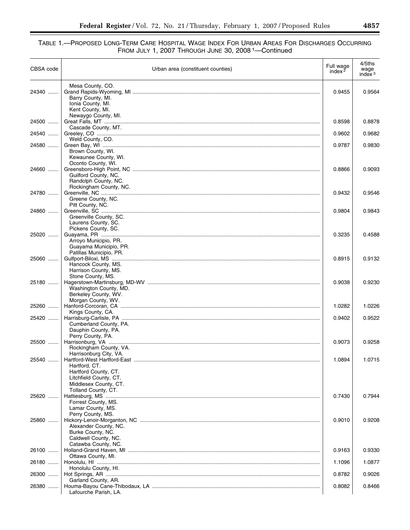| CBSA code | Urban area (constituent counties)                                                                              | Full wage<br>index $2$ | 4/5ths<br>wage<br>index <sup>3</sup> |
|-----------|----------------------------------------------------------------------------------------------------------------|------------------------|--------------------------------------|
| 24340     | Mesa County, CO.<br>Barry County, MI.<br>Ionia County, MI.<br>Kent County, MI.                                 | 0.9455                 | 0.9564                               |
| 24500     | Newaygo County, MI.                                                                                            | 0.8598                 | 0.8878                               |
| 24540     | Cascade County, MT.                                                                                            | 0.9602                 | 0.9682                               |
| 24580     | Weld County, CO.                                                                                               | 0.9787                 | 0.9830                               |
|           | Brown County, WI.<br>Kewaunee County, WI.<br>Oconto County, WI.                                                |                        |                                      |
| 24660     | Guilford County, NC.<br>Randolph County, NC.<br>Rockingham County, NC.                                         | 0.8866                 | 0.9093                               |
| 24780     | Greene County, NC.<br>Pitt County, NC.                                                                         | 0.9432                 | 0.9546                               |
| 24860     | Greenville County, SC.<br>Laurens County, SC.<br>Pickens County, SC.                                           | 0.9804                 | 0.9843                               |
| 25020     | Arroyo Municipio, PR.<br>Guayama Municipio, PR.<br>Patillas Municipio, PR.                                     | 0.3235                 | 0.4588                               |
| 25060     | Hancock County, MS.<br>Harrison County, MS.<br>Stone County, MS.                                               | 0.8915                 | 0.9132                               |
| 25180     | Washington County, MD.<br>Berkeley County, WV.                                                                 | 0.9038                 | 0.9230                               |
| 25260     | Morgan County, WV.                                                                                             | 1.0282                 | 1.0226                               |
| 25420     | Kings County, CA.<br>Cumberland County, PA.<br>Dauphin County, PA.<br>Perry County, PA.                        | 0.9402                 | 0.9522                               |
| 25500     | Rockingham County, VA.<br>Harrisonburg City, VA.                                                               | 0.9073                 | 0.9258                               |
| 25540     | Hartford, CT.<br>Hartford County, CT.<br>Litchfield County, CT.<br>Middlesex County, CT.                       | 1.0894                 | 1.0715                               |
| 25620     | Tolland County, CT.<br>Forrest County, MS.<br>Lamar County, MS.                                                | 0.7430                 | 0.7944                               |
| 25860     | Perry County, MS.<br>Alexander County, NC.<br>Burke County, NC.<br>Caldwell County, NC.<br>Catawba County, NC. | 0.9010                 | 0.9208                               |
| 26100     |                                                                                                                | 0.9163                 | 0.9330                               |
| 26180     | Ottawa County, MI.                                                                                             | 1.1096                 | 1.0877                               |
| 26300     | Honolulu County, HI.                                                                                           | 0.8782                 | 0.9026                               |
| 26380     | Garland County, AR.<br>Lafourche Parish, LA.                                                                   | 0.8082                 | 0.8466                               |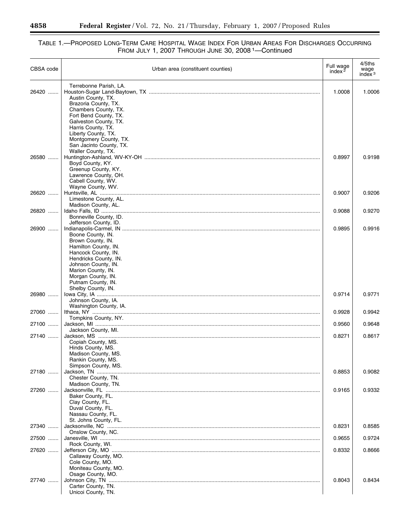#### TABLE 1.—PROPOSED LONG-TERM CARE HOSPITAL WAGE INDEX FOR URBAN AREAS FOR DISCHARGES OCCURRING FROM JULY 1, 2007 THROUGH JUNE 30, 2008 1—Continued

| CBSA code | Urban area (constituent counties)             | Full wage<br>index $2$ | 4/5ths<br>wage<br>index $3$ |
|-----------|-----------------------------------------------|------------------------|-----------------------------|
| 26420     | Terrebonne Parish, LA.<br>Austin County, TX.  | 1.0008                 | 1.0006                      |
|           | Brazoria County, TX.<br>Chambers County, TX.  |                        |                             |
|           | Fort Bend County, TX.                         |                        |                             |
|           | Galveston County, TX.<br>Harris County, TX.   |                        |                             |
|           | Liberty County, TX.<br>Montgomery County, TX. |                        |                             |
|           | San Jacinto County, TX.                       |                        |                             |
| 26580     | Waller County, TX.                            | 0.8997                 | 0.9198                      |
|           | Boyd County, KY.<br>Greenup County, KY.       |                        |                             |
|           | Lawrence County, OH.                          |                        |                             |
|           | Cabell County, WV.<br>Wayne County, WV.       |                        |                             |
| 26620     | Limestone County, AL.                         | 0.9007                 | 0.9206                      |
|           | Madison County, AL.                           |                        |                             |
| 26820     | Bonneville County, ID.                        | 0.9088                 | 0.9270                      |
| 26900     | Jefferson County, ID.                         | 0.9895                 | 0.9916                      |
|           | Boone County, IN.                             |                        |                             |
|           | Brown County, IN.<br>Hamilton County, IN.     |                        |                             |
|           | Hancock County, IN.<br>Hendricks County, IN.  |                        |                             |
|           | Johnson County, IN.                           |                        |                             |
|           | Marion County, IN.<br>Morgan County, IN.      |                        |                             |
|           | Putnam County, IN.                            |                        |                             |
| 26980     | Shelby County, IN.                            | 0.9714                 | 0.9771                      |
|           | Johnson County, IA.<br>Washington County, IA. |                        |                             |
| 27060     |                                               | 0.9928                 | 0.9942                      |
| 27100     | Tompkins County, NY.                          | 0.9560                 | 0.9648                      |
| 27140     | Jackson County, MI.                           | 0.8271                 | 0.8617                      |
|           | Copiah County, MS.                            |                        |                             |
|           | Hinds County, MS.<br>Madison County, MS.      |                        |                             |
|           | Rankin County, MS.<br>Simpson County, MS.     |                        |                             |
| 27180     |                                               | 0.8853                 | 0.9082                      |
|           | Chester County, TN.<br>Madison County, TN.    |                        |                             |
| 27260     | Baker County, FL.                             | 0.9165                 | 0.9332                      |
|           | Clay County, FL.                              |                        |                             |
|           | Duval County, FL.<br>Nassau County, FL.       |                        |                             |
| 27340     | St. Johns County, FL.                         | 0.8231                 | 0.8585                      |
|           | Onslow County, NC.                            |                        |                             |
| 27500     | Rock County, WI.                              | 0.9655                 | 0.9724                      |
| 27620     |                                               | 0.8332                 | 0.8666                      |
|           | Callaway County, MO.<br>Cole County, MO.      |                        |                             |
|           | Moniteau County, MO.<br>Osage County, MO.     |                        |                             |
| 27740     |                                               | 0.8043                 | 0.8434                      |
|           | Carter County, TN.<br>Unicoi County, TN.      |                        |                             |

-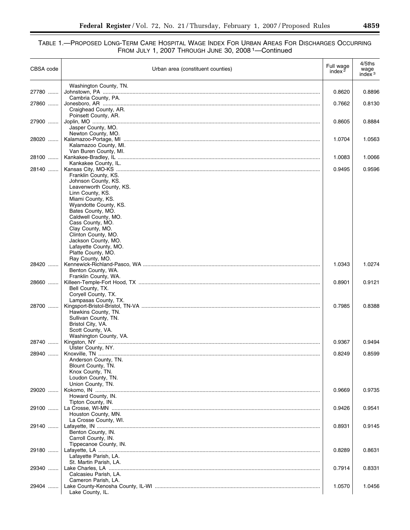| CBSA code | Urban area (constituent counties)              | Full wage<br>index $2$ | 4/5ths<br>wage<br>index $3$ |
|-----------|------------------------------------------------|------------------------|-----------------------------|
| 27780     | Washington County, TN.                         | 0.8620                 | 0.8896                      |
| 27860     | Cambria County, PA.                            | 0.7662                 | 0.8130                      |
|           | Craighead County, AR.                          |                        |                             |
|           | Poinsett County, AR.                           |                        |                             |
| 27900     | Jasper County, MO.                             | 0.8605                 | 0.8884                      |
|           | Newton County, MO.                             |                        |                             |
| 28020     | Kalamazoo County, MI.                          | 1.0704                 | 1.0563                      |
|           | Van Buren County, MI.                          |                        |                             |
| 28100     |                                                | 1.0083                 | 1.0066                      |
| 28140     | Kankakee County, IL.                           | 0.9495                 | 0.9596                      |
|           | Franklin County, KS.                           |                        |                             |
|           | Johnson County, KS.<br>Leavenworth County, KS. |                        |                             |
|           | Linn County, KS.                               |                        |                             |
|           | Miami County, KS.                              |                        |                             |
|           | Wyandotte County, KS.<br>Bates County, MO.     |                        |                             |
|           | Caldwell County, MO.                           |                        |                             |
|           | Cass County, MO.                               |                        |                             |
|           | Clay County, MO.<br>Clinton County, MO.        |                        |                             |
|           | Jackson County, MO.                            |                        |                             |
|           | Lafayette County, MO.                          |                        |                             |
|           | Platte County, MO.<br>Ray County, MO.          |                        |                             |
| 28420     |                                                | 1.0343                 | 1.0274                      |
|           | Benton County, WA.<br>Franklin County, WA.     |                        |                             |
| 28660     |                                                | 0.8901                 | 0.9121                      |
|           | Bell County, TX.                               |                        |                             |
|           | Coryell County, TX.<br>Lampasas County, TX.    |                        |                             |
| 28700     |                                                | 0.7985                 | 0.8388                      |
|           | Hawkins County, TN.                            |                        |                             |
|           | Sullivan County, TN.<br>Bristol City, VA.      |                        |                             |
|           | Scott County, VA.                              |                        |                             |
| 28740     | Washington County, VA.                         | 0.9367                 | 0.9494                      |
|           | Ulster County, NY.                             |                        |                             |
| 28940     |                                                | 0.8249                 | 0.8599                      |
|           | Anderson County, TN.<br>Blount County, TN.     |                        |                             |
|           | Knox County, TN.                               |                        |                             |
|           | Loudon County, TN.<br>Union County, TN.        |                        |                             |
| 29020     |                                                | 0.9669                 | 0.9735                      |
|           | Howard County, IN.                             |                        |                             |
| 29100     | Tipton County, IN.                             | 0.9426                 | 0.9541                      |
|           | Houston County, MN.                            |                        |                             |
|           | La Crosse County, WI.                          |                        |                             |
| 29140     | Benton County, IN.                             | 0.8931                 | 0.9145                      |
|           | Carroll County, IN.                            |                        |                             |
|           | Tippecanoe County, IN.                         |                        |                             |
| 29180     | Lafayette Parish, LA.                          | 0.8289                 | 0.8631                      |
|           | St. Martin Parish, LA.                         |                        |                             |
| 29340     |                                                | 0.7914                 | 0.8331                      |
|           | Calcasieu Parish, LA.<br>Cameron Parish, LA.   |                        |                             |
| 29404     |                                                | 1.0570                 | 1.0456                      |
|           | Lake County, IL.                               |                        |                             |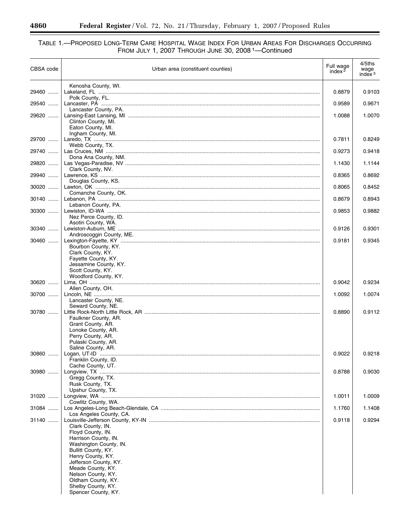#### TABLE 1.—PROPOSED LONG-TERM CARE HOSPITAL WAGE INDEX FOR URBAN AREAS FOR DISCHARGES OCCURRING FROM JULY 1, 2007 THROUGH JUNE 30, 2008 1—Continued

| CBSA code | Urban area (constituent counties)                                                                                                                                                                        | Full wage<br>index $2$ | 4/5ths<br>wage<br>index $3$ |
|-----------|----------------------------------------------------------------------------------------------------------------------------------------------------------------------------------------------------------|------------------------|-----------------------------|
| 29460     | Kenosha County, WI.                                                                                                                                                                                      | 0.8879                 | 0.9103                      |
| 29540     | Polk County, FL.                                                                                                                                                                                         | 0.9589                 | 0.9671                      |
| 29620     | Lancaster County, PA.                                                                                                                                                                                    | 1.0088                 | 1.0070                      |
|           | Clinton County, MI.<br>Eaton County, MI.                                                                                                                                                                 |                        |                             |
| 29700     | Ingham County, MI.                                                                                                                                                                                       | 0.7811                 | 0.8249                      |
| 29740     | Webb County, TX.                                                                                                                                                                                         | 0.9273                 | 0.9418                      |
| 29820     | Dona Ana County, NM.                                                                                                                                                                                     | 1.1430                 | 1.1144                      |
| 29940     | Clark County, NV.                                                                                                                                                                                        | 0.8365                 | 0.8692                      |
| $30020$   | Douglas County, KS.                                                                                                                                                                                      | 0.8065                 | 0.8452                      |
| 30140     | Comanche County, OK.                                                                                                                                                                                     | 0.8679                 | 0.8943                      |
| $30300$   | Lebanon County, PA.                                                                                                                                                                                      | 0.9853                 | 0.9882                      |
|           | Nez Perce County, ID.                                                                                                                                                                                    |                        |                             |
| 30340     | Asotin County, WA.                                                                                                                                                                                       | 0.9126                 | 0.9301                      |
| 30460     | Androscoggin County, ME.                                                                                                                                                                                 | 0.9181                 | 0.9345                      |
|           | Bourbon County, KY.<br>Clark County, KY.<br>Fayette County, KY.<br>Jessamine County, KY.<br>Scott County, KY.                                                                                            |                        |                             |
| 30620     | Woodford County, KY.                                                                                                                                                                                     | 0.9042                 | 0.9234                      |
| 30700     | Allen County, OH.                                                                                                                                                                                        | 1.0092                 | 1.0074                      |
|           | Lancaster County, NE.<br>Seward County, NE.                                                                                                                                                              |                        |                             |
| 30780     | Faulkner County, AR.                                                                                                                                                                                     | 0.8890                 | 0.9112                      |
|           | Grant County, AR.<br>Lonoke County, AR.<br>Perry County, AR.<br>Pulaski County, AR.<br>Saline County, AR.                                                                                                |                        |                             |
| 30860     | Franklin County, ID.                                                                                                                                                                                     | 0.9022                 | 0.9218                      |
| 30980     | Cache County, UT.                                                                                                                                                                                        | 0.8788                 | 0.9030                      |
|           | Gregg County, TX.<br>Rusk County, TX.                                                                                                                                                                    |                        |                             |
| 31020     | Upshur County, TX.                                                                                                                                                                                       | 1.0011                 | 1.0009                      |
| 31084     | Cowlitz County, WA.                                                                                                                                                                                      | 1.1760                 | 1.1408                      |
| 31140     | Los Angeles County, CA.                                                                                                                                                                                  | 0.9118                 | 0.9294                      |
|           | Clark County, IN.<br>Floyd County, IN.<br>Harrison County, IN.<br>Washington County, IN.<br>Bullitt County, KY.<br>Henry County, KY.<br>Jefferson County, KY.<br>Meade County, KY.<br>Nelson County, KY. |                        |                             |
|           | Oldham County, KY.<br>Shelby County, KY.<br>Spencer County, KY.                                                                                                                                          |                        |                             |

-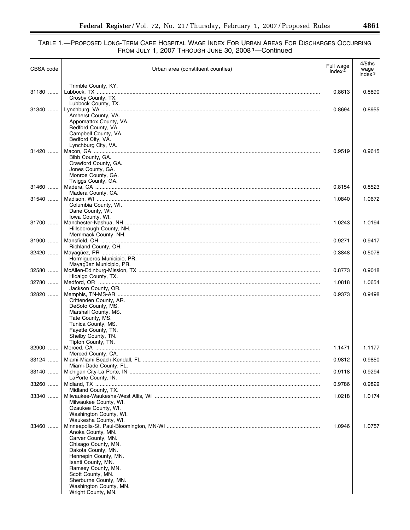| CBSA code | Urban area (constituent counties)                                                                         | Full wage<br>index $2$ | 4/5ths<br>wage<br>index $3$ |
|-----------|-----------------------------------------------------------------------------------------------------------|------------------------|-----------------------------|
| 31180     | Trimble County, KY.<br>Crosby County, TX.                                                                 | 0.8613                 | 0.8890                      |
| 31340     | Lubbock County, TX.<br>Amherst County, VA.<br>Appomattox County, VA.                                      | 0.8694                 | 0.8955                      |
| 31420     | Bedford County, VA.<br>Campbell County, VA.<br>Bedford City, VA.<br>Lynchburg City, VA.                   | 0.9519                 | 0.9615                      |
|           | Bibb County, GA.<br>Crawford County, GA.<br>Jones County, GA.<br>Monroe County, GA.<br>Twiggs County, GA. |                        |                             |
| 31460     |                                                                                                           | 0.8154                 | 0.8523                      |
| 31540     | Madera County, CA.<br>Columbia County, WI.<br>Dane County, WI.                                            | 1.0840                 | 1.0672                      |
| 31700     | Iowa County, WI.<br>Hillsborough County, NH.                                                              | 1.0243                 | 1.0194                      |
| 31900     | Merrimack County, NH.<br>Richland County, OH.                                                             | 0.9271                 | 0.9417                      |
| 32420     | Hormigueros Municipio, PR.<br>Mayagüez Municipio, PR.                                                     | 0.3848                 | 0.5078                      |
| 32580     | Hidalgo County, TX.                                                                                       | 0.8773                 | 0.9018                      |
| 32780     | Jackson County, OR.                                                                                       | 1.0818                 | 1.0654                      |
| 32820     | Crittenden County, AR.<br>DeSoto County, MS.                                                              | 0.9373                 | 0.9498                      |
|           | Marshall County, MS.<br>Tate County, MS.<br>Tunica County, MS.                                            |                        |                             |
|           | Fayette County, TN.<br>Shelby County, TN.<br>Tipton County, TN.                                           |                        |                             |
| 32900     | Merced County, CA.                                                                                        | 1.1471                 | 1.1177                      |
| 33124     | Miami-Dade County, FL.                                                                                    | 0.9812                 | 0.9850                      |
| 33140     | LaPorte County, IN.                                                                                       | 0.9118                 | 0.9294                      |
| 33260     | Midland County, TX.                                                                                       | 0.9786                 | 0.9829                      |
| 33340     | Milwaukee County, WI.<br>Ozaukee County, WI.<br>Washington County, WI.                                    | 1.0218                 | 1.0174                      |
| 33460     | Waukesha County, WI.<br>Anoka County, MN.                                                                 | 1.0946                 | 1.0757                      |
|           | Carver County, MN.<br>Chisago County, MN.<br>Dakota County, MN.                                           |                        |                             |
|           | Hennepin County, MN.<br>Isanti County, MN.                                                                |                        |                             |
|           | Ramsey County, MN.<br>Scott County, MN.                                                                   |                        |                             |
|           | Sherburne County, MN.<br>Washington County, MN.<br>Wright County, MN.                                     |                        |                             |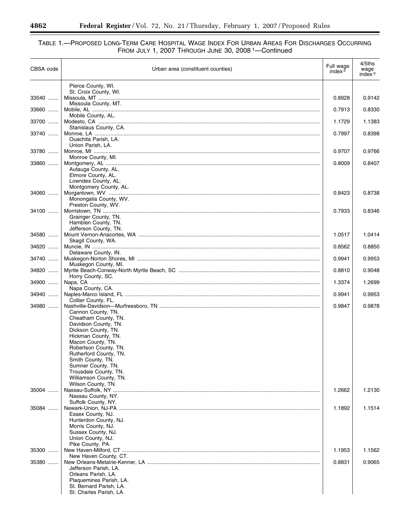#### TABLE 1.—PROPOSED LONG-TERM CARE HOSPITAL WAGE INDEX FOR URBAN AREAS FOR DISCHARGES OCCURRING FROM JULY 1, 2007 THROUGH JUNE 30, 2008 1—Continued

| CBSA code | Urban area (constituent counties)              | Full wage<br>index $2$ | $4/5$ ths<br>wage<br>index $3$ |
|-----------|------------------------------------------------|------------------------|--------------------------------|
|           | Pierce County, WI.                             |                        |                                |
| 33540     | St. Croix County, WI.                          | 0.8928                 | 0.9142                         |
|           | Missoula County, MT.                           |                        |                                |
| 33660     |                                                | 0.7913                 | 0.8330                         |
| 33700     | Mobile County, AL.                             | 1.1729                 | 1.1383                         |
|           | Stanislaus County, CA.                         |                        |                                |
| 33740     | Ouachita Parish, LA.                           | 0.7997                 | 0.8398                         |
|           | Union Parish, LA.                              |                        |                                |
| 33780     | Monroe County, MI.                             | 0.9707                 | 0.9766                         |
| 33860     |                                                | 0.8009                 | 0.8407                         |
|           | Autauga County, AL.<br>Elmore County, AL.      |                        |                                |
|           | Lowndes County, AL.                            |                        |                                |
| 34060     | Montgomery County, AL.                         | 0.8423                 | 0.8738                         |
|           | Monongalia County, WV.                         |                        |                                |
| 34100     | Preston County, WV.                            | 0.7933                 | 0.8346                         |
|           | Grainger County, TN.                           |                        |                                |
|           | Hamblen County, TN.<br>Jefferson County, TN.   |                        |                                |
| 34580     |                                                | 1.0517                 | 1.0414                         |
|           | Skagit County, WA.                             |                        |                                |
| 34620     | Delaware County, IN.                           | 0.8562                 | 0.8850                         |
| 34740     |                                                | 0.9941                 | 0.9953                         |
| 34820     | Muskegon County, MI.                           | 0.8810                 | 0.9048                         |
|           | Horry County, SC.                              |                        |                                |
| 34900     | Napa County, CA.                               | 1.3374                 | 1.2699                         |
| 34940     |                                                | 0.9941                 | 0.9953                         |
| 34980     | Collier County, FL.                            | 0.9847                 | 0.9878                         |
|           | Cannon County, TN.                             |                        |                                |
|           | Cheatham County, TN.<br>Davidson County, TN.   |                        |                                |
|           | Dickson County, TN.                            |                        |                                |
|           | Hickman County, TN.<br>Macon County, TN.       |                        |                                |
|           | Robertson County, TN.                          |                        |                                |
|           | Rutherford County, TN.                         |                        |                                |
|           | Smith County, TN.<br>Sumner County, TN.        |                        |                                |
|           | Trousdale County, TN.                          |                        |                                |
|           | Williamson County, TN.<br>Wilson County, TN.   |                        |                                |
| 35004     |                                                | 1.2662                 | 1.2130                         |
|           | Nassau County, NY.<br>Suffolk County, NY.      |                        |                                |
| 35084     |                                                | 1.1892                 | 1.1514                         |
|           | Essex County, NJ.<br>Hunterdon County, NJ.     |                        |                                |
|           | Morris County, NJ.                             |                        |                                |
|           | Sussex County, NJ.<br>Union County, NJ.        |                        |                                |
|           | Pike County, PA.                               |                        |                                |
| 35300     |                                                | 1.1953                 | 1.1562                         |
| 35380     | New Haven County, CT.                          | 0.8831                 | 0.9065                         |
|           | Jefferson Parish, LA.                          |                        |                                |
|           | Orleans Parish, LA.<br>Plaquemines Parish, LA. |                        |                                |
|           | St. Bernard Parish, LA.                        |                        |                                |
|           | St. Charles Parish, LA.                        |                        |                                |

-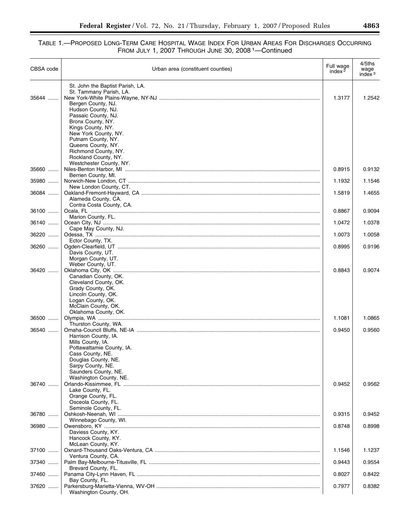| CBSA code | Urban area (constituent counties)                                                                                 | Full wage<br>index $2$ | 4/5ths<br>wage<br>index $3$ |
|-----------|-------------------------------------------------------------------------------------------------------------------|------------------------|-----------------------------|
| 35644     | St. John the Baptist Parish, LA.<br>St. Tammany Parish, LA.<br>Bergen County, NJ.<br>Hudson County, NJ.           | 1.3177                 | 1.2542                      |
|           | Passaic County, NJ.<br>Bronx County, NY.<br>Kings County, NY.<br>New York County, NY.<br>Putnam County, NY.       |                        |                             |
|           | Queens County, NY.<br>Richmond County, NY.<br>Rockland County, NY.<br>Westchester County, NY.                     |                        |                             |
| 35660     |                                                                                                                   | 0.8915                 | 0.9132                      |
| 35980     | Berrien County, MI.                                                                                               | 1.1932                 | 1.1546                      |
| 36084     | New London County, CT.<br>Alameda County, CA.<br>Contra Costa County, CA.                                         | 1.5819                 | 1.4655                      |
| 36100     | Marion County, FL.                                                                                                | 0.8867                 | 0.9094                      |
| 36140     |                                                                                                                   | 1.0472                 | 1.0378                      |
| 36220     | Cape May County, NJ.                                                                                              | 1.0073                 | 1.0058                      |
| 36260     | Ector County, TX.<br>Davis County, UT.<br>Morgan County, UT.                                                      | 0.8995                 | 0.9196                      |
| 36420     | Weber County, UT.<br>Canadian County, OK.<br>Cleveland County, OK.                                                | 0.8843                 | 0.9074                      |
|           | Grady County, OK.<br>Lincoln County, OK.<br>Logan County, OK.<br>McClain County, OK.                              |                        |                             |
| 36500     | Oklahoma County, OK.                                                                                              | 1.1081                 | 1.0865                      |
| 36540     | Thurston County, WA.                                                                                              | 0.9450                 | 0.9560                      |
|           | Harrison County, IA.<br>Mills County, IA.<br>Pottawattamie County, IA.<br>Cass County, NE.<br>Douglas County, NE. |                        |                             |
|           | Sarpy County, NE.<br>Saunders County, NE.<br>Washington County, NE.                                               |                        |                             |
| 36740     | Lake County, FL.<br>Orange County, FL.<br>Osceola County, FL.                                                     | 0.9452                 | 0.9562                      |
|           | Seminole County, FL.                                                                                              |                        |                             |
| 36780     | Winnebago County, WI.                                                                                             | 0.9315                 | 0.9452                      |
| 36980     | Daviess County, KY.<br>Hancock County, KY.                                                                        | 0.8748                 | 0.8998                      |
| 37100     | McLean County, KY.                                                                                                | 1.1546                 | 1.1237                      |
| 37340     | Ventura County, CA.                                                                                               | 0.9443                 | 0.9554                      |
| 37460     | Brevard County, FL.                                                                                               | 0.8027                 | 0.8422                      |
| 37620     | Bay County, FL.<br>Washington County, OH.                                                                         | 0.7977                 | 0.8382                      |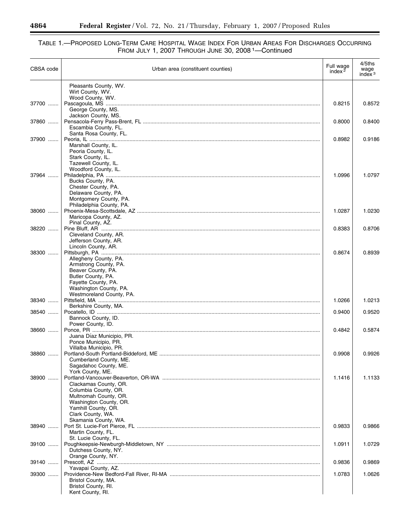#### TABLE 1.—PROPOSED LONG-TERM CARE HOSPITAL WAGE INDEX FOR URBAN AREAS FOR DISCHARGES OCCURRING FROM JULY 1, 2007 THROUGH JUNE 30, 2008 1—Continued

| CBSA code | Urban area (constituent counties)                                                          | Full wage<br>index $2$ | 4/5ths<br>wage<br>index $3$ |
|-----------|--------------------------------------------------------------------------------------------|------------------------|-----------------------------|
|           | Pleasants County, WV.<br>Wirt County, WV.                                                  |                        |                             |
| 37700     | Wood County, WV.<br>George County, MS.                                                     | 0.8215                 | 0.8572                      |
| 37860     | Jackson County, MS.<br>Escambia County, FL.                                                | 0.8000                 | 0.8400                      |
| 37900     | Santa Rosa County, FL.<br>Marshall County, IL.                                             | 0.8982                 | 0.9186                      |
|           | Peoria County, IL.<br>Stark County, IL.<br>Tazewell County, IL.<br>Woodford County, IL.    |                        |                             |
| 37964     | Bucks County, PA.<br>Chester County, PA.                                                   | 1.0996                 | 1.0797                      |
|           | Delaware County, PA.<br>Montgomery County, PA.<br>Philadelphia County, PA.                 |                        |                             |
| 38060     | Maricopa County, AZ.<br>Pinal County, AZ.                                                  | 1.0287                 | 1.0230                      |
| 38220     | Cleveland County, AR.<br>Jefferson County, AR.                                             | 0.8383                 | 0.8706                      |
| 38300     | Lincoln County, AR.<br>Allegheny County, PA.<br>Armstrong County, PA.                      | 0.8674                 | 0.8939                      |
|           | Beaver County, PA.<br>Butler County, PA.<br>Fayette County, PA.<br>Washington County, PA.  |                        |                             |
| 38340     | Westmoreland County, PA.                                                                   | 1.0266                 | 1.0213                      |
| 38540     | Berkshire County, MA.                                                                      | 0.9400                 | 0.9520                      |
|           | Bannock County, ID.<br>Power County, ID.                                                   |                        |                             |
| 38660     | Juana Díaz Municipio, PR.<br>Ponce Municipio, PR.                                          | 0.4842                 | 0.5874                      |
| 38860     | Villalba Municipio, PR.<br>Cumberland County, ME.<br>Sagadahoc County, ME.                 | 0.9908                 | 0.9926                      |
| 38900     | York County, ME.<br>Clackamas County, OR.<br>Columbia County, OR.<br>Multnomah County, OR. | 1.1416                 | 1.1133                      |
|           | Washington County, OR.<br>Yamhill County, OR.<br>Clark County, WA.                         |                        |                             |
| 38940     | Skamania County, WA.<br>Martin County, FL.                                                 | 0.9833                 | 0.9866                      |
| 39100     | St. Lucie County, FL.<br>Dutchess County, NY.                                              | 1.0911                 | 1.0729                      |
| 39140     | Orange County, NY.                                                                         | 0.9836                 | 0.9869                      |
| 39300     | Yavapai County, AZ.                                                                        | 1.0783                 | 1.0626                      |
|           | Bristol County, MA.<br>Bristol County, RI.<br>Kent County, RI.                             |                        |                             |

Ξ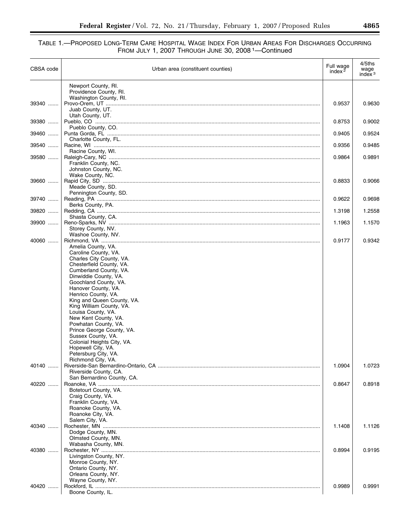| CBSA code | Urban area (constituent counties)                      | Full wage<br>index $2$ | 4/5ths<br>wage<br>index $3$ |
|-----------|--------------------------------------------------------|------------------------|-----------------------------|
|           | Newport County, RI.<br>Providence County, RI.          |                        |                             |
| 39340     | Washington County, RI.<br>Juab County, UT.             | 0.9537                 | 0.9630                      |
| 39380     | Utah County, UT.                                       | 0.8753                 | 0.9002                      |
| 39460     | Pueblo County, CO.<br>Charlotte County, FL.            | 0.9405                 | 0.9524                      |
| 39540     |                                                        | 0.9356                 | 0.9485                      |
| 39580     | Racine County, WI.                                     | 0.9864                 | 0.9891                      |
|           | Franklin County, NC.<br>Johnston County, NC.           |                        |                             |
| 39660     | Wake County, NC.                                       | 0.8833                 | 0.9066                      |
|           | Meade County, SD.<br>Pennington County, SD.            |                        |                             |
| 39740     | Berks County, PA.                                      | 0.9622                 | 0.9698                      |
| 39820     | Shasta County, CA.                                     | 1.3198                 | 1.2558                      |
| 39900     | Storey County, NV.                                     | 1.1963                 | 1.1570                      |
| $40060$   | Washoe County, NV.                                     | 0.9177                 | 0.9342                      |
|           | Amelia County, VA.<br>Caroline County, VA.             |                        |                             |
|           | Charles City County, VA.<br>Chesterfield County, VA.   |                        |                             |
|           | Cumberland County, VA.                                 |                        |                             |
|           | Dinwiddie County, VA.<br>Goochland County, VA.         |                        |                             |
|           | Hanover County, VA.<br>Henrico County, VA.             |                        |                             |
|           | King and Queen County, VA.<br>King William County, VA. |                        |                             |
|           | Louisa County, VA.<br>New Kent County, VA.             |                        |                             |
|           | Powhatan County, VA.                                   |                        |                             |
|           | Prince George County, VA.<br>Sussex County, VA.        |                        |                             |
|           | Colonial Heights City, VA.<br>Hopewell City, VA.       |                        |                             |
|           | Petersburg City, VA.                                   |                        |                             |
| 40140     | Richmond City, VA.                                     | 1.0904                 | 1.0723                      |
|           | Riverside County, CA.<br>San Bernardino County, CA.    |                        |                             |
| 40220     |                                                        | 0.8647                 | 0.8918                      |
|           | Botetourt County, VA.<br>Craig County, VA.             |                        |                             |
|           | Franklin County, VA.                                   |                        |                             |
|           | Roanoke County, VA.<br>Roanoke City, VA.               |                        |                             |
|           | Salem City, VA.                                        |                        |                             |
| 40340     | Dodge County, MN.                                      | 1.1408                 | 1.1126                      |
|           | Olmsted County, MN.                                    |                        |                             |
| 40380     | Wabasha County, MN.                                    | 0.8994                 | 0.9195                      |
|           | Livingston County, NY.<br>Monroe County, NY.           |                        |                             |
|           | Ontario County, NY.                                    |                        |                             |
|           | Orleans County, NY.<br>Wayne County, NY.               |                        |                             |
| 40420     |                                                        | 0.9989                 | 0.9991                      |
|           | Boone County, IL.                                      |                        |                             |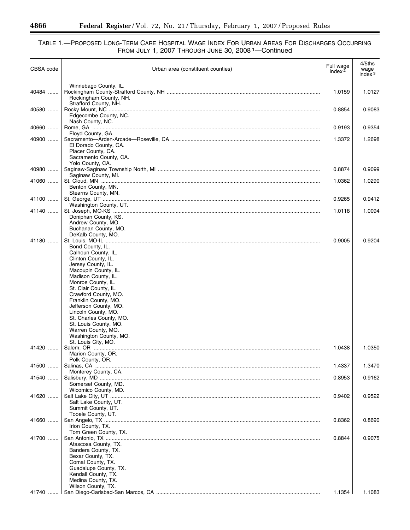#### TABLE 1.—PROPOSED LONG-TERM CARE HOSPITAL WAGE INDEX FOR URBAN AREAS FOR DISCHARGES OCCURRING FROM JULY 1, 2007 THROUGH JUNE 30, 2008 1—Continued

| CBSA code      | Urban area (constituent counties)                                                                                                                                                                                                                                                                                                                                                                             | Full wage<br>index $2$ | 4/5ths<br>wage<br>index $3$ |
|----------------|---------------------------------------------------------------------------------------------------------------------------------------------------------------------------------------------------------------------------------------------------------------------------------------------------------------------------------------------------------------------------------------------------------------|------------------------|-----------------------------|
| 40484          | Winnebago County, IL.<br>Rockingham County, NH.<br>Strafford County, NH.                                                                                                                                                                                                                                                                                                                                      | 1.0159                 | 1.0127                      |
| 40580          | Edgecombe County, NC.                                                                                                                                                                                                                                                                                                                                                                                         | 0.8854                 | 0.9083                      |
| 40660          | Nash County, NC.<br>Floyd County, GA.                                                                                                                                                                                                                                                                                                                                                                         | 0.9193                 | 0.9354                      |
| 40900          | El Dorado County, CA.<br>Placer County, CA.<br>Sacramento County, CA.                                                                                                                                                                                                                                                                                                                                         | 1.3372                 | 1.2698                      |
| 40980          | Yolo County, CA.                                                                                                                                                                                                                                                                                                                                                                                              | 0.8874                 | 0.9099                      |
| 41060          | Saginaw County, MI.                                                                                                                                                                                                                                                                                                                                                                                           | 1.0362                 | 1.0290                      |
| 41100          | Benton County, MN.<br>Stearns County, MN.                                                                                                                                                                                                                                                                                                                                                                     | 0.9265                 | 0.9412                      |
|                | Washington County, UT.                                                                                                                                                                                                                                                                                                                                                                                        |                        |                             |
| 41140          | Doniphan County, KS.<br>Andrew County, MO.<br>Buchanan County, MO.<br>DeKalb County, MO.                                                                                                                                                                                                                                                                                                                      | 1.0118                 | 1.0094                      |
| 41180<br>41420 | Bond County, IL.<br>Calhoun County, IL.<br>Clinton County, IL.<br>Jersey County, IL.<br>Macoupin County, IL.<br>Madison County, IL.<br>Monroe County, IL.<br>St. Clair County, IL.<br>Crawford County, MO.<br>Franklin County, MO.<br>Jefferson County, MO.<br>Lincoln County, MO.<br>St. Charles County, MO.<br>St. Louis County, MO.<br>Warren County, MO.<br>Washington County, MO.<br>St. Louis City, MO. | 0.9005<br>1.0438       | 0.9204<br>1.0350            |
| 41500          | Marion County, OR.<br>Polk County, OR.                                                                                                                                                                                                                                                                                                                                                                        | 1.4337                 | 1.3470                      |
|                | Monterey County, CA.                                                                                                                                                                                                                                                                                                                                                                                          |                        |                             |
| 41540          | Somerset County, MD.<br>Wicomico County, MD.                                                                                                                                                                                                                                                                                                                                                                  | 0.8953                 | 0.9162                      |
| 41620          | Salt Lake County, UT.<br>Summit County, UT.<br>Tooele County, UT.                                                                                                                                                                                                                                                                                                                                             | 0.9402                 | 0.9522                      |
| 41660          | Irion County, TX.<br>Tom Green County, TX.                                                                                                                                                                                                                                                                                                                                                                    | 0.8362                 | 0.8690                      |
| 41700          | Atascosa County, TX.<br>Bandera County, TX.<br>Bexar County, TX.<br>Comal County, TX.<br>Guadalupe County, TX.<br>Kendall County, TX.<br>Medina County, TX.<br>Wilson County, TX.                                                                                                                                                                                                                             | 0.8844                 | 0.9075                      |
| 41740          |                                                                                                                                                                                                                                                                                                                                                                                                               | 1.1354                 | 1.1083                      |

 $\equiv$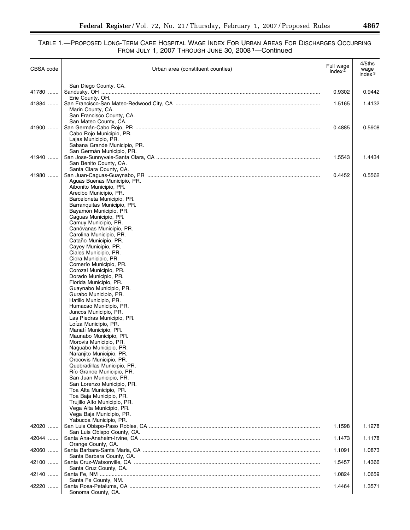| CBSA code      | Urban area (constituent counties)                                                    | Full wage<br>index $2$ | 4/5ths<br>wage<br>index $3$ |
|----------------|--------------------------------------------------------------------------------------|------------------------|-----------------------------|
| 41780          | San Diego County, CA.                                                                | 0.9302                 | 0.9442                      |
| 41884          | Erie County, OH.<br>Marin County, CA.                                                | 1.5165                 | 1.4132                      |
| 41900          | San Francisco County, CA.<br>San Mateo County, CA.                                   | 0.4885                 | 0.5908                      |
|                | Cabo Rojo Municipio, PR.<br>Lajas Municipio, PR.<br>Sabana Grande Municipio, PR.     |                        |                             |
| 41940          | San Germán Municipio, PR.<br>San Benito County, CA.                                  | 1.5543                 | 1.4434                      |
| 41980          | Santa Clara County, CA.<br>Aguas Buenas Municipio, PR.                               | 0.4452                 | 0.5562                      |
|                | Aibonito Municipio, PR.<br>Arecibo Municipio, PR.<br>Barceloneta Municipio, PR.      |                        |                             |
|                | Barranguitas Municipio, PR.<br>Bayamón Municipio, PR.<br>Caguas Municipio, PR.       |                        |                             |
|                | Camuy Municipio, PR.<br>Canóvanas Municipio, PR.                                     |                        |                             |
|                | Carolina Municipio, PR.<br>Cataño Municipio, PR.<br>Cayey Municipio, PR.             |                        |                             |
|                | Ciales Municipio, PR.<br>Cidra Municipio, PR.<br>Comerío Municipio, PR.              |                        |                             |
|                | Corozal Municipio, PR.<br>Dorado Municipio, PR.<br>Florida Municipio, PR.            |                        |                             |
|                | Guaynabo Municipio, PR.<br>Gurabo Municipio, PR.                                     |                        |                             |
|                | Hatillo Municipio, PR.<br>Humacao Municipio, PR.<br>Juncos Municipio, PR.            |                        |                             |
|                | Las Piedras Municipio, PR.<br>Loíza Municipio, PR.<br>Manatí Municipio, PR.          |                        |                             |
|                | Maunabo Municipio, PR.<br>Morovis Municipio, PR.<br>Naguabo Municipio, PR.           |                        |                             |
|                | Naranjito Municipio, PR.<br>Orocovis Municipio, PR.                                  |                        |                             |
|                | Quebradillas Municipio, PR.<br>Río Grande Municipio, PR.<br>San Juan Municipio, PR.  |                        |                             |
|                | San Lorenzo Municipio, PR.<br>Toa Alta Municipio, PR.<br>Toa Baja Municipio, PR.     |                        |                             |
|                | Trujillo Alto Municipio, PR.<br>Vega Alta Municipio, PR.<br>Vega Baja Municipio, PR. |                        |                             |
| 42020          | Yabucoa Municipio, PR.                                                               | 1.1598                 | 1.1278                      |
| 42044          | San Luis Obispo County, CA.<br>Orange County, CA.                                    | 1.1473                 | 1.1178                      |
| 42060          | Santa Barbara County, CA.                                                            | 1.1091                 | 1.0873                      |
| 42100          | Santa Cruz County, CA.                                                               | 1.5457                 | 1.4366                      |
| 42140<br>42220 | Santa Fe County, NM.                                                                 | 1.0824<br>1.4464       | 1.0659<br>1.3571            |
|                | Sonoma County, CA.                                                                   |                        |                             |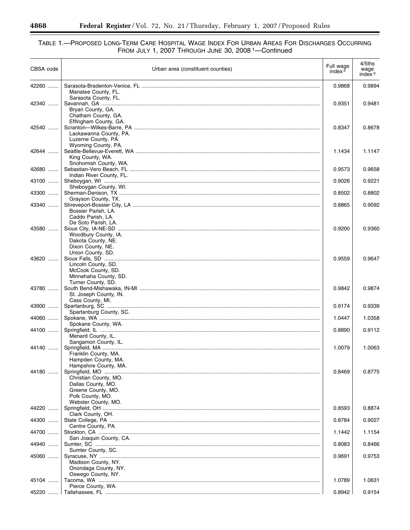#### TABLE 1.—PROPOSED LONG-TERM CARE HOSPITAL WAGE INDEX FOR URBAN AREAS FOR DISCHARGES OCCURRING FROM JULY 1, 2007 THROUGH JUNE 30, 2008 1—Continued

| CBSA code | Urban area (constituent counties)                                                                                                     | Full wage<br>index $2$ | 4/5ths<br>wage<br>index $3$ |
|-----------|---------------------------------------------------------------------------------------------------------------------------------------|------------------------|-----------------------------|
| 42260     | Manatee County, FL.                                                                                                                   | 0.9868                 | 0.9894                      |
| 42340     | Sarasota County, FL.<br>Bryan County, GA.<br>Chatham County, GA.                                                                      | 0.9351                 | 0.9481                      |
| 42540     | Effingham County, GA.<br>Lackawanna County, PA.                                                                                       | 0.8347                 | 0.8678                      |
| 42644     | Luzerne County, PA.<br>Wyoming County, PA.<br>King County, WA.                                                                        | 1.1434                 | 1.1147                      |
| 42680     | Snohomish County, WA.                                                                                                                 | 0.9573                 | 0.9658                      |
| 43100     | Indian River County, FL.<br>Sheboygan County, WI.                                                                                     | 0.9026                 | 0.9221                      |
| 43300     |                                                                                                                                       | 0.8502                 | 0.8802                      |
| 43340     | Grayson County, TX.<br>Bossier Parish, LA.<br>Caddo Parish, LA.                                                                       | 0.8865                 | 0.9092                      |
| 43580     | De Soto Parish, LA.<br>Woodbury County, IA.<br>Dakota County, NE.                                                                     | 0.9200                 | 0.9360                      |
| 43620     | Dixon County, NE.<br>Union County, SD.<br>Lincoln County, SD.<br>McCook County, SD.                                                   | 0.9559                 | 0.9647                      |
| 43780     | Minnehaha County, SD.<br>Turner County, SD.<br>St. Joseph County, IN.                                                                 | 0.9842                 | 0.9874                      |
| 43900     | Cass County, MI.                                                                                                                      | 0.9174                 | 0.9339                      |
| 44060     | Spartanburg County, SC.                                                                                                               | 1.0447                 | 1.0358                      |
| 44100     | Spokane County, WA.<br>Menard County, IL.                                                                                             | 0.8890                 | 0.9112                      |
| 44140     | Sangamon County, IL.<br>Franklin County, MA.                                                                                          | 1.0079                 | 1.0063                      |
| 44180     | Hampden County, MA.<br>Hampshire County, MA.<br>Christian County, MO.<br>Dallas County, MO.<br>Greene County, MO.<br>Polk County, MO. | 0.8469                 | 0.8775                      |
| 44220     | Webster County, MO.                                                                                                                   | 0.8593                 | 0.8874                      |
| 44300     | Clark County, OH.                                                                                                                     | 0.8784                 | 0.9027                      |
| 44700     | Centre County, PA.                                                                                                                    | 1.1442                 | 1.1154                      |
| 44940     | San Joaquin County, CA.                                                                                                               | 0.8083                 | 0.8466                      |
| 45060     | Sumter County, SC.<br>Madison County, NY.<br>Onondaga County, NY.                                                                     | 0.9691                 | 0.9753                      |
| 45104     | Oswego County, NY.<br>Pierce County, WA.                                                                                              | 1.0789                 | 1.0631                      |
|           |                                                                                                                                       | 0.8942                 | 0.9154                      |

 $\equiv$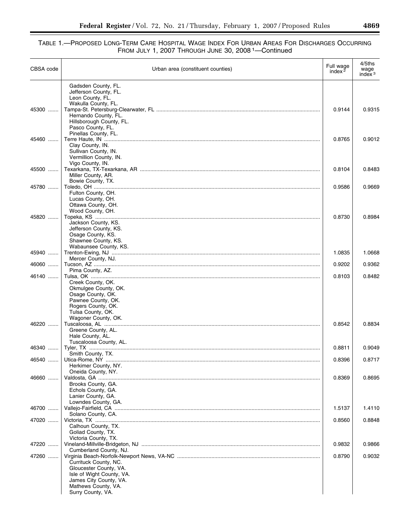| CBSA code | Urban area (constituent counties)                                                                                                                                                                                                                                                                                                                                                                                                                            | Full wage<br>index $2$ | 4/5ths<br>wage<br>index $3$ |
|-----------|--------------------------------------------------------------------------------------------------------------------------------------------------------------------------------------------------------------------------------------------------------------------------------------------------------------------------------------------------------------------------------------------------------------------------------------------------------------|------------------------|-----------------------------|
|           | Gadsden County, FL.<br>Jefferson County, FL.                                                                                                                                                                                                                                                                                                                                                                                                                 |                        |                             |
|           | Leon County, FL.                                                                                                                                                                                                                                                                                                                                                                                                                                             |                        |                             |
|           | Wakulla County, FL.                                                                                                                                                                                                                                                                                                                                                                                                                                          |                        |                             |
| 45300     | Hernando County, FL.                                                                                                                                                                                                                                                                                                                                                                                                                                         | 0.9144                 | 0.9315                      |
|           | Hillsborough County, FL.                                                                                                                                                                                                                                                                                                                                                                                                                                     |                        |                             |
|           | Pasco County, FL.<br>Pinellas County, FL.                                                                                                                                                                                                                                                                                                                                                                                                                    |                        |                             |
| 45460     |                                                                                                                                                                                                                                                                                                                                                                                                                                                              | 0.8765                 | 0.9012                      |
|           | Clay County, IN.<br>Sullivan County, IN.                                                                                                                                                                                                                                                                                                                                                                                                                     |                        |                             |
|           | Vermillion County, IN.                                                                                                                                                                                                                                                                                                                                                                                                                                       |                        |                             |
|           | Vigo County, IN.                                                                                                                                                                                                                                                                                                                                                                                                                                             |                        |                             |
| 45500     | Miller County, AR.                                                                                                                                                                                                                                                                                                                                                                                                                                           | 0.8104                 | 0.8483                      |
|           | Bowie County, TX.                                                                                                                                                                                                                                                                                                                                                                                                                                            |                        |                             |
| 45780     | Fulton County, OH.                                                                                                                                                                                                                                                                                                                                                                                                                                           | 0.9586                 | 0.9669                      |
|           | Lucas County, OH.                                                                                                                                                                                                                                                                                                                                                                                                                                            |                        |                             |
|           | Ottawa County, OH.                                                                                                                                                                                                                                                                                                                                                                                                                                           |                        |                             |
| 45820     | Wood County, OH.                                                                                                                                                                                                                                                                                                                                                                                                                                             | 0.8730                 | 0.8984                      |
|           | Jackson County, KS.                                                                                                                                                                                                                                                                                                                                                                                                                                          |                        |                             |
|           | Jefferson County, KS.<br>Osage County, KS.                                                                                                                                                                                                                                                                                                                                                                                                                   |                        |                             |
|           | Shawnee County, KS.                                                                                                                                                                                                                                                                                                                                                                                                                                          |                        |                             |
|           | Wabaunsee County, KS.                                                                                                                                                                                                                                                                                                                                                                                                                                        |                        |                             |
| 45940     | Mercer County, NJ.                                                                                                                                                                                                                                                                                                                                                                                                                                           | 1.0835                 | 1.0668                      |
| 46060     |                                                                                                                                                                                                                                                                                                                                                                                                                                                              | 0.9202                 | 0.9362                      |
| 46140     | Pima County, AZ.<br>${\bf Tulsa, OK} \hspace{10mm} \ldots \hspace{10mm} \ldots \hspace{10mm} \ldots \hspace{10mm} \ldots \hspace{10mm} \ldots \hspace{10mm} \ldots \hspace{10mm} \ldots \hspace{10mm} \ldots \hspace{10mm} \ldots \hspace{10mm} \ldots \hspace{10mm} \ldots \hspace{10mm} \ldots \hspace{10mm} \ldots \hspace{10mm} \ldots \hspace{10mm} \ldots \hspace{10mm} \ldots \hspace{10mm} \ldots \hspace{10mm} \ldots \hspace{10mm} \ldots \hspace$ | 0.8103                 | 0.8482                      |
|           | Creek County, OK.                                                                                                                                                                                                                                                                                                                                                                                                                                            |                        |                             |
|           | Okmulgee County, OK.                                                                                                                                                                                                                                                                                                                                                                                                                                         |                        |                             |
|           | Osage County, OK.<br>Pawnee County, OK.                                                                                                                                                                                                                                                                                                                                                                                                                      |                        |                             |
|           | Rogers County, OK.                                                                                                                                                                                                                                                                                                                                                                                                                                           |                        |                             |
|           | Tulsa County, OK.<br>Wagoner County, OK.                                                                                                                                                                                                                                                                                                                                                                                                                     |                        |                             |
| 46220     |                                                                                                                                                                                                                                                                                                                                                                                                                                                              | 0.8542                 | 0.8834                      |
|           | Greene County, AL.                                                                                                                                                                                                                                                                                                                                                                                                                                           |                        |                             |
|           | Hale County, AL.<br>Tuscaloosa County, AL.                                                                                                                                                                                                                                                                                                                                                                                                                   |                        |                             |
| 46340     |                                                                                                                                                                                                                                                                                                                                                                                                                                                              | 0.8811                 | 0.9049                      |
| 46540     | Smith County, TX.                                                                                                                                                                                                                                                                                                                                                                                                                                            | 0.8396                 | 0.8717                      |
|           | Herkimer County, NY.                                                                                                                                                                                                                                                                                                                                                                                                                                         |                        |                             |
| 46660     | Oneida County, NY.                                                                                                                                                                                                                                                                                                                                                                                                                                           | 0.8369                 | 0.8695                      |
|           | Brooks County, GA.                                                                                                                                                                                                                                                                                                                                                                                                                                           |                        |                             |
|           | Echols County, GA.                                                                                                                                                                                                                                                                                                                                                                                                                                           |                        |                             |
|           | Lanier County, GA.<br>Lowndes County, GA.                                                                                                                                                                                                                                                                                                                                                                                                                    |                        |                             |
| 46700     |                                                                                                                                                                                                                                                                                                                                                                                                                                                              | 1.5137                 | 1.4110                      |
| 47020     | Solano County, CA.                                                                                                                                                                                                                                                                                                                                                                                                                                           | 0.8560                 | 0.8848                      |
|           | Calhoun County, TX.                                                                                                                                                                                                                                                                                                                                                                                                                                          |                        |                             |
|           | Goliad County, TX.                                                                                                                                                                                                                                                                                                                                                                                                                                           |                        |                             |
| 47220     | Victoria County, TX.                                                                                                                                                                                                                                                                                                                                                                                                                                         | 0.9832                 | 0.9866                      |
|           | Cumberland County, NJ.                                                                                                                                                                                                                                                                                                                                                                                                                                       |                        |                             |
| 47260     | Currituck County, NC.                                                                                                                                                                                                                                                                                                                                                                                                                                        | 0.8790                 | 0.9032                      |
|           | Gloucester County, VA.                                                                                                                                                                                                                                                                                                                                                                                                                                       |                        |                             |
|           | Isle of Wight County, VA.                                                                                                                                                                                                                                                                                                                                                                                                                                    |                        |                             |
|           | James City County, VA.<br>Mathews County, VA.                                                                                                                                                                                                                                                                                                                                                                                                                |                        |                             |
|           | Surry County, VA.                                                                                                                                                                                                                                                                                                                                                                                                                                            |                        |                             |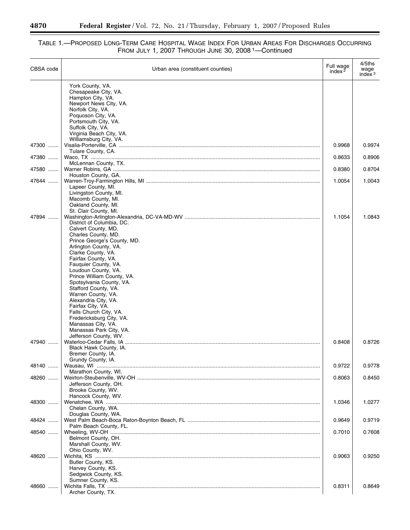#### TABLE 1.—PROPOSED LONG-TERM CARE HOSPITAL WAGE INDEX FOR URBAN AREAS FOR DISCHARGES OCCURRING FROM JULY 1, 2007 THROUGH JUNE 30, 2008 1—Continued

| CBSA code | Urban area (constituent counties)                | Full wage<br>index $2$ | 4/5ths<br>wage<br>index $3$ |
|-----------|--------------------------------------------------|------------------------|-----------------------------|
|           | York County, VA.                                 |                        |                             |
|           | Chesapeake City, VA.                             |                        |                             |
|           | Hampton City, VA.<br>Newport News City, VA.      |                        |                             |
|           | Norfolk City, VA.                                |                        |                             |
|           | Poquoson City, VA.                               |                        |                             |
|           | Portsmouth City, VA.                             |                        |                             |
|           | Suffolk City, VA.                                |                        |                             |
|           | Virginia Beach City, VA.                         |                        |                             |
| 47300     | Williamsburg City, VA.                           | 0.9968                 | 0.9974                      |
|           | Tulare County, CA.                               |                        |                             |
| 47380     |                                                  | 0.8633                 | 0.8906                      |
|           | McLennan County, TX.                             |                        |                             |
| 47580     |                                                  | 0.8380                 | 0.8704                      |
|           | Houston County, GA.                              |                        |                             |
| 47644     | Lapeer County, MI.                               | 1.0054                 | 1.0043                      |
|           | Livingston County, MI.                           |                        |                             |
|           | Macomb County, MI.                               |                        |                             |
|           | Oakland County, MI.                              |                        |                             |
|           | St. Clair County, MI.                            |                        |                             |
| 47894     |                                                  | 1.1054                 | 1.0843                      |
|           | District of Columbia, DC.<br>Calvert County, MD. |                        |                             |
|           | Charles County, MD.                              |                        |                             |
|           | Prince George's County, MD.                      |                        |                             |
|           | Arlington County, VA.                            |                        |                             |
|           | Clarke County, VA.                               |                        |                             |
|           | Fairfax County, VA.                              |                        |                             |
|           | Fauquier County, VA.<br>Loudoun County, VA.      |                        |                             |
|           | Prince William County, VA.                       |                        |                             |
|           | Spotsylvania County, VA.                         |                        |                             |
|           | Stafford County, VA.                             |                        |                             |
|           | Warren County, VA.                               |                        |                             |
|           | Alexandria City, VA.                             |                        |                             |
|           | Fairfax City, VA.<br>Falls Church City, VA.      |                        |                             |
|           | Fredericksburg City, VA.                         |                        |                             |
|           | Manassas City, VA.                               |                        |                             |
|           | Manassas Park City, VA.                          |                        |                             |
|           | Jefferson County, WV.                            |                        |                             |
| 47940     |                                                  | 0.8408                 | 0.8726                      |
|           | Black Hawk County, IA.<br>Bremer County, IA.     |                        |                             |
|           | Grundy County, IA.                               |                        |                             |
| 48140     |                                                  | 0.9722                 | 0.9778                      |
|           | Marathon County, WI.                             |                        |                             |
| 48260     |                                                  | 0.8063                 | 0.8450                      |
|           | Jefferson County, OH.                            |                        |                             |
|           | Brooke County, WV.<br>Hancock County, WV.        |                        |                             |
| 48300     |                                                  | 1.0346                 | 1.0277                      |
|           | Chelan County, WA.                               |                        |                             |
|           | Douglas County, WA.                              |                        |                             |
| 48424     |                                                  | 0.9649                 | 0.9719                      |
|           | Palm Beach County, FL.                           |                        |                             |
| 48540     |                                                  | 0.7010                 | 0.7608                      |
|           | Belmont County, OH.<br>Marshall County, WV.      |                        |                             |
|           | Ohio County, WV.                                 |                        |                             |
| 48620     |                                                  | 0.9063                 | 0.9250                      |
|           | Butler County, KS.                               |                        |                             |
|           | Harvey County, KS.                               |                        |                             |
|           | Sedgwick County, KS.                             |                        |                             |
|           | Sumner County, KS.                               |                        |                             |
| 48660     | Archer County, TX.                               | 0.8311                 | 0.8649                      |
|           |                                                  |                        |                             |

-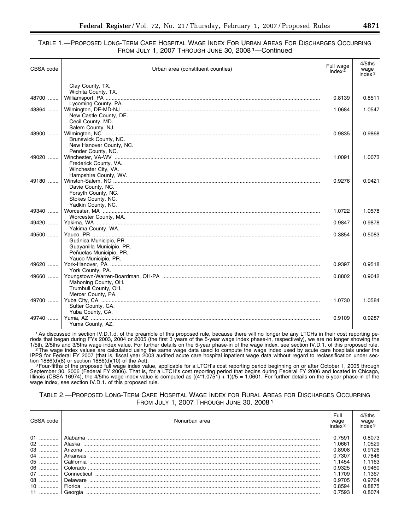| CBSA code | Urban area (constituent counties) | Full wage<br>index $2$ | 4/5ths<br>wage<br>index $3$ |
|-----------|-----------------------------------|------------------------|-----------------------------|
|           | Clay County, TX.                  |                        |                             |
|           | Wichita County, TX.               |                        |                             |
| 48700     |                                   | 0.8139                 | 0.8511                      |
|           | Lycoming County, PA.              |                        |                             |
| 48864     |                                   | 1.0684                 | 1.0547                      |
|           | New Castle County, DE.            |                        |                             |
|           | Cecil County, MD.                 |                        |                             |
|           | Salem County, NJ.                 |                        |                             |
| 48900     |                                   | 0.9835                 | 0.9868                      |
|           | Brunswick County, NC.             |                        |                             |
|           | New Hanover County, NC.           |                        |                             |
| 49020     | Pender County, NC.                | 1.0091                 | 1.0073                      |
|           | Frederick County, VA.             |                        |                             |
|           | Winchester City, VA.              |                        |                             |
|           | Hampshire County, WV.             |                        |                             |
| 49180     |                                   | 0.9276                 | 0.9421                      |
|           | Davie County, NC.                 |                        |                             |
|           | Forsyth County, NC.               |                        |                             |
|           | Stokes County, NC.                |                        |                             |
|           | Yadkin County, NC.                |                        |                             |
| 49340     |                                   | 1.0722                 | 1.0578                      |
|           | Worcester County, MA.             |                        |                             |
| 49420     |                                   | 0.9847                 | 0.9878                      |
|           | Yakima County, WA.                |                        |                             |
| 49500     |                                   | 0.3854                 | 0.5083                      |
|           | Guánica Municipio, PR.            |                        |                             |
|           | Guayanilla Municipio, PR.         |                        |                             |
|           | Peñuelas Municipio, PR.           |                        |                             |
|           | Yauco Municipio, PR.              |                        |                             |
| 49620     |                                   | 0.9397                 | 0.9518                      |
|           | York County, PA.                  |                        |                             |
| 49660     |                                   | 0.8802                 | 0.9042                      |
|           | Mahoning County, OH.              |                        |                             |
|           | Trumbull County, OH.              |                        |                             |
|           | Mercer County, PA.                |                        |                             |
| 49700     |                                   | 1.0730                 | 1.0584                      |
|           | Sutter County, CA.                |                        |                             |
| 49740     | Yuba County, CA.                  | 0.9109                 | 0.9287                      |
|           | Yuma County, AZ.                  |                        |                             |
|           |                                   |                        |                             |

1As discussed in section IV.D.1.d. of the preamble of this proposed rule, because there will no longer be any LTCHs in their cost reporting periods that began during FYs 2003, 2004 or 2005 (the first 3 years of the 5-year wage index phase-in, respectively), we are no longer showing the .1/5th, 2/5ths and 3/5ths wage index value. For further details on the 5-year phase-in of the wage index, see section IV.D.1. of this proposed rule.<br>The wage index values are calculated using the same wage data used to com

IPPS for Federal FY 2007 (that is, fiscal year 2003 audited acute care hospital inpatient wage data without regard to reclassification under section 1886(d)(8) or section 1886(d)(10) of the Act).<br><sup>3</sup>Four-fifths of the proposed full wage index value, applicable for a LTCH's cost reporting period beginning on or after October 1, 2005 through

September 30, 2006 (Federal FY 2006). That is, for a LTCH's cost reporting period that begins during Federal FY 2006 and located in Chicago, Illinois (CBSA 16974), the 4/5ths wage index value is computed as ((4\*1.0751) + 1))/5 = 1.0601. For further details on the 5-year phase-in of the wage index, see section IV.D.1. of this proposed rule.

| CBSA code | Nonurban area | Full<br>wage<br>index <sup>2</sup> | $4/5$ ths<br>wage<br>index <sup>3</sup> |
|-----------|---------------|------------------------------------|-----------------------------------------|
| 01        | Alabama       | 0.7591                             | 0.8073                                  |
| 02        |               | 1.0661                             | 1.0529                                  |
| 03        |               | 0.8908                             | 0.9126                                  |
| 04        |               | 0.7307                             | 0.7846                                  |
| 05        |               | 1.1454                             | 1.1163                                  |
| 06        |               | 0.9325                             | 0.9460                                  |
| 07        |               | 1.1709                             | 1.1367                                  |
| 08        |               | 0.9705                             | 0.9764                                  |
| 10        |               | 0.8594                             | 0.8875                                  |
| 11        |               | 0.7593                             | 0.8074                                  |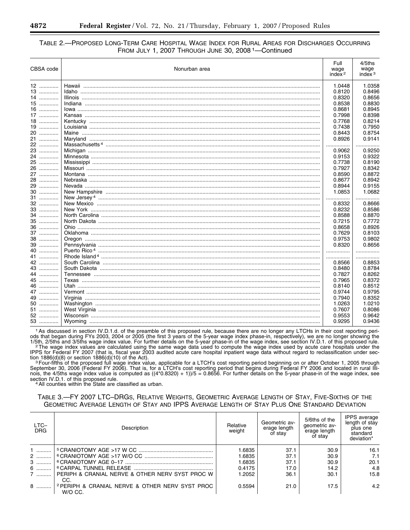| CBSA code | Nonurban area | Full<br>wage<br>index $2$ | 4/5ths<br>wage<br>index $3$ |
|-----------|---------------|---------------------------|-----------------------------|
| 12        |               | 1.0448                    | 1.0358                      |
| 13        |               | 0.8120                    | 0.8496                      |
| 14        |               | 0.8320                    | 0.8656                      |
| 15        |               | 0.8538                    | 0.8830                      |
| $16$      |               | 0.8681                    | 0.8945                      |
| 17        |               | 0.7998                    | 0.8398                      |
| 18 …………   |               | 0.7768                    | 0.8214                      |
| 19        |               | 0.7438                    | 0.7950                      |
| 20        |               | 0.8443                    | 0.8754                      |
| 21        |               | 0.8926                    | 0.9141                      |
| 22        |               |                           |                             |
| 23        |               | 0.9062                    | 0.9250                      |
| 24        |               | 0.9153                    | 0.9322                      |
| 25        |               | 0.7738                    | 0.8190                      |
| 26        |               | 0.7927                    | 0.8342                      |
| 27        |               | 0.8590                    | 0.8872                      |
| 28        |               | 0.8677                    | 0.8942                      |
| 29        |               | 0.8944                    | 0.9155                      |
| 30        |               | 1.0853                    | 1.0682                      |
| 31        |               |                           |                             |
| 32        |               | 0.8332                    | 0.8666                      |
| $33$      |               | 0.8232                    | 0.8586                      |
| 34        |               | 0.8588                    | 0.8870                      |
| 35        |               | 0.7215                    | 0.7772                      |
| 36        |               | 0.8658                    | 0.8926                      |
| 37        |               | 0.7629                    | 0.8103                      |
| 38        |               | 0.9753                    | 0.9802                      |
| 39        |               | 0.8320                    | 0.8656                      |
| 40        |               |                           | .                           |
| 41        |               |                           | .                           |
| 42        |               | 0.8566                    | 0.8853                      |
| 43        |               | 0.8480                    | 0.8784                      |
| 44        |               | 0.7827                    | 0.8262                      |
| 45        |               | 0.7965                    | 0.8372                      |
| 46        |               | 0.8140                    | 0.8512                      |
| 47        |               | 0.9744                    | 0.9795                      |
| 49        |               | 0.7940                    | 0.8352                      |
| 50        |               | 1.0263                    | 1.0210                      |
| 51        |               | 0.7607                    | 0.8086                      |
| 52        |               | 0.9553                    | 0.9642                      |
| 53        |               | 0.9295                    | 0.9436                      |

1 As discussed in section IV.D.1.d. of the preamble of this proposed rule, because there are no longer any LTCHs in their cost reporting peri-All the first 3 years of the first 3 years of the first 3 years of the first and the state with the state in the state of the state in the state of the state in the state in the S-year wage index phase-in, respectively), w

Fig. 1886(d)(8) or section 1886(d)(10) of the Act).<br><sup>3</sup> Four-fifths of the proposed full wage index value, applicable for a LTCH's cost reporting period beginning on or after October 1, 2005 through September 30, 2006 (Fe section IV.D.1. of this proposed rule.<br><sup>4</sup> All counties within the State are classified as urban.

#### TABLE 3.-FY 2007 LTC-DRGS, RELATIVE WEIGHTS, GEOMETRIC AVERAGE LENGTH OF STAY, FIVE-SIXTHS OF THE GEOMETRIC AVERAGE LENGTH OF STAY AND IPPS AVERAGE LENGTH OF STAY PLUS ONE STANDARD DEVIATION

| $LTC-$<br><b>DRG</b> | Description                                                | Relative<br>weight | Geometric av-<br>erage length<br>of stav | 5/6ths of the<br>geometric av-<br>erage length<br>of stay | <b>IPPS</b> average<br>length of stay<br>plus one<br>standard<br>deviation* |
|----------------------|------------------------------------------------------------|--------------------|------------------------------------------|-----------------------------------------------------------|-----------------------------------------------------------------------------|
|                      |                                                            | 1.6835             | 37.1                                     | 30.9                                                      | 16.1                                                                        |
| 2                    |                                                            | 1.6835             | 37.1                                     | 30.9                                                      | 7.1                                                                         |
| 3                    |                                                            | 1.6835             | 37.1                                     | 30.9                                                      | 20.1                                                                        |
|                      |                                                            | 0.4175             | 17.0                                     | 14.2                                                      | 4.8                                                                         |
|                      | PERIPH & CRANIAL NERVE & OTHER NERV SYST PROC W            | 1.2052             | 36.1                                     | 30.1                                                      | 15.8                                                                        |
|                      | CC.                                                        |                    |                                          |                                                           |                                                                             |
| $8$                  | <sup>2</sup> PERIPH & CRANIAL NERVE & OTHER NERV SYST PROC | 0.5594             | 21.0                                     | 17.5                                                      | 4.2                                                                         |
|                      | W/O CC.                                                    |                    |                                          |                                                           |                                                                             |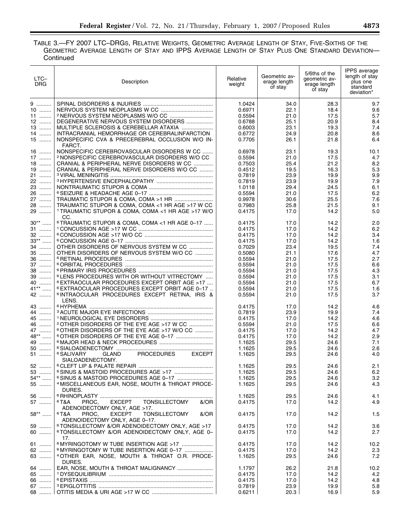### TABLE 3.—FY 2007 LTC–DRGS, RELATIVE WEIGHTS, GEOMETRIC AVERAGE LENGTH OF STAY, FIVE-SIXTHS OF THE GEOMETRIC AVERAGE LENGTH OF STAY AND IPPS AVERAGE LENGTH OF STAY PLUS ONE STANDARD DEVIATION— Continued

| LTC-<br><b>DRG</b> | Description                                                                                       | Relative<br>weight | Geometric av-<br>erage length<br>of stay | 5/6ths of the<br>qeometric av-<br>erage length<br>of stay | <b>IPPS</b> average<br>length of stay<br>plus one<br>standard<br>deviation* |
|--------------------|---------------------------------------------------------------------------------------------------|--------------------|------------------------------------------|-----------------------------------------------------------|-----------------------------------------------------------------------------|
| 9                  |                                                                                                   | 1.0424             | 34.0                                     | 28.3                                                      | 9.7                                                                         |
| $10$               |                                                                                                   | 0.6971             | 22.1                                     | 18.4                                                      | 9.6                                                                         |
| $11$               |                                                                                                   | 0.5594             | 21.0                                     | 17.5                                                      | 5.7                                                                         |
| $12$               | DEGENERATIVE NERVOUS SYSTEM DISORDERS                                                             | 0.6788             | 25.1                                     | 20.9                                                      | 8.4                                                                         |
| $13$<br>14         | MULTIPLE SCLEROSIS & CEREBELLAR ATAXIA<br>INTRACRANIAL HEMORRHAGE OR CEREBRALINFARCTION           | 0.6003<br>0.6772   | 23.1<br>24.9                             | 19.3<br>20.8                                              | 7.4<br>8.6                                                                  |
| $15$               | NONSPECIFIC CVA & PRECEREBRAL OCCLUSION W/O IN-                                                   | 0.7705             | 26.1                                     | 21.8                                                      | 6.4                                                                         |
| $16$               | FARCT.<br>NONSPECIFIC CEREBROVASCULAR DISORDERS W CC                                              |                    |                                          |                                                           |                                                                             |
| $17$               | 2 NONSPECIFIC CEREBROVASCULAR DISORDERS W/O CC                                                    | 0.6978<br>0.5594   | 23.1<br>21.0                             | 19.3<br>17.5                                              | 10.1<br>4.7                                                                 |
| $18$               | CRANIAL & PERIPHERAL NERVE DISORDERS W CC                                                         | 0.7503             | 25.4                                     | 21.2                                                      | 8.2                                                                         |
| $19$               | CRANIAL & PERIPHERAL NERVE DISORDERS W/O CC                                                       | 0.4512             | 19.5                                     | 16.3                                                      | 5.3                                                                         |
| 21                 |                                                                                                   | 0.7819             | 23.9                                     | 19.9                                                      | 9.9                                                                         |
| 22                 |                                                                                                   | 0.7819             | 23.9                                     | 19.9                                                      | 7.9                                                                         |
| 23                 |                                                                                                   | 1.0118             | 29.4                                     | 24.5                                                      | 6.1                                                                         |
| 26                 |                                                                                                   | 0.5594             | 21.0                                     | 17.5                                                      | 6.2                                                                         |
| 27                 |                                                                                                   | 0.9978             | 30.6                                     | 25.5                                                      | 7.6                                                                         |
| 28                 | TRAUMATIC STUPOR & COMA, COMA <1 HR AGE >17 W CC                                                  | 0.7983             | 25.8                                     | 21.5                                                      | 9.1                                                                         |
| 29                 | <sup>1</sup> TRAUMATIC STUPOR & COMA, COMA <1 HR AGE >17 W/O<br>CC.                               | 0.4175             | 17.0                                     | 14.2                                                      | 5.0                                                                         |
| $30**$             | 6 TRAUMATIC STUPOR & COMA, COMA <1 HR AGE 0-17                                                    | 0.4175             | 17.0                                     | 14.2                                                      | 2.0                                                                         |
| 31                 |                                                                                                   | 0.4175             | 17.0                                     | 14.2                                                      | 6.2                                                                         |
| 32                 |                                                                                                   | 0.4175             | 17.0                                     | 14.2                                                      | 3.4                                                                         |
| $33***$            |                                                                                                   | 0.4175             | 17.0                                     | 14.2                                                      | 1.6                                                                         |
| 34                 | OTHER DISORDERS OF NERVOUS SYSTEM W CC                                                            | 0.7029             | 23.4                                     | 19.5                                                      | 7.4                                                                         |
| 35                 | OTHER DISORDERS OF NERVOUS SYSTEM W/O CC                                                          | 0.5080             | 21.1                                     | 17.6                                                      | 4.7                                                                         |
| 36                 |                                                                                                   | 0.5594             | 21.0                                     | 17.5                                                      | 2.7                                                                         |
| 37                 |                                                                                                   | 0.5594             | 21.0                                     | 17.5                                                      | 6.6                                                                         |
| 38                 |                                                                                                   | 0.5594             | 21.0                                     | 17.5                                                      | 4.3                                                                         |
| 39                 | <sup>6</sup> LENS PROCEDURES WITH OR WITHOUT VITRECTOMY                                           | 0.5594             | 21.0                                     | 17.5                                                      | 3.1                                                                         |
| 40                 | <sup>6</sup> EXTRAOCULAR PROCEDURES EXCEPT ORBIT AGE >17                                          | 0.5594             | 21.0                                     | 17.5                                                      | 6.7                                                                         |
| $41***$            | <sup>6</sup> EXTRAOCULAR PROCEDURES EXCEPT ORBIT AGE 0-17                                         | 0.5594             | 21.0                                     | 17.5                                                      | 1.6                                                                         |
| 42                 | <sup>6</sup> INTRAOCULAR PROCEDURES EXCEPT RETINA, IRIS &<br>LENS.                                | 0.5594             | 21.0                                     | 17.5                                                      | 3.7                                                                         |
| 43                 |                                                                                                   | 0.4175             | 17.0                                     | 14.2                                                      | 4.6                                                                         |
| 44                 |                                                                                                   | 0.7819             | 23.9                                     | 19.9                                                      | 7.4                                                                         |
| 45                 |                                                                                                   | 0.4175             | 17.0                                     | 14.2                                                      | 4.6                                                                         |
| 46                 | <sup>2</sup> OTHER DISORDERS OF THE EYE AGE >17 W CC                                              | 0.5594             | 21.0                                     | 17.5                                                      | 6.6                                                                         |
| 47                 | 6 OTHER DISORDERS OF THE EYE AGE >17 W/O CC                                                       | 0.4175             | 17.0                                     | 14.2                                                      | 4.7                                                                         |
| 48**               | <sup>6</sup> OTHER DISORDERS OF THE EYE AGE 0-17                                                  | 0.4175             | 17.0                                     | 14.2                                                      | 2.9                                                                         |
| 49                 |                                                                                                   | 1.1625             | 29.5                                     | 24.6                                                      | 7.1                                                                         |
| 50                 |                                                                                                   | 1.1625             | 29.5                                     | 24.6                                                      | 2.6                                                                         |
| 51                 | <sup>6</sup> SALIVARY<br><b>PROCEDURES</b><br><b>EXCEPT</b><br><b>GLAND</b><br>SIALOADENECTOMY.   | 1.1625             | 29.5                                     | 24.6                                                      | 4.0                                                                         |
| 52                 |                                                                                                   | 1.1625             | 29.5                                     | 24.6                                                      | 2.1                                                                         |
| 53                 |                                                                                                   | 1.1625             | 29.5                                     | 24.6                                                      | 6.2                                                                         |
| 54** ……            |                                                                                                   | 1.1625             | 29.5                                     | 24.6                                                      | 3.2                                                                         |
| 55                 | <sup>4</sup> MISCELLANEOUS EAR, NOSE, MOUTH & THROAT PROCE-<br>DURES.                             | 1.1625             | 29.5                                     | 24.6                                                      | 4.3                                                                         |
| 56                 |                                                                                                   | 1.1625             | 29.5                                     | 24.6                                                      | 4.1                                                                         |
| 57                 | $6$ T&A<br><b>EXCEPT</b><br><b>TONSILLECTOMY</b><br>PROC.<br>&/OR                                 | 0.4175             | 17.0                                     | 14.2                                                      | 4.9                                                                         |
| 58**               | ADENOIDECTOMY ONLY, AGE >17.<br>$6$ T&A<br>PROC.<br><b>EXCEPT</b><br><b>TONSILLECTOMY</b><br>&/OR | 0.4175             | 17.0                                     | 14.2                                                      | 1.5                                                                         |
|                    | ADENOIDECTOMY ONLY, AGE 0-17.                                                                     |                    |                                          |                                                           |                                                                             |
| 59                 | <sup>6</sup> TONSILLECTOMY &/OR ADENOIDECTOMY ONLY, AGE >17                                       | 0.4175             | 17.0                                     | 14.2                                                      | 3.6                                                                         |
| 60                 | <sup>6</sup> TONSILLECTOMY &/OR ADENOIDECTOMY ONLY, AGE 0-<br>17.                                 | 0.4175             | 17.0                                     | 14.2                                                      | 2.7                                                                         |
| 61                 | <sup>6</sup> MYRINGOTOMY W TUBE INSERTION AGE >17                                                 | 0.4175             | 17.0                                     | 14.2                                                      | 10.2                                                                        |
| 62                 | <sup>6</sup> MYRINGOTOMY W TUBE INSERTION AGE 0-17                                                | 0.4175             | 17.0                                     | 14.2                                                      | 2.3                                                                         |
| 63                 | <sup>4</sup> OTHER EAR, NOSE, MOUTH & THROAT O.R. PROCE-<br>DURES.                                | 1.1625             | 29.5                                     | 24.6                                                      | 7.2                                                                         |
| 64                 |                                                                                                   | 1.1797             | 26.2                                     | 21.8                                                      | 10.2                                                                        |
| 65                 |                                                                                                   | 0.4175             | 17.0                                     | 14.2                                                      | 4.2                                                                         |
| 66                 |                                                                                                   | 0.4175             | 17.0                                     | 14.2                                                      | 4.8                                                                         |
| 67                 |                                                                                                   | 0.7819             | 23.9                                     | 19.9                                                      | 5.8                                                                         |
| 68                 |                                                                                                   | 0.6211             | 20.3                                     | 16.9                                                      | 5.9                                                                         |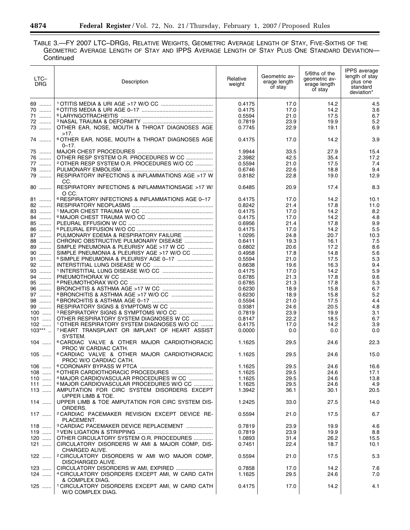TABLE 3.—FY 2007 LTC–DRGS, RELATIVE WEIGHTS, GEOMETRIC AVERAGE LENGTH OF STAY, FIVE-SIXTHS OF THE GEOMETRIC AVERAGE LENGTH OF STAY AND IPPS AVERAGE LENGTH OF STAY PLUS ONE STANDARD DEVIATION— **Continued** 

| LTC-<br><b>DRG</b> | Description                                                                                        | Relative<br>weight | Geometric av-<br>erage length<br>of stay | 5/6ths of the<br>qeometric av-<br>erage length<br>of stay | <b>IPPS</b> average<br>length of stay<br>plus one<br>standard<br>deviation* |
|--------------------|----------------------------------------------------------------------------------------------------|--------------------|------------------------------------------|-----------------------------------------------------------|-----------------------------------------------------------------------------|
| 69                 |                                                                                                    | 0.4175             | 17.0                                     | 14.2                                                      | 4.5                                                                         |
| 70                 |                                                                                                    | 0.4175             | 17.0                                     | 14.2                                                      | 3.6                                                                         |
| 71<br>72           |                                                                                                    | 0.5594             | 21.0                                     | 17.5                                                      | 6.7                                                                         |
| 73                 | OTHER EAR, NOSE, MOUTH & THROAT DIAGNOSES AGE                                                      | 0.7819<br>0.7745   | 23.9<br>22.9                             | 19.9<br>19.1                                              | 5.2<br>6.9                                                                  |
|                    | >17.                                                                                               |                    |                                          |                                                           |                                                                             |
| 74                 | <sup>6</sup> OTHER EAR, NOSE, MOUTH & THROAT DIAGNOSES AGE<br>$0 - 17.$                            | 0.4175             | 17.0                                     | 14.2                                                      | 3.9                                                                         |
| 75                 |                                                                                                    | 1.9944             | 33.5                                     | 27.9                                                      | 15.4                                                                        |
| 76                 | OTHER RESP SYSTEM O.R. PROCEDURES W CC                                                             | 2.3982             | 42.5                                     | 35.4                                                      | 17.2                                                                        |
| 77                 | <sup>2</sup> OTHER RESP SYSTEM O.R. PROCEDURES W/O CC                                              | 0.5594             | 21.0                                     | 17.5                                                      | 7.4                                                                         |
| 78                 |                                                                                                    | 0.6746             | 22.6                                     | 18.8                                                      | 9.4                                                                         |
| 79                 | RESPIRATORY INFECTIONS & INFLAMMATIONS AGE >17 W<br>CC.                                            | 0.8182             | 22.8                                     | 19.0                                                      | 12.9                                                                        |
| $80$               | RESPIRATORY INFECTIONS & INFLAMMATIONSAGE >17 W/<br>O CC.                                          | 0.6485             | 20.9                                     | 17.4                                                      | 8.3                                                                         |
| 81                 | <sup>6</sup> RESPIRATORY INFECTIONS & INFLAMMATIONS AGE 0-17                                       | 0.4175             | 17.0                                     | 14.2                                                      | 10.1                                                                        |
| 82                 |                                                                                                    | 0.8242             | 21.4                                     | 17.8                                                      | 11.0                                                                        |
| 83                 |                                                                                                    | 0.4175             | 17.0                                     | 14.2                                                      | 8.2                                                                         |
| 84                 |                                                                                                    | 0.4175             | 17.0                                     | 14.2                                                      | 4.8                                                                         |
| 85                 |                                                                                                    | 0.6956             | 21.4                                     | 17.8                                                      | 9.9                                                                         |
| 86                 | PULMONARY EDEMA & RESPIRATORY FAILURE                                                              | 0.4175             | 17.0                                     | 14.2                                                      | 5.5                                                                         |
| 87<br>88           |                                                                                                    | 1.0295             | 24.8                                     | 20.7                                                      | 10.3                                                                        |
| 89                 | CHRONIC OBSTRUCTIVE PULMONARY DISEASE<br>SIMPLE PNEUMONIA & PLEURISY AGE >17 W CC                  | 0.6411<br>0.6802   | 19.3<br>20.6                             | 16.1<br>17.2                                              | 7.5<br>8.6                                                                  |
| 90                 | SIMPLE PNEUMONIA & PLEURISY AGE >17 W/O CC                                                         | 0.4958             | 17.8                                     | 14.8                                                      | 5.6                                                                         |
| 91                 | <sup>6</sup> SIMPLE PNEUMONIA & PLEURISY AGE 0-17                                                  | 0.5594             | 21.0                                     | 17.5                                                      | 5.3                                                                         |
| 92                 |                                                                                                    | 0.6638             | 19.6                                     | 16.3                                                      | 9.4                                                                         |
| 93                 |                                                                                                    | 0.4175             | 17.0                                     | 14.2                                                      | 5.9                                                                         |
| 94                 |                                                                                                    | 0.6785             | 21.3                                     | 17.8                                                      | 9.6                                                                         |
| 95                 |                                                                                                    | 0.6785             | 21.3                                     | 17.8                                                      | 5.3                                                                         |
| 96                 |                                                                                                    | 0.6230             | 18.9                                     | 15.8                                                      | 6.7                                                                         |
| 97                 |                                                                                                    | 0.6230             | 18.9                                     | 15.8                                                      | 5.2                                                                         |
| $98$               |                                                                                                    | 0.5594             | 21.0                                     | 17.5                                                      | 4.4                                                                         |
| 99                 |                                                                                                    | 0.9381             | 24.6                                     | 20.5                                                      | 4.8                                                                         |
| $100$<br>$101$     | <sup>3</sup> RESPIRATORY SIGNS & SYMPTOMS W/O CC<br>OTHER RESPIRATORY SYSTEM DIAGNOSES W CC        | 0.7819<br>0.8147   | 23.9<br>22.2                             | 19.9                                                      | 3.1<br>6.7                                                                  |
| $102$              | <sup>1</sup> OTHER RESPIRATORY SYSTEM DIAGNOSES W/O CC                                             | 0.4175             | 17.0                                     | 18.5<br>14.2                                              | 3.9                                                                         |
| $103***$           | <sup>7</sup> HEART TRANSPLANT OR IMPLANT OF HEART ASSIST                                           | 0.0000             | 0.0                                      | 0.0                                                       | 0.0                                                                         |
| $104$              | SYSTEM.<br><sup>6</sup> CARDIAC VALVE & OTHER MAJOR CARDIOTHORACIC                                 | 1.1625             | 29.5                                     | 24.6                                                      | 22.3                                                                        |
|                    | PROC W CARDIAC CATH.                                                                               |                    |                                          |                                                           |                                                                             |
| $105$              | <sup>6</sup> CARDIAC VALVE & OTHER MAJOR CARDIOTHORACIC<br>PROC W/O CARDIAC CATH.                  | 1.1625             | 29.5                                     | 24.6                                                      | 15.0                                                                        |
| $106$              |                                                                                                    | 1.1625             | 29.5                                     | 24.6                                                      | 16.6                                                                        |
| $108$              |                                                                                                    | 1.1625             | 29.5                                     | 24.6                                                      | 17.1                                                                        |
| $110$              | <sup>4</sup> MAJOR CARDIOVASCULAR PROCEDURES W CC                                                  | 1.1625             | 29.5                                     | 24.6                                                      | 13.8                                                                        |
| 111                | <sup>6</sup> MAJOR CARDIOVASCULAR PROCEDURES W/O CC                                                | 1.1625             | 29.5                                     | 24.6                                                      | 4.9                                                                         |
| $113$              | AMPUTATION FOR CIRC SYSTEM DISORDERS EXCEPT<br>UPPER LIMB & TOE.                                   | 1.3942             | 36.1                                     | 30.1                                                      | 20.5                                                                        |
| $114$              | UPPER LIMB & TOE AMPUTATION FOR CIRC SYSTEM DIS-<br>ORDERS.                                        | 1.2425             | 33.0                                     | 27.5                                                      | 14.0                                                                        |
| $117$              | <sup>2</sup> CARDIAC PACEMAKER REVISION EXCEPT DEVICE RE-<br>PLACEMENT.                            | 0.5594             | 21.0                                     | 17.5                                                      | 6.7                                                                         |
| $118$              | <sup>3</sup> CARDIAC PACEMAKER DEVICE REPLACEMENT                                                  | 0.7819             | 23.9                                     | 19.9                                                      | 4.6                                                                         |
| $119$              |                                                                                                    | 0.7819             | 23.9                                     | 19.9                                                      | 8.8                                                                         |
| $120$<br>$121$     | OTHER CIRCULATORY SYSTEM O.R. PROCEDURES                                                           | 1.0893<br>0.7451   | 31.4                                     | 26.2<br>18.7                                              | 15.5<br>10.1                                                                |
|                    | CIRCULATORY DISORDERS W AMI & MAJOR COMP, DIS-<br>CHARGED ALIVE.                                   |                    | 22.4                                     |                                                           |                                                                             |
| $122$              | <sup>2</sup> CIRCULATORY DISORDERS W AMI W/O MAJOR COMP,<br>DISCHARGED ALIVE.                      | 0.5594             | 21.0                                     | 17.5                                                      | 5.3                                                                         |
| 123                | CIRCULATORY DISORDERS W AMI, EXPIRED                                                               | 0.7858             | 17.0                                     | 14.2                                                      | 7.6                                                                         |
| 124                | <sup>4</sup> CIRCULATORY DISORDERS EXCEPT AMI, W CARD CATH                                         | 1.1625             | 29.5                                     | 24.6                                                      | 7.0                                                                         |
| 125                | & COMPLEX DIAG.<br><sup>1</sup> CIRCULATORY DISORDERS EXCEPT AMI, W CARD CATH<br>W/O COMPLEX DIAG. | 0.4175             | 17.0                                     | 14.2                                                      | 4.1                                                                         |

-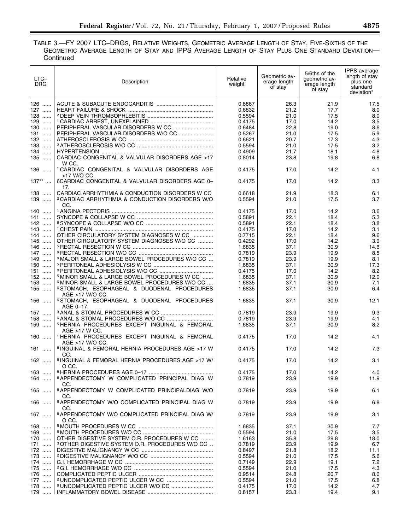## TABLE 3.—FY 2007 LTC–DRGS, RELATIVE WEIGHTS, GEOMETRIC AVERAGE LENGTH OF STAY, FIVE-SIXTHS OF THE GEOMETRIC AVERAGE LENGTH OF STAY AND IPPS AVERAGE LENGTH OF STAY PLUS ONE STANDARD DEVIATION— Continued

| LTC-<br><b>DRG</b> | Description                                                                 | Relative<br>weight | Geometric av-<br>erage length<br>of stay | 5/6ths of the<br>geometric av-<br>erage length<br>of stay | <b>IPPS</b> average<br>length of stay<br>plus one<br>standard<br>deviation* |
|--------------------|-----------------------------------------------------------------------------|--------------------|------------------------------------------|-----------------------------------------------------------|-----------------------------------------------------------------------------|
| $126$              |                                                                             | 0.8867             | 26.3                                     | 21.9                                                      | 17.5                                                                        |
| 127                |                                                                             | 0.6832             | 21.2                                     | 17.7                                                      | 8.0                                                                         |
| 128                |                                                                             | 0.5594             | 21.0                                     | 17.5                                                      | 8.0                                                                         |
| 129                |                                                                             | 0.4175             | 17.0                                     | 14.2                                                      | 3.5                                                                         |
| 130                |                                                                             | 0.6484             | 22.8                                     | 19.0                                                      | 8.6                                                                         |
| 131                |                                                                             | 0.5267             | 21.0                                     | 17.5                                                      | 5.9                                                                         |
| 132                |                                                                             | 0.6621             | 20.7                                     | 17.3                                                      | 4.3                                                                         |
| $133$              |                                                                             | 0.5594             | 21.0                                     | 17.5                                                      | 3.2                                                                         |
| 134                |                                                                             | 0.4909             | 21.7                                     | 18.1                                                      | 4.8                                                                         |
| 135                | CARDIAC CONGENITAL & VALVULAR DISORDERS AGE >17<br>W CC.                    | 0.8014             | 23.8                                     | 19.8                                                      | 6.8                                                                         |
| 136                | <sup>1</sup> CARDIAC CONGENITAL & VALVULAR DISORDERS AGE<br>>17 W/O CC.     | 0.4175             | 17.0                                     | 14.2                                                      | 4.1                                                                         |
| $137***$           | 6CARDIAC CONGENITAL & VALVULAR DISORDERS AGE 0-<br>17.                      | 0.4175             | 17.0                                     | 14.2                                                      | 3.3                                                                         |
| $138$              | CARDIAC ARRHYTHMIA & CONDUCTION DISORDERS W CC                              | 0.6618             | 21.9                                     | 18.3                                                      | 6.1                                                                         |
| 139                | <sup>2</sup> CARDIAC ARRHYTHMIA & CONDUCTION DISORDERS W/O<br>CC.           | 0.5594             | 21.0                                     | 17.5                                                      | 3.7                                                                         |
| 140                |                                                                             | 0.4175             | 17.0                                     | 14.2                                                      | 3.6                                                                         |
| $141$              |                                                                             | 0.5891             | 22.1                                     | 18.4                                                      | 5.3                                                                         |
| 142                |                                                                             | 0.5891             | 22.1                                     | 18.4                                                      | 3.8                                                                         |
| $143$              |                                                                             | 0.4175             | 17.0                                     | 14.2                                                      | 3.1                                                                         |
| 144                | OTHER CIRCULATORY SYSTEM DIAGNOSES W CC                                     | 0.7715             | 22.1                                     | 18.4                                                      | 9.6                                                                         |
| 145                | OTHER CIRCULATORY SYSTEM DIAGNOSES W/O CC                                   | 0.4292             | 17.0                                     | 14.2                                                      | 3.9                                                                         |
| $146$              |                                                                             | 1.6835             | 37.1                                     | 30.9                                                      | 14.6                                                                        |
| 147                |                                                                             | 0.7819             | 23.9                                     | 19.9                                                      | 8.5                                                                         |
| 149                | <sup>6</sup> MAJOR SMALL & LARGE BOWEL PROCEDURES W/O CC                    | 0.7819             | 23.9                                     | 19.9                                                      | 8.1                                                                         |
| $150$              |                                                                             | 1.6835             | 37.1                                     | 30.9                                                      | 17.3                                                                        |
| 151<br>152         | <sup>5</sup> MINOR SMALL & LARGE BOWEL PROCEDURES W CC                      | 0.4175<br>1.6835   | 17.0<br>37.1                             | 14.2                                                      | 8.2<br>12.0                                                                 |
| 153                | <sup>6</sup> MINOR SMALL & LARGE BOWEL PROCEDURES W/O CC                    | 1.6835             | 37.1                                     | 30.9<br>30.9                                              | 7.1                                                                         |
| 155                | 6 STOMACH, ESOPHAGEAL & DUODENAL PROCEDURES<br>AGE >17 W/O CC.              | 1.6835             | 37.1                                     | 30.9                                                      | 6.4                                                                         |
| 156                | <sup>6</sup> STOMACH, ESOPHAGEAL & DUODENAL PROCEDURES<br>AGE 0-17.         | 1.6835             | 37.1                                     | 30.9                                                      | 12.1                                                                        |
| 157                |                                                                             | 0.7819             | 23.9                                     | 19.9                                                      | 9.3                                                                         |
| 158                |                                                                             | 0.7819             | 23.9                                     | 19.9                                                      | 4.1                                                                         |
| 159                | <sup>5</sup> HERNIA PROCEDURES EXCEPT INGUINAL & FEMORAL<br>AGE >17 W CC.   | 1.6835             | 37.1                                     | 30.9                                                      | 8.2                                                                         |
| $160$              | <sup>1</sup> HERNIA PROCEDURES EXCEPT INGUINAL & FEMORAL<br>AGE >17 W/O CC. | 0.4175             | 17.0                                     | 14.2                                                      | 4.1                                                                         |
| $161$              | <sup>6</sup> INGUINAL & FEMORAL HERNIA PROCEDURES AGE >17 W<br>CC.          | 0.4175             | 17.0                                     | 14.2                                                      | 7.3                                                                         |
| $162$              | <sup>6</sup> INGUINAL & FEMORAL HERNIA PROCEDURES AGE >17 W/<br>O CC.       | 0.4175             | 17.0                                     | 14.2                                                      | 3.1                                                                         |
| $163$              |                                                                             | 0.4175             | 17.0                                     | 14.2                                                      | 4.0                                                                         |
| 164                | 6 APPENDECTOMY W COMPLICATED PRINCIPAL DIAG W<br>CC.                        | 0.7819             | 23.9                                     | 19.9                                                      | 11.9                                                                        |
| $165$              | <sup>6</sup> APPENDECTOMY W COMPLICATED PRINCIPALDIAG W/O<br>CC.            | 0.7819             | 23.9                                     | 19.9                                                      | 6.1                                                                         |
| $166$              | <sup>6</sup> APPENDECTOMY W/O COMPLICATED PRINCIPAL DIAG W<br>CC.           | 0.7819             | 23.9                                     | 19.9                                                      | 6.8                                                                         |
| $167$              | <sup>6</sup> APPENDECTOMY W/O COMPLICATED PRINCIPAL DIAG W/<br>O CC.        | 0.7819             | 23.9                                     | 19.9                                                      | 3.1                                                                         |
| $168$              |                                                                             | 1.6835             | 37.1                                     | 30.9                                                      | 7.7                                                                         |
| $169$              |                                                                             | 0.5594             | 21.0                                     | 17.5                                                      | 3.5                                                                         |
| 170                | OTHER DIGESTIVE SYSTEM O.R. PROCEDURES W CC                                 | 1.6163             | 35.8                                     | 29.8                                                      | 18.0                                                                        |
| 171                | <sup>3</sup> OTHER DIGESTIVE SYSTEM O.R. PROCEDURES W/O CC                  | 0.7819             | 23.9                                     | 19.9                                                      | 6.7                                                                         |
| 172                |                                                                             | 0.8497             | 21.8                                     | 18.2                                                      | 11.1                                                                        |
| 173<br>174         |                                                                             | 0.5594             | 21.0                                     | 17.5                                                      | 5.6<br>7.2                                                                  |
| 175                |                                                                             | 0.7149<br>0.5594   | 22.9<br>21.0                             | 19.1<br>17.5                                              | 4.3                                                                         |
| $176$              |                                                                             | 0.9514             | 24.8                                     | 20.7                                                      | 8.0                                                                         |
| 177                |                                                                             | 0.5594             | 21.0                                     | 17.5                                                      | 6.8                                                                         |
| 178                | <sup>6</sup> UNCOMPLICATED PEPTIC ULCER W/O CC                              | 0.4175             | 17.0                                     | 14.2                                                      | 4.7                                                                         |
| 179                |                                                                             | 0.8157             | 23.3                                     | 19.4                                                      | 9.1                                                                         |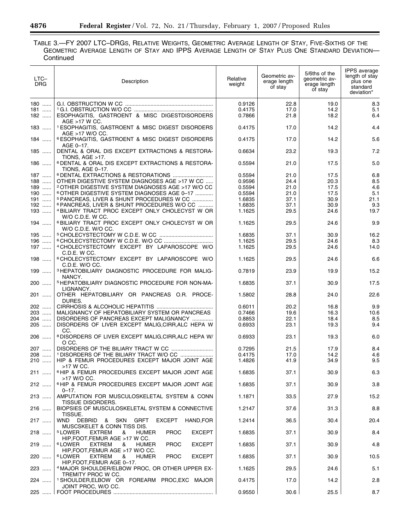TABLE 3.—FY 2007 LTC–DRGS, RELATIVE WEIGHTS, GEOMETRIC AVERAGE LENGTH OF STAY, FIVE-SIXTHS OF THE GEOMETRIC AVERAGE LENGTH OF STAY AND IPPS AVERAGE LENGTH OF STAY PLUS ONE STANDARD DEVIATION— **Continued** 

| LTC-<br><b>DRG</b> | Description                                                                                                                  | Relative<br>weight | Geometric av-<br>erage length<br>of stay | 5/6ths of the<br>qeometric av-<br>erage length<br>of stay | <b>IPPS</b> average<br>length of stay<br>plus one<br>standard<br>deviation* |
|--------------------|------------------------------------------------------------------------------------------------------------------------------|--------------------|------------------------------------------|-----------------------------------------------------------|-----------------------------------------------------------------------------|
| 180                |                                                                                                                              | 0.9126             | 22.8                                     | 19.0                                                      | 8.3                                                                         |
| $181$<br>182       | ESOPHAGITIS, GASTROENT & MISC DIGESTDISORDERS                                                                                | 0.4175<br>0.7866   | 17.0<br>21.8                             | 14.2<br>18.2                                              | 5.1<br>6.4                                                                  |
| 183                | AGE >17 W CC.<br><sup>1</sup> ESOPHAGITIS, GASTROENT & MISC DIGEST DISORDERS<br>AGE >17 W/O CC.                              | 0.4175             | 17.0                                     | 14.2                                                      | 4.4                                                                         |
| 184                | <sup>6</sup> ESOPHAGITIS, GASTROENT & MISC DIGEST DISORDERS<br>AGE 0-17.                                                     | 0.4175             | 17.0                                     | 14.2                                                      | 5.6                                                                         |
| 185                | DENTAL & ORAL DIS EXCEPT EXTRACTIONS & RESTORA-<br>TIONS, $AGE > 17$ .                                                       | 0.6634             | 23.2                                     | 19.3                                                      | 7.2                                                                         |
| 186                | <sup>6</sup> DENTAL & ORAL DIS EXCEPT EXTRACTIONS & RESTORA-<br>TIONS, AGE 0-17.                                             | 0.5594             | 21.0                                     | 17.5                                                      | 5.0                                                                         |
| 187                | <sup>6</sup> DENTAL EXTRACTIONS & RESTORATIONS                                                                               | 0.5594             | 21.0                                     | 17.5                                                      | 6.8                                                                         |
| $188$              | OTHER DIGESTIVE SYSTEM DIAGNOSES AGE >17 W CC                                                                                | 0.9596             | 24.4                                     | 20.3                                                      | 8.5                                                                         |
| $189$              | <sup>2</sup> OTHER DIGESTIVE SYSTEM DIAGNOSES AGE >17 W/O CC                                                                 | 0.5594             | 21.0                                     | 17.5                                                      | 4.6                                                                         |
| 190                | <sup>6</sup> OTHER DIGESTIVE SYSTEM DIAGNOSES AGE 0-17                                                                       | 0.5594             | 21.0                                     | 17.5                                                      | 5.1                                                                         |
| 191                | 5 PANCREAS, LIVER & SHUNT PROCEDURES W CC                                                                                    | 1.6835             | 37.1                                     | 30.9                                                      | 21.1                                                                        |
| 192                | <sup>6</sup> PANCREAS, LIVER & SHUNT PROCEDURES W/O CC                                                                       | 1.6835             | 37.1                                     | 30.9                                                      | 9.3                                                                         |
| 193                | <sup>4</sup> BILIARY TRACT PROC EXCEPT ONLY CHOLECYST W OR<br>W/O C.D.E. W CC.                                               | 1.1625             | 29.5                                     | 24.6                                                      | 19.7                                                                        |
| 194                | <sup>6</sup> BILIARY TRACT PROC EXCEPT ONLY CHOLECYST W OR<br>W/O C.D.E. W/O CC.                                             | 1.1625             | 29.5                                     | 24.6                                                      | 9.9                                                                         |
| 195                |                                                                                                                              | 1.6835             | 37.1                                     | 30.9                                                      | 16.2                                                                        |
| 196                |                                                                                                                              | 1.1625             | 29.5                                     | 24.6                                                      | 8.3                                                                         |
| 197                | 4 CHOLECYSTECTOMY EXCEPT BY LAPAROSCOPE W/O<br>C.D.E. W CC.                                                                  | 1.1625             | 29.5                                     | 24.6                                                      | 14.0                                                                        |
| 198                | 6 CHOLECYSTECTOMY EXCEPT BY LAPAROSCOPE W/O<br>C.D.E. W/O CC.                                                                | 1.1625             | 29.5                                     | 24.6                                                      | 6.6                                                                         |
| 199                | <sup>3</sup> HEPATOBILIARY DIAGNOSTIC PROCEDURE FOR MALIG-<br>NANCY.                                                         | 0.7819             | 23.9                                     | 19.9                                                      | 15.2                                                                        |
| 200                | <sup>5</sup> HEPATOBILIARY DIAGNOSTIC PROCEDURE FOR NON-MA-<br>LIGNANCY.                                                     | 1.6835             | 37.1                                     | 30.9                                                      | 17.5                                                                        |
| 201                | OTHER HEPATOBILIARY OR PANCREAS O.R. PROCE-<br>DURES.                                                                        | 1.5802             | 28.8                                     | 24.0                                                      | 22.6                                                                        |
| 202 ……             |                                                                                                                              | 0.6011             | 20.2                                     | 16.8                                                      | 9.9                                                                         |
| 203                | MALIGNANCY OF HEPATOBILIARY SYSTEM OR PANCREAS                                                                               | 0.7466             | 19.6                                     | 16.3                                                      | 10.6                                                                        |
| 204                | DISORDERS OF PANCREAS EXCEPT MALIGNANCY                                                                                      | 0.8853             | 22.1                                     | 18.4                                                      | 8.5                                                                         |
| 205                | DISORDERS OF LIVER EXCEPT MALIG, CIRR, ALC HEPA W<br>CC.                                                                     | 0.6933             | 23.1                                     | 19.3                                                      | 9.4                                                                         |
| 206                | <sup>8</sup> DISORDERS OF LIVER EXCEPT MALIG, CIRR, ALC HEPA W/<br>O CC.                                                     | 0.6933             | 23.1                                     | 19.3                                                      | 6.0                                                                         |
| 207                |                                                                                                                              | 0.7295             | 21.5                                     | 17.9                                                      | 8.4                                                                         |
| 208 ……             |                                                                                                                              | 0.4175             | 17.0                                     | 14.2                                                      | 4.6                                                                         |
| 210                | HIP & FEMUR PROCEDURES EXCEPT MAJOR JOINT AGE<br>>17 W CC.                                                                   | 1.4826             | 41.9                                     | 34.9                                                      | 9.5                                                                         |
| 211                | 6HIP & FEMUR PROCEDURES EXCEPT MAJOR JOINT AGE<br>>17 W/O CC.                                                                | 1.6835             | 37.1                                     | 30.9                                                      | 6.3                                                                         |
| 212                | <sup>6</sup> HIP & FEMUR PROCEDURES EXCEPT MAJOR JOINT AGE<br>$0 - 17$ .                                                     | 1.6835             | 37.1                                     | 30.9                                                      | 3.8                                                                         |
| 213                | AMPUTATION FOR MUSCULOSKELETAL SYSTEM & CONN<br>TISSUE DISORDERS.                                                            | 1.1871             | 33.5                                     | 27.9                                                      | 15.2                                                                        |
| 216                | BIOPSIES OF MUSCULOSKELETAL SYSTEM & CONNECTIVE<br>TISSUE.                                                                   | 1.2147             | 37.6                                     | 31.3                                                      | 8.8                                                                         |
| 217                | EXCEPT HAND, FOR<br>WND<br>DEBRID<br>SKN GRFT<br>&<br>MUSCSKELET & CONN TISS DIS.                                            | 1.2414             | 36.5                                     | 30.4                                                      | 20.4                                                                        |
| 218                | <sup>5</sup> LOWER<br><b>EXCEPT</b><br><b>EXTREM</b><br>&<br><b>HUMER</b><br><b>PROC</b>                                     | 1.6835             | 37.1                                     | 30.9                                                      | 8.4                                                                         |
| 219                | HIP, FOOT, FEMUR AGE >17 W CC.<br><sup>6</sup> LOWER<br><b>EXCEPT</b><br><b>EXTREM</b><br>&<br><b>HUMER</b><br><b>PROC</b>   | 1.6835             | 37.1                                     | 30.9                                                      | 4.8                                                                         |
| 220                | HIP, FOOT, FEMUR AGE >17 W/O CC.<br><sup>6</sup> LOWER<br><b>EXTREM</b><br><b>HUMER</b><br><b>PROC</b><br><b>EXCEPT</b><br>& | 1.6835             | 37.1                                     | 30.9                                                      | 10.5                                                                        |
| 223 ……             | HIP, FOOT, FEMUR AGE 0-17.<br><sup>4</sup> MAJOR SHOULDER/ELBOW PROC, OR OTHER UPPER EX-                                     | 1.1625             | 29.5                                     | 24.6                                                      | 5.1                                                                         |
| 224 ……             | TREMITY PROC W CC.<br><sup>1</sup> SHOULDER, ELBOW OR FOREARM PROC, EXC MAJOR                                                | 0.4175             | 17.0                                     | 14.2                                                      | 2.8                                                                         |
| 225                | JOINT PROC, W/O CC.                                                                                                          | 0.9550             | 30.6                                     | 25.5                                                      | 8.7                                                                         |

 $\equiv$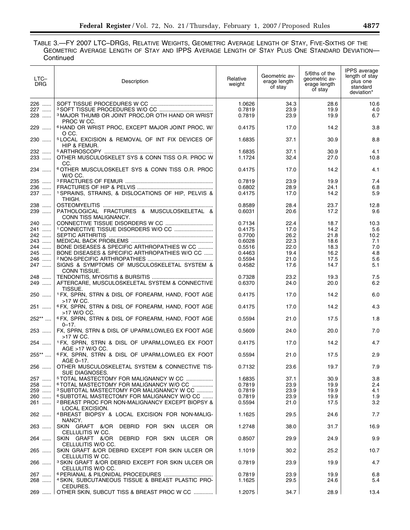## TABLE 3.—FY 2007 LTC–DRGS, RELATIVE WEIGHTS, GEOMETRIC AVERAGE LENGTH OF STAY, FIVE-SIXTHS OF THE GEOMETRIC AVERAGE LENGTH OF STAY AND IPPS AVERAGE LENGTH OF STAY PLUS ONE STANDARD DEVIATION— **Continued**

| LTC-<br>DRG. | Description                                                                                            | Relative<br>weight | Geometric av-<br>erage length<br>of stay | 5/6ths of the<br>geometric av-<br>erage length<br>of stay | <b>IPPS</b> average<br>length of stay<br>plus one<br>standard<br>deviation* |
|--------------|--------------------------------------------------------------------------------------------------------|--------------------|------------------------------------------|-----------------------------------------------------------|-----------------------------------------------------------------------------|
| 226<br>227   |                                                                                                        | 1.0626<br>0.7819   | 34.3<br>23.9                             | 28.6<br>19.9                                              | 10.6<br>4.0                                                                 |
| 228          | <sup>3</sup> MAJOR THUMB OR JOINT PROC, OR OTH HAND OR WRIST<br>PROC W CC.                             | 0.7819             | 23.9                                     | 19.9                                                      | 6.7                                                                         |
| 229          | <sup>6</sup> HAND OR WRIST PROC, EXCEPT MAJOR JOINT PROC, W/<br>O CC.                                  | 0.4175             | 17.0                                     | 14.2                                                      | 3.8                                                                         |
| 230          | <sup>5</sup> LOCAL EXCISION & REMOVAL OF INT FIX DEVICES OF<br>HIP & FEMUR.                            | 1.6835             | 37.1                                     | 30.9                                                      | 8.8                                                                         |
| 232<br>233   | OTHER MUSCULOSKELET SYS & CONN TISS O.R. PROC W                                                        | 1.6835<br>1.1724   | 37.1<br>32.4                             | 30.9<br>27.0                                              | 4.1<br>10.8                                                                 |
| 234          | CC.<br><sup>6</sup> OTHER MUSCULOSKELET SYS & CONN TISS O.R. PROC                                      | 0.4175             | 17.0                                     | 14.2                                                      | 4.1                                                                         |
| 235          | W/O CC.                                                                                                | 0.7819             | 23.9                                     | 19.9                                                      | 7.4                                                                         |
| 236          |                                                                                                        | 0.6802             | 28.9                                     | 24.1                                                      | 6.8                                                                         |
| 237          | <sup>1</sup> SPRAINS, STRAINS, & DISLOCATIONS OF HIP, PELVIS &                                         | 0.4175             | 17.0                                     | 14.2                                                      | 5.9                                                                         |
|              | THIGH.                                                                                                 |                    |                                          |                                                           |                                                                             |
| 238<br>239   | PATHOLOGICAL FRACTURES & MUSCULOSKELETAL &<br>CONN TISS MALIGNANCY.                                    | 0.8589<br>0.6031   | 28.4<br>20.6                             | 23.7<br>17.2                                              | 12.8<br>9.6                                                                 |
| 240          |                                                                                                        | 0.7134             | 22.4                                     | 18.7                                                      | 10.3                                                                        |
| 241          |                                                                                                        | 0.4175             | 17.0                                     | 14.2                                                      | 5.6                                                                         |
| 242          |                                                                                                        | 0.7700             | 26.2                                     | 21.8                                                      | 10.2                                                                        |
| 243          |                                                                                                        | 0.6028             | 22.3                                     | 18.6                                                      | 7.1                                                                         |
| 244          | BONE DISEASES & SPECIFIC ARTHROPATHIES W CC                                                            | 0.5516             | 22.0                                     | 18.3                                                      | 7.0                                                                         |
| 245          | BONE DISEASES & SPECIFIC ARTHROPATHIES W/O CC                                                          | 0.4463             | 19.4                                     | 16.2                                                      | 4.8                                                                         |
| 246          |                                                                                                        | 0.5594             | 21.0                                     | 17.5                                                      | 5.6                                                                         |
| 247          | SIGNS & SYMPTOMS OF MUSCULOSKELETAL SYSTEM &                                                           | 0.4582             | 17.6                                     | 14.7                                                      | 5.1                                                                         |
|              | CONN TISSUE.                                                                                           |                    |                                          |                                                           |                                                                             |
| 248<br>249   | AFTERCARE, MUSCULOSKELETAL SYSTEM & CONNECTIVE<br>TISSUE.                                              | 0.7328<br>0.6370   | 23.2<br>24.0                             | 19.3<br>20.0                                              | 7.5<br>6.2                                                                  |
| 250          | <sup>1</sup> FX, SPRN, STRN & DISL OF FOREARM, HAND, FOOT AGE<br>>17 W CC.                             | 0.4175             | 17.0                                     | 14.2                                                      | 6.0                                                                         |
| 251          | <sup>6</sup> FX, SPRN, STRN & DISL OF FOREARM, HAND, FOOT AGE<br>>17 W/O CC.                           | 0.4175             | 17.0                                     | 14.2                                                      | 4.3                                                                         |
| 252**        | <sup>6</sup> FX, SPRN, STRN & DISL OF FOREARM, HAND, FOOT AGE<br>$0 - 17.$                             | 0.5594             | 21.0                                     | 17.5                                                      | 1.8                                                                         |
| 253          | FX, SPRN, STRN & DISL OF UPARM, LOWLEG EX FOOT AGE<br>>17 W CC.                                        | 0.5609             | 24.0                                     | 20.0                                                      | 7.0                                                                         |
| 254          | <sup>1</sup> FX, SPRN, STRN & DISL OF UPARM,LOWLEG EX FOOT<br>AGE >17 W/O CC.                          | 0.4175             | 17.0                                     | 14.2                                                      | 4.7                                                                         |
| 255**        | 6 FX, SPRN, STRN & DISL OF UPARM, LOWLEG EX FOOT<br>AGE 0-17.                                          | 0.5594             | 21.0                                     | 17.5                                                      | 2.9                                                                         |
| 256          | OTHER MUSCULOSKELETAL SYSTEM & CONNECTIVE TIS-<br>SUE DIAGNOSES.                                       | 0.7132             | 23.6                                     | 19.7                                                      | 7.9                                                                         |
| 257          | <sup>5</sup> TOTAL MASTECTOMY FOR MALIGNANCY W CC                                                      | 1.6835             | 37.1                                     | 30.9                                                      | 3.8                                                                         |
| 258          | <sup>6</sup> TOTAL MASTECTOMY FOR MALIGNANCY W/O CC                                                    | 0.7819             | 23.9                                     | 19.9                                                      | 2.4                                                                         |
| 259          | <sup>3</sup> SUBTOTAL MASTECTOMY FOR MALIGNANCY W CC                                                   | 0.7819             | 23.9                                     | 19.9                                                      | 4.1                                                                         |
| 260          | <sup>6</sup> SUBTOTAL MASTECTOMY FOR MALIGNANCY W/O CC                                                 | 0.7819             | 23.9                                     | 19.9                                                      | 1.9                                                                         |
| 261          | <sup>2</sup> BREAST PROC FOR NON-MALIGNANCY EXCEPT BIOPSY &                                            | 0.5594             | 21.0                                     | 17.5                                                      | 3.2                                                                         |
| 262          | LOCAL EXCISION.<br>4 BREAST BIOPSY & LOCAL EXCISION FOR NON-MALIG-                                     | 1.1625             | 29.5                                     | 24.6                                                      | 7.7                                                                         |
| 263          | NANCY.<br>SKIN GRAFT &/OR<br>DEBRID<br>FOR SKN<br>ULCER OR                                             | 1.2748             | 38.0                                     | 31.7                                                      | 16.9                                                                        |
| 264          | CELLULITIS W CC.<br>SKIN GRAFT &/OR DEBRID<br>FOR SKN<br>ULCER<br>-OR                                  | 0.8507             | 29.9                                     | 24.9                                                      | 9.9                                                                         |
| 265          | CELLULITIS W/O CC.<br>SKIN GRAFT &/OR DEBRID EXCEPT FOR SKIN ULCER OR                                  | 1.1019             | 30.2                                     | 25.2                                                      | 10.7                                                                        |
| 266          | CELLULITIS W CC.<br><sup>3</sup> SKIN GRAFT &/OR DEBRID EXCEPT FOR SKIN ULCER OR<br>CELLULITIS W/O CC. | 0.7819             | 23.9                                     | 19.9                                                      | 4.7                                                                         |
| 267<br>268   | <sup>4</sup> SKIN, SUBCUTANEOUS TISSUE & BREAST PLASTIC PRO-                                           | 0.7819<br>1.1625   | 23.9<br>29.5                             | 19.9<br>24.6                                              | 6.8<br>5.4                                                                  |
| 269 …… ∣     | CEDURES.<br>OTHER SKIN, SUBCUT TISS & BREAST PROC W CC                                                 | 1.2075             | 34.7                                     | 28.9                                                      | 13.4                                                                        |
|              |                                                                                                        |                    |                                          |                                                           |                                                                             |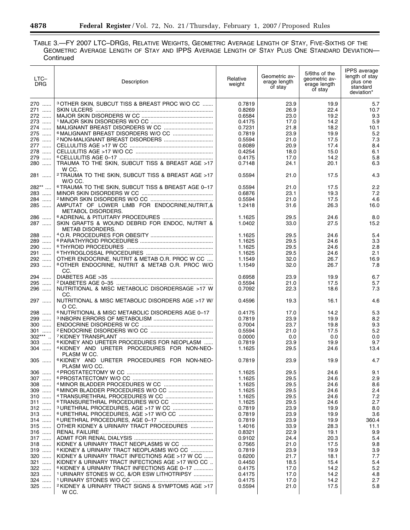## TABLE 3.—FY 2007 LTC–DRGS, RELATIVE WEIGHTS, GEOMETRIC AVERAGE LENGTH OF STAY, FIVE-SIXTHS OF THE GEOMETRIC AVERAGE LENGTH OF STAY AND IPPS AVERAGE LENGTH OF STAY PLUS ONE STANDARD DEVIATION— **Continued**

| $LTC-$<br>DRG               | Description                                                                                                  | Relative<br>weight | Geometric av-<br>erage length<br>of stay | 5/6ths of the<br>qeometric av-<br>erage length<br>of stay | <b>IPPS</b> average<br>length of stay<br>plus one<br>standard<br>deviation* |
|-----------------------------|--------------------------------------------------------------------------------------------------------------|--------------------|------------------------------------------|-----------------------------------------------------------|-----------------------------------------------------------------------------|
| 270                         | <sup>3</sup> OTHER SKIN, SUBCUT TISS & BREAST PROC W/O CC                                                    | 0.7819             | 23.9                                     | 19.9                                                      | 5.7                                                                         |
| 271                         |                                                                                                              | 0.8269             | 26.9                                     | 22.4                                                      | 10.7                                                                        |
| 272                         |                                                                                                              | 0.6584             | 23.0                                     | 19.2                                                      | 9.3                                                                         |
| 273                         |                                                                                                              | 0.4175             | 17.0                                     | 14.2                                                      | 5.9                                                                         |
| 274                         |                                                                                                              | 0.7231             | 21.8                                     | 18.2                                                      | 10.1                                                                        |
| 275<br>276                  |                                                                                                              | 0.7819             | 23.9                                     | 19.9                                                      | 5.2                                                                         |
| 277                         |                                                                                                              | 0.5594<br>0.6089   | 21.0<br>20.9                             | 17.5<br>17.4                                              | 7.3<br>8.4                                                                  |
| $\cdots$<br>278<br>$\ldots$ |                                                                                                              | 0.4254             | 18.0                                     | 15.0                                                      | 6.1                                                                         |
| 279<br>$\ldots$             |                                                                                                              | 0.4175             | 17.0                                     | 14.2                                                      | 5.8                                                                         |
| 280                         | TRAUMA TO THE SKIN, SUBCUT TISS & BREAST AGE >17<br>W CC.                                                    | 0.7148             | 24.1                                     | 20.1                                                      | 6.3                                                                         |
| 281                         | <sup>2</sup> TRAUMA TO THE SKIN, SUBCUT TISS & BREAST AGE >17<br>W/O CC.                                     | 0.5594             | 21.0                                     | 17.5                                                      | 4.3                                                                         |
| 282**                       | <sup>6</sup> TRAUMA TO THE SKIN, SUBCUT TISS & BREAST AGE 0-17                                               | 0.5594             | 21.0                                     | 17.5                                                      | 2.2                                                                         |
| 283                         |                                                                                                              | 0.6876             | 23.1                                     | 19.3                                                      | 7.2                                                                         |
| 284                         |                                                                                                              | 0.5594             | 21.0                                     | 17.5                                                      | 4.6                                                                         |
| 285                         | AMPUTAT OF LOWER LIMB FOR ENDOCRINE, NUTRIT, &<br><b>METABOL DISORDERS.</b>                                  | 1.2418             | 31.6                                     | 26.3                                                      | 16.0                                                                        |
| 286                         |                                                                                                              | 1.1625             | 29.5                                     | 24.6                                                      | 8.0                                                                         |
| 287                         | SKIN GRAFTS & WOUND DEBRID FOR ENDOC, NUTRIT &<br><b>METAB DISORDERS.</b>                                    | 1.0402             | 33.0                                     | 27.5                                                      | 15.2                                                                        |
| 288                         |                                                                                                              | 1.1625             | 29.5                                     | 24.6                                                      | 5.4                                                                         |
| 289                         |                                                                                                              | 1.1625             | 29.5                                     | 24.6                                                      | 3.3                                                                         |
| 290                         |                                                                                                              | 1.1625             | 29.5                                     | 24.6                                                      | 2.8                                                                         |
| 291                         |                                                                                                              | 1.1625             | 29.5                                     | 24.6                                                      | 2.1                                                                         |
| 292<br>293                  | OTHER ENDOCRINE, NUTRIT & METAB O.R. PROC W CC<br><sup>8</sup> OTHER ENDOCRINE, NUTRIT & METAB O.R. PROC W/O | 1.1549<br>1.1549   | 32.0<br>32.0                             | 26.7<br>26.7                                              | 16.9<br>7.8                                                                 |
|                             | CC.                                                                                                          |                    |                                          |                                                           |                                                                             |
| 294<br>295                  |                                                                                                              | 0.6958             | 23.9                                     | 19.9                                                      | 6.7                                                                         |
| 296                         | NUTRITIONAL & MISC METABOLIC DISORDERSAGE >17 W                                                              | 0.5594<br>0.7092   | 21.0<br>22.3                             | 17.5<br>18.6                                              | 5.7<br>7.3                                                                  |
| 297                         | CC.<br>NUTRITIONAL & MISC METABOLIC DISORDERS AGE >17 W/<br>O CC.                                            | 0.4596             | 19.3                                     | 16.1                                                      | 4.6                                                                         |
| 298                         | <sup>6</sup> NUTRITIONAL & MISC METABOLIC DISORDERS AGE 0-17                                                 | 0.4175             | 17.0                                     | 14.2                                                      | 5.3                                                                         |
| 299                         |                                                                                                              | 0.7819             | 23.9                                     | 19.9                                                      | 8.2                                                                         |
| 300                         |                                                                                                              | 0.7004             | 23.7                                     | 19.8                                                      | 9.3                                                                         |
| 301                         |                                                                                                              | 0.5594             | 21.0                                     | 17.5                                                      | 5.2                                                                         |
| $302***$                    |                                                                                                              | 0.0000             | 0.0                                      | 0.0                                                       | 0.0                                                                         |
| $303$                       | <sup>6</sup> KIDNEY AND URETER PROCEDURES FOR NEOPLASM                                                       | 0.7819             | 23.9                                     | 19.9                                                      | 9.7                                                                         |
| 304                         | <sup>4</sup> KIDNEY AND URETER PROCEDURES FOR NON-NEO-                                                       | 1.1625             | 29.5                                     | 24.6                                                      | 13.4                                                                        |
| $305$                       | PLASM W CC.<br>6KIDNEY AND URETER PROCEDURES FOR NON-NEO-                                                    | 0.7819             | 23.9                                     | 19.9                                                      | 4.7                                                                         |
|                             | PLASM W/O CC.                                                                                                |                    |                                          |                                                           |                                                                             |
| $306$                       |                                                                                                              | 1.1625             | 29.5                                     | 24.6                                                      | 9.1                                                                         |
| 307                         |                                                                                                              | 1.1625             | 29.5                                     | 24.6                                                      | 2.9                                                                         |
| 308                         |                                                                                                              | 1.1625             | 29.5                                     | 24.6                                                      | 8.6                                                                         |
| $309$                       |                                                                                                              | 1.1625             | 29.5                                     | 24.6                                                      | 2.4                                                                         |
| 310                         |                                                                                                              | 1.1625             | 29.5                                     | 24.6                                                      | 7.2                                                                         |
| 311                         |                                                                                                              | 1.1625             | 29.5                                     | 24.6                                                      | 2.7                                                                         |
| 312                         |                                                                                                              | 0.7819             | 23.9                                     | 19.9                                                      | 8.0                                                                         |
| $313$                       | <sup>6</sup> URETHRAL PROCEDURES, AGE >17 W/O CC                                                             | 0.7819             | 23.9                                     | 19.9                                                      | 3.6                                                                         |
| 314                         |                                                                                                              | 0.7819             | 23.9                                     | 19.9                                                      | 360.4                                                                       |
| $315$                       | OTHER KIDNEY & URINARY TRACT PROCEDURES                                                                      | 1.4016             | 33.9                                     | 28.3                                                      | 11.1                                                                        |
| 316                         |                                                                                                              | 0.8321             | 22.9                                     | 19.1                                                      | 9.9                                                                         |
| $317$<br>318                | KIDNEY & URINARY TRACT NEOPLASMS W CC                                                                        | 0.9102<br>0.7565   | 24.4<br>21.0                             | 20.3<br>17.5                                              | 5.4<br>9.8                                                                  |
| $319$                       | <sup>6</sup> KIDNEY & URINARY TRACT NEOPLASMS W/O CC                                                         | 0.7819             | 23.9                                     | 19.9                                                      | 3.9                                                                         |
| 320                         | KIDNEY & URINARY TRACT INFECTIONS AGE >17 W CC                                                               | 0.6200             | 21.7                                     | 18.1                                                      | 7.7                                                                         |
| 321                         | KIDNEY & URINARY TRACT INFECTIONS AGE >17 W/O CC                                                             | 0.4450             | 18.5                                     | 15.4                                                      | 5.4                                                                         |
| 322                         | <sup>6</sup> KIDNEY & URINARY TRACT INFECTIONS AGE 0-17                                                      | 0.4175             | 17.0                                     | 14.2                                                      | 5.2                                                                         |
| 323                         | <sup>1</sup> URINARY STONES W CC, &/OR ESW LITHOTRIPSY                                                       | 0.4175             | 17.0                                     | 14.2                                                      | 4.8                                                                         |
| 324                         | <sup>1</sup> URINARY STONES W/O CC                                                                           | 0.4175             | 17.0                                     | 14.2                                                      | 2.7                                                                         |
| 325                         | <sup>2</sup> KIDNEY & URINARY TRACT SIGNS & SYMPTOMS AGE >17<br>W CC.                                        | 0.5594             | 21.0                                     | 17.5                                                      | 5.8                                                                         |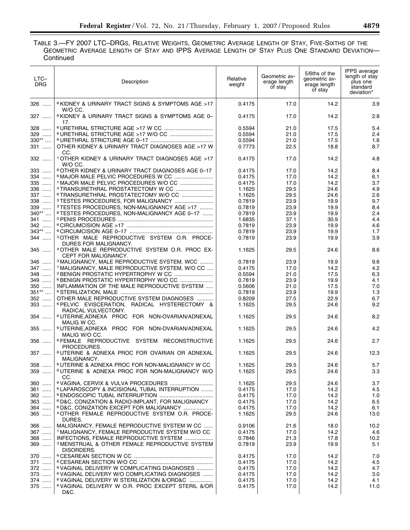TABLE 3.—FY 2007 LTC–DRGS, RELATIVE WEIGHTS, GEOMETRIC AVERAGE LENGTH OF STAY, FIVE-SIXTHS OF THE GEOMETRIC AVERAGE LENGTH OF STAY AND IPPS AVERAGE LENGTH OF STAY PLUS ONE STANDARD DEVIATION— **Continued** 

| LTC-<br>DRG | Description                                                              | Relative<br>weight | Geometric av-<br>erage length<br>of stay | 5/6ths of the<br>geometric av-<br>erage length<br>of stay | IPPS average<br>length of stay<br>plus one<br>standard<br>deviation* |
|-------------|--------------------------------------------------------------------------|--------------------|------------------------------------------|-----------------------------------------------------------|----------------------------------------------------------------------|
| 326         | <sup>6</sup> KIDNEY & URINARY TRACT SIGNS & SYMPTOMS AGE >17<br>W/O CC.  | 0.4175             | 17.0                                     | 14.2                                                      | 3.9                                                                  |
| 327         | <sup>6</sup> KIDNEY & URINARY TRACT SIGNS & SYMPTOMS AGE 0-<br>17.       | 0.4175             | 17.0                                     | 14.2                                                      | 2.8                                                                  |
| 328         |                                                                          | 0.5594             | 21.0                                     | 17.5                                                      | 5.4                                                                  |
| 329         |                                                                          | 0.5594             | 21.0                                     | 17.5                                                      | 2.4                                                                  |
| $330**$     |                                                                          | 0.5594             | 21.0                                     | 17.5                                                      | 1.6                                                                  |
| 331         | OTHER KIDNEY & URINARY TRACT DIAGNOSES AGE >17 W<br>CC.                  | 0.7773             | 22.5                                     | 18.8                                                      | 8.7                                                                  |
| 332         | 1 OTHER KIDNEY & URINARY TRACT DIAGNOSES AGE >17<br>W/O CC.              | 0.4175             | 17.0                                     | 14.2                                                      | 4.8                                                                  |
| 333         | <sup>6</sup> OTHER KIDNEY & URINARY TRACT DIAGNOSES AGE 0-17             | 0.4175             | 17.0                                     | 14.2                                                      | 8.4                                                                  |
| 334         |                                                                          | 0.4175             | 17.0                                     | 14.2                                                      | 6.1                                                                  |
| 335         | <sup>1</sup> MAJOR MALE PELVIC PROCEDURES W/O CC                         | 0.4175             | 17.0                                     | 14.2                                                      | 3.7                                                                  |
| 336         |                                                                          | 1.1625             | 29.5                                     | 24.6                                                      | 4.9                                                                  |
| 337         | <sup>6</sup> TRANSURETHRAL PROSTATECTOMY W/O CC                          | 1.1625             | 29.5                                     | 24.6                                                      | 2.6                                                                  |
| 338         | <sup>3</sup> TESTES PROCEDURES, FOR MALIGNANCY                           | 0.7819             | 23.9                                     | 19.9                                                      | 9.7                                                                  |
| 339         | <sup>3</sup> TESTES PROCEDURES, NON-MALIGNANCY AGE >17                   | 0.7819             | 23.9                                     | 19.9                                                      | 8.4                                                                  |
| 340**       | <sup>6</sup> TESTES PROCEDURES, NON-MALIGNANCY AGE 0-17                  | 0.7819             | 23.9                                     | 19.9                                                      | 2.4                                                                  |
| 341         |                                                                          | 1.6835             | 37.1                                     | 30.9                                                      | 4.4                                                                  |
| 342         |                                                                          | 0.7819             | 23.9                                     | 19.9                                                      | 4.6                                                                  |
| $343**$     |                                                                          | 0.7819             | 23.9                                     | 19.9                                                      | 1.7                                                                  |
| 344         | 3 OTHER MALE REPRODUCTIVE SYSTEM O.R. PROCE-                             | 0.7819             | 23.9                                     | 19.9                                                      | 3.9                                                                  |
|             | DURES FOR MALIGNANCY.                                                    |                    |                                          |                                                           |                                                                      |
| 345         | 4 OTHER MALE REPRODUCTIVE SYSTEM O.R. PROC EX-<br>CEPT FOR MALIGNANCY.   | 1.1625             | 29.5                                     | 24.6                                                      | 8.6                                                                  |
| 346         | <sup>3</sup> MALIGNANCY, MALE REPRODUCTIVE SYSTEM, WCC                   | 0.7819             | 23.9                                     | 19.9                                                      | 9.6                                                                  |
| 347         | <sup>1</sup> MALIGNANCY, MALE REPRODUCTIVE SYSTEM, W/O CC                | 0.4175             | 17.0                                     | 14.2                                                      | 4.2                                                                  |
| 348         |                                                                          | 0.5594             | 21.0                                     | 17.5                                                      | 6.3                                                                  |
| 349         |                                                                          | 0.7819             | 23.9                                     | 19.9                                                      | 4.1                                                                  |
| 350         | INFLAMMATION OF THE MALE REPRODUCTIVE SYSTEM                             | 0.5606             | 21.0                                     | 17.5                                                      | 7.0                                                                  |
| $351**$     |                                                                          | 0.7819             | 23.9                                     | 19.9                                                      | 1.3                                                                  |
| 352         | OTHER MALE REPRODUCTIVE SYSTEM DIAGNOSES                                 | 0.8209             | 27.5                                     | 22.9                                                      | 6.7                                                                  |
| 353         | 6 PELVIC EVISCERATION, RADICAL HYSTERECTOMY &<br>RADICAL VULVECTOMY.     | 1.1625             | 29.5                                     | 24.6                                                      | 9.2                                                                  |
| 354         | <sup>6</sup> UTERINE, ADNEXA PROC FOR NON-OVARIAN/ADNEXAL<br>MALIG W CC. | 1.1625             | 29.5                                     | 24.6                                                      | 8.2                                                                  |
| 355         | 6 UTERINE, ADNEXA PROC FOR NON-OVARIAN/ADNEXAL<br>MALIG W/O CC.          | 1.1625             | 29.5                                     | 24.6                                                      | 4.2                                                                  |
| 356         | 6 FEMALE REPRODUCTIVE SYSTEM RECONSTRUCTIVE<br>PROCEDURES.               | 1.1625             | 29.5                                     | 24.6                                                      | 2.7                                                                  |
| 357         | <sup>6</sup> UTERINE & ADNEXA PROC FOR OVARIAN OR ADNEXAL<br>MALIGNANCY. | 1.1625             | 29.5                                     | 24.6                                                      | 12.3                                                                 |
| 358         | <sup>6</sup> UTERINE & ADNEXA PROC FOR NON-MALIGNANCY W CC               | 1.1625             | 29.5                                     | 24.6                                                      | 5.7                                                                  |
| 359         | <sup>6</sup> UTERINE & ADNEXA PROC FOR NON-MALIGNANCY W/O<br>CC.         | 1.1625             | 29.5                                     | 24.6                                                      | 3.3                                                                  |
| 360         |                                                                          | 1.1625             | 29.5                                     | 24.6                                                      | 3.7                                                                  |
| 361         | 6 LAPAROSCOPY & INCISIONAL TUBAL INTERRUPTION                            | 0.4175             | 17.0                                     | 14.2                                                      | 4.5                                                                  |
| $362$       |                                                                          | 0.4175             | 17.0                                     | 14.2                                                      | 1.0                                                                  |
| 363         | <sup>6</sup> D&C, CONIZATION & RADIO-IMPLANT, FOR MALIGNANCY             | 0.4175             | 17.0                                     | 14.2                                                      | 6.5                                                                  |
| 364         | <sup>6</sup> D&C, CONIZATION EXCEPT FOR MALIGNANCY                       | 0.4175             | 17.0                                     | 14.2                                                      | 6.1                                                                  |
| $365$       | <sup>4</sup> OTHER FEMALE REPRODUCTIVE SYSTEM O.R. PROCE-<br>DURES.      | 1.1625             | 29.5                                     | 24.6                                                      | 13.0                                                                 |
| 366         | MALIGNANCY, FEMALE REPRODUCTIVE SYSTEM W CC                              | 0.9106             | 21.6                                     | 18.0                                                      | 10.2                                                                 |
| 367         | <sup>1</sup> MALIGNANCY, FEMALE REPRODUCTIVE SYSTEM W/O CC               | 0.4175             | 17.0                                     | 14.2                                                      | 4.6                                                                  |
| 368         | INFECTIONS, FEMALE REPRODUCTIVE SYSTEM                                   | 0.7846             | 21.3                                     | 17.8                                                      | 10.2                                                                 |
| 369         | <sup>3</sup> MENSTRUAL & OTHER FEMALE REPRODUCTIVE SYSTEM<br>DISORDERS.  | 0.7819             | 23.9                                     | 19.9                                                      | 5.1                                                                  |
| 370         |                                                                          | 0.4175             | 17.0                                     | 14.2                                                      | 7.0                                                                  |
| 371         |                                                                          | 0.4175             | 17.0                                     | 14.2                                                      | 4.5                                                                  |
| 372         | <sup>6</sup> VAGINAL DELIVERY W COMPLICATING DIAGNOSES                   | 0.4175             | 17.0                                     | 14.2                                                      | 4.7                                                                  |
|             | <sup>6</sup> VAGINAL DELIVERY W/O COMPLICATING DIAGNOSES                 |                    |                                          |                                                           |                                                                      |
| 373         | <sup>6</sup> VAGINAL DELIVERY W STERILIZATION &/ORD&C                    | 0.4175             | 17.0                                     | 14.2                                                      | 3.0                                                                  |
| 374<br>375  | <sup>6</sup> VAGINAL DELIVERY W O.R. PROC EXCEPT STERIL &/OR<br>D&C.     | 0.4175<br>0.4175   | 17.0<br>17.0                             | 14.2<br>14.2                                              | 4.1<br>11.0                                                          |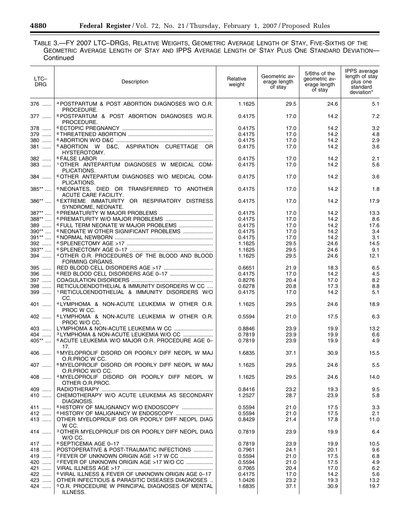## TABLE 3.—FY 2007 LTC–DRGS, RELATIVE WEIGHTS, GEOMETRIC AVERAGE LENGTH OF STAY, FIVE-SIXTHS OF THE GEOMETRIC AVERAGE LENGTH OF STAY AND IPPS AVERAGE LENGTH OF STAY PLUS ONE STANDARD DEVIATION— **Continued**

| LTC-<br><b>DRG</b>        | Description                                                                                                                | Relative<br>weight | Geometric av-<br>erage length<br>of stay | 5/6ths of the<br>geometric av-<br>erage length<br>of stay | IPPS average<br>length of stay<br>plus one<br>standard<br>deviation* |
|---------------------------|----------------------------------------------------------------------------------------------------------------------------|--------------------|------------------------------------------|-----------------------------------------------------------|----------------------------------------------------------------------|
| 376                       | 4 POSTPARTUM & POST ABORTION DIAGNOSES W/O O.R.<br>PROCEDURE.                                                              | 1.1625             | 29.5                                     | 24.6                                                      | 5.1                                                                  |
| 377                       | 6 POSTPARTUM & POST ABORTION DIAGNOSES WO.R.<br>PROCEDURE.                                                                 | 0.4175             | 17.0                                     | 14.2                                                      | 7.2                                                                  |
| 378                       |                                                                                                                            | 0.4175             | 17.0                                     | 14.2                                                      | 3.2                                                                  |
| 379<br>380                |                                                                                                                            | 0.4175             | 17.0                                     | 14.2                                                      | 4.8                                                                  |
| 381                       | 6 ABORTION W D&C, ASPIRATION CURETTAGE OR                                                                                  | 0.4175<br>0.4175   | 17.0<br>17.0                             | 14.2<br>14.2                                              | 2.9<br>3.6                                                           |
|                           | HYSTEROTOMY.                                                                                                               |                    |                                          |                                                           |                                                                      |
| 382                       |                                                                                                                            | 0.4175             | 17.0                                     | 14.2                                                      | 2.1                                                                  |
| 383                       | 1 OTHER ANTEPARTUM DIAGNOSES W MEDICAL COM-<br>PLICATIONS.                                                                 | 0.4175             | 17.0                                     | 14.2                                                      | 5.6                                                                  |
| 384                       | <sup>6</sup> OTHER ANTEPARTUM DIAGNOSES W/O MEDICAL COM-<br>PLICATIONS.                                                    | 0.4175             | 17.0                                     | 14.2                                                      | 3.6                                                                  |
| 385**                     | <sup>6</sup> NEONATES, DIED OR TRANSFERRED TO ANOTHER<br>ACUTE CARE FACILITY.                                              | 0.4175             | 17.0                                     | 14.2                                                      | 1.8                                                                  |
| 386**                     | 6 EXTREME IMMATURITY OR RESPIRATORY DISTRESS<br>SYNDROME, NEONATE.                                                         | 0.4175             | 17.0                                     | 14.2                                                      | 17.9                                                                 |
| 387**                     |                                                                                                                            | 0.4175             | 17.0                                     | 14.2                                                      | 13.3                                                                 |
| 388**                     |                                                                                                                            | 0.4175             | 17.0                                     | 14.2                                                      | 8.6                                                                  |
| 389<br>$390^{\star\star}$ | <sup>6</sup> FULL TERM NEONATE W MAJOR PROBLEMS<br><sup>6</sup> NEONATE W OTHER SIGNIFICANT PROBLEMS                       | 0.4175             | 17.0                                     | 14.2                                                      | 17.6                                                                 |
| $391**$                   |                                                                                                                            | 0.4175<br>0.4175   | 17.0<br>17.0                             | 14.2<br>14.2                                              | 3.4<br>3.1                                                           |
| 392                       |                                                                                                                            | 1.1625             | 29.5                                     | 24.6                                                      | 14.5                                                                 |
| $393**$                   |                                                                                                                            | 1.1625             | 29.5                                     | 24.6                                                      | 9.1                                                                  |
| 394                       | <sup>4</sup> OTHER O.R. PROCEDURES OF THE BLOOD AND BLOOD<br>FORMING ORGANS.                                               | 1.1625             | 29.5                                     | 24.6                                                      | 12.1                                                                 |
| 395                       |                                                                                                                            | 0.6651             | 21.9                                     | 18.3                                                      | 6.5                                                                  |
| 396                       |                                                                                                                            | 0.4175             | 17.0                                     | 14.2                                                      | 4.5                                                                  |
| 397                       |                                                                                                                            | 0.8276             | 20.4                                     | 17.0                                                      | 8.2                                                                  |
| 398<br>$\cdots$           | RETICULOENDOTHELIAL & IMMUNITY DISORDERS W CC                                                                              | 0.6278             | 20.8                                     | 17.3                                                      | 8.8                                                                  |
| 399                       | 1 RETICULOENDOTHELIAL & IMMUNITY DISORDERS W/O<br>CC.                                                                      | 0.4175             | 17.0                                     | 14.2                                                      | 5.1                                                                  |
| 401                       | <sup>4</sup> LYMPHOMA & NON-ACUTE LEUKEMIA W OTHER O.R.<br>PROC W CC.                                                      | 1.1625             | 29.5                                     | 24.6                                                      | 18.9                                                                 |
| 402                       | <sup>6</sup> LYMPHOMA & NON-ACUTE LEUKEMIA W OTHER O.R.<br>PROC W/O CC.                                                    | 0.5594             | 21.0                                     | 17.5                                                      | 6.3                                                                  |
| 403                       |                                                                                                                            | 0.8846             | 23.9                                     | 19.9                                                      | 13.2                                                                 |
| 404                       | 3 LYMPHOMA & NON-ACUTE LEUKEMIA W/O CC                                                                                     | 0.7819             | 23.9                                     | 19.9                                                      | 6.6                                                                  |
| 405**                     | <sup>6</sup> ACUTE LEUKEMIA W/O MAJOR O.R. PROCEDURE AGE 0-<br>17.                                                         | 0.7819             | 23.9                                     | 19.9                                                      | 4.9                                                                  |
| 406                       | <sup>5</sup> MYELOPROLIF DISORD OR POORLY DIFF NEOPL W MAJ<br>O.R.PROC W CC.                                               | 1.6835             | 37.1                                     | 30.9                                                      | 15.5                                                                 |
| 407                       | <sup>6</sup> MYELOPROLIF DISORD OR POORLY DIFF NEOPL W MAJ<br>O.R.PROC W/O CC.                                             | 1.1625             | 29.5                                     | 24.6                                                      | $5.5\,$                                                              |
| 408                       | 4 MYELOPROLIF DISORD OR POORLY DIFF NEOPL W<br>OTHER O.R.PROC.                                                             | 1.1625             | 29.5                                     | 24.6                                                      | 14.0                                                                 |
| 409                       |                                                                                                                            | 0.8416             | 23.2                                     | 19.3                                                      | 9.5                                                                  |
| 410                       | CHEMOTHERAPY W/O ACUTE LEUKEMIA AS SECONDARY<br>DIAGNOSIS.                                                                 | 1.2527             | 28.7                                     | 23.9                                                      | 5.8                                                                  |
| 411                       | <sup>6</sup> HISTORY OF MALIGNANCY W/O ENDOSCOPY                                                                           | 0.5594             | 21.0                                     | 17.5                                                      | 3.3                                                                  |
| $412$                     |                                                                                                                            | 0.5594             | 21.0                                     | 17.5                                                      | 2.1                                                                  |
| 413                       | OTHER MYELOPROLIF DIS OR POORLY DIFF NEOPL DIAG<br>W CC.                                                                   | 0.8429             | 21.4                                     | 17.8                                                      | 11.0                                                                 |
| 414                       | <sup>3</sup> OTHER MYELOPROLIF DIS OR POORLY DIFF NEOPL DIAG<br>W/O CC.                                                    | 0.7819             | 23.9                                     | 19.9                                                      | 6.4                                                                  |
| 417                       |                                                                                                                            | 0.7819             | 23.9                                     | 19.9                                                      | 10.5                                                                 |
| 418                       | POSTOPERATIVE & POST-TRAUMATIC INFECTIONS                                                                                  | 0.7961             | 24.1                                     | 20.1                                                      | 9.6                                                                  |
| 419                       | <sup>2</sup> FEVER OF UNKNOWN ORIGIN AGE >17 W CC                                                                          | 0.5594             | 21.0                                     | 17.5                                                      | 6.8                                                                  |
| 420                       | <sup>2</sup> FEVER OF UNKNOWN ORIGIN AGE >17 W/O CC                                                                        | 0.5594             | 21.0                                     | 17.5                                                      | 4.9                                                                  |
| 421                       |                                                                                                                            | 0.7065             | 20.4                                     | 17.0                                                      | 6.2                                                                  |
| 422                       | <sup>6</sup> VIRAL ILLNESS & FEVER OF UNKNOWN ORIGIN AGE 0-17                                                              | 0.4175             | 17.0                                     | 14.2                                                      | 5.6                                                                  |
| 423<br>424                | OTHER INFECTIOUS & PARASITIC DISEASES DIAGNOSES<br><sup>5</sup> O.R. PROCEDURE W PRINCIPAL DIAGNOSES OF MENTAL<br>ILLNESS. | 1.0426<br>1.6835   | 23.2<br>37.1                             | 19.3<br>30.9                                              | 13.2<br>19.7                                                         |

 $\equiv$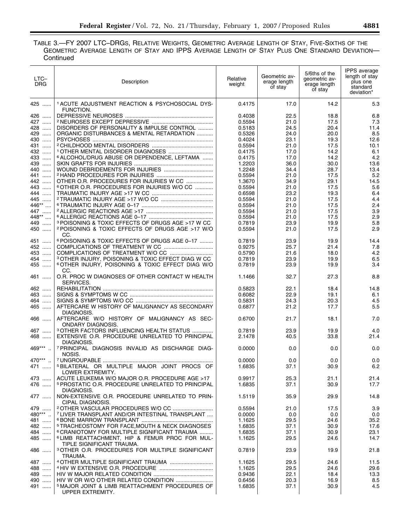## TABLE 3.—FY 2007 LTC–DRGS, RELATIVE WEIGHTS, GEOMETRIC AVERAGE LENGTH OF STAY, FIVE-SIXTHS OF THE GEOMETRIC AVERAGE LENGTH OF STAY AND IPPS AVERAGE LENGTH OF STAY PLUS ONE STANDARD DEVIATION— **Continued**

| LTC-<br>DRG                 | Description                                                                            | Relative<br>weight | Geometric av-<br>erage length<br>of stay | 5/6ths of the<br>geometric av-<br>erage length<br>of stay | IPPS average<br>length of stay<br>plus one<br>standard<br>deviation* |
|-----------------------------|----------------------------------------------------------------------------------------|--------------------|------------------------------------------|-----------------------------------------------------------|----------------------------------------------------------------------|
| 425                         | <sup>1</sup> ACUTE ADJUSTMENT REACTION & PSYCHOSOCIAL DYS-                             | 0.4175             | 17.0                                     | 14.2                                                      | 5.3                                                                  |
| 426                         | FUNCTION.                                                                              | 0.4038             | 22.5                                     | 18.8                                                      | 6.8                                                                  |
| 427                         |                                                                                        | 0.5594             | 21.0                                     | 17.5                                                      | 7.3                                                                  |
| 428                         | DISORDERS OF PERSONALITY & IMPULSE CONTROL                                             | 0.5183             | 24.5                                     | 20.4                                                      | 11.4                                                                 |
| 429                         | ORGANIC DISTURBANCES & MENTAL RETARDATION                                              | 0.5326             | 24.0                                     | 20.0                                                      | 8.5                                                                  |
| $\cdots$<br>430<br>$\cdots$ |                                                                                        | 0.4024             | 23.1                                     | 19.3                                                      | 12.6                                                                 |
| 431                         |                                                                                        | 0.5594             | 21.0                                     | 17.5                                                      | 10.1                                                                 |
| 432                         |                                                                                        | 0.4175             | 17.0                                     | 14.2                                                      | 6.1                                                                  |
| 433                         | <sup>6</sup> ALCOHOL/DRUG ABUSE OR DEPENDENCE, LEFTAMA                                 | 0.4175             | 17.0                                     | 14.2                                                      | 4.2                                                                  |
| 439                         |                                                                                        | 1.2203             | 36.0                                     | 30.0                                                      | 13.6                                                                 |
| 440                         |                                                                                        | 1.2248             | 34.4                                     | 28.7                                                      | 13.4                                                                 |
| 441                         |                                                                                        | 0.5594             | 21.0                                     | 17.5                                                      | 5.2                                                                  |
| 442                         | OTHER O.R. PROCEDURES FOR INJURIES W CC                                                | 1.3670             | 34.9                                     | 29.1                                                      | 14.5                                                                 |
| 443                         | <sup>6</sup> OTHER O.R. PROCEDURES FOR INJURIES W/O CC                                 | 0.5594             | 21.0                                     | 17.5                                                      | 5.6                                                                  |
| 444                         |                                                                                        | 0.6598             | 23.2                                     | 19.3                                                      | 6.4                                                                  |
| 445                         |                                                                                        | 0.5594             | 21.0                                     | 17.5                                                      | 4.4                                                                  |
| 446**                       |                                                                                        | 0.5594             | 21.0                                     | 17.5                                                      | 2.4                                                                  |
| 447                         |                                                                                        | 0.5594             | 21.0                                     | 17.5                                                      | 3.9                                                                  |
| 448**                       |                                                                                        | 0.5594             | 21.0                                     | 17.5                                                      | 2.9                                                                  |
| 449                         | <sup>3</sup> POISONING & TOXIC EFFECTS OF DRUGS AGE >17 W CC                           | 0.7819             | 23.9                                     | 19.9                                                      | 5.8                                                                  |
| 450                         | 2 POISONING & TOXIC EFFECTS OF DRUGS AGE >17 W/O<br>CC.                                | 0.5594             | 21.0                                     | 17.5                                                      | 2.9                                                                  |
| 451                         | <sup>6</sup> POISONING & TOXIC EFFECTS OF DRUGS AGE 0-17                               | 0.7819             | 23.9                                     | 19.9                                                      | 14.4                                                                 |
| 452                         |                                                                                        | 0.9275             | 25.7                                     | 21.4                                                      | 7.8                                                                  |
| 453                         |                                                                                        | 0.5790             | 21.6                                     | 18.0                                                      | 4.2                                                                  |
| 454                         | <sup>3</sup> OTHER INJURY, POISONING & TOXIC EFFECT DIAG W CC                          | 0.7819             | 23.9                                     | 19.9                                                      | 6.5                                                                  |
| 455                         | <sup>6</sup> OTHER INJURY, POISONING & TOXIC EFFECT DIAG W/O<br>CC.                    | 0.7819             | 23.9                                     | 19.9                                                      | 3.4                                                                  |
| 461                         | O.R. PROC W DIAGNOSES OF OTHER CONTACT W HEALTH<br>SERVICES.                           | 1.1466             | 32.7                                     | 27.3                                                      | 8.8                                                                  |
| 462                         |                                                                                        | 0.5823             | 22.1                                     | 18.4                                                      | 14.8                                                                 |
| 463                         |                                                                                        | 0.6082             | 22.9                                     | 19.1                                                      | 6.1                                                                  |
| 464                         |                                                                                        | 0.5831             | 24.3                                     | 20.3                                                      | 4.5                                                                  |
| 465                         | AFTERCARE W HISTORY OF MALIGNANCY AS SECONDARY<br>DIAGNOSIS.                           | 0.6877             | 21.2                                     | 17.7                                                      | 5.5                                                                  |
| 466                         | AFTERCARE W/O HISTORY OF MALIGNANCY AS SEC-<br><b>ONDARY DIAGNOSIS.</b>                | 0.6700             | 21.7                                     | 18.1                                                      | 7.0                                                                  |
| 467                         | <sup>3</sup> OTHER FACTORS INFLUENCING HEALTH STATUS                                   | 0.7819             | 23.9                                     | 19.9                                                      | 4.0                                                                  |
| 468                         | EXTENSIVE O.R. PROCEDURE UNRELATED TO PRINCIPAL<br>DIAGNOSIS.                          | 2.1478             | 40.5                                     | 33.8                                                      | 21.4                                                                 |
| 469***                      | <sup>7</sup> PRINCIPAL DIAGNOSIS INVALID AS DISCHARGE DIAG-<br>NOSIS.                  | 0.0000             | 0.0                                      | 0.0                                                       | 0.0                                                                  |
| 470***                      |                                                                                        | 0.0000             | 0.0                                      | 0.0                                                       | 0.0                                                                  |
| 471                         | <sup>5</sup> BILATERAL OR MULTIPLE MAJOR JOINT PROCS OF<br>LOWER EXTREMITY.            | 1.6835             | 37.1                                     | 30.9                                                      | 6.2                                                                  |
| 473                         | ACUTE LEUKEMIA W/O MAJOR O.R. PROCEDURE AGE >17                                        | 0.9917             | 25.3                                     | 21.1                                                      | 21.4                                                                 |
| 476                         | <sup>5</sup> PROSTATIC O.R. PROCEDURE UNRELATED TO PRINCIPAL                           | 1.6835             | 37.1                                     | 30.9                                                      | 17.7                                                                 |
| 477                         | DIAGNOSIS.<br>NON-EXTENSIVE O.R. PROCEDURE UNRELATED TO PRIN-                          | 1.5119             | 35.9                                     | 29.9                                                      | 14.8                                                                 |
|                             | CIPAL DIAGNOSIS.                                                                       |                    |                                          |                                                           |                                                                      |
| 479                         |                                                                                        | 0.5594             | 21.0                                     | 17.5                                                      | 3.9                                                                  |
| 480***                      | <sup>7</sup> LIVER TRANSPLANT AND/OR INTESTINAL TRANSPLANT                             | 0.0000             | 0.0                                      | 0.0                                                       | 0.0                                                                  |
| 481                         |                                                                                        | 1.1625             | 29.5                                     | 24.6                                                      | 35.2                                                                 |
| 482                         | <sup>5</sup> TRACHEOSTOMY FOR FACE, MOUTH & NECK DIAGNOSES                             | 1.6835             | 37.1                                     | 30.9                                                      | 17.6                                                                 |
| 484                         | <sup>6</sup> CRANIOTOMY FOR MULTIPLE SIGNIFICANT TRAUMA                                | 1.6835             | 37.1                                     | 30.9                                                      | 23.1                                                                 |
| 485                         | <sup>6</sup> LIMB REATTACHMENT, HIP & FEMUR PROC FOR MUL-<br>TIPLE SIGNIFICANT TRAUMA. | 1.1625             | 29.5                                     | 24.6                                                      | 14.7                                                                 |
| 486                         | <sup>3</sup> OTHER O.R. PROCEDURES FOR MULTIPLE SIGNIFICANT<br>TRAUMA.                 | 0.7819             | 23.9                                     | 19.9                                                      | 21.8                                                                 |
| 487                         |                                                                                        | 1.1625             | 29.5                                     | 24.6                                                      | 11.5                                                                 |
| 488                         |                                                                                        | 1.1625             | 29.5                                     | 24.6                                                      | 29.6                                                                 |
| 489                         |                                                                                        | 0.9436             | 22.1                                     | 18.4                                                      | 13.3                                                                 |
| 490                         |                                                                                        | 0.6456             | 20.3                                     | 16.9                                                      | 8.5                                                                  |
| 491                         | <sup>5</sup> MAJOR JOINT & LIMB REATTACHMENT PROCEDURES OF<br>UPPER EXTREMITY.         | 1.6835             | 37.1                                     | 30.9                                                      | 4.5                                                                  |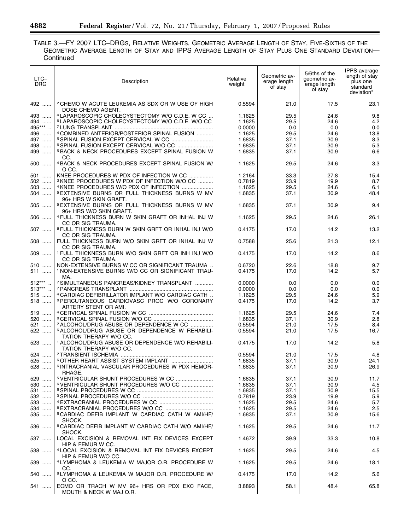TABLE 3.—FY 2007 LTC–DRGS, RELATIVE WEIGHTS, GEOMETRIC AVERAGE LENGTH OF STAY, FIVE-SIXTHS OF THE GEOMETRIC AVERAGE LENGTH OF STAY AND IPPS AVERAGE LENGTH OF STAY PLUS ONE STANDARD DEVIATION— **Continued** 

| LTC-<br><b>DRG</b> | Description                                                                           | Relative<br>weight | Geometric av-<br>erage length<br>of stay | 5/6ths of the<br>qeometric av-<br>erage length<br>of stay | IPPS average<br>length of stay<br>plus one<br>standard<br>deviation* |
|--------------------|---------------------------------------------------------------------------------------|--------------------|------------------------------------------|-----------------------------------------------------------|----------------------------------------------------------------------|
| 492                | <sup>2</sup> CHEMO W ACUTE LEUKEMIA AS SDX OR W USE OF HIGH<br>DOSE CHEMO AGENT.      | 0.5594             | 21.0                                     | 17.5                                                      | 23.1                                                                 |
| 493                | 4 LAPAROSCOPIC CHOLECYSTECTOMY W/O C.D.E. W CC                                        | 1.1625             | 29.5                                     | 24.6                                                      | 9.8                                                                  |
| 494                | <sup>6</sup> LAPAROSCOPIC CHOLECYSTECTOMY W/O C.D.E. W/O CC                           | 1.1625             | 29.5                                     | 24.6                                                      | 4.2                                                                  |
|                    |                                                                                       |                    |                                          |                                                           |                                                                      |
| 495***             |                                                                                       | 0.0000             | 0.0                                      | 0.0                                                       | 0.0                                                                  |
| 496                | 4 COMBINED ANTERIOR/POSTERIOR SPINAL FUSION                                           | 1.1625             | 29.5                                     | 24.6                                                      | 13.8                                                                 |
| 497<br>498         |                                                                                       | 1.6835             | 37.1                                     | 30.9                                                      | 8.3                                                                  |
| 499                | <b>5 BACK &amp; NECK PROCEDURES EXCEPT SPINAL FUSION W</b>                            | 1.6835<br>1.6835   | 37.1<br>37.1                             | 30.9<br>30.9                                              | 5.3<br>6.6                                                           |
|                    | CC.                                                                                   |                    |                                          |                                                           |                                                                      |
| 500                | 4 BACK & NECK PROCEDURES EXCEPT SPINAL FUSION W/<br>O CC.                             | 1.1625             | 29.5                                     | 24.6                                                      | 3.3                                                                  |
| 501                | KNEE PROCEDURES W PDX OF INFECTION W CC                                               | 1.2164             | 33.3                                     | 27.8                                                      | 15.4                                                                 |
| 502                | <sup>3</sup> KNEE PROCEDURES W PDX OF INFECTION W/O CC                                | 0.7819             | 23.9                                     | 19.9                                                      | 8.7                                                                  |
| 503                | 4 KNEE PROCEDURES W/O PDX OF INFECTION                                                | 1.1625             | 29.5                                     | 24.6                                                      | 6.1                                                                  |
| 504                | <sup>5</sup> EXTENSIVE BURNS OR FULL THICKNESS BURNS W MV<br>96+ HRS W SKIN GRAFT.    | 1.6835             | 37.1                                     | 30.9                                                      | 48.4                                                                 |
| 505                | <sup>5</sup> EXTENSIVE BURNS OR FULL THICKNESS BURNS W MV<br>96+ HRS W/O SKIN GRAFT.  | 1.6835             | 37.1                                     | 30.9                                                      | 9.4                                                                  |
| 506                | <sup>4</sup> FULL THICKNESS BURN W SKIN GRAFT OR INHAL INJ W<br>CC OR SIG TRAUMA.     | 1.1625             | 29.5                                     | 24.6                                                      | 26.1                                                                 |
| 507                | <sup>6</sup> FULL THICKNESS BURN W SKIN GRFT OR INHAL INJ W/O<br>CC OR SIG TRAUMA.    | 0.4175             | 17.0                                     | 14.2                                                      | 13.2                                                                 |
| $508$              | FULL THICKNESS BURN W/O SKIN GRFT OR INHAL INJ W<br>CC OR SIG TRAUMA.                 | 0.7588             | 25.6                                     | 21.3                                                      | 12.1                                                                 |
| 509                | <sup>1</sup> FULL THICKNESS BURN W/O SKIN GRFT OR INH INJ W/O<br>CC OR SIG TRAUMA.    | 0.4175             | 17.0                                     | 14.2                                                      | 8.6                                                                  |
| 510                | NON-EXTENSIVE BURNS W CC OR SIGNIFICANT TRAUMA                                        | 0.6720             | 22.6                                     | 18.8                                                      | 9.7                                                                  |
| 511                | <sup>1</sup> NON-EXTENSIVE BURNS W/O CC OR SIGNIFICANT TRAU-<br>MA.                   | 0.4175             | 17.0                                     | 14.2                                                      | 5.7                                                                  |
| $512***$           | <sup>7</sup> SIMULTANEOUS PANCREAS/KIDNEY TRANSPLANT                                  | 0.0000             | 0.0                                      | 0.0                                                       | 0.0                                                                  |
| $513***$           |                                                                                       | 0.0000             | 0.0                                      | 0.0                                                       | 0.0                                                                  |
| 515                | 4 CARDIAC DEFIBRILLATOR IMPLANT W/O CARDIAC CATH                                      | 1.1625             | 29.5                                     | 24.6                                                      | 5.9                                                                  |
| 518                | <sup>6</sup> PERCUTANEOUS CARDIOVASC PROC W/O CORONARY<br>ARTERY STENT OR AMI.        | 0.4175             | 17.0                                     | 14.2                                                      | 3.7                                                                  |
| 519                |                                                                                       | 1.1625             | 29.5                                     | 24.6                                                      | 7.4                                                                  |
| 520                |                                                                                       | 1.6835             | 37.1                                     | 30.9                                                      | 2.8                                                                  |
| 521                | 2 ALCOHOL/DRUG ABUSE OR DEPENDENCE W CC                                               | 0.5594             | 21.0                                     | 17.5                                                      | 8.4                                                                  |
| 522                | <sup>6</sup> ALCOHOL/DRUG ABUSE OR DEPENDENCE W REHABILI-<br>TATION THERAPY W/O CC.   | 0.5594             | 21.0                                     | 17.5                                                      | 16.7                                                                 |
| 523                | <sup>1</sup> ALCOHOL/DRUG ABUSE OR DEPENDENCE W/O REHABILI-<br>TATION THERAPY W/O CC. | 0.4175             | 17.0                                     | 14.2                                                      | 5.8                                                                  |
| 524                |                                                                                       | 0.5594             | 21.0                                     | 17.5                                                      | 4.8                                                                  |
| 525                |                                                                                       | 1.6835             | 37.1                                     | 30.9                                                      | 24.1                                                                 |
| 528                | <sup>6</sup> INTRACRANIAL VASCULAR PROCEDURES W PDX HEMOR-<br>RHAGE.                  | 1.6835             | 37.1                                     | 30.9                                                      | 26.9                                                                 |
| 529                |                                                                                       | 1.6835             | 37.1                                     | 30.9                                                      | 11.7                                                                 |
| 530                | <sup>6</sup> VENTRICULAR SHUNT PROCEDURES W/O CC                                      | 1.6835             | 37.1                                     | 30.9                                                      | 4.5                                                                  |
| 531                |                                                                                       | 1.6835             | 37.1                                     | 30.9                                                      | 15.5                                                                 |
| 532                |                                                                                       | 0.7819             | 23.9                                     | 19.9                                                      | 5.9                                                                  |
| 533                |                                                                                       | 1.1625             | 29.5                                     | 24.6                                                      | 5.7                                                                  |
| 534                |                                                                                       | 1.1625             | 29.5                                     | 24.6                                                      | 2.5                                                                  |
| 535                | <sup>5</sup> CARDIAC DEFIB IMPLANT W CARDIAC CATH W AMI/HF/<br>SHOCK.                 | 1.6835             | 37.1                                     | 30.9                                                      | 15.6                                                                 |
| 536                | <sup>6</sup> CARDIAC DEFIB IMPLANT W CARDIAC CATH W/O AMI/HF/<br>SHOCK.               | 1.1625             | 29.5                                     | 24.6                                                      | 11.7                                                                 |
| 537                | LOCAL EXCISION & REMOVAL INT FIX DEVICES EXCEPT<br>HIP & FEMUR W CC.                  | 1.4672             | 39.9                                     | 33.3                                                      | 10.8                                                                 |
| 538                | 4 LOCAL EXCISION & REMOVAL INT FIX DEVICES EXCEPT<br>HIP & FEMUR W/O CC.              | 1.1625             | 29.5                                     | 24.6                                                      | 4.5                                                                  |
| 539                | <sup>4</sup> LYMPHOMA & LEUKEMIA W MAJOR O.R. PROCEDURE W<br>CC.                      | 1.1625             | 29.5                                     | 24.6                                                      | 18.1                                                                 |
| 540                | <sup>6</sup> LYMPHOMA & LEUKEMIA W MAJOR O.R. PROCEDURE W/<br>O CC.                   | 0.4175             | 17.0                                     | 14.2                                                      | 5.6                                                                  |
| 541                | ECMO OR TRACH W MV 96+ HRS OR PDX EXC FACE,<br>MOUTH & NECK W MAJ O.R.                | 3.8893             | 58.1                                     | 48.4                                                      | 65.8                                                                 |

۳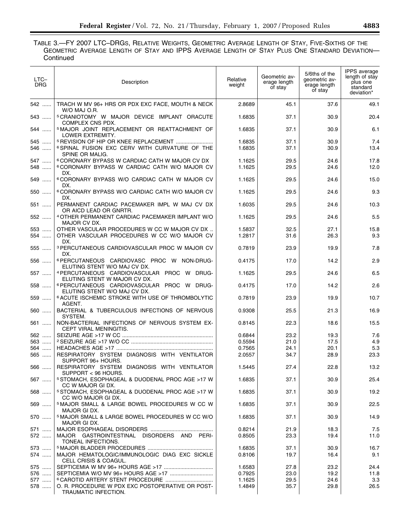# TABLE 3.—FY 2007 LTC–DRGS, RELATIVE WEIGHTS, GEOMETRIC AVERAGE LENGTH OF STAY, FIVE-SIXTHS OF THE GEOMETRIC AVERAGE LENGTH OF STAY AND IPPS AVERAGE LENGTH OF STAY PLUS ONE STANDARD DEVIATION— Continued

| LTC-<br><b>DRG</b> | Description                                                                                                                  | Relative<br>weight | Geometric av-<br>erage length<br>of stay | 5/6ths of the<br>qeometric av-<br>erage length<br>of stay | <b>IPPS</b> average<br>length of stay<br>plus one<br>standard<br>deviation* |
|--------------------|------------------------------------------------------------------------------------------------------------------------------|--------------------|------------------------------------------|-----------------------------------------------------------|-----------------------------------------------------------------------------|
| 542                | TRACH W MV 96+ HRS OR PDX EXC FACE, MOUTH & NECK<br>W/O MAJ O.R.                                                             | 2.8689             | 45.1                                     | 37.6                                                      | 49.1                                                                        |
| 543                | <sup>5</sup> CRANIOTOMY W MAJOR DEVICE IMPLANT ORACUTE<br>COMPLEX CNS PDX.                                                   | 1.6835             | 37.1                                     | 30.9                                                      | 20.4                                                                        |
| 544                | <sup>5</sup> MAJOR JOINT REPLACEMENT OR REATTACHMENT OF<br>LOWER EXTREMITY.                                                  | 1.6835             | 37.1                                     | 30.9                                                      | 6.1                                                                         |
| 545<br>546         | <sup>5</sup> REVISION OF HIP OR KNEE REPLACEMENT<br>6 SPINAL FUSION EXC CERV WITH CURVATURE OF THE<br>SPINE OR MALIG.        | 1.6835<br>1.6835   | 37.1<br>37.1                             | 30.9<br>30.9                                              | 7.4<br>13.4                                                                 |
| 547<br>548         | <sup>6</sup> CORONARY BYPASS W CARDIAC CATH W MAJOR CV DX<br><sup>6</sup> CORONARY BYPASS W CARDIAC CATH W/O MAJOR CV<br>DX. | 1.1625<br>1.1625   | 29.5<br>29.5                             | 24.6<br>24.6                                              | 17.8<br>12.0                                                                |
| 549                | <sup>6</sup> CORONARY BYPASS W/O CARDIAC CATH W MAJOR CV<br>DX.                                                              | 1.1625             | 29.5                                     | 24.6                                                      | 15.0                                                                        |
| 550                | <sup>6</sup> CORONARY BYPASS W/O CARDIAC CATH W/O MAJOR CV<br>DX.                                                            | 1.1625             | 29.5                                     | 24.6                                                      | 9.3                                                                         |
| 551                | PERMANENT CARDIAC PACEMAKER IMPL W MAJ CV DX<br>OR AICD LEAD OR GNRTR.                                                       | 1.6035             | 29.5                                     | 24.6                                                      | 10.3                                                                        |
| 552                | <sup>4</sup> OTHER PERMANENT CARDIAC PACEMAKER IMPLANT W/O<br>MAJOR CV DX.                                                   | 1.1625             | 29.5                                     | 24.6                                                      | 5.5                                                                         |
| 553<br>554         | OTHER VASCULAR PROCEDURES W CC W MAJOR CV DX<br>OTHER VASCULAR PROCEDURES W CC W/O MAJOR CV<br>DX.                           | 1.5837<br>1.2817   | 32.5<br>31.6                             | 27.1<br>26.3                                              | 15.8<br>9.3                                                                 |
| 555                | <sup>3</sup> PERCUTANEOUS CARDIOVASCULAR PROC W MAJOR CV<br>DX.                                                              | 0.7819             | 23.9                                     | 19.9                                                      | 7.8                                                                         |
| 556                | 6 PERCUTANEOUS CARDIOVASC PROC W NON-DRUG-<br>ELUTING STENT W/O MAJ CV DX.                                                   | 0.4175             | 17.0                                     | 14.2                                                      | 2.9                                                                         |
| 557                | 4 PERCUTANEOUS CARDIOVASCULAR PROC W DRUG-<br>ELUTING STENT W MAJOR CV DX.                                                   | 1.1625             | 29.5                                     | 24.6                                                      | 6.5                                                                         |
| 558                | <sup>6</sup> PERCUTANEOUS CARDIOVASCULAR PROC W DRUG-<br>ELUTING STENT W/O MAJ CV DX.                                        | 0.4175             | 17.0                                     | 14.2                                                      | 2.6                                                                         |
| 559                | <sup>6</sup> ACUTE ISCHEMIC STROKE WITH USE OF THROMBOLYTIC<br>AGENT.                                                        | 0.7819             | 23.9                                     | 19.9                                                      | 10.7                                                                        |
| 560                | BACTERIAL & TUBERCULOUS INFECTIONS OF NERVOUS<br>SYSTEM.                                                                     | 0.9308             | 25.5                                     | 21.3                                                      | 16.9                                                                        |
| 561                | NON-BACTERIAL INFECTIONS OF NERVOUS SYSTEM EX-<br>CEPT VIRAL MENINGITIS.                                                     | 0.8145             | 22.3                                     | 18.6                                                      | 15.5                                                                        |
| 562                |                                                                                                                              | 0.6844             | 23.2                                     | 19.3                                                      | 7.6                                                                         |
| 563                |                                                                                                                              | 0.5594             | 21.0                                     | 17.5                                                      | 4.9                                                                         |
| 564                |                                                                                                                              | 0.7565             | 24.1                                     | 20.1                                                      | 5.3                                                                         |
| 565                | RESPIRATORY SYSTEM DIAGNOSIS WITH VENTILATOR<br>SUPPORT 96+ HOURS.                                                           | 2.0557             | 34.7                                     | 28.9                                                      | 23.3                                                                        |
| 566                | RESPIRATORY SYSTEM DIAGNOSIS WITH VENTILATOR<br>SUPPORT < 96 HOURS.                                                          | 1.5445             | 27.4                                     | 22.8                                                      | 13.2                                                                        |
| 567                | <sup>5</sup> STOMACH, ESOPHAGEAL & DUODENAL PROC AGE >17 W<br>CC W MAJOR GI DX.                                              | 1.6835             | 37.1                                     | 30.9                                                      | 25.4                                                                        |
| 568                | <sup>5</sup> STOMACH, ESOPHAGEAL & DUODENAL PROC AGE >17 W<br>CC W/O MAJOR GI DX.                                            | 1.6835             | 37.1                                     | 30.9                                                      | 19.2                                                                        |
| 569                | <sup>5</sup> MAJOR SMALL & LARGE BOWEL PROCEDURES W CC W<br>MAJOR GI DX.                                                     | 1.6835             | 37.1                                     | 30.9                                                      | 22.5                                                                        |
| 570                | <sup>5</sup> MAJOR SMALL & LARGE BOWEL PROCEDURES W CC W/O<br>MAJOR GI DX.                                                   | 1.6835             | 37.1                                     | 30.9                                                      | 14.9                                                                        |
| 571<br>572         | MAJOR GASTROINTESTINAL DISORDERS AND PERI-<br>TONEAL INFECTIONS.                                                             | 0.8214<br>0.8505   | 21.9<br>23.3                             | 18.3<br>19.4                                              | 7.5<br>11.0                                                                 |
| 573<br>574         | MAJOR HEMATOLOGIC/IMMUNOLOGIC DIAG EXC SICKLE<br>CELL CRISIS & COAGUL.                                                       | 1.6835<br>0.8106   | 37.1<br>19.7                             | 30.9<br>16.4                                              | 16.7<br>9.1                                                                 |
| 575                |                                                                                                                              | 1.6583             | 27.8                                     | 23.2                                                      | 24.4                                                                        |
| 576                |                                                                                                                              | 0.7925             | 23.0                                     | 19.2                                                      | 11.8                                                                        |
| 577                |                                                                                                                              | 1.1625             | 29.5                                     | 24.6                                                      | 3.3                                                                         |
| 578                | O. R. PROCEDURE W PDX EXC POSTOPERATIVE OR POST-<br>TRAUMATIC INFECTION.                                                     | 1.4849             | 35.7                                     | 29.8                                                      | 26.5                                                                        |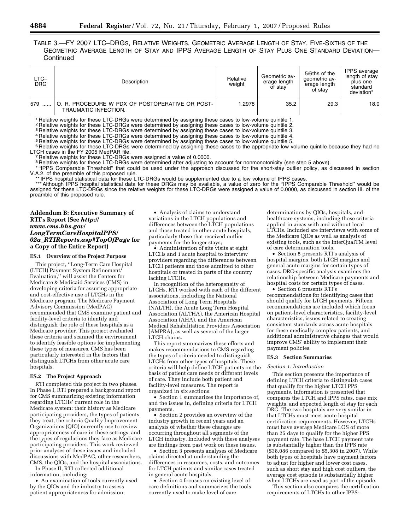TABLE 3.—FY 2007 LTC–DRGS, RELATIVE WEIGHTS, GEOMETRIC AVERAGE LENGTH OF STAY, FIVE-SIXTHS OF THE GEOMETRIC AVERAGE LENGTH OF STAY AND IPPS AVERAGE LENGTH OF STAY PLUS ONE STANDARD DEVIATION— **Continued** 

| LTC-<br><b>DRG</b> | Description                                                             | Relative<br>weight | Geometric av-<br>erage length<br>of stay | 5/6ths of the<br>qeometric av-<br>erage length<br>of stav | IPPS average<br>length of stay<br>plus one<br>standard<br>deviation* |
|--------------------|-------------------------------------------------------------------------|--------------------|------------------------------------------|-----------------------------------------------------------|----------------------------------------------------------------------|
| 579                | O. R. PROCEDURE W PDX OF POSTOPERATIVE OR POST-<br>TRAUMATIC INFECTION. | 1.2978             | 35.2                                     | 29.3                                                      | 18.0                                                                 |

1 Relative weights for these LTC-DRGs were determined by assigning these cases to low-volume quintile 1.

<sup>2</sup> Relative weights for these LTC-DRGs were determined by assigning these cases to low-volume quintile 2.

3 Relative weights for these LTC-DRGs were determined by assigning these cases to low-volume quintile 3.

4 Relative weights for these LTC-DRGs were determined by assigning these cases to low-volume quintile 4. <sup>5</sup> Relative weights for these LTC-DRGs were determined by assigning these cases to low-volume quintile 5.

<sup>6</sup> Relative weights for these LTC-DRGs were determined by assigning these cases to the appropriate low volume quintile because they had no

LTCH cases in the FY 2005 MedPAR file. 7 Relative weights for these LTC-DRGs were assigned a value of 0.0000.

<sup>8</sup> Relative weights for these LTC-DRGs were determined after adjusting to account for nonmonotonicity (see step 5 above).

\* "IPPS Comparable Threshold" that could be used under the approach discussed for the short-stay outlier policy, as discussed in section V.A.2. of the preamble of this proposed rule.

\*\* IPPS hospital statistical data for these LTC-DRGs would be supplemented due to a low volume of IPPS cases.

\*\*\* Although IPPS hospital statistical data for these DRGs may be available, a value of zero for the ''IPPS Comparable Threshold'' would be assigned for these LTC-DRGs since the relative weights for these LTC-DRGs were assigned a value of 0.0000, as discussed in section III. of the preamble of this proposed rule.

## **Addendum B: Executive Summary of RTI's Report (See** *http:// www.cms.hhs.gov/ LongTermCareHospitalPPS/ 02a*\_*RTIReports.asp#TopOfPage* **for a Copy of the Entire Report)**

#### **ES.1 Overview of the Project Purpose**

This project, ''Long-Term Care Hospital (LTCH) Payment System Refinement/ Evaluation,'' will assist the Centers for Medicare & Medicaid Services (CMS) in developing criteria for assuring appropriate and cost-effective use of LTCHs in the Medicare program. The Medicare Payment Advisory Commission (MedPAC) recommended that CMS examine patient and facility-level criteria to identify and distinguish the role of these hospitals as a Medicare provider. This project evaluated these criteria and scanned the environment to identify feasible options for implementing these types of measures. CMS has been particularly interested in the factors that distinguish LTCHs from other acute care hospitals.

#### **ES.2 The Project Approach**

RTI completed this project in two phases. In Phase I, RTI prepared a background report for CMS summarizing existing information regarding LTCHs' current role in the Medicare system: their history as Medicare participating providers, the types of patients they treat, the criteria Quality Improvement Organizations (QIO) currently use to review appropriateness of care in these settings, and the types of regulations they face as Medicare participating providers. This work reviewed prior analyses of these issues and included discussions with MedPAC, other researchers, CMS, the QIOs, and the hospital associations.

In Phase II, RTI collected additional information, including:

• An examination of tools currently used by the QIOs and the industry to assess patient appropriateness for admission;

• Analysis of claims to understand variations in the LTCH populations and differences between the LTCH populations and those treated in other acute hospitals, particularly those that received outlier payments for the longer stays;

• Administration of site visits at eight LTCHs and 1 acute hospital to interview providers regarding the differences between LTCH patients and those admitted to other hospitals or treated in parts of the country lacking LTCHs.

In recognition of the heterogeneity of LTCHs, RTI worked with each of the different associations, including the National Association of Long Term Hospitals (NALTH), the Acute Long Term Hospital Association (ALTHA), the American Hospital Association (AHA), and the American Medical Rehabilitation Providers Association (AMPRA), as well as several of the larger LTCH chains.

This report summarizes these efforts and makes recommendations to CMS regarding the types of criteria needed to distinguish LTCHs from other types of hospitals. These criteria will help define LTCH patients on the basis of patient care needs or different levels of care. They include both patient and facility-level measures. The report is organized in six sections:

• Section 1 summarizes the importance of, and the issues in, defining criteria for LTCH payments.

• Section 2 provides an overview of the industry growth in recent years and an analysis of whether these changes are occurring throughout all segments of the LTCH industry. Included with these analyses are findings from past work on these issues.

• Section 3 presents analyses of Medicare claims directed at understanding the differences in resources, costs, and outcomes for LTCH patients and similar cases treated in general acute hospitals.

• Section 4 focuses on existing level of care definitions and summarizes the tools currently used to make level of care

determinations by QIOs, hospitals, and healthcare systems, including those criteria applied in areas with and without local LTCHs. Included are interviews with some of the Medicare QIOs as well as analysis of existing tools, such as the InterQualTM level of care determination tools.

• Section 5 presents RTI's analysis of hospital margins, both LTCH margins and general acute margins for certain types of cases. DRG-specific analysis examines the relationship between Medicare payments and hospital costs for certain types of cases.

• Section 6 presents RTI's recommendations for identifying cases that should qualify for LTCH payments. Fifteen recommendations are included which focus on patient-level characteristics, facility-level characteristics, issues related to creating consistent standards across acute hospitals for these medically complex patients, and additional administrative changes that would improve CMS' ability to implement their payment policies.

### **ES.3 Section Summaries**

#### *Section 1: Introduction*

This section presents the importance of defining LTCH criteria to distinguish cases that qualify for the higher LTCH PPS payments. Information is presented that compares the LTCH and IPPS rates, case mix weights, and expected length of stay for each DRG. The two hospitals are very similar in that LTCHs must meet acute hospital certification requirements. However, LTCHs must have average Medicare LOS of more than 25 days to qualify for the higher PPS payment rate. The base LTCH payment rate is substantially higher than the IPPS rate (\$38,086 compared to \$5,308 in 2007). While both types of hospitals have payment factors to adjust for higher and lower cost cases, such as short stay and high cost outliers, the average cost episode is substantially higher when LTCHs are used as part of the episode.

This section also compares the certification requirements of LTCHs to other IPPS-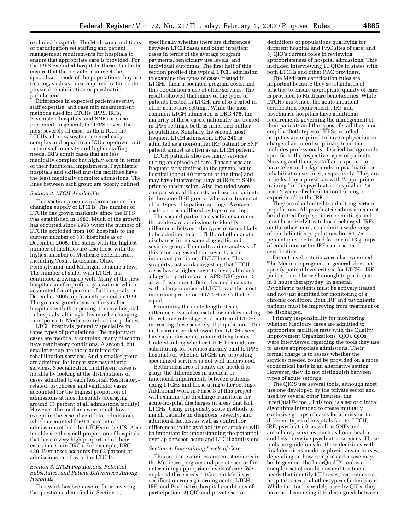excluded hospitals. The Medicare conditions of participation set staffing and patient management requirements for hospitals to ensure that appropriate care is provided. For the IPPS-excluded hospitals, these standards ensure that the provider can meet the specialized needs of the populations they are treating, such as those required by the acute physical rehabilitation or psychiatric populations.

Differences in expected patient severity, staff expertise, and case mix measurement methods used for LTCHs, IPPS, IRFs, Psychiatric hospitals, and SNFs are also presented. In general, the IPPS covers the most severely ill cases in their ICU, the LTCHs admit cases that are medically complex and equal to an ICU step-down unit in terms of intensity and higher staffing needs, IRFs admit cases that are less medically complex but highly acute in terms of their functional impairments. Psychiatric hospitals and skilled nursing facilities have the least medically complex admissions. The lines between each group are poorly defined.

#### *Section 2: LTCH Availability*

This section presents information on the changing supply of LTCHs. The number of LTCHs has grown markedly since the IPPS was established in 1983. Much of the growth has occurred since 1993 when the number of LTCHs exploded from 105 hospitals to the current number of 383 hospitals as of December 2005. The states with the highest number of facilities are also those with the highest number of Medicare beneficiaries, including Texas, Louisiana, Ohio, Pennsylvania, and Michigan to name a few. The number of states with LTCHs has continued growing as well. Many of the new hospitals are for-profit organizations which accounted for 58 percent of all hospitals in December 2005, up from 45 percent in 1996. The greatest growth was in the smaller hospitals with the opening of many hospital in hospitals, although this may be changing in response to Medicare co-location policies.

LTCH hospitals generally specialize in three types of populations. The majority of cases are medically complex, many of whom have respiratory conditions. A second, but smaller group are those admitted for rehabilitation services. And a smaller group are admitted for longer stay psychiatric services. Specialization in different cases is notable by looking at the distributions of cases admitted to each hospital. Respiratoryrelated, psychoses, and ventilator cases accounted for the highest proportion of admissions at most hospitals (averaging around 15 percent of all admissions/facility). However, the medians were much lower except in the case of ventilator admissions which accounted for 9.3 percent of admissions at half the LTCHs in the US. Also notable are the small proportion of hospitals that have a very high proportion of their cases in certain DRGs. For example, DRG 430: Psychoses accounts for 62 percent of admissions in a few of the LTCHs.

### *Section 3: LTCH Populations, Potential Substitutes, and Patient Differences Among Hospitals*

This work has been useful for answering the questions identified in Section 1,

specifically whether there are differences between LTCH cases and other inpatient cases in terms of the average program payments, beneficiary use levels, and individual outcomes. The first half of this section profiled the typical LTCH admission to examine the types of cases treated in LTCHs, their associated program costs, and this population's use of other services. The results showed that many of the types of patients treated in LTCHs are also treated in other acute care settings. While the most common LTCH admission is DRG 475, the majority of these cases, nationally are treated in IPPS settings, both as inlier and outlier populations. Similarly the second most frequent LTCH admission, DRG 249 is admitted as a non-outlier IRF patient or SNF patient almost as often as an LTCH patient.

LTCH patients also use many services during an episode of care. These cases are frequently readmitted to the general acute hospital (about 40 percent of the time) and may have intervening stays at IRFs or SNFs prior to readmission. Also included were comparisons of the costs and use for patients in the same DRG groups who were treated at other types of inpatient settings. Average costs per case differed by type of setting.

The second part of this section examined the acute care admissions to identify differences between the types of cases likely to be admitted to an LTCH and other acute discharges in the same diagnostic and severity group. The multivariate analysis of this issue suggested that severity is an important predictor of LTCH use. This supports past work suggesting that LTCH cases have a higher severity level, although a large proportion are in APR–DRG group 3, as well as group 4. Being located in a state with a large number of LTCHs was the most important predictor of LTCH use, all else equal.

Examining the acute length of stay differences was also useful for understanding the relative role of general acute and LTCHs in treating these severely ill populations. The multivariate work showed that LTCH users have a shorter acute inpatient length stay. Understanding whether LTCH hospitals are substituting for services already paid to IPPS hospitals or whether LTCHs are providing specialized services is not well understood.

Better measures of acuity are needed to gauge the differences in medical or functional impairments between patients using LTCHs and those using other settings. Additional work in Phase 3 of this project will examine the discharge transitions for acute hospital discharges in areas that lack LTCHs. Using propensity score methods to match patients on diagnosis, severity, and additional factors, as well as control for differences in the availability of services will be important for understanding the potential overlap between acute and LTCH admissions.

## *Section 4: Determining Levels of Care*

This section examines current standards in the Medicare program and private sector for determining appropriate levels of care. We explored three areas: 1) Current Medicare certification rules governing acute, LTCH, IRF, and Psychiatric hospital conditions of participation; 2) QIO and private sector

definitions of populations qualifying for different hospital and PAC sites of care; and 3) QIO's current roles in reviewing appropriateness of hospital admissions. This included interviewing 11 QIOs in states with both LTCHs and other PAC providers.

The Medicare certification rules are important because they set standards of practice to ensure appropriate quality of care is provided to Medicare beneficiaries. While LTCHs must meet the acute inpatient certification requirements, IRF and psychiatric hospitals have additional requirements governing the management of their patients and the types of staff they must employ. Both types of IPPS-excluded hospitals are required to have a physician in charge of an interdisciplinary team that includes professionals of varied backgrounds, specific to the respective types of patients. Nursing and therapy staff are expected to have relevant backgrounds in psychiatric or rehabilitation services, respectively. They are to be lead by a physician with ''appropriate training'' in the psychiatric hospital or ''at least 2 years of rehabilitation training or experience'' in the IRF.

They are also limited to admitting certain populations. All psychiatric admissions must be admitted for psychiatric conditions and must be actively treated or discharged. IRFs, on the other hand, can admit a wide range of rehabilitation populations but 50–75 percent must be treated for one of 13 groups of conditions or the IRF can lose its certification.

Patient level criteria were also examined. The Medicare program, in general, does not specify patient level criteria for LTCHs. IRF patients must be well enough to participate in 3 hours therapy/day, in general. Psychiatric patients must be actively treated and not just admitted for monitoring of a chronic condition. Both IRF and psychiatric patients must be improving from treatment or be discharged.

Primary responsibility for monitoring whether Medicare cases are admitted to appropriate facilities rests with the Quality Improvement Organizations (QIO). QIOs were interviewed regarding the tools they use to assess appropriate admissions. Their formal charge is to assess whether the services needed could be provided on a more economical basis in an alternative setting. However, they do not distinguish between types of acute settings.

The QIOS use several tools, although most use one developed by the private sector and used by several other insurers, the InterQual TM tool. This tool is a set of clinical algorithms intended to create mutually exclusive groups of cases for admission to different types of hospitals (acute, LTCH, IRF, psychiatric), as well as SNFs and ambulatory services, such as home health and less intensive psychiatric services. These tools are guidelines for these decisions with final decisions made by physicians or nurses, depending on how complicated a case may be. In general, the InterQual ™ tool is a complex set of conditions and treatment needs that identify ICU cases, less intensive hospital cases, and other types of admissions. While this tool is widely used by QIOs, they have not been using it to distinguish between